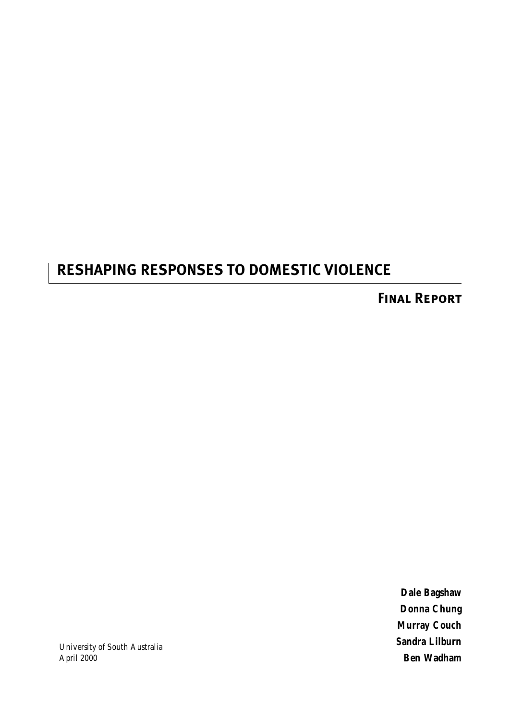# **RESHAPING RESPONSES TO DOMESTIC VIOLENCE**

**Final Report**

**Dale Bagshaw Donna Chung Murray Couch Sandra Lilburn Ben Wadham**

University of South Australia April 2000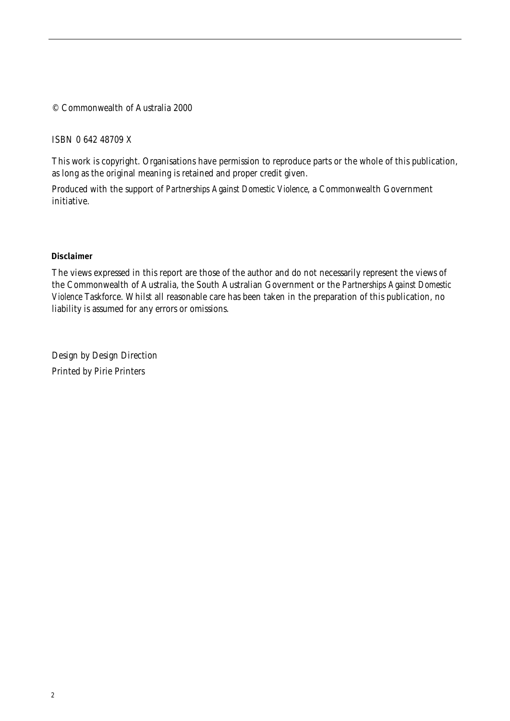#### © Commonwealth of Australia 2000

ISBN 0 642 48709 X

This work is copyright. Organisations have permission to reproduce parts or the whole of this publication, as long as the original meaning is retained and proper credit given.

Produced with the support of *Partnerships Against Domestic Violence*, a Commonwealth Government initiative.

#### **Disclaimer**

The views expressed in this report are those of the author and do not necessarily represent the views of the Commonwealth of Australia, the South Australian Government or the *Partnerships Against Domestic Violence* Taskforce. Whilst all reasonable care has been taken in the preparation of this publication, no liability is assumed for any errors or omissions.

Design by Design Direction Printed by Pirie Printers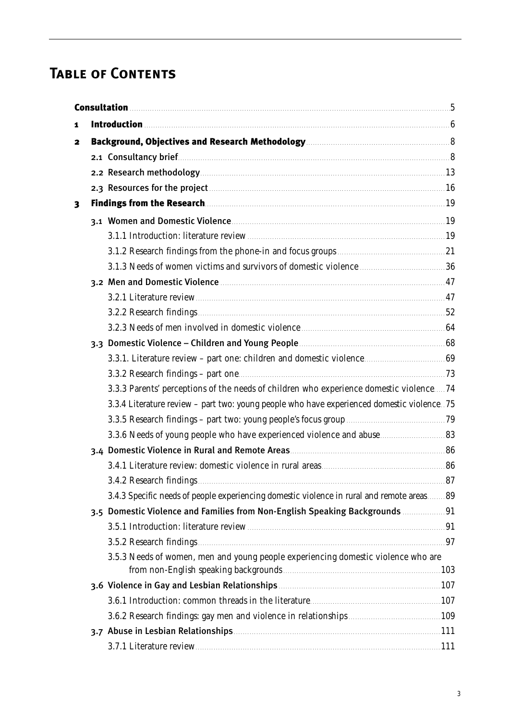# **Table of Contents**

| 1 |                                                                                             |  |
|---|---------------------------------------------------------------------------------------------|--|
| 2 |                                                                                             |  |
|   |                                                                                             |  |
|   |                                                                                             |  |
|   | 2.3 Resources for the project <b>Manual</b> 2.3 Resources for the project <b>Manual 2.3</b> |  |
| 3 | Findings from the Research <b>Executes</b> 2014 19                                          |  |
|   | 3.1 Women and Domestic Violence <b>Commission Commission</b> 19                             |  |
|   |                                                                                             |  |
|   |                                                                                             |  |
|   | 3.1.3 Needs of women victims and survivors of domestic violence measurements of 36          |  |
|   |                                                                                             |  |
|   |                                                                                             |  |
|   |                                                                                             |  |
|   | 3.2.3 Needs of men involved in domestic violence <b>manufacturers</b> for 64                |  |
|   |                                                                                             |  |
|   |                                                                                             |  |
|   |                                                                                             |  |
|   | 3.3.3 Parents' perceptions of the needs of children who experience domestic violence74      |  |
|   | 3.3.4 Literature review - part two: young people who have experienced domestic violence. 75 |  |
|   |                                                                                             |  |
|   |                                                                                             |  |
|   |                                                                                             |  |
|   |                                                                                             |  |
|   |                                                                                             |  |
|   | 3.4.3 Specific needs of people experiencing domestic violence in rural and remote areas 89  |  |
|   | 3.5 Domestic Violence and Families from Non-English Speaking Backgrounds  91                |  |
|   |                                                                                             |  |
|   |                                                                                             |  |
|   | 3.5.3 Needs of women, men and young people experiencing domestic violence who are           |  |
|   |                                                                                             |  |
|   |                                                                                             |  |
|   |                                                                                             |  |
|   |                                                                                             |  |
|   |                                                                                             |  |
|   |                                                                                             |  |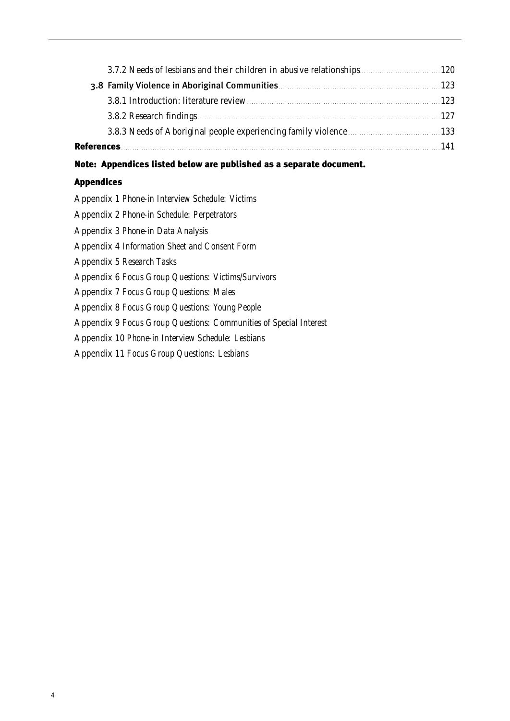|                   | 123 |
|-------------------|-----|
|                   |     |
|                   |     |
| <b>References</b> | 141 |

# Note: Appendices listed below are published as a separate document.

# Appendices

4

Appendix 1 *Phone-in Interview Schedule: Victims*

Appendix 2 *Phone-in Schedule: Perpetrators*

Appendix 3 *Phone-in Data Analysis*

Appendix 4 *Information Sheet and Consent Form*

Appendix 5 *Research Tasks*

Appendix 6 *Focus Group Questions: Victims/Survivors*

Appendix 7 *Focus Group Questions: Males*

Appendix 8 *Focus Group Questions: Young People*

Appendix 9 *Focus Group Questions: Communities of Special Interest*

Appendix 10 *Phone-in Interview Schedule: Lesbians*

Appendix 11 *Focus Group Questions: Lesbians*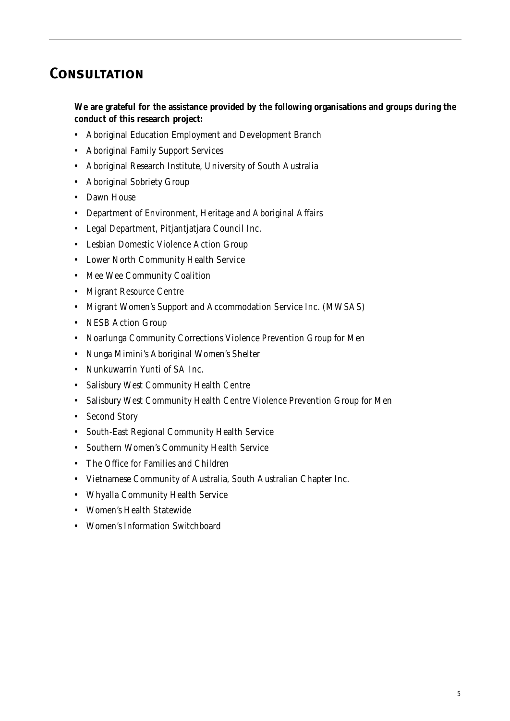# **Consultation**

**We are grateful for the assistance provided by the following organisations and groups during the conduct of this research project:** 

- Aboriginal Education Employment and Development Branch
- Aboriginal Family Support Services
- Aboriginal Research Institute, University of South Australia
- Aboriginal Sobriety Group
- Dawn House
- Department of Environment, Heritage and Aboriginal Affairs
- Legal Department, Pitjantjatjara Council Inc.
- Lesbian Domestic Violence Action Group
- Lower North Community Health Service
- Mee Wee Community Coalition
- Migrant Resource Centre
- Migrant Women's Support and Accommodation Service Inc. (MWSAS)
- NESB Action Group
- Noarlunga Community Corrections Violence Prevention Group for Men
- Nunga Mimini's Aboriginal Women's Shelter
- Nunkuwarrin Yunti of SA Inc.
- Salisbury West Community Health Centre
- Salisbury West Community Health Centre Violence Prevention Group for Men
- Second Story
- South-East Regional Community Health Service
- Southern Women's Community Health Service
- The Office for Families and Children
- Vietnamese Community of Australia, South Australian Chapter Inc.
- Whyalla Community Health Service
- Women's Health Statewide
- Women's Information Switchboard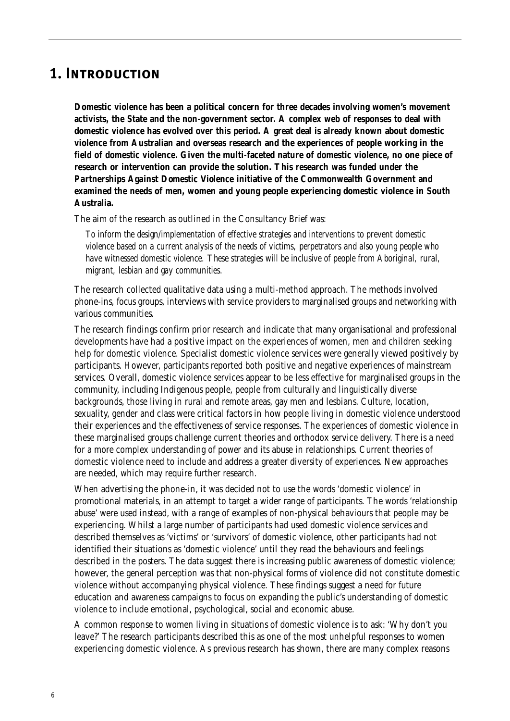# **1. Introduction**

**Domestic violence has been a political concern for three decades involving women's movement activists, the State and the non-government sector. A complex web of responses to deal with domestic violence has evolved over this period. A great deal is already known about domestic violence from Australian and overseas research and the experiences of people working in the field of domestic violence. Given the multi-faceted nature of domestic violence, no one piece of research or intervention can provide the solution. This research was funded under the** *Partnerships Against Domestic Violence* **initiative of the Commonwealth Government and examined the needs of men, women and young people experiencing domestic violence in South Australia.**

The aim of the research as outlined in the Consultancy Brief was:

*To inform the design/implementation of effective strategies and interventions to prevent domestic violence based on a current analysis of the needs of victims, perpetrators and also young people who have witnessed domestic violence. These strategies will be inclusive of people from Aboriginal, rural, migrant, lesbian and gay communities.*

The research collected qualitative data using a multi-method approach. The methods involved phone-ins, focus groups, interviews with service providers to marginalised groups and networking with various communities.

The research findings confirm prior research and indicate that many organisational and professional developments have had a positive impact on the experiences of women, men and children seeking help for domestic violence. Specialist domestic violence services were generally viewed positively by participants. However, participants reported both positive and negative experiences of mainstream services. Overall, domestic violence services appear to be less effective for marginalised groups in the community, including Indigenous people, people from culturally and linguistically diverse backgrounds, those living in rural and remote areas, gay men and lesbians. Culture, location, sexuality, gender and class were critical factors in how people living in domestic violence understood their experiences and the effectiveness of service responses. The experiences of domestic violence in these marginalised groups challenge current theories and orthodox service delivery. There is a need for a more complex understanding of power and its abuse in relationships. Current theories of domestic violence need to include and address a greater diversity of experiences. New approaches are needed, which may require further research.

When advertising the phone-in, it was decided not to use the words 'domestic violence' in promotional materials, in an attempt to target a wider range of participants. The words 'relationship abuse' were used instead, with a range of examples of non-physical behaviours that people may be experiencing. Whilst a large number of participants had used domestic violence services and described themselves as 'victims' or 'survivors' of domestic violence, other participants had not identified their situations as 'domestic violence' until they read the behaviours and feelings described in the posters. The data suggest there is increasing public awareness of domestic violence; however, the general perception was that non-physical forms of violence did not constitute domestic violence without accompanying physical violence. These findings suggest a need for future education and awareness campaigns to focus on expanding the public's understanding of domestic violence to include emotional, psychological, social and economic abuse.

A common response to women living in situations of domestic violence is to ask: 'Why don't you leave?' The research participants described this as one of the most unhelpful responses to women experiencing domestic violence. As previous research has shown, there are many complex reasons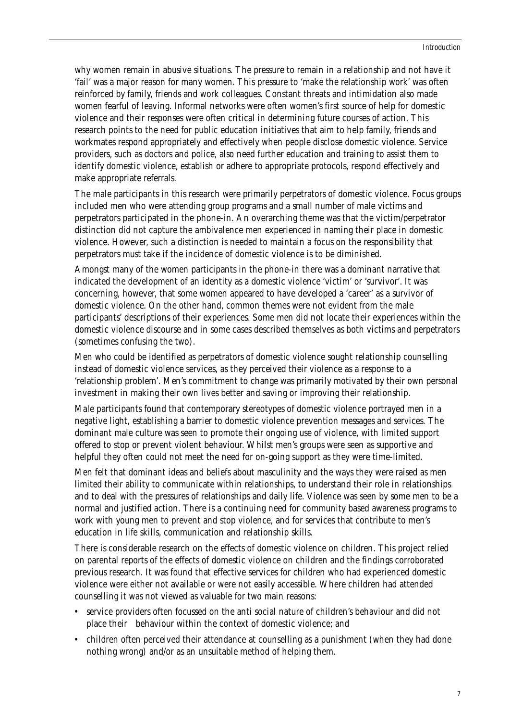why women remain in abusive situations. The pressure to remain in a relationship and not have it 'fail' was a major reason for many women. This pressure to 'make the relationship work' was often reinforced by family, friends and work colleagues. Constant threats and intimidation also made women fearful of leaving. Informal networks were often women's first source of help for domestic violence and their responses were often critical in determining future courses of action. This research points to the need for public education initiatives that aim to help family, friends and workmates respond appropriately and effectively when people disclose domestic violence. Service providers, such as doctors and police, also need further education and training to assist them to identify domestic violence, establish or adhere to appropriate protocols, respond effectively and make appropriate referrals.

The male participants in this research were primarily perpetrators of domestic violence. Focus groups included men who were attending group programs and a small number of male victims and perpetrators participated in the phone-in. An overarching theme was that the victim/perpetrator distinction did not capture the ambivalence men experienced in naming their place in domestic violence. However, such a distinction is needed to maintain a focus on the responsibility that perpetrators must take if the incidence of domestic violence is to be diminished.

Amongst many of the women participants in the phone-in there was a dominant narrative that indicated the development of an identity as a domestic violence 'victim' or 'survivor'. It was concerning, however, that some women appeared to have developed a 'career' as a survivor of domestic violence. On the other hand, common themes were not evident from the male participants' descriptions of their experiences. Some men did not locate their experiences within the domestic violence discourse and in some cases described themselves as both victims and perpetrators (sometimes confusing the two).

Men who could be identified as perpetrators of domestic violence sought relationship counselling instead of domestic violence services, as they perceived their violence as a response to a 'relationship problem'. Men's commitment to change was primarily motivated by their own personal investment in making their own lives better and saving or improving their relationship.

Male participants found that contemporary stereotypes of domestic violence portrayed men in a negative light, establishing a barrier to domestic violence prevention messages and services. The dominant male culture was seen to promote their ongoing use of violence, with limited support offered to stop or prevent violent behaviour. Whilst men's groups were seen as supportive and helpful they often could not meet the need for on-going support as they were time-limited.

Men felt that dominant ideas and beliefs about masculinity and the ways they were raised as men limited their ability to communicate within relationships, to understand their role in relationships and to deal with the pressures of relationships and daily life. Violence was seen by some men to be a normal and justified action. There is a continuing need for community based awareness programs to work with young men to prevent and stop violence, and for services that contribute to men's education in life skills, communication and relationship skills.

There is considerable research on the effects of domestic violence on children. This project relied on parental reports of the effects of domestic violence on children and the findings corroborated previous research. It was found that effective services for children who had experienced domestic violence were either not available or were not easily accessible. Where children had attended counselling it was not viewed as valuable for two main reasons:

- service providers often focussed on the anti social nature of children's behaviour and did not place their behaviour within the context of domestic violence; and
- children often perceived their attendance at counselling as a punishment (when they had done nothing wrong) and/or as an unsuitable method of helping them.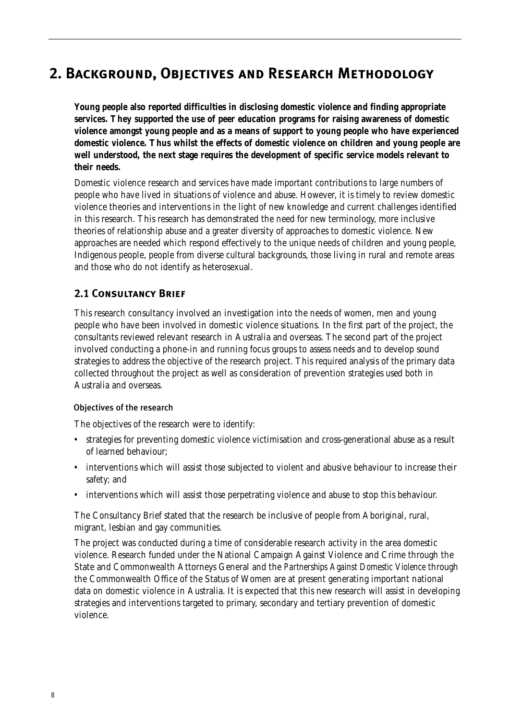# **2. Background, Objectives and Research Methodology**

**Young people also reported difficulties in disclosing domestic violence and finding appropriate services. They supported the use of peer education programs for raising awareness of domestic violence amongst young people and as a means of support to young people who have experienced domestic violence. Thus whilst the effects of domestic violence on children and young people are well understood, the next stage requires the development of specific service models relevant to their needs.**

Domestic violence research and services have made important contributions to large numbers of people who have lived in situations of violence and abuse. However, it is timely to review domestic violence theories and interventions in the light of new knowledge and current challenges identified in this research. This research has demonstrated the need for new terminology, more inclusive theories of relationship abuse and a greater diversity of approaches to domestic violence. New approaches are needed which respond effectively to the unique needs of children and young people, Indigenous people, people from diverse cultural backgrounds, those living in rural and remote areas and those who do not identify as heterosexual.

# **2.1 Consultancy Brief**

This research consultancy involved an investigation into the needs of women, men and young people who have been involved in domestic violence situations. In the first part of the project, the consultants reviewed relevant research in Australia and overseas. The second part of the project involved conducting a phone-in and running focus groups to assess needs and to develop sound strategies to address the objective of the research project. This required analysis of the primary data collected throughout the project as well as consideration of prevention strategies used both in Australia and overseas.

# Objectives of the research

The objectives of the research were to identify:

- strategies for preventing domestic violence victimisation and cross-generational abuse as a result of learned behaviour;
- interventions which will assist those subjected to violent and abusive behaviour to increase their safety; and
- interventions which will assist those perpetrating violence and abuse to stop this behaviour.

The Consultancy Brief stated that the research be inclusive of people from Aboriginal, rural, migrant, lesbian and gay communities.

The project was conducted during a time of considerable research activity in the area domestic violence. Research funded under the National Campaign Against Violence and Crime through the State and Commonwealth Attorneys General and the *Partnerships Against Domestic Violence* through the Commonwealth Office of the Status of Women are at present generating important national data on domestic violence in Australia. It is expected that this new research will assist in developing strategies and interventions targeted to primary, secondary and tertiary prevention of domestic violence.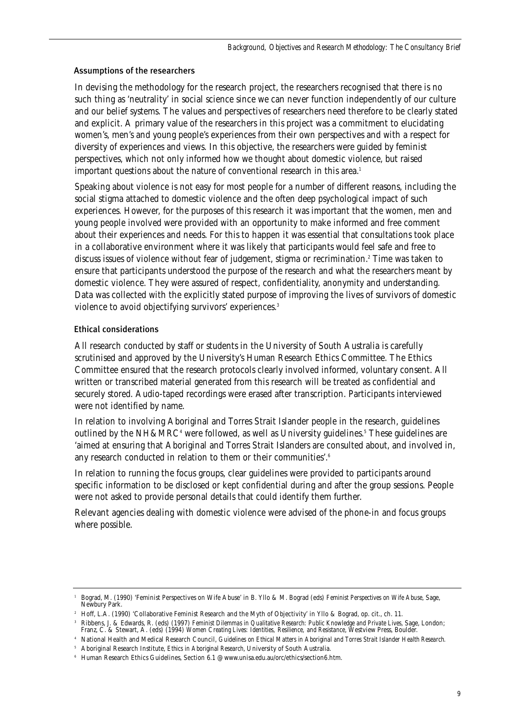# Assumptions of the researchers

In devising the methodology for the research project, the researchers recognised that there is no such thing as 'neutrality' in social science since we can never function independently of our culture and our belief systems. The values and perspectives of researchers need therefore to be clearly stated and explicit. A primary value of the researchers in this project was a commitment to elucidating women's, men's and young people's experiences from their own perspectives and with a respect for diversity of experiences and views. In this objective, the researchers were guided by feminist perspectives, which not only informed how we thought about domestic violence, but raised important questions about the nature of conventional research in this area.<sup>1</sup>

Speaking about violence is not easy for most people for a number of different reasons, including the social stigma attached to domestic violence and the often deep psychological impact of such experiences. However, for the purposes of this research it was important that the women, men and young people involved were provided with an opportunity to make informed and free comment about their experiences and needs. For this to happen it was essential that consultations took place in a collaborative environment where it was likely that participants would feel safe and free to discuss issues of violence without fear of judgement, stigma or recrimination.2 Time was taken to ensure that participants understood the purpose of the research and what the researchers meant by domestic violence. They were assured of respect, confidentiality, anonymity and understanding. Data was collected with the explicitly stated purpose of improving the lives of survivors of domestic violence to avoid objectifying survivors' experiences.<sup>3</sup>

# Ethical considerations

All research conducted by staff or students in the University of South Australia is carefully scrutinised and approved by the University's Human Research Ethics Committee. The Ethics Committee ensured that the research protocols clearly involved informed, voluntary consent. All written or transcribed material generated from this research will be treated as confidential and securely stored. Audio-taped recordings were erased after transcription. Participants interviewed were not identified by name.

In relation to involving Aboriginal and Torres Strait Islander people in the research, guidelines outlined by the  $NH&MRC<sup>4</sup>$  were followed, as well as University guidelines.<sup>5</sup> These guidelines are 'aimed at ensuring that Aboriginal and Torres Strait Islanders are consulted about, and involved in, any research conducted in relation to them or their communities'.<sup>6</sup>

In relation to running the focus groups, clear guidelines were provided to participants around specific information to be disclosed or kept confidential during and after the group sessions. People were not asked to provide personal details that could identify them further.

Relevant agencies dealing with domestic violence were advised of the phone-in and focus groups where possible.

<sup>1</sup> Bograd, M. (1990) 'Feminist Perspectives on Wife Abuse' in B. Yllo & M. Bograd (eds) *Feminist Perspectives on Wife Abuse*, Sage, Newbury Park.

<sup>2</sup> Hoff, L.A. (1990) 'Collaborative Feminist Research and the Myth of Objectivity' in Yllo & Bograd, op. cit., ch. 11.

<sup>3</sup> Ribbens, J. & Edwards, R. (eds) (1997) *Feminist Dilemmas in Qualitative Research: Public Knowledge and Private Lives*, Sage, London; Franz, C. & Stewart, A. (eds) (1994) *Women Creating Lives: Identities, Resilience, and Resistance*, Westview Press, Boulder.

<sup>4</sup> National Health and Medical Research Council, *Guidelines on Ethical Matters in Aboriginal and Torres Strait Islander Health Research.* <sup>5</sup> Aboriginal Research Institute, *Ethics in Aboriginal Research*, University of South Australia.

<sup>6</sup> Human Research Ethics Guidelines, Section 6.1 @ www.unisa.edu.au/orc/ethics/section6.htm.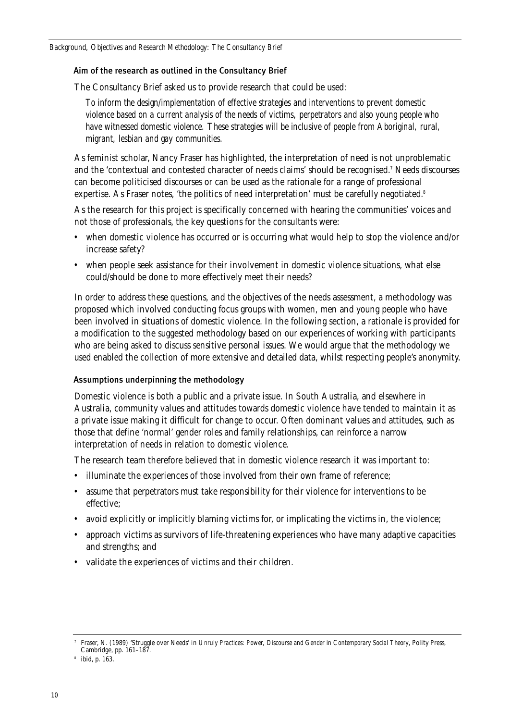# Aim of the research as outlined in the Consultancy Brief

The Consultancy Brief asked us to provide research that could be used:

*To inform the design/implementation of effective strategies and interventions to prevent domestic violence based on a current analysis of the needs of victims, perpetrators and also young people who have witnessed domestic violence. These strategies will be inclusive of people from Aboriginal, rural, migrant, lesbian and gay communities.*

As feminist scholar, Nancy Fraser has highlighted, the interpretation of need is not unproblematic and the 'contextual and contested character of needs claims' should be recognised.7 Needs discourses can become politicised discourses or can be used as the rationale for a range of professional expertise. As Fraser notes, 'the politics of need interpretation' must be carefully negotiated.<sup>8</sup>

As the research for this project is specifically concerned with hearing the communities' voices and not those of professionals, the key questions for the consultants were:

- when domestic violence has occurred or is occurring what would help to stop the violence and/or increase safety?
- when people seek assistance for their involvement in domestic violence situations, what else could/should be done to more effectively meet their needs?

In order to address these questions, and the objectives of the needs assessment, a methodology was proposed which involved conducting focus groups with women, men and young people who have been involved in situations of domestic violence. In the following section, a rationale is provided for a modification to the suggested methodology based on our experiences of working with participants who are being asked to discuss sensitive personal issues. We would argue that the methodology we used enabled the collection of more extensive and detailed data, whilst respecting people's anonymity.

# Assumptions underpinning the methodology

Domestic violence is both a public and a private issue. In South Australia, and elsewhere in Australia, community values and attitudes towards domestic violence have tended to maintain it as a private issue making it difficult for change to occur. Often dominant values and attitudes, such as those that define 'normal' gender roles and family relationships, can reinforce a narrow interpretation of needs in relation to domestic violence.

The research team therefore believed that in domestic violence research it was important to:

- illuminate the experiences of those involved from their own frame of reference;
- assume that perpetrators must take responsibility for their violence for interventions to be effective;
- avoid explicitly or implicitly blaming victims for, or implicating the victims in, the violence;
- approach victims as survivors of life-threatening experiences who have many adaptive capacities and strengths; and
- validate the experiences of victims and their children.

<sup>7</sup> Fraser, N. (1989) 'Struggle over Needs' in *Unruly Practices: Power, Discourse and Gender in Contemporary Social Theory*, Polity Press, Cambridge, pp. 161–187.

<sup>8</sup> ibid, p. 163.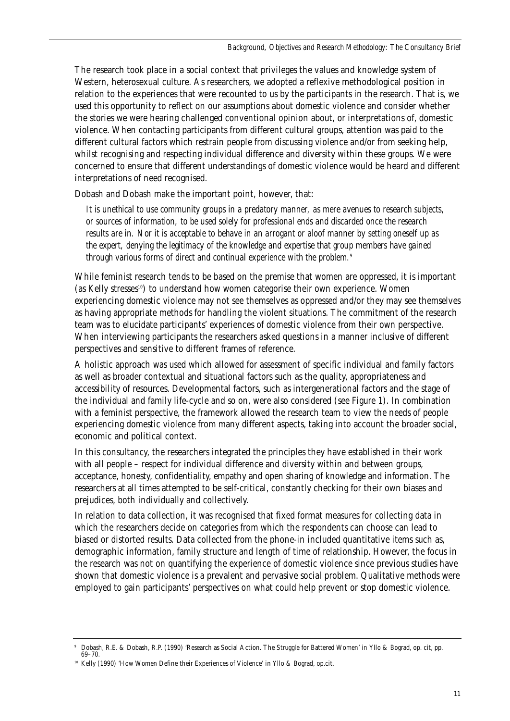The research took place in a social context that privileges the values and knowledge system of Western, heterosexual culture. As researchers, we adopted a reflexive methodological position in relation to the experiences that were recounted to us by the participants in the research. That is, we used this opportunity to reflect on our assumptions about domestic violence and consider whether the stories we were hearing challenged conventional opinion about, or interpretations of, domestic violence. When contacting participants from different cultural groups, attention was paid to the different cultural factors which restrain people from discussing violence and/or from seeking help, whilst recognising and respecting individual difference and diversity within these groups. We were concerned to ensure that different understandings of domestic violence would be heard and different interpretations of need recognised.

Dobash and Dobash make the important point, however, that:

*It is unethical to use community groups in a predatory manner, as mere avenues to research subjects, or sources of information, to be used solely for professional ends and discarded once the research results are in. Nor it is acceptable to behave in an arrogant or aloof manner by setting oneself up as the expert, denying the legitimacy of the knowledge and expertise that group members have gained through various forms of direct and continual experience with the problem.*<sup>9</sup>

While feminist research tends to be based on the premise that women are oppressed, it is important (as Kelly stresses<sup>10</sup>) to understand how women categorise their own experience. Women experiencing domestic violence may not see themselves as oppressed and/or they may see themselves as having appropriate methods for handling the violent situations. The commitment of the research team was to elucidate participants' experiences of domestic violence from their own perspective. When interviewing participants the researchers asked questions in a manner inclusive of different perspectives and sensitive to different frames of reference.

A holistic approach was used which allowed for assessment of specific individual and family factors as well as broader contextual and situational factors such as the quality, appropriateness and accessibility of resources. Developmental factors, such as intergenerational factors and the stage of the individual and family life-cycle and so on, were also considered (see Figure 1). In combination with a feminist perspective, the framework allowed the research team to view the needs of people experiencing domestic violence from many different aspects, taking into account the broader social, economic and political context.

In this consultancy, the researchers integrated the principles they have established in their work with all people – respect for individual difference and diversity within and between groups, acceptance, honesty, confidentiality, empathy and open sharing of knowledge and information. The researchers at all times attempted to be self-critical, constantly checking for their own biases and prejudices, both individually and collectively.

In relation to data collection, it was recognised that fixed format measures for collecting data in which the researchers decide on categories from which the respondents can choose can lead to biased or distorted results. Data collected from the phone-in included quantitative items such as, demographic information, family structure and length of time of relationship. However, the focus in the research was not on quantifying the experience of domestic violence since previous studies have shown that domestic violence is a prevalent and pervasive social problem. Qualitative methods were employed to gain participants' perspectives on what could help prevent or stop domestic violence.

<sup>9</sup> Dobash, R.E. & Dobash, R.P. (1990) 'Research as Social Action. The Struggle for Battered Women' in Yllo & Bograd, op. cit, pp. 69–70.

<sup>&</sup>lt;sup>10</sup> Kelly (1990) 'How Women Define their Experiences of Violence' in Yllo & Bograd, op.cit.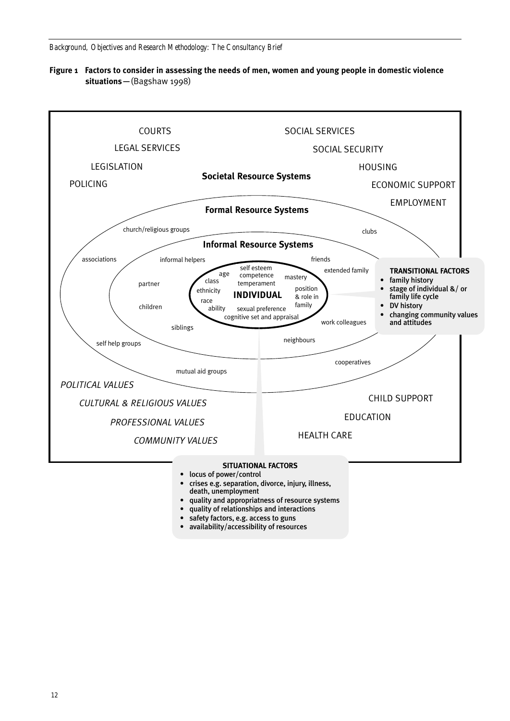*Background, Objectives and Research Methodology: The Consultancy Brief*





- death, unemployment
- quality and appropriatness of resource systems
- quality of relationships and interactions
- safety factors, e.g. access to guns
- availability/accessibility of resources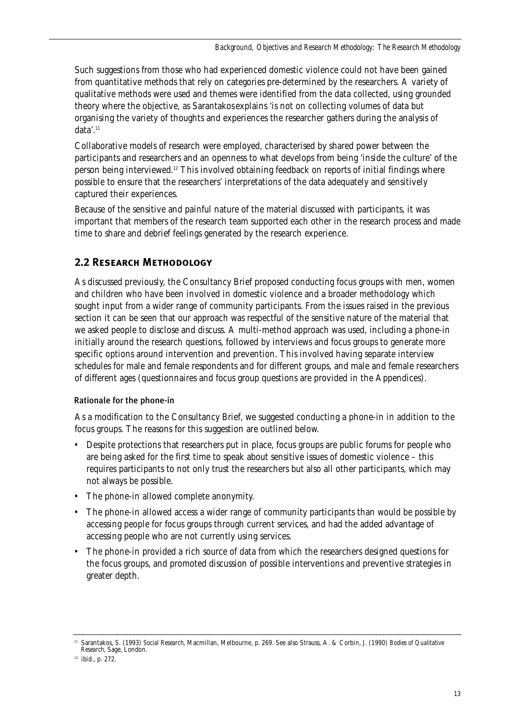Such suggestions from those who had experienced domestic violence could not have been gained from quantitative methods that rely on categories pre-determined by the researchers. A variety of qualitative methods were used and themes were identified from the data collected, using grounded theory where the objective, as Sarantakos explains 'is not on collecting volumes of data but organising the variety of thoughts and experiences the researcher gathers during the analysis of data'.11

Collaborative models of research were employed, characterised by shared power between the participants and researchers and an openness to what develops from being 'inside the culture' of the person being interviewed.12 This involved obtaining feedback on reports of initial findings where possible to ensure that the researchers' interpretations of the data adequately and sensitively captured their experiences.

Because of the sensitive and painful nature of the material discussed with participants, it was important that members of the research team supported each other in the research process and made time to share and debrief feelings generated by the research experience.

# **2.2 Research Methodology**

As discussed previously, the Consultancy Brief proposed conducting focus groups with men, women and children who have been involved in domestic violence and a broader methodology which sought input from a wider range of community participants. From the issues raised in the previous section it can be seen that our approach was respectful of the sensitive nature of the material that we asked people to disclose and discuss. A multi-method approach was used, including a phone-in initially around the research questions, followed by interviews and focus groups to generate more specific options around intervention and prevention. This involved having separate interview schedules for male and female respondents and for different groups, and male and female researchers of different ages (questionnaires and focus group questions are provided in the Appendices).

# Rationale for the phone-in

As a modification to the Consultancy Brief, we suggested conducting a phone-in in addition to the focus groups. The reasons for this suggestion are outlined below.

- Despite protections that researchers put in place, focus groups are public forums for people who are being asked for the first time to speak about sensitive issues of domestic violence – this requires participants to not only trust the researchers but also all other participants, which may not always be possible.
- The phone-in allowed complete anonymity.
- The phone-in allowed access a wider range of community participants than would be possible by accessing people for focus groups through current services, and had the added advantage of accessing people who are not currently using services.
- The phone-in provided a rich source of data from which the researchers designed questions for the focus groups, and promoted discussion of possible interventions and preventive strategies in greater depth.

<sup>11</sup> Sarantakos, S. (1993) *Social Research*, Macmillan, Melbourne, p. 269. See also Strauss, A. & Corbin, J. (1990) *Bodies of Qualitative Research*, Sage, London.

<sup>12</sup> ibid., p. 272.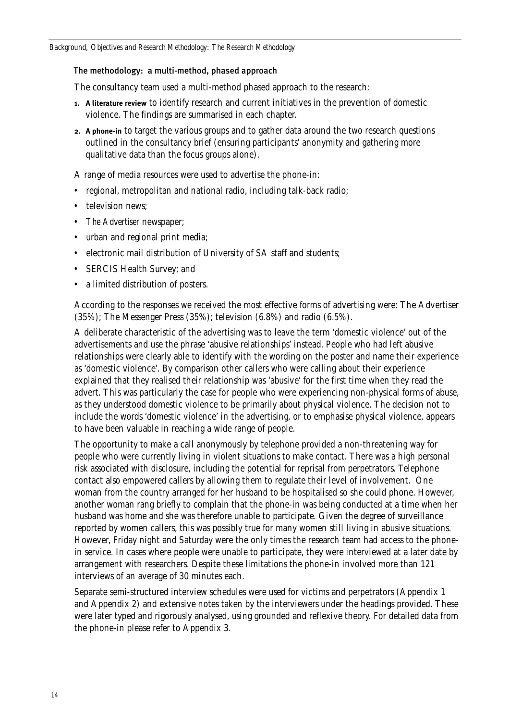#### The methodology: a multi-method, phased approach

The consultancy team used a multi-method phased approach to the research:

- **1. A literature review** to identify research and current initiatives in the prevention of domestic violence. The findings are summarised in each chapter.
- **2. A phone-in** to target the various groups and to gather data around the two research questions outlined in the consultancy brief (ensuring participants' anonymity and gathering more qualitative data than the focus groups alone).

A range of media resources were used to advertise the phone-in:

- regional, metropolitan and national radio, including talk-back radio;
- television news:
- *The Advertiser* newspaper;
- urban and regional print media;
- electronic mail distribution of University of SA staff and students;
- SERCIS Health Survey; and
- a limited distribution of posters.

According to the responses we received the most effective forms of advertising were: The Advertiser (35%); The Messenger Press (35%); television (6.8%) and radio (6.5%).

A deliberate characteristic of the advertising was to leave the term 'domestic violence' out of the advertisements and use the phrase 'abusive relationships' instead. People who had left abusive relationships were clearly able to identify with the wording on the poster and name their experience as 'domestic violence'. By comparison other callers who were calling about their experience explained that they realised their relationship was 'abusive' for the first time when they read the advert. This was particularly the case for people who were experiencing non-physical forms of abuse, as they understood domestic violence to be primarily about physical violence. The decision not to include the words 'domestic violence' in the advertising, or to emphasise physical violence, appears to have been valuable in reaching a wide range of people.

The opportunity to make a call anonymously by telephone provided a non-threatening way for people who were currently living in violent situations to make contact. There was a high personal risk associated with disclosure, including the potential for reprisal from perpetrators. Telephone contact also empowered callers by allowing them to regulate their level of involvement. One woman from the country arranged for her husband to be hospitalised so she could phone. However, another woman rang briefly to complain that the phone-in was being conducted at a time when her husband was home and she was therefore unable to participate. Given the degree of surveillance reported by women callers, this was possibly true for many women still living in abusive situations. However, Friday night and Saturday were the only times the research team had access to the phonein service. In cases where people were unable to participate, they were interviewed at a later date by arrangement with researchers. Despite these limitations the phone-in involved more than 121 interviews of an average of 30 minutes each.

Separate semi-structured interview schedules were used for victims and perpetrators (Appendix 1 and Appendix 2) and extensive notes taken by the interviewers under the headings provided. These were later typed and rigorously analysed, using grounded and reflexive theory. For detailed data from the phone-in please refer to Appendix 3.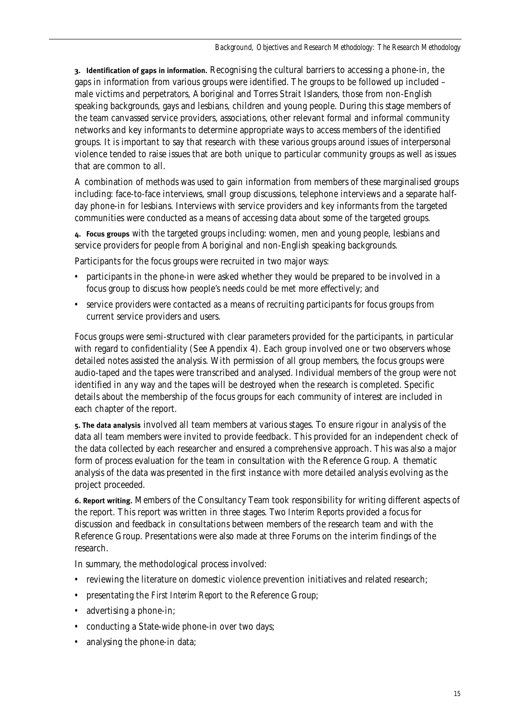**3. Identification of gaps in information.** Recognising the cultural barriers to accessing a phone-in, the gaps in information from various groups were identified. The groups to be followed up included – male victims and perpetrators, Aboriginal and Torres Strait Islanders, those from non-English speaking backgrounds, gays and lesbians, children and young people. During this stage members of the team canvassed service providers, associations, other relevant formal and informal community networks and key informants to determine appropriate ways to access members of the identified groups. It is important to say that research with these various groups around issues of interpersonal violence tended to raise issues that are both unique to particular community groups as well as issues that are common to all.

A combination of methods was used to gain information from members of these marginalised groups including: face-to-face interviews, small group discussions, telephone interviews and a separate halfday phone-in for lesbians. Interviews with service providers and key informants from the targeted communities were conducted as a means of accessing data about some of the targeted groups.

**4. Focus groups** with the targeted groups including: women, men and young people, lesbians and service providers for people from Aboriginal and non-English speaking backgrounds.

Participants for the focus groups were recruited in two major ways:

- participants in the phone-in were asked whether they would be prepared to be involved in a focus group to discuss how people's needs could be met more effectively; and
- service providers were contacted as a means of recruiting participants for focus groups from current service providers and users.

Focus groups were semi-structured with clear parameters provided for the participants, in particular with regard to confidentiality (See Appendix 4). Each group involved one or two observers whose detailed notes assisted the analysis. With permission of all group members, the focus groups were audio-taped and the tapes were transcribed and analysed. Individual members of the group were not identified in any way and the tapes will be destroyed when the research is completed. Specific details about the membership of the focus groups for each community of interest are included in each chapter of the report.

**5. The data analysis** involved all team members at various stages. To ensure rigour in analysis of the data all team members were invited to provide feedback. This provided for an independent check of the data collected by each researcher and ensured a comprehensive approach. This was also a major form of process evaluation for the team in consultation with the Reference Group. A thematic analysis of the data was presented in the first instance with more detailed analysis evolving as the project proceeded.

**6. Report writing.** Members of the Consultancy Team took responsibility for writing different aspects of the report. This report was written in three stages. Two *Interim Reports* provided a focus for discussion and feedback in consultations between members of the research team and with the Reference Group. Presentations were also made at three Forums on the interim findings of the research.

In summary, the methodological process involved:

- reviewing the literature on domestic violence prevention initiatives and related research;
- presentating the *First Interim Report* to the Reference Group;
- advertising a phone-in;
- conducting a State-wide phone-in over two days;
- analysing the phone-in data;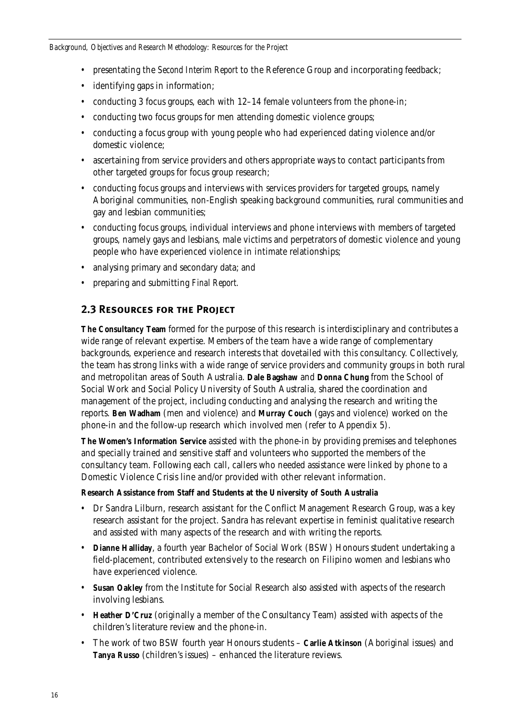- presentating the *Second Interim Report* to the Reference Group and incorporating feedback;
- identifying gaps in information;
- conducting 3 focus groups, each with 12–14 female volunteers from the phone-in;
- conducting two focus groups for men attending domestic violence groups:
- conducting a focus group with young people who had experienced dating violence and/or domestic violence;
- ascertaining from service providers and others appropriate ways to contact participants from other targeted groups for focus group research;
- conducting focus groups and interviews with services providers for targeted groups, namely Aboriginal communities, non-English speaking background communities, rural communities and gay and lesbian communities;
- conducting focus groups, individual interviews and phone interviews with members of targeted groups, namely gays and lesbians, male victims and perpetrators of domestic violence and young people who have experienced violence in intimate relationships;
- analysing primary and secondary data; and
- preparing and submitting *Final Report.*

# **2.3 Resources for the Project**

**The Consultancy Team** formed for the purpose of this research is interdisciplinary and contributes a wide range of relevant expertise. Members of the team have a wide range of complementary backgrounds, experience and research interests that dovetailed with this consultancy. Collectively, the team has strong links with a wide range of service providers and community groups in both rural and metropolitan areas of South Australia. **Dale Bagshaw** and **Donna Chung** from the School of Social Work and Social Policy University of South Australia, shared the coordination and management of the project, including conducting and analysing the research and writing the reports. **Ben Wadham** (men and violence) and **Murray Couch** (gays and violence) worked on the phone-in and the follow-up research which involved men (refer to Appendix 5).

**The Women's Information Service** assisted with the phone-in by providing premises and telephones and specially trained and sensitive staff and volunteers who supported the members of the consultancy team. Following each call, callers who needed assistance were linked by phone to a Domestic Violence Crisis line and/or provided with other relevant information.

# **Research Assistance from Staff and Students at the University of South Australia**

- Dr Sandra Lilburn, research assistant for the Conflict Management Research Group, was a key research assistant for the project. Sandra has relevant expertise in feminist qualitative research and assisted with many aspects of the research and with writing the reports.
- **Dianne Halliday**, a fourth year Bachelor of Social Work (BSW) Honours student undertaking a field-placement, contributed extensively to the research on Filipino women and lesbians who have experienced violence.
- **Susan Oakley** from the Institute for Social Research also assisted with aspects of the research involving lesbians.
- **Heather D'Cruz** (originally a member of the Consultancy Team) assisted with aspects of the children's literature review and the phone-in.
- The work of two BSW fourth year Honours students **Carlie Atkinson** (Aboriginal issues) and **Tanya Russo** (children's issues) – enhanced the literature reviews.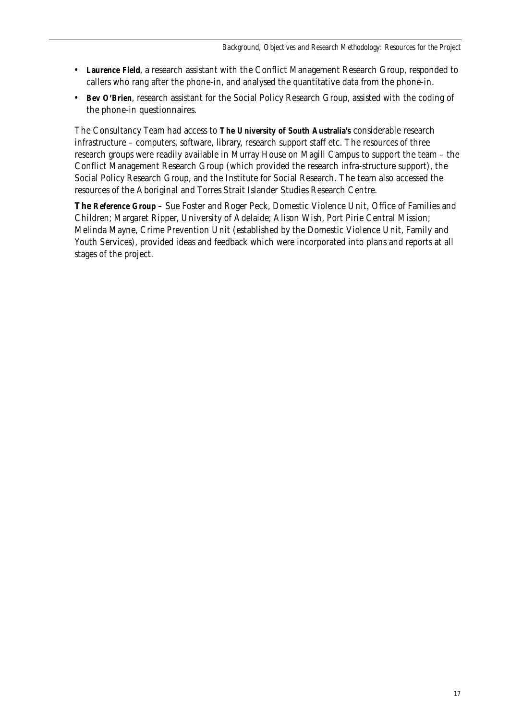- **Laurence Field**, a research assistant with the Conflict Management Research Group, responded to callers who rang after the phone-in, and analysed the quantitative data from the phone-in.
- **Bev O'Brien**, research assistant for the Social Policy Research Group, assisted with the coding of the phone-in questionnaires.

The Consultancy Team had access to **The University of South Australia's** considerable research infrastructure – computers, software, library, research support staff etc. The resources of three research groups were readily available in Murray House on Magill Campus to support the team – the Conflict Management Research Group (which provided the research infra-structure support), the Social Policy Research Group, and the Institute for Social Research. The team also accessed the resources of the Aboriginal and Torres Strait Islander Studies Research Centre.

**The Reference Group** – Sue Foster and Roger Peck, Domestic Violence Unit, Office of Families and Children; Margaret Ripper, University of Adelaide; Alison Wish, Port Pirie Central Mission; Melinda Mayne, Crime Prevention Unit (established by the Domestic Violence Unit, Family and Youth Services), provided ideas and feedback which were incorporated into plans and reports at all stages of the project.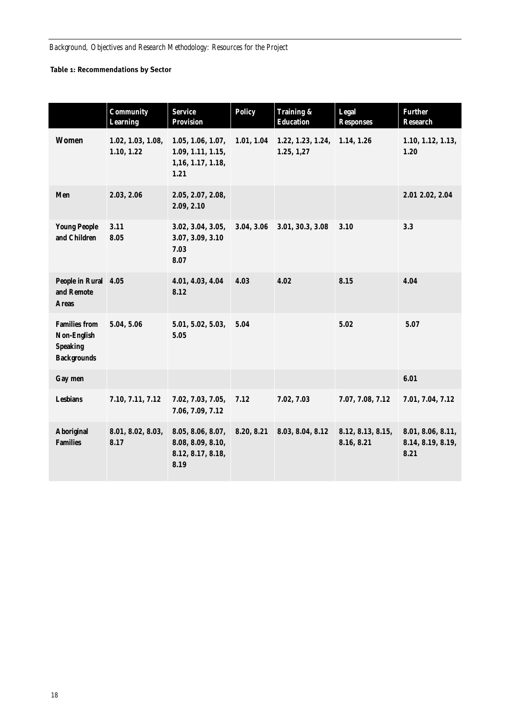# **Table 1: Recommendations by Sector**

|                                                                              | Community<br><b>Learning</b>    | <b>Service</b><br><b>Provision</b>                                   | <b>Policy</b> | Training &<br><b>Education</b>  | <b>Legal</b><br><b>Responses</b> | <b>Further</b><br>Research                     |
|------------------------------------------------------------------------------|---------------------------------|----------------------------------------------------------------------|---------------|---------------------------------|----------------------------------|------------------------------------------------|
| <b>Women</b>                                                                 | 1.02, 1.03, 1.08,<br>1.10, 1.22 | 1.05, 1.06, 1.07,<br>1.09, 1.11, 1.15,<br>1, 16, 1.17, 1.18,<br>1.21 | 1.01, 1.04    | 1.22, 1.23, 1.24,<br>1.25, 1,27 | 1.14, 1.26                       | 1.10, 1.12, 1.13,<br>1.20                      |
| Men                                                                          | 2.03, 2.06                      | 2.05, 2.07, 2.08,<br>2.09, 2.10                                      |               |                                 |                                  | 2.01 2.02, 2.04                                |
| <b>Young People</b><br>and Children                                          | 3.11<br>8.05                    | 3.02, 3.04, 3.05,<br>3.07, 3.09, 3.10<br>7.03<br>8.07                | 3.04, 3.06    | 3.01, 30.3, 3.08                | 3.10                             | 3.3                                            |
| People in Rural 4.05<br>and Remote<br><b>Areas</b>                           |                                 | 4.01, 4.03, 4.04<br>8.12                                             | 4.03          | 4.02                            | 8.15                             | 4.04                                           |
| <b>Families from</b><br>Non-English<br><b>Speaking</b><br><b>Backgrounds</b> | 5.04, 5.06                      | 5.01, 5.02, 5.03,<br>5.05                                            | 5.04          |                                 | 5.02                             | 5.07                                           |
| Gay men                                                                      |                                 |                                                                      |               |                                 |                                  | 6.01                                           |
| <b>Lesbians</b>                                                              | 7.10, 7.11, 7.12                | 7.02, 7.03, 7.05,<br>7.06, 7.09, 7.12                                | 7.12          | 7.02, 7.03                      | 7.07, 7.08, 7.12                 | 7.01, 7.04, 7.12                               |
| <b>Aboriginal</b><br><b>Families</b>                                         | 8.01, 8.02, 8.03,<br>8.17       | 8.05, 8.06, 8.07,<br>8.08, 8.09, 8.10,<br>8.12, 8.17, 8.18,<br>8.19  | 8.20, 8.21    | 8.03, 8.04, 8.12                | 8.12, 8.13, 8.15,<br>8.16, 8.21  | 8.01, 8.06, 8.11,<br>8.14, 8.19, 8.19,<br>8.21 |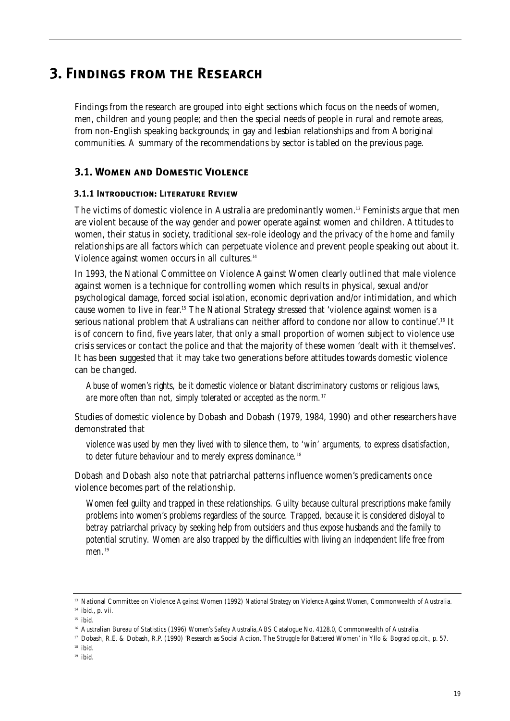# **3. Findings from the Research**

Findings from the research are grouped into eight sections which focus on the needs of women, men, children and young people; and then the special needs of people in rural and remote areas, from non-English speaking backgrounds; in gay and lesbian relationships and from Aboriginal communities. A summary of the recommendations by sector is tabled on the previous page.

# **3.1. Women and Domestic Violence**

# **3.1.1 Introduction: Literature Review**

The victims of domestic violence in Australia are predominantly women.<sup>13</sup> Feminists argue that men are violent because of the way gender and power operate against women and children. Attitudes to women, their status in society, traditional sex-role ideology and the privacy of the home and family relationships are all factors which can perpetuate violence and prevent people speaking out about it. Violence against women occurs in all cultures.<sup>14</sup>

In 1993, the National Committee on Violence Against Women clearly outlined that male violence against women is a technique for controlling women which results in physical, sexual and/or psychological damage, forced social isolation, economic deprivation and/or intimidation, and which cause women to live in fear.15 The National Strategy stressed that 'violence against women is a serious national problem that Australians can neither afford to condone nor allow to continue'.<sup>16</sup> It is of concern to find, five years later, that only a small proportion of women subject to violence use crisis services or contact the police and that the majority of these women 'dealt with it themselves'. It has been suggested that it may take two generations before attitudes towards domestic violence can be changed.

*Abuse of women's rights, be it domestic violence or blatant discriminatory customs or religious laws, are more often than not, simply tolerated or accepted as the norm.*<sup>17</sup>

Studies of domestic violence by Dobash and Dobash (1979, 1984, 1990) and other researchers have demonstrated that

*violence was used by men they lived with to silence them, to 'win' arguments, to express disatisfaction, to deter future behaviour and to merely express dominance.*<sup>18</sup>

Dobash and Dobash also note that patriarchal patterns influence women's predicaments once violence becomes part of the relationship.

*Women feel guilty and trapped in these relationships. Guilty because cultural prescriptions make family problems into women's problems regardless of the source. Trapped, because it is considered disloyal to betray patriarchal privacy by seeking help from outsiders and thus expose husbands and the family to potential scrutiny. Women are also trapped by the difficulties with living an independent life free from men.*<sup>19</sup>

<sup>19</sup> ibid.

<sup>&</sup>lt;sup>13</sup> National Committee on Violence Against Women (1992) National Strategy on Violence Against Women, Commonwealth of Australia.

 $14$  ibid., p. vii.

 $15$  ibid.

<sup>&</sup>lt;sup>16</sup> Australian Bureau of Statistics (1996) *Women's Safety Australia*, ABS Catalogue No. 4128.0, Commonwealth of Australia.

<sup>&</sup>lt;sup>17</sup> Dobash, R.E. & Dobash, R.P. (1990) 'Research as Social Action. The Struggle for Battered Women' in Yllo & Bograd op.cit., p. 57.

 $^{18}$  ibid.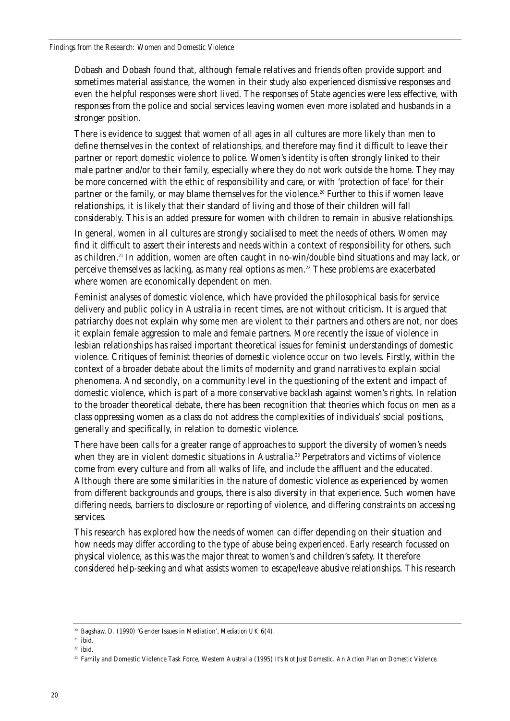Dobash and Dobash found that, although female relatives and friends often provide support and sometimes material assistance, the women in their study also experienced dismissive responses and even the helpful responses were short lived. The responses of State agencies were less effective, with responses from the police and social services leaving women even more isolated and husbands in a stronger position.

There is evidence to suggest that women of all ages in all cultures are more likely than men to define themselves in the context of relationships, and therefore may find it difficult to leave their partner or report domestic violence to police. Women's identity is often strongly linked to their male partner and/or to their family, especially where they do not work outside the home. They may be more concerned with the ethic of responsibility and care, or with 'protection of face' for their partner or the family, or may blame themselves for the violence.<sup>20</sup> Further to this if women leave relationships, it is likely that their standard of living and those of their children will fall considerably. This is an added pressure for women with children to remain in abusive relationships.

In general, women in all cultures are strongly socialised to meet the needs of others. Women may find it difficult to assert their interests and needs within a context of responsibility for others, such as children.21 In addition, women are often caught in no-win/double bind situations and may lack, or perceive themselves as lacking, as many real options as men.<sup>22</sup> These problems are exacerbated where women are economically dependent on men.

Feminist analyses of domestic violence, which have provided the philosophical basis for service delivery and public policy in Australia in recent times, are not without criticism. It is argued that patriarchy does not explain why some men are violent to their partners and others are not, nor does it explain female aggression to male and female partners. More recently the issue of violence in lesbian relationships has raised important theoretical issues for feminist understandings of domestic violence. Critiques of feminist theories of domestic violence occur on two levels. Firstly, within the context of a broader debate about the limits of modernity and grand narratives to explain social phenomena. And secondly, on a community level in the questioning of the extent and impact of domestic violence, which is part of a more conservative backlash against women's rights. In relation to the broader theoretical debate, there has been recognition that theories which focus on men as a class oppressing women as a class do not address the complexities of individuals' social positions, generally and specifically, in relation to domestic violence.

There have been calls for a greater range of approaches to support the diversity of women's needs when they are in violent domestic situations in Australia.<sup>23</sup> Perpetrators and victims of violence come from every culture and from all walks of life, and include the affluent and the educated. Although there are some similarities in the nature of domestic violence as experienced by women from different backgrounds and groups, there is also diversity in that experience. Such women have differing needs, barriers to disclosure or reporting of violence, and differing constraints on accessing services.

This research has explored how the needs of women can differ depending on their situation and how needs may differ according to the type of abuse being experienced. Early research focussed on physical violence, as this was the major threat to women's and children's safety. It therefore considered help-seeking and what assists women to escape/leave abusive relationships. This research

<sup>20</sup> Bagshaw, D. (1990) 'Gender Issues in Mediation', *Mediation UK* 6(4).

 $21$  ibid.

 $22$  ibid.

<sup>23</sup> Family and Domestic Violence Task Force, Western Australia (1995) *It's Not Just Domestic. An Action Plan on Domestic Violence.*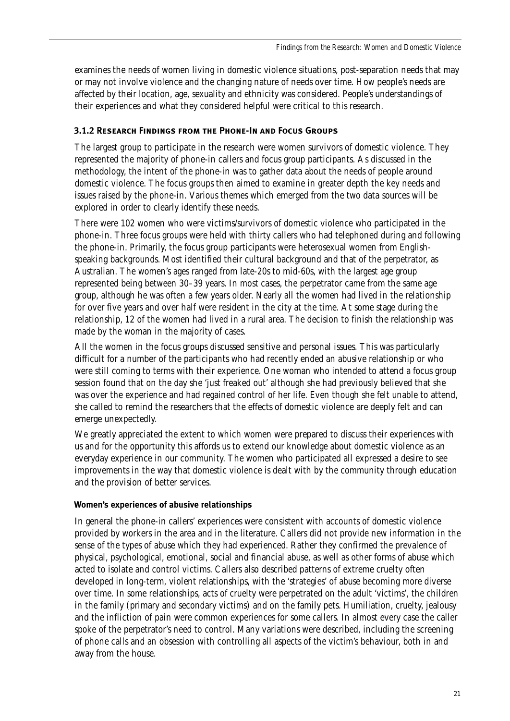examines the needs of women living in domestic violence situations, post-separation needs that may or may not involve violence and the changing nature of needs over time. How people's needs are affected by their location, age, sexuality and ethnicity was considered. People's understandings of their experiences and what they considered helpful were critical to this research.

# **3.1.2 Research Findings from the Phone-In and Focus Groups**

The largest group to participate in the research were women survivors of domestic violence. They represented the majority of phone-in callers and focus group participants. As discussed in the methodology, the intent of the phone-in was to gather data about the needs of people around domestic violence. The focus groups then aimed to examine in greater depth the key needs and issues raised by the phone-in. Various themes which emerged from the two data sources will be explored in order to clearly identify these needs.

There were 102 women who were victims/survivors of domestic violence who participated in the phone-in. Three focus groups were held with thirty callers who had telephoned during and following the phone-in. Primarily, the focus group participants were heterosexual women from Englishspeaking backgrounds. Most identified their cultural background and that of the perpetrator, as Australian. The women's ages ranged from late-20s to mid-60s, with the largest age group represented being between 30–39 years. In most cases, the perpetrator came from the same age group, although he was often a few years older. Nearly all the women had lived in the relationship for over five years and over half were resident in the city at the time. At some stage during the relationship, 12 of the women had lived in a rural area. The decision to finish the relationship was made by the woman in the majority of cases.

All the women in the focus groups discussed sensitive and personal issues. This was particularly difficult for a number of the participants who had recently ended an abusive relationship or who were still coming to terms with their experience. One woman who intended to attend a focus group session found that on the day she 'just freaked out' although she had previously believed that she was over the experience and had regained control of her life. Even though she felt unable to attend, she called to remind the researchers that the effects of domestic violence are deeply felt and can emerge unexpectedly.

We greatly appreciated the extent to which women were prepared to discuss their experiences with us and for the opportunity this affords us to extend our knowledge about domestic violence as an everyday experience in our community. The women who participated all expressed a desire to see improvements in the way that domestic violence is dealt with by the community through education and the provision of better services.

# **Women's experiences of abusive relationships**

In general the phone-in callers' experiences were consistent with accounts of domestic violence provided by workers in the area and in the literature. Callers did not provide new information in the sense of the types of abuse which they had experienced. Rather they confirmed the prevalence of physical, psychological, emotional, social and financial abuse, as well as other forms of abuse which acted to isolate and control victims. Callers also described patterns of extreme cruelty often developed in long-term, violent relationships, with the 'strategies' of abuse becoming more diverse over time. In some relationships, acts of cruelty were perpetrated on the adult 'victims', the children in the family (primary and secondary victims) and on the family pets. Humiliation, cruelty, jealousy and the infliction of pain were common experiences for some callers. In almost every case the caller spoke of the perpetrator's need to control. Many variations were described, including the screening of phone calls and an obsession with controlling all aspects of the victim's behaviour, both in and away from the house.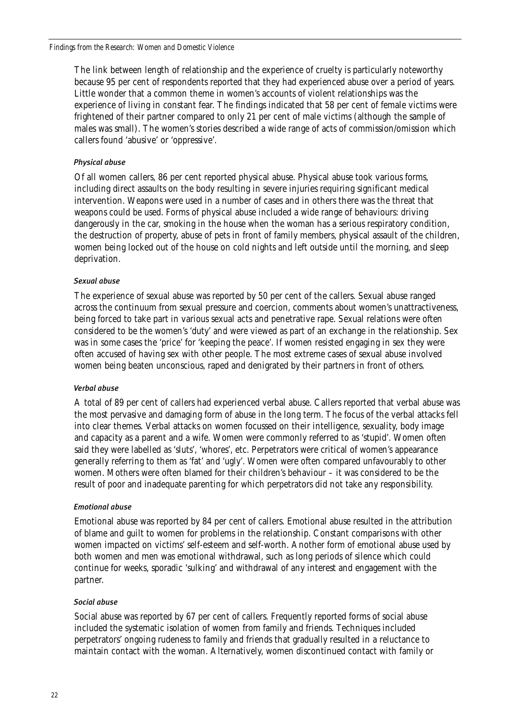The link between length of relationship and the experience of cruelty is particularly noteworthy because 95 per cent of respondents reported that they had experienced abuse over a period of years. Little wonder that a common theme in women's accounts of violent relationships was the experience of living in constant fear. The findings indicated that 58 per cent of female victims were frightened of their partner compared to only 21 per cent of male victims (although the sample of males was small). The women's stories described a wide range of acts of commission/omission which callers found 'abusive' or 'oppressive'.

# *Physical abuse*

Of all women callers, 86 per cent reported physical abuse. Physical abuse took various forms, including direct assaults on the body resulting in severe injuries requiring significant medical intervention. Weapons were used in a number of cases and in others there was the threat that weapons could be used. Forms of physical abuse included a wide range of behaviours: driving dangerously in the car, smoking in the house when the woman has a serious respiratory condition, the destruction of property, abuse of pets in front of family members, physical assault of the children, women being locked out of the house on cold nights and left outside until the morning, and sleep deprivation.

#### *Sexual abuse*

The experience of sexual abuse was reported by 50 per cent of the callers. Sexual abuse ranged across the continuum from sexual pressure and coercion, comments about women's unattractiveness, being forced to take part in various sexual acts and penetrative rape. Sexual relations were often considered to be the women's 'duty' and were viewed as part of an exchange in the relationship. Sex was in some cases the 'price' for 'keeping the peace'. If women resisted engaging in sex they were often accused of having sex with other people. The most extreme cases of sexual abuse involved women being beaten unconscious, raped and denigrated by their partners in front of others.

#### *Verbal abuse*

A total of 89 per cent of callers had experienced verbal abuse. Callers reported that verbal abuse was the most pervasive and damaging form of abuse in the long term. The focus of the verbal attacks fell into clear themes. Verbal attacks on women focussed on their intelligence, sexuality, body image and capacity as a parent and a wife. Women were commonly referred to as 'stupid'. Women often said they were labelled as 'sluts', 'whores', etc. Perpetrators were critical of women's appearance generally referring to them as 'fat' and 'ugly'. Women were often compared unfavourably to other women. Mothers were often blamed for their children's behaviour – it was considered to be the result of poor and inadequate parenting for which perpetrators did not take any responsibility.

#### *Emotional abuse*

Emotional abuse was reported by 84 per cent of callers. Emotional abuse resulted in the attribution of blame and guilt to women for problems in the relationship. Constant comparisons with other women impacted on victims' self-esteem and self-worth. Another form of emotional abuse used by both women and men was emotional withdrawal, such as long periods of silence which could continue for weeks, sporadic 'sulking' and withdrawal of any interest and engagement with the partner.

#### *Social abuse*

Social abuse was reported by 67 per cent of callers. Frequently reported forms of social abuse included the systematic isolation of women from family and friends. Techniques included perpetrators' ongoing rudeness to family and friends that gradually resulted in a reluctance to maintain contact with the woman. Alternatively, women discontinued contact with family or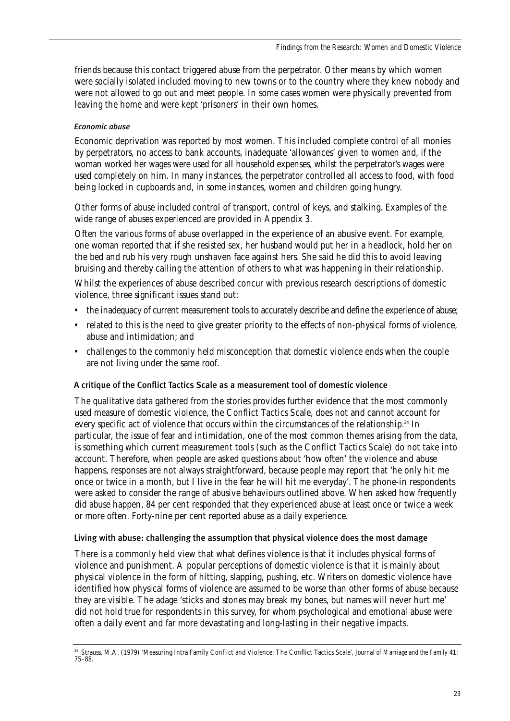friends because this contact triggered abuse from the perpetrator. Other means by which women were socially isolated included moving to new towns or to the country where they knew nobody and were not allowed to go out and meet people. In some cases women were physically prevented from leaving the home and were kept 'prisoners' in their own homes.

# *Economic abuse*

Economic deprivation was reported by most women. This included complete control of all monies by perpetrators, no access to bank accounts, inadequate 'allowances' given to women and, if the woman worked her wages were used for all household expenses, whilst the perpetrator's wages were used completely on him. In many instances, the perpetrator controlled all access to food, with food being locked in cupboards and, in some instances, women and children going hungry.

Other forms of abuse included control of transport, control of keys, and stalking. Examples of the wide range of abuses experienced are provided in Appendix 3.

Often the various forms of abuse overlapped in the experience of an abusive event. For example, one woman reported that if she resisted sex, her husband would put her in a headlock, hold her on the bed and rub his very rough unshaven face against hers. She said he did this to avoid leaving bruising and thereby calling the attention of others to what was happening in their relationship.

Whilst the experiences of abuse described concur with previous research descriptions of domestic violence, three significant issues stand out:

- the inadequacy of current measurement tools to accurately describe and define the experience of abuse;
- related to this is the need to give greater priority to the effects of non-physical forms of violence, abuse and intimidation; and
- challenges to the commonly held misconception that domestic violence ends when the couple are not living under the same roof.

# A critique of the Conflict Tactics Scale as a measurement tool of domestic violence

The qualitative data gathered from the stories provides further evidence that the most commonly used measure of domestic violence, the Conflict Tactics Scale, does not and cannot account for every specific act of violence that occurs within the circumstances of the relationship.<sup>24</sup> In particular, the issue of fear and intimidation, one of the most common themes arising from the data, is something which current measurement tools (such as the Conflict Tactics Scale) do not take into account. Therefore, when people are asked questions about 'how often' the violence and abuse happens, responses are not always straightforward, because people may report that 'he only hit me once or twice in a month, but I live in the fear he will hit me everyday'. The phone-in respondents were asked to consider the range of abusive behaviours outlined above. When asked how frequently did abuse happen, 84 per cent responded that they experienced abuse at least once or twice a week or more often. Forty-nine per cent reported abuse as a daily experience.

#### Living with abuse: challenging the assumption that physical violence does the most damage

There is a commonly held view that what defines violence is that it includes physical forms of violence and punishment. A popular perceptions of domestic violence is that it is mainly about physical violence in the form of hitting, slapping, pushing, etc. Writers on domestic violence have identified how physical forms of violence are assumed to be worse than other forms of abuse because they are visible. The adage 'sticks and stones may break my bones, but names will never hurt me' did not hold true for respondents in this survey, for whom psychological and emotional abuse were often a daily event and far more devastating and long-lasting in their negative impacts.

<sup>24</sup> Strauss, M.A. (1979) 'Measuring Intra Family Conflict and Violence: The Conflict Tactics Scale', *Journal of Marriage and the Family* 41: 75–88.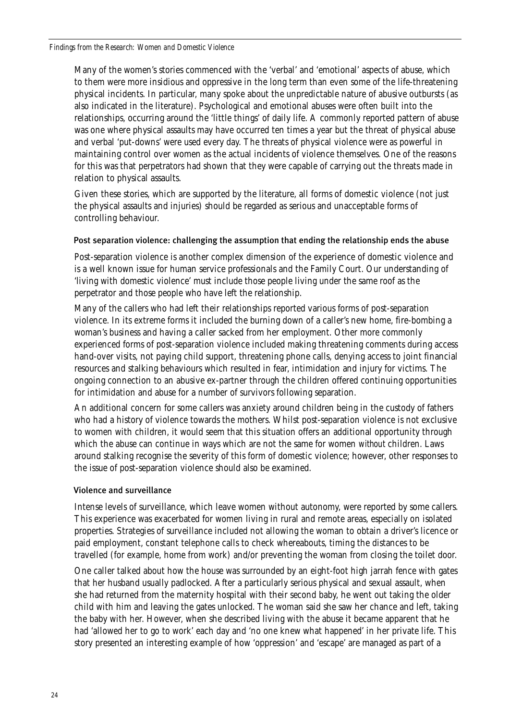Many of the women's stories commenced with the 'verbal' and 'emotional' aspects of abuse, which to them were more insidious and oppressive in the long term than even some of the life-threatening physical incidents. In particular, many spoke about the unpredictable nature of abusive outbursts (as also indicated in the literature). Psychological and emotional abuses were often built into the relationships, occurring around the 'little things' of daily life. A commonly reported pattern of abuse was one where physical assaults may have occurred ten times a year but the threat of physical abuse and verbal 'put-downs' were used every day. The threats of physical violence were as powerful in maintaining control over women as the actual incidents of violence themselves. One of the reasons for this was that perpetrators had shown that they were capable of carrying out the threats made in relation to physical assaults.

Given these stories, which are supported by the literature, all forms of domestic violence (not just the physical assaults and injuries) should be regarded as serious and unacceptable forms of controlling behaviour.

#### Post separation violence: challenging the assumption that ending the relationship ends the abuse

Post-separation violence is another complex dimension of the experience of domestic violence and is a well known issue for human service professionals and the Family Court. Our understanding of 'living with domestic violence' must include those people living under the same roof as the perpetrator and those people who have left the relationship.

Many of the callers who had left their relationships reported various forms of post-separation violence. In its extreme forms it included the burning down of a caller's new home, fire-bombing a woman's business and having a caller sacked from her employment. Other more commonly experienced forms of post-separation violence included making threatening comments during access hand-over visits, not paying child support, threatening phone calls, denying access to joint financial resources and stalking behaviours which resulted in fear, intimidation and injury for victims. The ongoing connection to an abusive ex-partner through the children offered continuing opportunities for intimidation and abuse for a number of survivors following separation.

An additional concern for some callers was anxiety around children being in the custody of fathers who had a history of violence towards the mothers. Whilst post-separation violence is not exclusive to women with children, it would seem that this situation offers an additional opportunity through which the abuse can continue in ways which are not the same for women *without* children. Laws around stalking recognise the severity of this form of domestic violence; however, other responses to the issue of post-separation violence should also be examined.

# Violence and surveillance

Intense levels of surveillance, which leave women without autonomy, were reported by some callers. This experience was exacerbated for women living in rural and remote areas, especially on isolated properties. Strategies of surveillance included not allowing the woman to obtain a driver's licence or paid employment, constant telephone calls to check whereabouts, timing the distances to be travelled (for example, home from work) and/or preventing the woman from closing the toilet door.

One caller talked about how the house was surrounded by an eight-foot high jarrah fence with gates that her husband usually padlocked. After a particularly serious physical and sexual assault, when she had returned from the maternity hospital with their second baby, he went out taking the older child with him and leaving the gates unlocked. The woman said she saw her chance and left, taking the baby with her. However, when she described living with the abuse it became apparent that he had 'allowed her to go to work' each day and 'no one knew what happened' in her private life. This story presented an interesting example of how 'oppression' and 'escape' are managed as part of a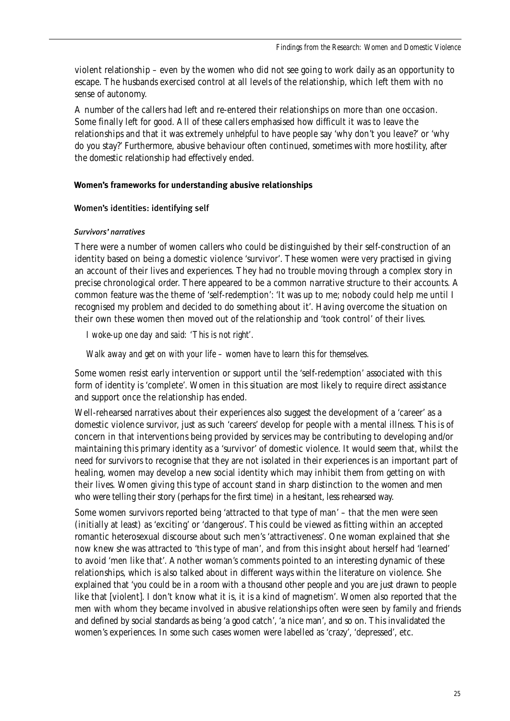violent relationship – even by the women who did not see going to work daily as an opportunity to escape. The husbands exercised control at all levels of the relationship, which left them with no sense of autonomy.

A number of the callers had left and re-entered their relationships on more than one occasion. Some finally left for good. All of these callers emphasised how difficult it was to leave the relationships and that it was extremely *unhelpful* to have people say 'why don't you leave?' or 'why do you stay?' Furthermore, abusive behaviour often continued, sometimes with more hostility, after the domestic relationship had effectively ended.

#### **Women's frameworks for understanding abusive relationships**

#### Women's identities: identifying self

#### *Survivors' narratives*

There were a number of women callers who could be distinguished by their self-construction of an identity based on being a domestic violence 'survivor'. These women were very practised in giving an account of their lives and experiences. They had no trouble moving through a complex story in precise chronological order. There appeared to be a common narrative structure to their accounts. A common feature was the theme of 'self-redemption': 'It was up to me; nobody could help me until I recognised my problem and decided to do something about it'. Having overcome the situation on their own these women then moved out of the relationship and 'took control' of their lives.

*I woke-up one day and said: 'This is not right'.* 

*Walk away and get on with your life – women have to learn this for themselves.* 

Some women resist early intervention or support until the 'self-redemption' associated with this form of identity is 'complete'. Women in this situation are most likely to require direct assistance and support once the relationship has ended.

Well-rehearsed narratives about their experiences also suggest the development of a 'career' as a domestic violence survivor, just as such 'careers' develop for people with a mental illness. This is of concern in that interventions being provided by services may be contributing to developing and/or maintaining this primary identity as a 'survivor' of domestic violence. It would seem that, whilst the need for survivors to recognise that they are not isolated in their experiences is an important part of healing, women may develop a new social identity which may inhibit them from getting on with their lives. Women giving this type of account stand in sharp distinction to the women and men who were telling their story (perhaps for the first time) in a hesitant, less rehearsed way.

Some women survivors reported being 'attracted to that type of man' – that the men were seen (initially at least) as 'exciting' or 'dangerous'. This could be viewed as fitting within an accepted romantic heterosexual discourse about such men's 'attractiveness'. One woman explained that she now knew she was attracted to 'this type of man', and from this insight about herself had 'learned' to avoid 'men like that'. Another woman's comments pointed to an interesting dynamic of these relationships, which is also talked about in different ways within the literature on violence. She explained that 'you could be in a room with a thousand other people and you are just drawn to people like that [violent]. I don't know what it is, it is a kind of magnetism'. Women also reported that the men with whom they became involved in abusive relationships often were seen by family and friends and defined by social standards as being 'a good catch', 'a nice man', and so on. This invalidated the women's experiences. In some such cases women were labelled as 'crazy', 'depressed', etc.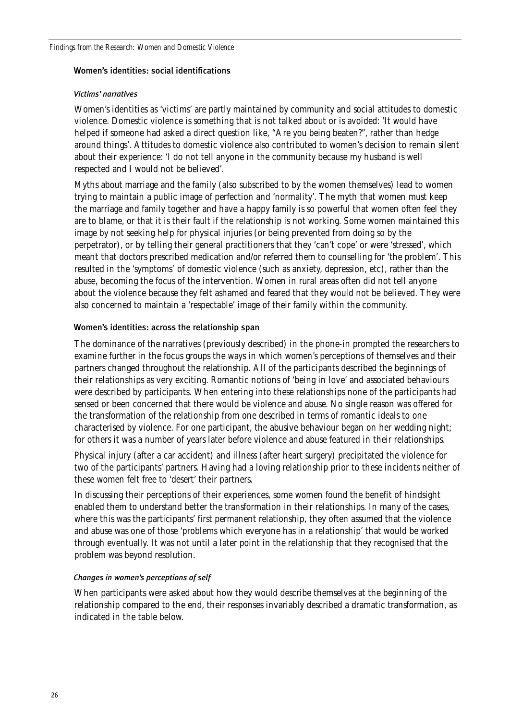#### Women's identities: social identifications

#### *Victims' narratives*

Women's identities as 'victims' are partly maintained by community and social attitudes to domestic violence. Domestic violence is something that is not talked about or is avoided: 'It would have helped if someone had asked a direct question like, "Are you being beaten?", rather than hedge around things'. Attitudes to domestic violence also contributed to women's decision to remain silent about their experience: 'I do not tell anyone in the community because my husband is well respected and I would not be believed'.

Myths about marriage and the family (also subscribed to by the women themselves) lead to women trying to maintain a public image of perfection and 'normality'. The myth that women must keep the marriage and family together and have a happy family is so powerful that women often feel they are to blame, or that it is their fault if the relationship is not working. Some women maintained this image by not seeking help for physical injuries (or being prevented from doing so by the perpetrator), or by telling their general practitioners that they 'can't cope' or were 'stressed', which meant that doctors prescribed medication and/or referred them to counselling for 'the problem'. This resulted in the 'symptoms' of domestic violence (such as anxiety, depression, etc), rather than the abuse, becoming the focus of the intervention. Women in rural areas often did not tell anyone about the violence because they felt ashamed and feared that they would not be believed. They were also concerned to maintain a 'respectable' image of their family within the community.

# Women's identities: across the relationship span

The dominance of the narratives (previously described) in the phone-in prompted the researchers to examine further in the focus groups the ways in which women's perceptions of themselves and their partners changed throughout the relationship. All of the participants described the beginnings of their relationships as very exciting. Romantic notions of 'being in love' and associated behaviours were described by participants. When entering into these relationships none of the participants had sensed or been concerned that there would be violence and abuse. No single reason was offered for the transformation of the relationship from one described in terms of romantic ideals to one characterised by violence. For one participant, the abusive behaviour began on her wedding night; for others it was a number of years later before violence and abuse featured in their relationships.

Physical injury (after a car accident) and illness (after heart surgery) precipitated the violence for two of the participants' partners. Having had a loving relationship prior to these incidents neither of these women felt free to 'desert' their partners.

In discussing their perceptions of their experiences, some women found the benefit of hindsight enabled them to understand better the transformation in their relationships. In many of the cases, where this was the participants' first permanent relationship, they often assumed that the violence and abuse was one of those 'problems which everyone has in a relationship' that would be worked through eventually. It was not until a later point in the relationship that they recognised that the problem was beyond resolution.

# *Changes in women's perceptions of self*

When participants were asked about how they would describe themselves at the beginning of the relationship compared to the end, their responses invariably described a dramatic transformation, as indicated in the table below.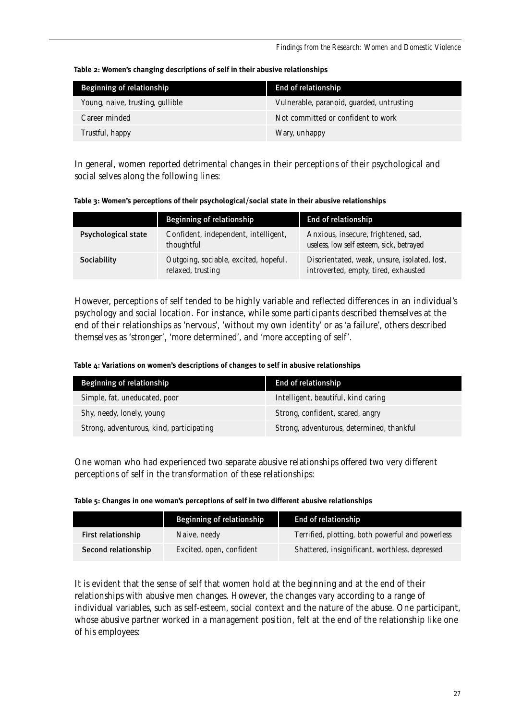| <b>Beginning of relationship</b> | <b>End of relationship</b>                |
|----------------------------------|-------------------------------------------|
| Young, naive, trusting, gullible | Vulnerable, paranoid, guarded, untrusting |
| Career minded                    | Not committed or confident to work        |
| Trustful, happy                  | Wary, unhappy                             |

In general, women reported detrimental changes in their perceptions of their psychological and social selves along the following lines:

**Table 3: Women's perceptions of their psychological/social state in their abusive relationships**

|                            | <b>Beginning of relationship</b>                           | End of relationship                                                                  |
|----------------------------|------------------------------------------------------------|--------------------------------------------------------------------------------------|
| <b>Psychological state</b> | Confident, independent, intelligent,<br>thoughtful         | Anxious, insecure, frightened, sad,<br>useless, low self esteem, sick, betrayed      |
| Sociability                | Outgoing, sociable, excited, hopeful,<br>relaxed, trusting | Disorientated, weak, unsure, isolated, lost,<br>introverted, empty, tired, exhausted |

However, perceptions of self tended to be highly variable and reflected differences in an individual's psychology and social location. For instance, while some participants described themselves at the end of their relationships as 'nervous', 'without my own identity' or as 'a failure', others described themselves as 'stronger', 'more determined', and 'more accepting of self'.

**Table 4: Variations on women's descriptions of changes to self in abusive relationships**

| <b>Beginning of relationship</b>         | End of relationship                       |  |  |  |
|------------------------------------------|-------------------------------------------|--|--|--|
| Simple, fat, uneducated, poor            | Intelligent, beautiful, kind caring       |  |  |  |
| Shy, needy, lonely, young                | Strong, confident, scared, angry          |  |  |  |
| Strong, adventurous, kind, participating | Strong, adventurous, determined, thankful |  |  |  |

One woman who had experienced two separate abusive relationships offered two very different perceptions of self in the transformation of these relationships:

|  | Table 5: Changes in one woman's perceptions of self in two different abusive relationships |
|--|--------------------------------------------------------------------------------------------|
|--|--------------------------------------------------------------------------------------------|

|                     | <b>Beginning of relationship</b> | End of relationship                              |
|---------------------|----------------------------------|--------------------------------------------------|
| First relationship  | Naive, needy                     | Terrified, plotting, both powerful and powerless |
| Second relationship | Excited, open, confident         | Shattered, insignificant, worthless, depressed   |

It is evident that the sense of self that women hold at the beginning and at the end of their relationships with abusive men changes. However, the changes vary according to a range of individual variables, such as self-esteem, social context and the nature of the abuse. One participant, whose abusive partner worked in a management position, felt at the end of the relationship like one of his employees: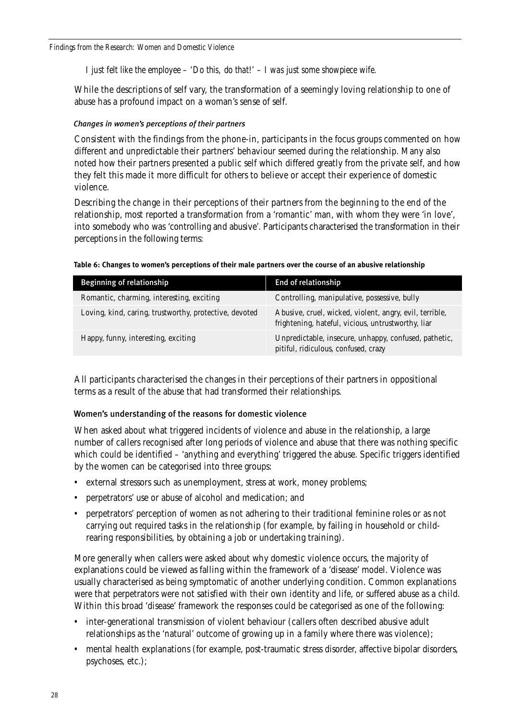*I just felt like the employee – 'Do this, do that!' – I was just some showpiece wife.*

While the descriptions of self vary, the transformation of a seemingly loving relationship to one of abuse has a profound impact on a woman's sense of self.

# *Changes in women's perceptions of their partners*

Consistent with the findings from the phone-in, participants in the focus groups commented on how different and unpredictable their partners' behaviour seemed during the relationship. Many also noted how their partners presented a public self which differed greatly from the private self, and how they felt this made it more difficult for others to believe or accept their experience of domestic violence.

Describing the change in their perceptions of their partners from the beginning to the end of the relationship, most reported a transformation from a 'romantic' man, with whom they were 'in love', into somebody who was 'controlling and abusive'. Participants characterised the transformation in their perceptions in the following terms:

|  |  | Table 6: Changes to women's perceptions of their male partners over the course of an abusive relationship |  |  |  |
|--|--|-----------------------------------------------------------------------------------------------------------|--|--|--|
|  |  |                                                                                                           |  |  |  |

| <b>Beginning of relationship</b>                       | End of relationship                                                                                           |
|--------------------------------------------------------|---------------------------------------------------------------------------------------------------------------|
| Romantic, charming, interesting, exciting              | Controlling, manipulative, possessive, bully                                                                  |
| Loving, kind, caring, trustworthy, protective, devoted | Abusive, cruel, wicked, violent, angry, evil, terrible,<br>frightening, hateful, vicious, untrustworthy, liar |
| Happy, funny, interesting, exciting                    | Unpredictable, insecure, unhappy, confused, pathetic,<br>pitiful, ridiculous, confused, crazy                 |

All participants characterised the changes in their perceptions of their partners in oppositional terms as a result of the abuse that had transformed their relationships.

# Women's understanding of the reasons for domestic violence

When asked about what triggered incidents of violence and abuse in the relationship, a large number of callers recognised after long periods of violence and abuse that there was nothing specific which could be identified – 'anything and everything' triggered the abuse. Specific triggers identified by the women can be categorised into three groups:

- external stressors such as unemployment, stress at work, money problems;
- perpetrators' use or abuse of alcohol and medication; and
- perpetrators' perception of women as not adhering to their traditional feminine roles or as not carrying out required tasks in the relationship (for example, by failing in household or childrearing responsibilities, by obtaining a job or undertaking training).

More generally when callers were asked about why domestic violence occurs, the majority of explanations could be viewed as falling within the framework of a 'disease' model. Violence was usually characterised as being symptomatic of another underlying condition. Common explanations were that perpetrators were not satisfied with their own identity and life, or suffered abuse as a child. Within this broad 'disease' framework the responses could be categorised as one of the following:

- inter-generational transmission of violent behaviour (callers often described abusive adult relationships as the 'natural' outcome of growing up in a family where there was violence);
- mental health explanations (for example, post-traumatic stress disorder, affective bipolar disorders, psychoses, etc.);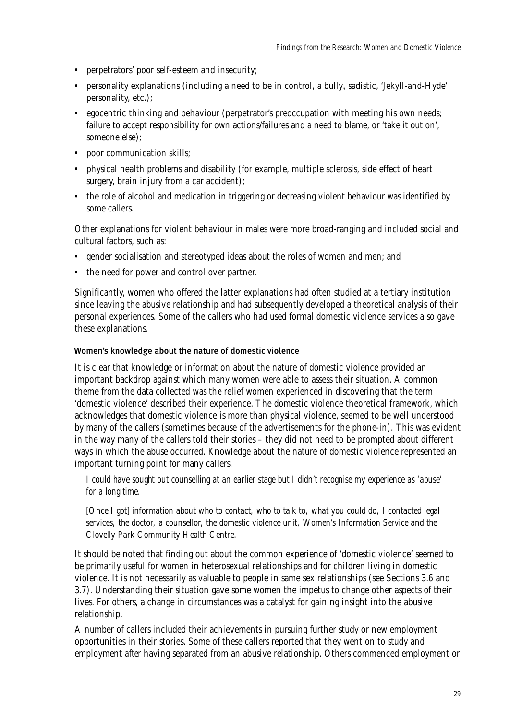- perpetrators' poor self-esteem and insecurity;
- personality explanations (including a need to be in control, a bully, sadistic, 'Jekyll-and-Hyde' personality, etc.);
- egocentric thinking and behaviour (perpetrator's preoccupation with meeting his own needs; failure to accept responsibility for own actions/failures and a need to blame, or 'take it out on', someone else);
- poor communication skills:
- physical health problems and disability (for example, multiple sclerosis, side effect of heart surgery, brain injury from a car accident):
- the role of alcohol and medication in triggering or decreasing violent behaviour was identified by some callers.

Other explanations for violent behaviour in males were more broad-ranging and included social and cultural factors, such as:

- gender socialisation and stereotyped ideas about the roles of women and men; and
- the need for power and control over partner.

Significantly, women who offered the latter explanations had often studied at a tertiary institution since leaving the abusive relationship and had subsequently developed a theoretical analysis of their personal experiences. Some of the callers who had used formal domestic violence services also gave these explanations.

#### Women's knowledge about the nature of domestic violence

It is clear that knowledge or information about the nature of domestic violence provided an important backdrop against which many women were able to assess their situation. A common theme from the data collected was the relief women experienced in discovering that the term 'domestic violence' described their experience. The domestic violence theoretical framework, which acknowledges that domestic violence is more than physical violence, seemed to be well understood by many of the callers (sometimes because of the advertisements for the phone-in). This was evident in the way many of the callers told their stories – they did not need to be prompted about different ways in which the abuse occurred. Knowledge about the nature of domestic violence represented an important turning point for many callers.

*I could have sought out counselling at an earlier stage but I didn't recognise my experience as 'abuse' for a long time.* 

*[Once I got] information about who to contact, who to talk to, what you could do, I contacted legal services, the doctor, a counsellor, the domestic violence unit, Women's Information Service and the Clovelly Park Community Health Centre.* 

It should be noted that finding out about the common experience of 'domestic violence' seemed to be primarily useful for women in heterosexual relationships and for children living in domestic violence. It is not necessarily as valuable to people in same sex relationships (see Sections 3.6 and 3.7). Understanding their situation gave some women the impetus to change other aspects of their lives. For others, a change in circumstances was a catalyst for gaining insight into the abusive relationship.

A number of callers included their achievements in pursuing further study or new employment opportunities in their stories. Some of these callers reported that they went on to study and employment *after* having separated from an abusive relationship. Others commenced employment or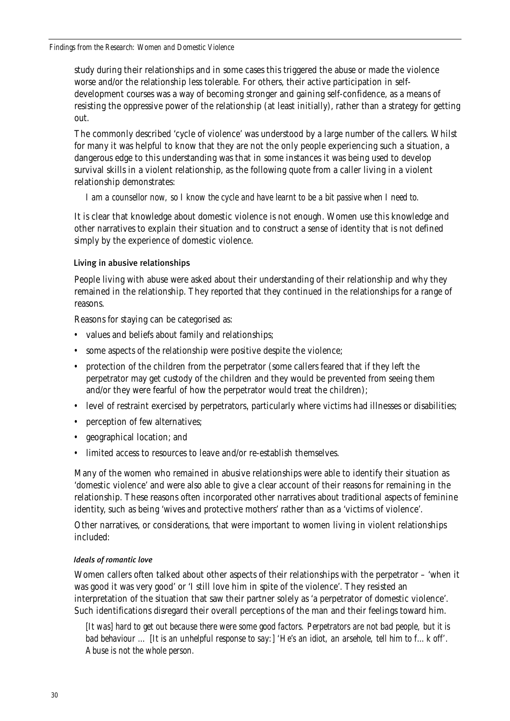#### *Findings from the Research: Women and Domestic Violence*

study during their relationships and in some cases this triggered the abuse or made the violence worse and/or the relationship less tolerable. For others, their active participation in selfdevelopment courses was a way of becoming stronger and gaining self-confidence, as a means of resisting the oppressive power of the relationship (at least initially), rather than a strategy for getting out.

The commonly described 'cycle of violence' was understood by a large number of the callers. Whilst for many it was helpful to know that they are not the only people experiencing such a situation, a dangerous edge to this understanding was that in some instances it was being used to develop survival skills in a violent relationship, as the following quote from a caller living in a violent relationship demonstrates:

*I am a counsellor now, so I know the cycle and have learnt to be a bit passive when I need to.* 

It is clear that knowledge about domestic violence is not enough. Women use this knowledge and other narratives to explain their situation and to construct a sense of identity that is not defined simply by the experience of domestic violence.

# Living in abusive relationships

People living with abuse were asked about their understanding of their relationship and why they remained in the relationship. They reported that they continued in the relationships for a range of reasons.

Reasons for staying can be categorised as:

- values and beliefs about family and relationships;
- some aspects of the relationship were positive despite the violence;
- protection of the children from the perpetrator (some callers feared that if they left the perpetrator may get custody of the children and they would be prevented from seeing them and/or they were fearful of how the perpetrator would treat the children);
- level of restraint exercised by perpetrators, particularly where victims had illnesses or disabilities;
- perception of few alternatives;
- geographical location; and
- limited access to resources to leave and/or re-establish themselves.

Many of the women who remained in abusive relationships were able to identify their situation as 'domestic violence' and were also able to give a clear account of their reasons for remaining in the relationship. These reasons often incorporated other narratives about traditional aspects of feminine identity, such as being 'wives and protective mothers' rather than as a 'victims of violence'.

Other narratives, or considerations, that were important to women living in violent relationships included:

# *Ideals of romantic love*

Women callers often talked about other aspects of their relationships with the perpetrator – 'when it was good it was very good' or 'I still love him in spite of the violence'. They resisted an interpretation of the situation that saw their partner solely as 'a perpetrator of domestic violence'. Such identifications disregard their overall perceptions of the man and their feelings toward him.

*[It was] hard to get out because there were some good factors. Perpetrators are not bad people, but it is bad behaviour … [It is an unhelpful response to say:] 'He's an idiot, an arsehole, tell him to f…k off'. Abuse is not the whole person.*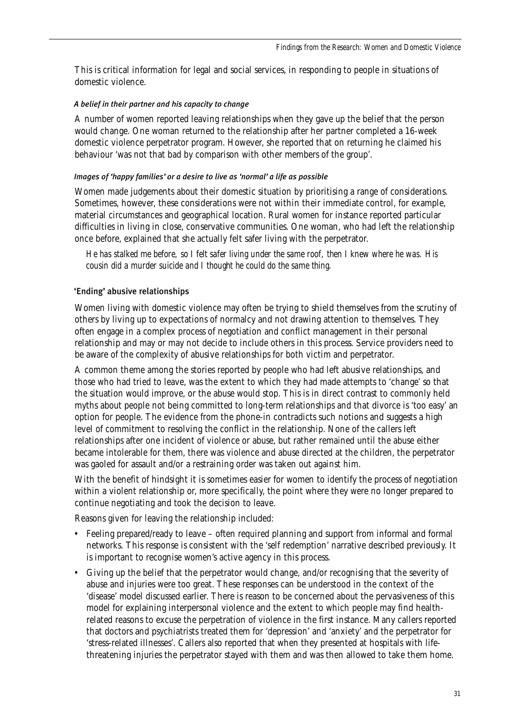This is critical information for legal and social services, in responding to people in situations of domestic violence.

#### *A belief in their partner and his capacity to change*

A number of women reported leaving relationships when they gave up the belief that the person would change. One woman returned to the relationship after her partner completed a 16-week domestic violence perpetrator program. However, she reported that on returning he claimed his behaviour 'was not that bad by comparison with other members of the group'.

#### *Images of 'happy families' or a desire to live as 'normal' a life as possible*

Women made judgements about their domestic situation by prioritising a range of considerations. Sometimes, however, these considerations were not within their immediate control, for example, material circumstances and geographical location. Rural women for instance reported particular difficulties in living in close, conservative communities. One woman, who had left the relationship once before, explained that she actually felt safer living with the perpetrator.

*He has stalked me before, so I felt safer living under the same roof, then I knew where he was. His cousin did a murder suicide and I thought he could do the same thing.*

# 'Ending' abusive relationships

Women living with domestic violence may often be trying to shield themselves from the scrutiny of others by living up to expectations of normalcy and not drawing attention to themselves. They often engage in a complex process of negotiation and conflict management in their personal relationship and may or may not decide to include others in this process. Service providers need to be aware of the complexity of abusive relationships for both victim and perpetrator.

A common theme among the stories reported by people who had left abusive relationships, and those who had tried to leave, was the extent to which they had made attempts to 'change' so that the situation would improve, or the abuse would stop. This is in direct contrast to commonly held myths about people not being committed to long-term relationships and that divorce is 'too easy' an option for people. The evidence from the phone-in contradicts such notions and suggests a high level of commitment to resolving the conflict in the relationship. None of the callers left relationships after one incident of violence or abuse, but rather remained until the abuse either became intolerable for them, there was violence and abuse directed at the children, the perpetrator was gaoled for assault and/or a restraining order was taken out against him.

With the benefit of hindsight it is sometimes easier for women to identify the process of negotiation within a violent relationship or, more specifically, the point where they were no longer prepared to continue negotiating and took the decision to leave.

Reasons given for leaving the relationship included:

- Feeling prepared/ready to leave often required planning and support from informal and formal networks. This response is consistent with the 'self redemption' narrative described previously. It is important to recognise women's active agency in this process.
- Giving up the belief that the perpetrator would change, and/or recognising that the severity of abuse and injuries were too great. These responses can be understood in the context of the 'disease' model discussed earlier. There is reason to be concerned about the pervasiveness of this model for explaining interpersonal violence and the extent to which people may find healthrelated reasons to excuse the perpetration of violence in the first instance. Many callers reported that doctors and psychiatrists treated them for 'depression' and 'anxiety' and the perpetrator for 'stress-related illnesses'. Callers also reported that when they presented at hospitals with lifethreatening injuries the perpetrator stayed with them and was then allowed to take them home.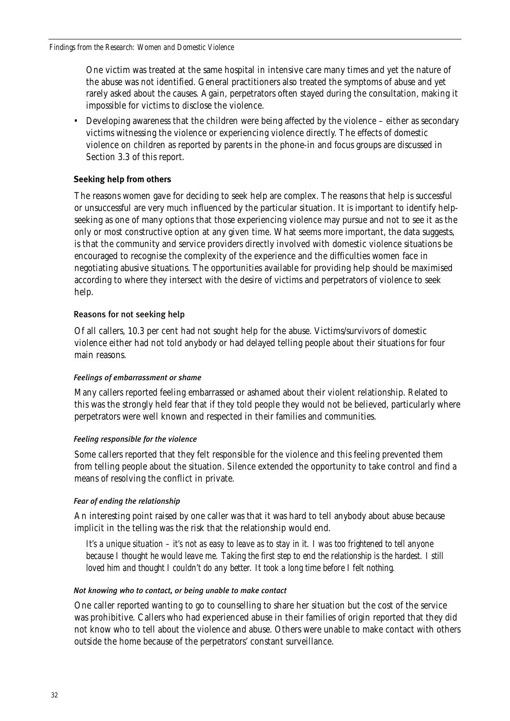One victim was treated at the same hospital in intensive care many times and yet the nature of the abuse was not identified. General practitioners also treated the symptoms of abuse and yet rarely asked about the causes. Again, perpetrators often stayed during the consultation, making it impossible for victims to disclose the violence.

• Developing awareness that the children were being affected by the violence – either as secondary victims witnessing the violence or experiencing violence directly. The effects of domestic violence on children as reported by parents in the phone-in and focus groups are discussed in Section 3.3 of this report.

# **Seeking help from others**

The reasons women gave for deciding to seek help are complex. The reasons that help is successful or unsuccessful are very much influenced by the particular situation. It is important to identify helpseeking as one of many options that those experiencing violence may pursue and not to see it as the only or most constructive option at any given time. What seems more important, the data suggests, is that the community and service providers directly involved with domestic violence situations be encouraged to recognise the complexity of the experience and the difficulties women face in negotiating abusive situations. The opportunities available for providing help should be maximised according to where they intersect with the desire of victims and perpetrators of violence to seek help.

# Reasons for not seeking help

Of all callers, 10.3 per cent had not sought help for the abuse. Victims/survivors of domestic violence either had not told anybody or had delayed telling people about their situations for four main reasons.

# *Feelings of embarrassment or shame*

Many callers reported feeling embarrassed or ashamed about their violent relationship. Related to this was the strongly held fear that if they told people they would not be believed, particularly where perpetrators were well known and respected in their families and communities.

# *Feeling responsible for the violence*

Some callers reported that they felt responsible for the violence and this feeling prevented them from telling people about the situation. Silence extended the opportunity to take control and find a means of resolving the conflict in private.

# *Fear of ending the relationship*

An interesting point raised by one caller was that it was hard to tell anybody about abuse because implicit in the telling was the risk that the relationship would end.

*It's a unique situation – it's not as easy to leave as to stay in it. I was too frightened to tell anyone because I thought he would leave me. Taking the first step to end the relationship is the hardest. I still loved him and thought I couldn't do any better. It took a long time before I felt nothing.*

# *Not knowing who to contact, or being unable to make contact*

One caller reported wanting to go to counselling to share her situation but the cost of the service was prohibitive. Callers who had experienced abuse in their families of origin reported that they did not know who to tell about the violence and abuse. Others were unable to make contact with others outside the home because of the perpetrators' constant surveillance.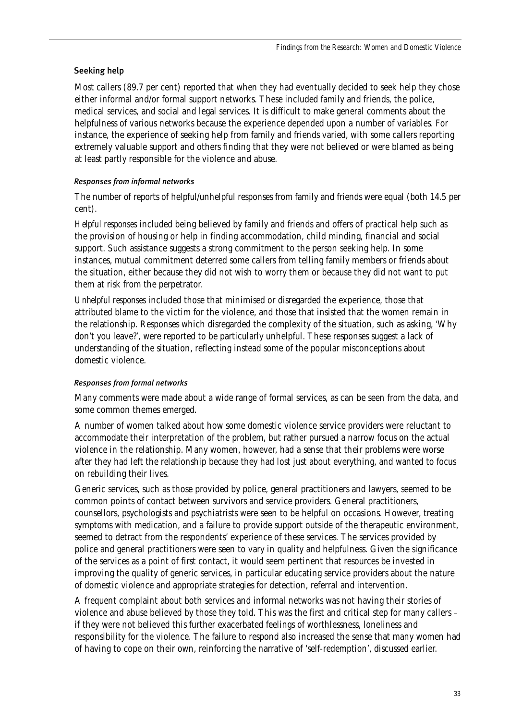# Seeking help

Most callers (89.7 per cent) reported that when they had eventually decided to seek help they chose either informal and/or formal support networks. These included family and friends, the police, medical services, and social and legal services. It is difficult to make general comments about the helpfulness of various networks because the experience depended upon a number of variables. For instance, the experience of seeking help from family and friends varied, with some callers reporting extremely valuable support and others finding that they were not believed or were blamed as being at least partly responsible for the violence and abuse.

# *Responses from informal networks*

The number of reports of helpful/unhelpful responses from family and friends were equal (both 14.5 per cent).

*Helpful responses* included being believed by family and friends and offers of practical help such as the provision of housing or help in finding accommodation, child minding, financial and social support. Such assistance suggests a strong commitment to the person seeking help. In some instances, mutual commitment deterred some callers from telling family members or friends about the situation, either because they did not wish to worry them or because they did not want to put them at risk from the perpetrator.

*Unhelpful responses* included those that minimised or disregarded the experience, those that attributed blame to the victim for the violence, and those that insisted that the women remain in the relationship. Responses which disregarded the complexity of the situation, such as asking, 'Why don't you leave?', were reported to be particularly unhelpful. These responses suggest a lack of understanding of the situation, reflecting instead some of the popular misconceptions about domestic violence.

# *Responses from formal networks*

Many comments were made about a wide range of formal services, as can be seen from the data, and some common themes emerged.

A number of women talked about how some domestic violence service providers were reluctant to accommodate their interpretation of the problem, but rather pursued a narrow focus on the actual violence in the relationship. Many women, however, had a sense that their problems were worse after they had left the relationship because they had lost just about everything, and wanted to focus on rebuilding their lives.

Generic services, such as those provided by police, general practitioners and lawyers, seemed to be common points of contact between survivors and service providers. General practitioners, counsellors, psychologists and psychiatrists were seen to be helpful on occasions. However, treating symptoms with medication, and a failure to provide support outside of the therapeutic environment, seemed to detract from the respondents' experience of these services. The services provided by police and general practitioners were seen to vary in quality and helpfulness. Given the significance of the services as a point of first contact, it would seem pertinent that resources be invested in improving the quality of generic services, in particular educating service providers about the nature of domestic violence and appropriate strategies for detection, referral and intervention.

A frequent complaint about both services and informal networks was not having their stories of violence and abuse believed by those they told. This was the first and critical step for many callers – if they were not believed this further exacerbated feelings of worthlessness, loneliness and responsibility for the violence. The failure to respond also increased the sense that many women had of having to cope on their own, reinforcing the narrative of 'self-redemption', discussed earlier.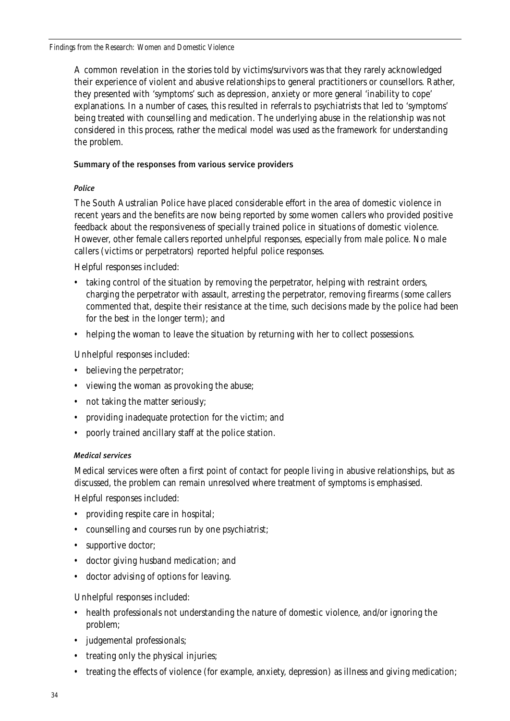A common revelation in the stories told by victims/survivors was that they rarely acknowledged their experience of violent and abusive relationships to general practitioners or counsellors. Rather, they presented with 'symptoms' such as depression, anxiety or more general 'inability to cope' explanations. In a number of cases, this resulted in referrals to psychiatrists that led to 'symptoms' being treated with counselling and medication. The underlying abuse in the relationship was not considered in this process, rather the medical model was used as the framework for understanding the problem.

# Summary of the responses from various service providers

#### *Police*

The South Australian Police have placed considerable effort in the area of domestic violence in recent years and the benefits are now being reported by some women callers who provided positive feedback about the responsiveness of specially trained police in situations of domestic violence. However, other female callers reported unhelpful responses, especially from male police. No male callers (victims or perpetrators) reported helpful police responses.

Helpful responses included:

- taking control of the situation by removing the perpetrator, helping with restraint orders, charging the perpetrator with assault, arresting the perpetrator, removing firearms (some callers commented that, despite their resistance at the time, such decisions made by the police had been for the best in the longer term); and
- helping the woman to leave the situation by returning with her to collect possessions.

Unhelpful responses included:

- believing the perpetrator;
- viewing the woman as provoking the abuse;
- not taking the matter seriously;
- providing inadequate protection for the victim; and
- poorly trained ancillary staff at the police station.

# *Medical services*

Medical services were often a first point of contact for people living in abusive relationships, but as discussed, the problem can remain unresolved where treatment of symptoms is emphasised.

Helpful responses included:

- providing respite care in hospital;
- counselling and courses run by one psychiatrist;
- supportive doctor;
- doctor giving husband medication; and
- doctor advising of options for leaving.

Unhelpful responses included:

- health professionals not understanding the nature of domestic violence, and/or ignoring the problem;
- judgemental professionals;
- treating only the physical injuries;
- treating the effects of violence (for example, anxiety, depression) as illness and giving medication;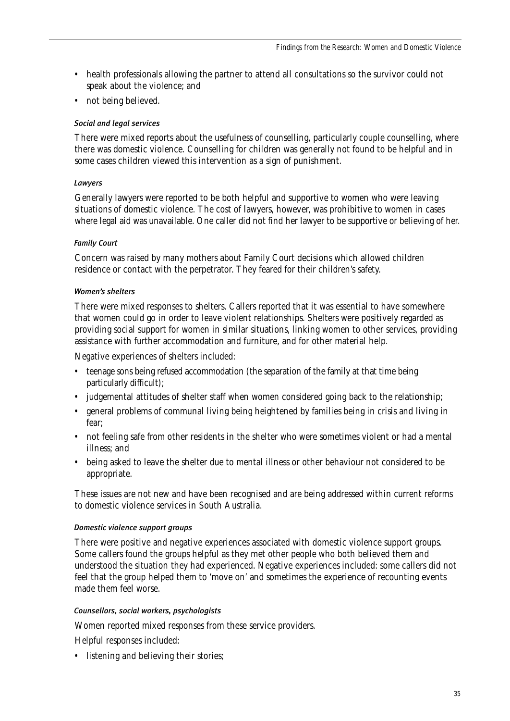- health professionals allowing the partner to attend all consultations so the survivor could not speak about the violence; and
- not being believed.

#### *Social and legal services*

There were mixed reports about the usefulness of counselling, particularly couple counselling, where there was domestic violence. Counselling for children was generally not found to be helpful and in some cases children viewed this intervention as a sign of punishment.

#### *Lawyers*

Generally lawyers were reported to be both helpful and supportive to women who were leaving situations of domestic violence. The cost of lawyers, however, was prohibitive to women in cases where legal aid was unavailable. One caller did not find her lawyer to be supportive or believing of her.

#### *Family Court*

Concern was raised by many mothers about Family Court decisions which allowed children residence or contact with the perpetrator. They feared for their children's safety.

#### *Women's shelters*

There were mixed responses to shelters. Callers reported that it was essential to have somewhere that women could go in order to leave violent relationships. Shelters were positively regarded as providing social support for women in similar situations, linking women to other services, providing assistance with further accommodation and furniture, and for other material help.

Negative experiences of shelters included:

- teenage sons being refused accommodation (the separation of the family at that time being particularly difficult);
- judgemental attitudes of shelter staff when women considered going back to the relationship;
- general problems of communal living being heightened by families being in crisis and living in fear;
- not feeling safe from other residents in the shelter who were sometimes violent or had a mental illness; and
- being asked to leave the shelter due to mental illness or other behaviour not considered to be appropriate.

These issues are not new and have been recognised and are being addressed within current reforms to domestic violence services in South Australia.

#### *Domestic violence support groups*

There were positive and negative experiences associated with domestic violence support groups. Some callers found the groups helpful as they met other people who both believed them and understood the situation they had experienced. Negative experiences included: some callers did not feel that the group helped them to 'move on' and sometimes the experience of recounting events made them feel worse.

#### *Counsellors, social workers, psychologists*

Women reported mixed responses from these service providers.

Helpful responses included:

• listening and believing their stories;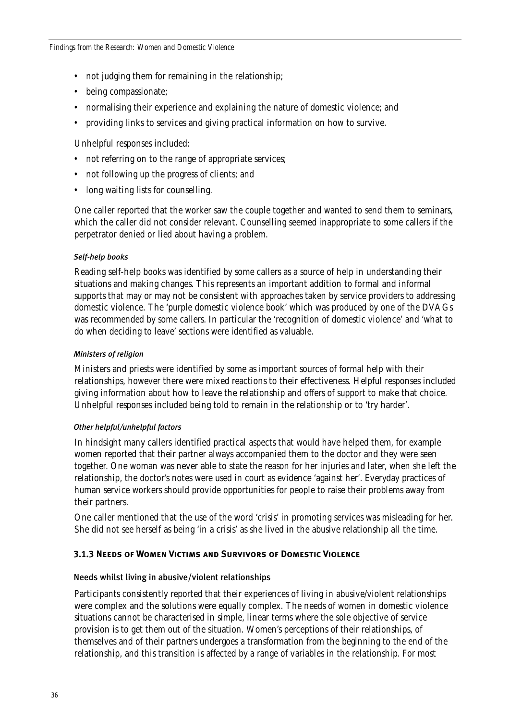- not judging them for remaining in the relationship;
- being compassionate;
- normalising their experience and explaining the nature of domestic violence; and
- providing links to services and giving practical information on how to survive.

Unhelpful responses included:

- not referring on to the range of appropriate services;
- not following up the progress of clients; and
- long waiting lists for counselling.

One caller reported that the worker saw the couple together and wanted to send them to seminars, which the caller did not consider relevant. Counselling seemed inappropriate to some callers if the perpetrator denied or lied about having a problem.

# *Self-help books*

Reading self-help books was identified by some callers as a source of help in understanding their situations and making changes. This represents an important addition to formal and informal supports that may or may not be consistent with approaches taken by service providers to addressing domestic violence. The 'purple domestic violence book' which was produced by one of the DVAGs was recommended by some callers. In particular the 'recognition of domestic violence' and 'what to do when deciding to leave' sections were identified as valuable.

#### *Ministers of religion*

Ministers and priests were identified by some as important sources of formal help with their relationships, however there were mixed reactions to their effectiveness. Helpful responses included giving information about how to leave the relationship and offers of support to make that choice. Unhelpful responses included being told to remain in the relationship or to 'try harder'.

# *Other helpful/unhelpful factors*

In hindsight many callers identified practical aspects that would have helped them, for example women reported that their partner always accompanied them to the doctor and they were seen together. One woman was never able to state the reason for her injuries and later, when she left the relationship, the doctor's notes were used in court as evidence 'against her'. Everyday practices of human service workers should provide opportunities for people to raise their problems away from their partners.

One caller mentioned that the use of the word 'crisis' in promoting services was misleading for her. She did not see herself as being 'in a crisis' as she lived in the abusive relationship all the time.

# **3.1.3 Needs of Women Victims and Survivors of Domestic Violence**

# Needs whilst living in abusive/violent relationships

Participants consistently reported that their experiences of living in abusive/violent relationships were complex and the solutions were equally complex. The needs of women in domestic violence situations cannot be characterised in simple, linear terms where the sole objective of service provision is to get them out of the situation. Women's perceptions of their relationships, of themselves and of their partners undergoes a transformation from the beginning to the end of the relationship, and this transition is affected by a range of variables in the relationship. For most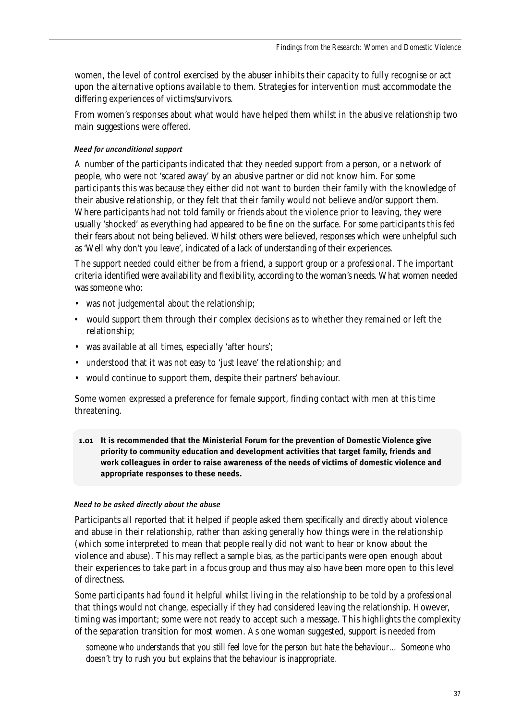women, the level of control exercised by the abuser inhibits their capacity to fully recognise or act upon the alternative options available to them. Strategies for intervention must accommodate the differing experiences of victims/survivors.

From women's responses about what would have helped them whilst in the abusive relationship two main suggestions were offered.

# *Need for unconditional support*

A number of the participants indicated that they needed support from a person, or a network of people, who were not 'scared away' by an abusive partner or did not know him. For some participants this was because they either did not want to burden their family with the knowledge of their abusive relationship, or they felt that their family would not believe and/or support them. Where participants had not told family or friends about the violence prior to leaving, they were usually 'shocked' as everything had appeared to be fine on the surface. For some participants this fed their fears about not being believed. Whilst others were believed, responses which were unhelpful such as 'Well why don't you leave', indicated of a lack of understanding of their experiences.

The support needed could either be from a friend, a support group or a professional. The important criteria identified were availability and flexibility, according to the woman's needs. What women needed was someone who:

- was not judgemental about the relationship;
- would support them through their complex decisions as to whether they remained or left the relationship;
- was available at all times, especially 'after hours';
- understood that it was not easy to 'just leave' the relationship; and
- would continue to support them, despite their partners' behaviour.

Some women expressed a preference for female support, finding contact with men at this time threatening.

**1.01 It is recommended that the Ministerial Forum for the prevention of Domestic Violence give priority to community education and development activities that target family, friends and work colleagues in order to raise awareness of the needs of victims of domestic violence and appropriate responses to these needs.**

### *Need to be asked directly about the abuse*

Participants all reported that it helped if people asked them *specifically* and *directly* about violence and abuse in their relationship, rather than asking generally how things were in the relationship (which some interpreted to mean that people really did not want to hear or know about the violence and abuse). This may reflect a sample bias, as the participants were open enough about their experiences to take part in a focus group and thus may also have been more open to this level of directness.

Some participants had found it helpful whilst living in the relationship to be told by a professional that things would *not* change, especially if they had considered leaving the relationship. However, timing was important; some were not ready to accept such a message. This highlights the complexity of the separation transition for most women. As one woman suggested, support is needed from

*someone who understands that you still feel love for the person but hate the behaviour… Someone who doesn't try to rush you but explains that the behaviour is inappropriate.*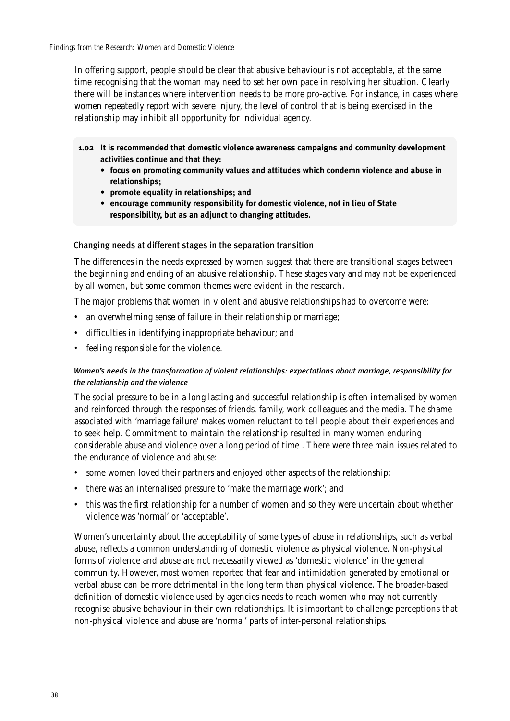*Findings from the Research: Women and Domestic Violence*

In offering support, people should be clear that abusive behaviour is not acceptable, at the same time recognising that the woman may need to set her own pace in resolving her situation. Clearly there will be instances where intervention needs to be more pro-active. For instance, in cases where women repeatedly report with severe injury, the level of control that is being exercised in the relationship may inhibit all opportunity for individual agency.

- **1.02 It is recommended that domestic violence awareness campaigns and community development activities continue and that they:** 
	- **focus on promoting community values and attitudes which condemn violence and abuse in relationships;**
	- **promote equality in relationships; and**
	- **encourage community responsibility for domestic violence, not in lieu of State responsibility, but as an adjunct to changing attitudes.**

# Changing needs at different stages in the separation transition

The differences in the needs expressed by women suggest that there are transitional stages between the beginning and ending of an abusive relationship. These stages vary and may not be experienced by all women, but some common themes were evident in the research.

The major problems that women in violent and abusive relationships had to overcome were:

- an overwhelming sense of failure in their relationship or marriage;
- difficulties in identifying inappropriate behaviour; and
- feeling responsible for the violence.

# *Women's needs in the transformation of violent relationships: expectations about marriage, responsibility for the relationship and the violence*

The social pressure to be in a long lasting and successful relationship is often internalised by women and reinforced through the responses of friends, family, work colleagues and the media. The shame associated with 'marriage failure' makes women reluctant to tell people about their experiences and to seek help. Commitment to maintain the relationship resulted in many women enduring considerable abuse and violence over a long period of time . There were three main issues related to the endurance of violence and abuse:

- some women loved their partners and enjoyed other aspects of the relationship;
- there was an internalised pressure to 'make the marriage work'; and
- this was the first relationship for a number of women and so they were uncertain about whether violence was 'normal' or 'acceptable'.

Women's uncertainty about the acceptability of some types of abuse in relationships, such as verbal abuse, reflects a common understanding of domestic violence as physical violence. Non-physical forms of violence and abuse are not necessarily viewed as 'domestic violence' in the general community. However, most women reported that fear and intimidation generated by emotional or verbal abuse can be more detrimental in the long term than physical violence. The broader-based definition of domestic violence used by agencies needs to reach women who may not currently recognise abusive behaviour in their own relationships. It is important to challenge perceptions that non-physical violence and abuse are 'normal' parts of inter-personal relationships.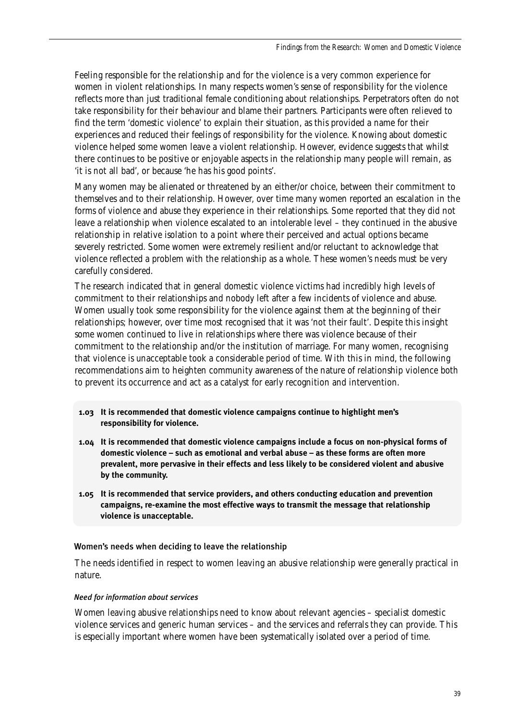Feeling responsible for the relationship and for the violence is a very common experience for women in violent relationships. In many respects women's sense of responsibility for the violence reflects more than just traditional female conditioning about relationships. Perpetrators often do not take responsibility for their behaviour and blame their partners. Participants were often relieved to find the term 'domestic violence' to explain their situation, as this provided a name for their experiences and reduced their feelings of responsibility for the violence. Knowing about domestic violence helped some women leave a violent relationship. However, evidence suggests that whilst there continues to be positive or enjoyable aspects in the relationship many people will remain, as 'it is not all bad', or because 'he has his good points'.

Many women may be alienated or threatened by an either/or choice, between their commitment to themselves and to their relationship. However, over time many women reported an escalation in the forms of violence and abuse they experience in their relationships. Some reported that they did not leave a relationship when violence escalated to an intolerable level – they continued in the abusive relationship in relative isolation to a point where their perceived and actual options became severely restricted. Some women were extremely resilient and/or reluctant to acknowledge that violence reflected a problem with the relationship as a whole. These women's needs must be very carefully considered.

The research indicated that in general domestic violence victims had incredibly high levels of commitment to their relationships and nobody left after a few incidents of violence and abuse. Women usually took some responsibility for the violence against them at the beginning of their relationships; however, over time most recognised that it was 'not their fault'. Despite this insight some women continued to live in relationships where there was violence because of their commitment to the relationship and/or the institution of marriage. For many women, recognising that violence is unacceptable took a considerable period of time. With this in mind, the following recommendations aim to heighten community awareness of the nature of relationship violence both to prevent its occurrence and act as a catalyst for early recognition and intervention.

- **1.03 It is recommended that domestic violence campaigns continue to highlight men's responsibility for violence.**
- **1.04 It is recommended that domestic violence campaigns include a focus on non-physical forms of domestic violence – such as emotional and verbal abuse – as these forms are often more prevalent, more pervasive in their effects and less likely to be considered violent and abusive by the community.**
- **1.05 It is recommended that service providers, and others conducting education and prevention campaigns, re-examine the most effective ways to transmit the message that relationship violence is unacceptable.**

### Women's needs when deciding to leave the relationship

The needs identified in respect to women leaving an abusive relationship were generally practical in nature.

### *Need for information about services*

Women leaving abusive relationships need to know about relevant agencies – specialist domestic violence services and generic human services – and the services and referrals they can provide. This is especially important where women have been systematically isolated over a period of time.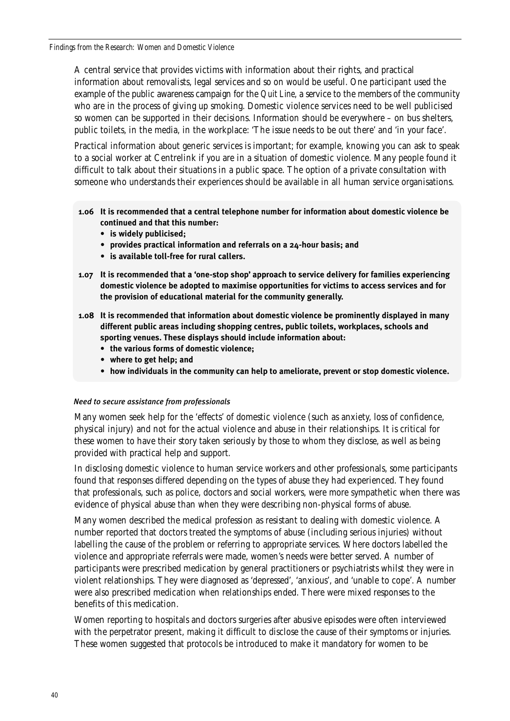A central service that provides victims with information about their rights, and practical information about removalists, legal services and so on would be useful. One participant used the example of the public awareness campaign for the *Quit Line*, a service to the members of the community who are in the process of giving up smoking. Domestic violence services need to be well publicised so women can be supported in their decisions. Information should be everywhere – on bus shelters, public toilets, in the media, in the workplace: 'The issue needs to be out there' and 'in your face'.

Practical information about generic services is important; for example, knowing you can ask to speak to a social worker at Centrelink if you are in a situation of domestic violence. Many people found it difficult to talk about their situations in a public space. The option of a private consultation with someone who understands their experiences should be available in all human service organisations.

- **1.06 It is recommended that a central telephone number for information about domestic violence be continued and that this number:**
	- **is widely publicised;**
	- **provides practical information and referrals on a 24-hour basis; and**
	- **is available toll-free for rural callers.**
- **1.07 It is recommended that a 'one-stop shop' approach to service delivery for families experiencing domestic violence be adopted to maximise opportunities for victims to access services and for the provision of educational material for the community generally.**
- **1.08 It is recommended that information about domestic violence be prominently displayed in many different public areas including shopping centres, public toilets, workplaces, schools and sporting venues. These displays should include information about:**
	- **the various forms of domestic violence;**
	- **where to get help; and**
	- **how individuals in the community can help to ameliorate, prevent or stop domestic violence.**

### *Need to secure assistance from professionals*

Many women seek help for the 'effects' of domestic violence (such as anxiety, loss of confidence, physical injury) and not for the actual violence and abuse in their relationships. It is critical for these women to have their story taken seriously by those to whom they disclose, as well as being provided with practical help and support.

In disclosing domestic violence to human service workers and other professionals, some participants found that responses differed depending on the types of abuse they had experienced. They found that professionals, such as police, doctors and social workers, were more sympathetic when there was evidence of physical abuse than when they were describing non-physical forms of abuse.

Many women described the medical profession as resistant to dealing with domestic violence. A number reported that doctors treated the symptoms of abuse (including serious injuries) without labelling the cause of the problem or referring to appropriate services. Where doctors labelled the violence and appropriate referrals were made, women's needs were better served. A number of participants were prescribed medication by general practitioners or psychiatrists whilst they were in violent relationships. They were diagnosed as 'depressed', 'anxious', and 'unable to cope'. A number were also prescribed medication when relationships ended. There were mixed responses to the benefits of this medication.

Women reporting to hospitals and doctors surgeries after abusive episodes were often interviewed with the perpetrator present, making it difficult to disclose the cause of their symptoms or injuries. These women suggested that protocols be introduced to make it mandatory for women to be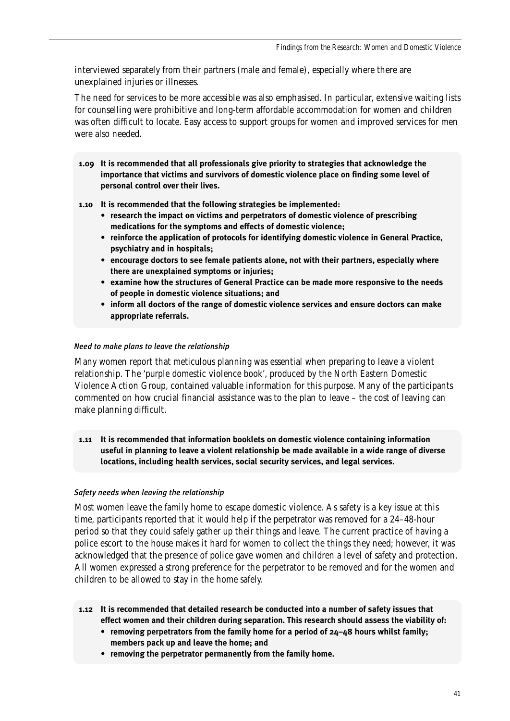interviewed separately from their partners (male and female), especially where there are unexplained injuries or illnesses.

The need for services to be more accessible was also emphasised. In particular, extensive waiting lists for counselling were prohibitive and long-term affordable accommodation for women and children was often difficult to locate. Easy access to support groups for women and improved services for men were also needed.

**1.09 It is recommended that all professionals give priority to strategies that acknowledge the importance that victims and survivors of domestic violence place on finding some level of personal control over their lives.** 

**1.10 It is recommended that the following strategies be implemented:**

- **research the impact on victims and perpetrators of domestic violence of prescribing medications for the symptoms and effects of domestic violence;**
- **reinforce the application of protocols for identifying domestic violence in General Practice, psychiatry and in hospitals;**
- **encourage doctors to see female patients alone, not with their partners, especially where there are unexplained symptoms or injuries;**
- **examine how the structures of General Practice can be made more responsive to the needs of people in domestic violence situations; and**
- **inform all doctors of the range of domestic violence services and ensure doctors can make appropriate referrals.**

# *Need to make plans to leave the relationship*

Many women report that meticulous planning was essential when preparing to leave a violent relationship. The 'purple domestic violence book', produced by the North Eastern Domestic Violence Action Group, contained valuable information for this purpose. Many of the participants commented on how crucial financial assistance was to the plan to leave – the cost of leaving can make planning difficult.

**1.11 It is recommended that information booklets on domestic violence containing information useful in planning to leave a violent relationship be made available in a wide range of diverse locations, including health services, social security services, and legal services.**

# *Safety needs when leaving the relationship*

Most women leave the family home to escape domestic violence. As safety is a key issue at this time, participants reported that it would help if the perpetrator was removed for a 24–48-hour period so that they could safely gather up their things and leave. The current practice of having a police escort to the house makes it hard for women to collect the things they need; however, it was acknowledged that the presence of police gave women and children a level of safety and protection. All women expressed a strong preference for the perpetrator to be removed and for the women and children to be allowed to stay in the home safely.

- **1.12 It is recommended that detailed research be conducted into a number of safety issues that effect women and their children during separation. This research should assess the viability of:**
	- **removing perpetrators from the family home for a period of 24–48 hours whilst family; members pack up and leave the home; and**
	- **removing the perpetrator permanently from the family home.**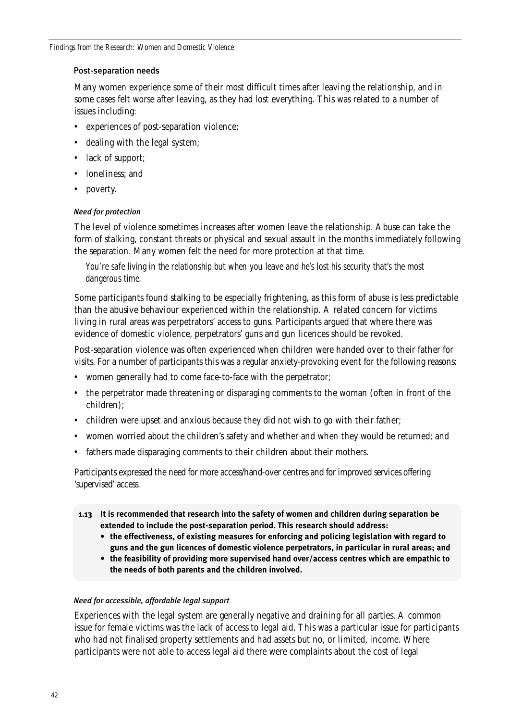# Post-separation needs

Many women experience some of their most difficult times after leaving the relationship, and in some cases felt worse after leaving, as they had lost everything. This was related to a number of issues including:

- experiences of post-separation violence;
- dealing with the legal system;
- lack of support;
- loneliness: and
- poverty.

# *Need for protection*

The level of violence sometimes increases after women leave the relationship. Abuse can take the form of stalking, constant threats or physical and sexual assault in the months immediately following the separation. Many women felt the need for more protection at that time.

*You're safe living in the relationship but when you leave and he's lost his security that's the most dangerous time.*

Some participants found stalking to be especially frightening, as this form of abuse is less predictable than the abusive behaviour experienced within the relationship. A related concern for victims living in rural areas was perpetrators' access to guns. Participants argued that where there was evidence of domestic violence, perpetrators' guns and gun licences should be revoked.

Post-separation violence was often experienced when children were handed over to their father for visits. For a number of participants this was a regular anxiety-provoking event for the following reasons:

- women generally had to come face-to-face with the perpetrator;
- the perpetrator made threatening or disparaging comments to the woman (often in front of the children);
- children were upset and anxious because they did not wish to go with their father;
- women worried about the children's safety and whether and when they would be returned; and
- fathers made disparaging comments to their children about their mothers.

Participants expressed the need for more access/hand-over centres and for improved services offering 'supervised' access.

- **1.13 It is recommended that research into the safety of women and children during separation be extended to include the post-separation period. This research should address:**
	- **the effectiveness, of existing measures for enforcing and policing legislation with regard to guns and the gun licences of domestic violence perpetrators, in particular in rural areas; and**
	- **the feasibility of providing more supervised hand over/access centres which are empathic to the needs of both parents and the children involved.**

# *Need for accessible, affordable legal support*

Experiences with the legal system are generally negative and draining for all parties. A common issue for female victims was the lack of access to legal aid. This was a particular issue for participants who had not finalised property settlements and had assets but no, or limited, income. Where participants were not able to access legal aid there were complaints about the cost of legal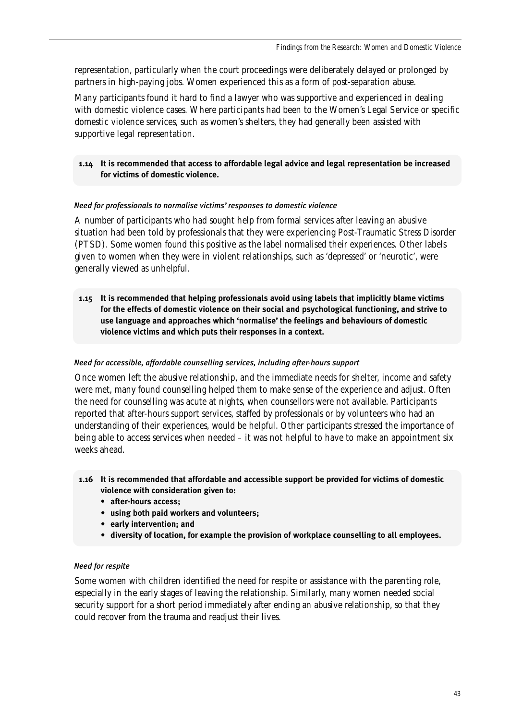representation, particularly when the court proceedings were deliberately delayed or prolonged by partners in high-paying jobs. Women experienced this as a form of post-separation abuse.

Many participants found it hard to find a lawyer who was supportive and experienced in dealing with domestic violence cases. Where participants had been to the Women's Legal Service or specific domestic violence services, such as women's shelters, they had generally been assisted with supportive legal representation.

# **1.14 It is recommended that access to affordable legal advice and legal representation be increased for victims of domestic violence.**

# *Need for professionals to normalise victims' responses to domestic violence*

A number of participants who had sought help from formal services after leaving an abusive situation had been told by professionals that they were experiencing Post-Traumatic Stress Disorder (PTSD). Some women found this positive as the label normalised their experiences. Other labels given to women when they were in violent relationships, such as 'depressed' or 'neurotic', were generally viewed as unhelpful.

**1.15 It is recommended that helping professionals avoid using labels that implicitly blame victims for the effects of domestic violence on their social and psychological functioning, and strive to use language and approaches which 'normalise' the feelings and behaviours of domestic violence victims and which puts their responses in a context.**

### *Need for accessible, affordable counselling services, including after-hours support*

Once women left the abusive relationship, and the immediate needs for shelter, income and safety were met, many found counselling helped them to make sense of the experience and adjust. Often the need for counselling was acute at nights, when counsellors were not available. Participants reported that after-hours support services, staffed by professionals or by volunteers who had an understanding of their experiences, would be helpful. Other participants stressed the importance of being able to access services when needed – it was not helpful to have to make an appointment six weeks ahead.

- **1.16 It is recommended that affordable and accessible support be provided for victims of domestic violence with consideration given to:**
	- **after-hours access;**
	- **using both paid workers and volunteers;**
	- **early intervention; and**
	- **diversity of location, for example the provision of workplace counselling to all employees.**

# *Need for respite*

Some women with children identified the need for respite or assistance with the parenting role, especially in the early stages of leaving the relationship. Similarly, many women needed social security support for a short period immediately after ending an abusive relationship, so that they could recover from the trauma and readjust their lives.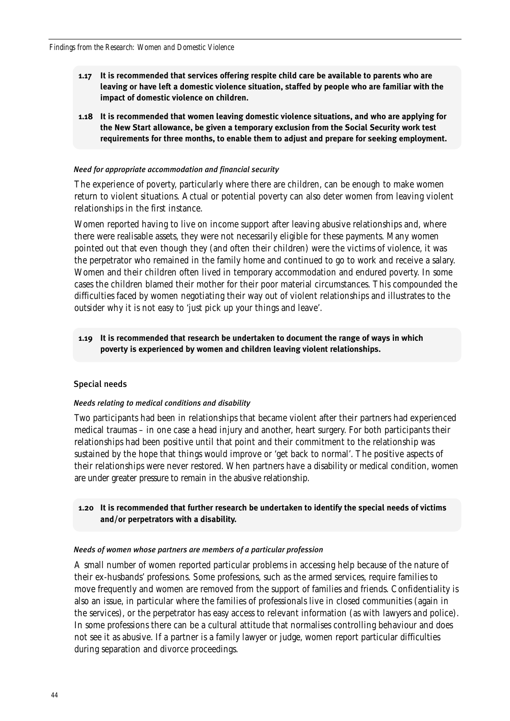- **1.17 It is recommended that services offering respite child care be available to parents who are leaving or have left a domestic violence situation, staffed by people who are familiar with the impact of domestic violence on children.**
- **1.18 It is recommended that women leaving domestic violence situations, and who are applying for the New Start allowance, be given a temporary exclusion from the Social Security work test requirements for three months, to enable them to adjust and prepare for seeking employment.**

### *Need for appropriate accommodation and financial security*

The experience of poverty, particularly where there are children, can be enough to make women return to violent situations. Actual or potential poverty can also deter women from leaving violent relationships in the first instance.

Women reported having to live on income support after leaving abusive relationships and, where there were realisable assets, they were not necessarily eligible for these payments. Many women pointed out that even though they (and often their children) were the victims of violence, it was the perpetrator who remained in the family home and continued to go to work and receive a salary. Women and their children often lived in temporary accommodation and endured poverty. In some cases the children blamed their mother for their poor material circumstances. This compounded the difficulties faced by women negotiating their way out of violent relationships and illustrates to the outsider why it is not easy to 'just pick up your things and leave'.

# **1.19 It is recommended that research be undertaken to document the range of ways in which poverty is experienced by women and children leaving violent relationships.**

### Special needs

#### *Needs relating to medical conditions and disability*

Two participants had been in relationships that became violent after their partners had experienced medical traumas – in one case a head injury and another, heart surgery. For both participants their relationships had been positive until that point and their commitment to the relationship was sustained by the hope that things would improve or 'get back to normal'. The positive aspects of their relationships were never restored. When partners have a disability or medical condition, women are under greater pressure to remain in the abusive relationship.

# **1.20 It is recommended that further research be undertaken to identify the special needs of victims and/or perpetrators with a disability.**

#### *Needs of women whose partners are members of a particular profession*

A small number of women reported particular problems in accessing help because of the nature of their ex-husbands' professions. Some professions, such as the armed services, require families to move frequently and women are removed from the support of families and friends. Confidentiality is also an issue, in particular where the families of professionals live in closed communities (again in the services), or the perpetrator has easy access to relevant information (as with lawyers and police). In some professions there can be a cultural attitude that normalises controlling behaviour and does not see it as abusive. If a partner is a family lawyer or judge, women report particular difficulties during separation and divorce proceedings.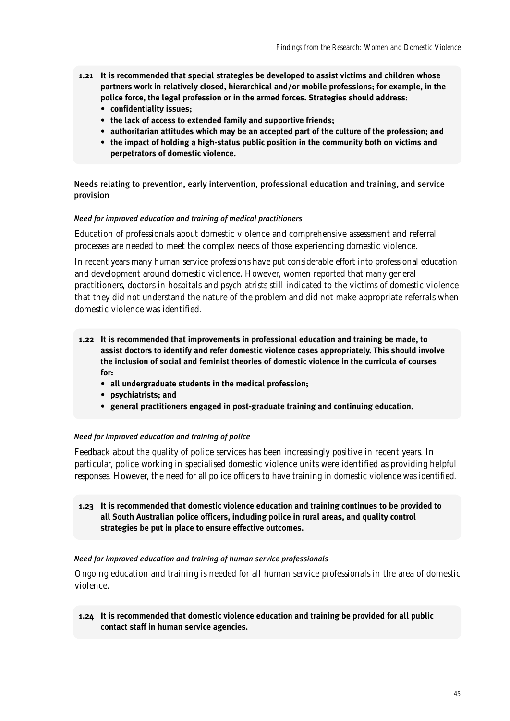- **1.21 It is recommended that special strategies be developed to assist victims and children whose partners work in relatively closed, hierarchical and/or mobile professions; for example, in the police force, the legal profession or in the armed forces. Strategies should address:**
	- **confidentiality issues;**
	- **the lack of access to extended family and supportive friends;**
	- **authoritarian attitudes which may be an accepted part of the culture of the profession; and**
	- **the impact of holding a high-status public position in the community both on victims and perpetrators of domestic violence.**

Needs relating to prevention, early intervention, professional education and training, and service provision

#### *Need for improved education and training of medical practitioners*

Education of professionals about domestic violence and comprehensive assessment and referral processes are needed to meet the complex needs of those experiencing domestic violence.

In recent years many human service professions have put considerable effort into professional education and development around domestic violence. However, women reported that many general practitioners, doctors in hospitals and psychiatrists still indicated to the victims of domestic violence that they did not understand the nature of the problem and did not make appropriate referrals when domestic violence was identified.

- **1.22 It is recommended that improvements in professional education and training be made, to assist doctors to identify and refer domestic violence cases appropriately. This should involve the inclusion of social and feminist theories of domestic violence in the curricula of courses for:**
	- **all undergraduate students in the medical profession;**
	- **psychiatrists; and**
	- **general practitioners engaged in post-graduate training and continuing education.**

#### *Need for improved education and training of police*

Feedback about the quality of police services has been increasingly positive in recent years. In particular, police working in specialised domestic violence units were identified as providing helpful responses. However, the need for *all* police officers to have training in domestic violence was identified.

**1.23 It is recommended that domestic violence education and training continues to be provided to all South Australian police officers, including police in rural areas, and quality control strategies be put in place to ensure effective outcomes.** 

#### *Need for improved education and training of human service professionals*

Ongoing education and training is needed for all human service professionals in the area of domestic violence.

**1.24 It is recommended that domestic violence education and training be provided for all public contact staff in human service agencies.**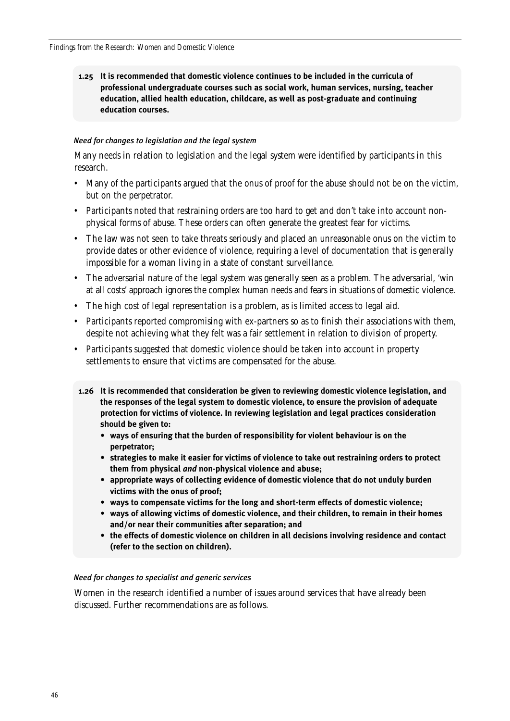**1.25 It is recommended that domestic violence continues to be included in the curricula of professional undergraduate courses such as social work, human services, nursing, teacher education, allied health education, childcare, as well as post-graduate and continuing education courses.**

### *Need for changes to legislation and the legal system*

Many needs in relation to legislation and the legal system were identified by participants in this research.

- Many of the participants argued that the onus of proof for the abuse should not be on the victim, but on the perpetrator.
- Participants noted that restraining orders are too hard to get and don't take into account nonphysical forms of abuse. These orders can often generate the greatest fear for victims.
- The law was not seen to take threats seriously and placed an unreasonable onus on the victim to provide dates or other evidence of violence, requiring a level of documentation that is generally impossible for a woman living in a state of constant surveillance.
- The adversarial nature of the legal system was generally seen as a problem. The adversarial, 'win at all costs' approach ignores the complex human needs and fears in situations of domestic violence.
- The high cost of legal representation is a problem, as is limited access to legal aid.
- Participants reported compromising with ex-partners so as to finish their associations with them, despite not achieving what they felt was a fair settlement in relation to division of property.
- Participants suggested that domestic violence should be taken into account in property settlements to ensure that victims are compensated for the abuse.
- **1.26 It is recommended that consideration be given to reviewing domestic violence legislation, and the responses of the legal system to domestic violence, to ensure the provision of adequate protection for victims of violence. In reviewing legislation and legal practices consideration should be given to:**
	- **ways of ensuring that the burden of responsibility for violent behaviour is on the perpetrator;**
	- **strategies to make it easier for victims of violence to take out restraining orders to protect them from physical** *and* **non-physical violence and abuse;**
	- **appropriate ways of collecting evidence of domestic violence that do not unduly burden victims with the onus of proof;**
	- **ways to compensate victims for the long and short-term effects of domestic violence;**
	- **ways of allowing victims of domestic violence, and their children, to remain in their homes and/or near their communities after separation; and**
	- **the effects of domestic violence on children in all decisions involving residence and contact (refer to the section on children).**

### *Need for changes to specialist and generic services*

Women in the research identified a number of issues around services that have already been discussed. Further recommendations are as follows.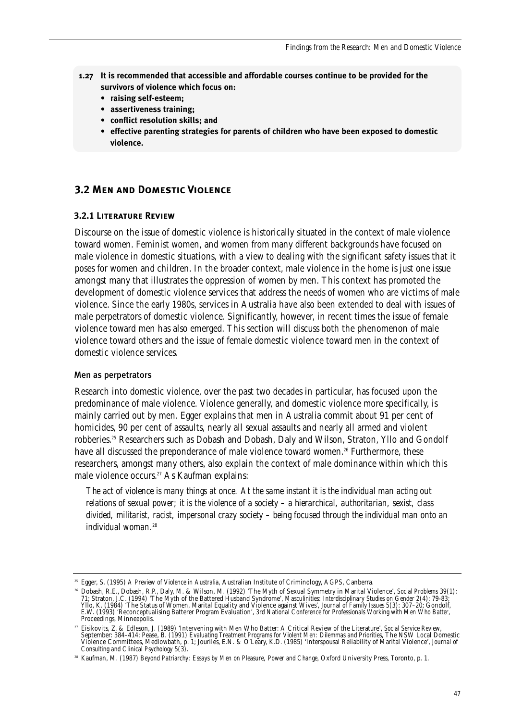- **1.27 It is recommended that accessible and affordable courses continue to be provided for the survivors of violence which focus on:**
	- **raising self-esteem;**
	- **assertiveness training;**
	- **conflict resolution skills; and**
	- **effective parenting strategies for parents of children who have been exposed to domestic violence.**

# **3.2 Men and Domestic Violence**

# **3.2.1 Literature Review**

Discourse on the issue of domestic violence is historically situated in the context of male violence toward women. Feminist women, and women from many different backgrounds have focused on male violence in domestic situations, with a view to dealing with the significant safety issues that it poses for women and children. In the broader context, male violence in the home is just one issue amongst many that illustrates the oppression of women by men. This context has promoted the development of domestic violence services that address the needs of women who are victims of male violence. Since the early 1980s, services in Australia have also been extended to deal with issues of male perpetrators of domestic violence. Significantly, however, in recent times the issue of female violence toward men has also emerged. This section will discuss both the phenomenon of male violence toward others and the issue of female domestic violence toward men in the context of domestic violence services.

#### Men as perpetrators

Research into domestic violence, over the past two decades in particular, has focused upon the predominance of male violence. Violence generally, and domestic violence more specifically, is mainly carried out by men. Egger explains that men in Australia commit about 91 per cent of homicides, 90 per cent of assaults, nearly all sexual assaults and nearly all armed and violent robberies.<sup>25</sup> Researchers such as Dobash and Dobash, Daly and Wilson, Straton, Yllo and Gondolf have all discussed the preponderance of male violence toward women.<sup>26</sup> Furthermore, these researchers, amongst many others, also explain the context of male dominance within which this male violence occurs.<sup>27</sup> As Kaufman explains:

*The act of violence is many things at once. At the same instant it is the individual man acting out relations of sexual power; it is the violence of a society – a hierarchical, authoritarian, sexist, class divided, militarist, racist, impersonal crazy society – being focused through the individual man onto an individual woman.*<sup>28</sup>

<sup>25</sup> Egger, S. (1995) *A Preview of Violence in Australia*, Australian Institute of Criminology, AGPS, Canberra.

<sup>26</sup> Dobash, R.E., Dobash, R.P., Daly, M. & Wilson, M. (1992) 'The Myth of Sexual Symmetry in Marital Violence', *Social Problems* 39(1): 71; Straton, J.C. (1994) 'The Myth of the Battered Husband Syndrome', *Masculinities: Interdisciplinary Studies on Gender* 2(4): 79-83; Yllo, K. (1984) 'The Status of Women, Marital Equality and Violence against Wives', Journal of Family Issues 5(3): 307–20; Gondolf,<br>E.W. (1993) 'Reconceptualising Batterer Program Evaluation', 3rd National Conference for P Proceedings, Minneapolis.

<sup>27</sup> Eisikovits, Z. & Edleson, J. (1989) 'Intervening with Men Who Batter: A Critical Review of the Literature', *Social Service Review*, September: 384–414; Pease, B. (1991) *Evaluating Treatment Programs for Violent Men: Dilemmas and Priorities*, The NSW Local Domestic Violence Committees, Medlowbath, p. 1; Jouriles, E.N. & O'Leary, K.D. (1985) 'Interspousal Reliability of Marital Violence', *Journal of Consulting and Clinical Psychology* 5(3).

<sup>28</sup> Kaufman, M. (1987) *Beyond Patriarchy: Essays by Men on Pleasure, Power and Change*, Oxford University Press, Toronto, p. 1.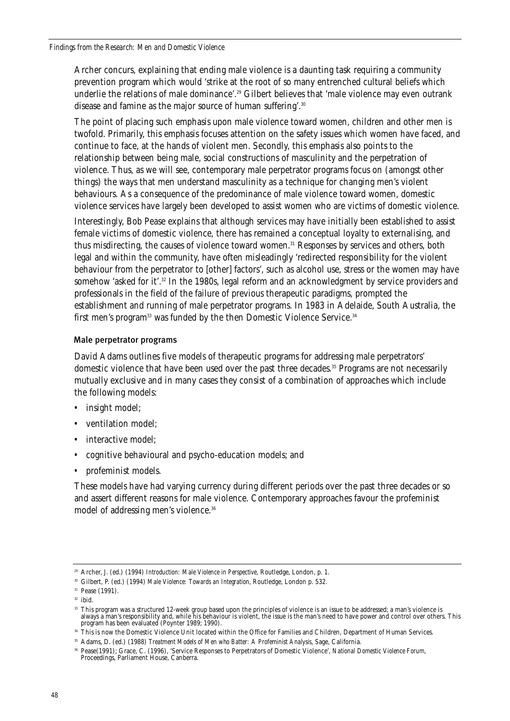Archer concurs, explaining that ending male violence is a daunting task requiring a community prevention program which would 'strike at the root of so many entrenched cultural beliefs which underlie the relations of male dominance'.<sup>29</sup> Gilbert believes that 'male violence may even outrank disease and famine as the major source of human suffering'.<sup>30</sup>

The point of placing such emphasis upon male violence toward women, children and other men is twofold. Primarily, this emphasis focuses attention on the safety issues which women have faced, and continue to face, at the hands of violent men. Secondly, this emphasis also points to the relationship between being male, social constructions of masculinity and the perpetration of violence. Thus, as we will see, contemporary male perpetrator programs focus on (amongst other things) the ways that men understand masculinity as a technique for changing men's violent behaviours. As a consequence of the predominance of male violence toward women, domestic violence services have largely been developed to assist women who are victims of domestic violence.

Interestingly, Bob Pease explains that although services may have initially been established to assist female victims of domestic violence, there has remained a conceptual loyalty to externalising, and thus misdirecting, the causes of violence toward women.<sup>31</sup> Responses by services and others, both legal and within the community, have often misleadingly 'redirected responsibility for the violent behaviour from the perpetrator to [other] factors', such as alcohol use, stress or the women may have somehow 'asked for it'.<sup>32</sup> In the 1980s, legal reform and an acknowledgment by service providers and professionals in the field of the failure of previous therapeutic paradigms, prompted the establishment and running of male perpetrator programs. In 1983 in Adelaide, South Australia, the first men's program<sup>33</sup> was funded by the then Domestic Violence Service.<sup>34</sup>

# Male perpetrator programs

David Adams outlines five models of therapeutic programs for addressing male perpetrators' domestic violence that have been used over the past three decades.35 Programs are not necessarily mutually exclusive and in many cases they consist of a combination of approaches which include the following models:

- insight model;
- ventilation model;
- interactive model;
- cognitive behavioural and psycho-education models; and
- profeminist models.

These models have had varying currency during different periods over the past three decades or so and assert different reasons for male violence. Contemporary approaches favour the profeminist model of addressing men's violence.36

<sup>29</sup> Archer, J. (ed.) (1994) *Introduction: Male Violence in Perspective*, Routledge, London, p. 1.

<sup>30</sup> Gilbert, P. (ed.) (1994) *Male Violence: Towards an Integration*, Routledge, London p. 532.

<sup>&</sup>lt;sup>31</sup> Pease (1991).

 $32$  ibid.

<sup>&</sup>lt;sup>33</sup> This program was a structured 12-week group based upon the principles of violence is an issue to be addressed; a man's violence is always a man's responsibility and, while his behaviour is violent, the issue is the man's need to have power and control over others. This program has been evaluated (Poynter 1989; 1990).

<sup>&</sup>lt;sup>34</sup> This is now the Domestic Violence Unit located within the Office for Families and Children, Department of Human Services.

<sup>35</sup> Adams, D. (ed.) (1988) *Treatment Models of Men who Batter: A Profeminist Analysis*, Sage, California.

<sup>36</sup> Pease(1991); Grace, C. (1996), 'Service Responses to Perpetrators of Domestic Violence', *National Domestic Violence Forum*, Proceedings, Parliament House, Canberra.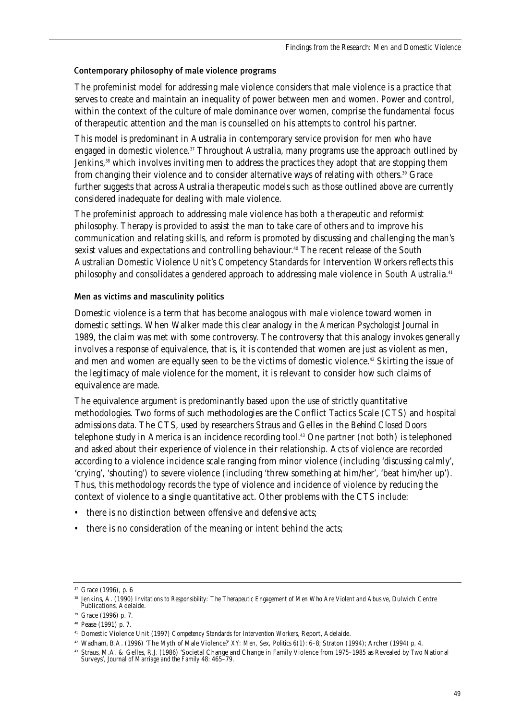# Contemporary philosophy of male violence programs

The profeminist model for addressing male violence considers that male violence is a practice that serves to create and maintain an inequality of power between men and women. Power and control, within the context of the culture of male dominance over women, comprise the fundamental focus of therapeutic attention and the man is counselled on his attempts to control his partner.

This model is predominant in Australia in contemporary service provision for men who have engaged in domestic violence.<sup>37</sup> Throughout Australia, many programs use the approach outlined by Jenkins.<sup>38</sup> which involves inviting men to address the practices they adopt that are stopping them from changing their violence and to consider alternative ways of relating with others.<sup>39</sup> Grace further suggests that across Australia therapeutic models such as those outlined above are currently considered inadequate for dealing with male violence.

The profeminist approach to addressing male violence has both a therapeutic and reformist philosophy. Therapy is provided to assist the man to take care of others and to improve his communication and relating skills, and reform is promoted by discussing and challenging the man's sexist values and expectations and controlling behaviour.<sup>40</sup> The recent release of the South Australian Domestic Violence Unit's Competency Standards for Intervention Workers reflects this philosophy and consolidates a gendered approach to addressing male violence in South Australia.<sup>41</sup>

# Men as victims and masculinity politics

Domestic violence is a term that has become analogous with male violence toward women in domestic settings. When Walker made this clear analogy in the *American Psychologist Journal* in 1989, the claim was met with some controversy. The controversy that this analogy invokes generally involves a response of equivalence, that is, it is contended that women are just as violent as men, and men and women are equally seen to be the victims of domestic violence.<sup>42</sup> Skirting the issue of the legitimacy of male violence for the moment, it is relevant to consider how such claims of equivalence are made.

The equivalence argument is predominantly based upon the use of strictly quantitative methodologies. Two forms of such methodologies are the Conflict Tactics Scale (CTS) and hospital admissions data. The CTS, used by researchers Straus and Gelles in the *Behind Closed Doors* telephone study in America is an incidence recording tool.43 One partner (not both) is telephoned and asked about their experience of violence in their relationship. Acts of violence are recorded according to a violence incidence scale ranging from minor violence (including 'discussing calmly', 'crying', 'shouting') to severe violence (including 'threw something at him/her', 'beat him/her up'). Thus, this methodology records the type of violence and incidence of violence by reducing the context of violence to a single quantitative act. Other problems with the CTS include:

- there is no distinction between offensive and defensive acts;
- there is no consideration of the meaning or intent behind the acts;

<sup>42</sup> Wadham, B.A. (1996) 'The Myth of Male Violence?' *XY: Men, Sex, Politics* 6(1): 6–8; Straton (1994); Archer (1994) p. 4.

<sup>37</sup> Grace (1996), p. 6

<sup>38</sup> Jenkins, A. (1990) *Invitations to Responsibility: The Therapeutic Engagement of Men Who Are Violent and Abusive*, Dulwich Centre Publications, Adelaide.

<sup>39</sup> Grace (1996) p. 7.

<sup>40</sup> Pease (1991) p. 7.

<sup>41</sup> Domestic Violence Unit (1997) *Competency Standards for Intervention Workers*, Report, Adelaide.

<sup>43</sup> Straus, M.A. & Gelles, R.J. (1986) 'Societal Change and Change in Family Violence from 1975–1985 as Revealed by Two National Surveys', *Journal of Marriage and the Family* 48: 465–79.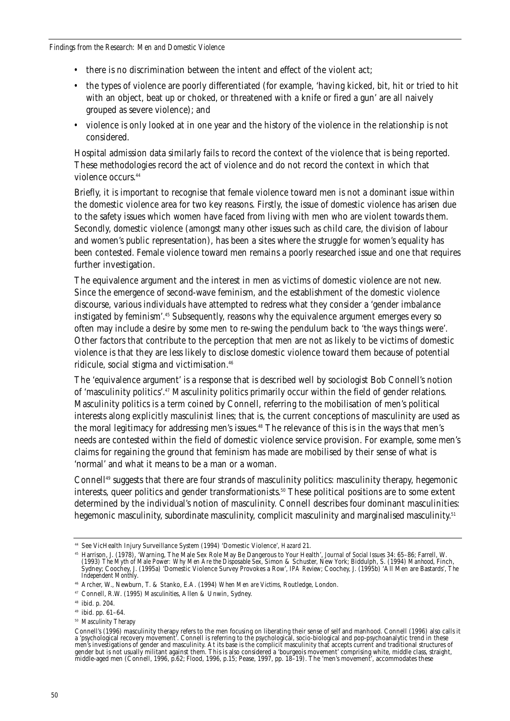- there is no discrimination between the intent and effect of the violent act:
- the types of violence are poorly differentiated (for example, 'having kicked, bit, hit or tried to hit with an object, beat up or choked, or threatened with a knife or fired a gun' are all naively grouped as severe violence); and
- violence is only looked at in one year and the history of the violence in the relationship is not considered.

Hospital admission data similarly fails to record the context of the violence that is being reported. These methodologies record the act of violence and do not record the context in which that violence occurs.<sup>44</sup>

Briefly, it is important to recognise that female violence toward men is not a dominant issue within the domestic violence area for two key reasons. Firstly, the issue of domestic violence has arisen due to the safety issues which women have faced from living with men who are violent towards them. Secondly, domestic violence (amongst many other issues such as child care, the division of labour and women's public representation), has been a sites where the struggle for women's equality has been contested. Female violence toward men remains a poorly researched issue and one that requires further investigation.

The equivalence argument and the interest in men as victims of domestic violence are not new. Since the emergence of second-wave feminism, and the establishment of the domestic violence discourse, various individuals have attempted to redress what they consider a 'gender imbalance instigated by feminism'.45 Subsequently, reasons why the equivalence argument emerges every so often may include a desire by some men to re-swing the pendulum back to 'the ways things were'. Other factors that contribute to the perception that men are not as likely to be victims of domestic violence is that they are less likely to disclose domestic violence toward them because of potential ridicule, social stigma and victimisation.<sup>46</sup>

The 'equivalence argument' is a response that is described well by sociologist Bob Connell's notion of 'masculinity politics'.47 Masculinity politics primarily occur within the field of gender relations. Masculinity politics is a term coined by Connell, referring to the mobilisation of men's political interests along explicitly masculinist lines; that is, the current conceptions of masculinity are used as the moral legitimacy for addressing men's issues.<sup>48</sup> The relevance of this is in the ways that men's needs are contested within the field of domestic violence service provision. For example, some men's claims for regaining the ground that feminism has made are mobilised by their sense of what is 'normal' and what it means to be a man or a woman.

Connell49 suggests that there are four strands of masculinity politics: masculinity therapy, hegemonic interests, queer politics and gender transformationists.<sup>50</sup> These political positions are to some extent determined by the individual's notion of masculinity. Connell describes four dominant masculinities: hegemonic masculinity, subordinate masculinity, complicit masculinity and marginalised masculinity.<sup>51</sup>

<sup>50</sup> *Masculinity Therapy*

<sup>44</sup> See VicHealth Injury Surveillance System (1994) 'Domestic Violence', *Hazard* 21.

<sup>45</sup> Harrison, J. (1978), 'Warning, The Male Sex Role May Be Dangerous to Your Health', *Journal of Social Issues* 34: 65–86; Farrell, W. (1993) *The Myth of Male Power: Why Men Are the Disposable Sex*, Simon & Schuster, New York; Biddulph, S. (1994) *Manhood*, Finch, Sydney; Coochey, J. (1995a) 'Domestic Violence Survey Provokes a Row', *IPA Review*; Coochey, J. (1995b) 'All Men are Bastards', *The Independent Monthly*.

<sup>46</sup> Archer, W., Newburn, T. & Stanko, E.A. (1994) *When Men are Victims*, Routledge, London.

<sup>47</sup> Connell, R.W. (1995) *Masculinities*, Allen & Unwin, Sydney.

<sup>48</sup> ibid. p. 204.

<sup>49</sup> ibid. pp. 61–64.

Connell's (1996) masculinity therapy refers to the men focusing on liberating their sense of self and manhood. Connell (1996) also calls it a 'psychological recovery movement'. Connell is referring to the psychological, socio-biological and pop-psychoanalytic trend in these men's investigations of gender and masculinity. At its base is the complicit masculinity that accepts current and traditional structures of gender but is not usually militant against them. This is also considered a 'bourgeois movement' comprising white, middle class, straight, middle-aged men (Connell, 1996, p.62; Flood, 1996, p.15; Pease, 1997, pp. 18–19). The 'men's movement', accommodates these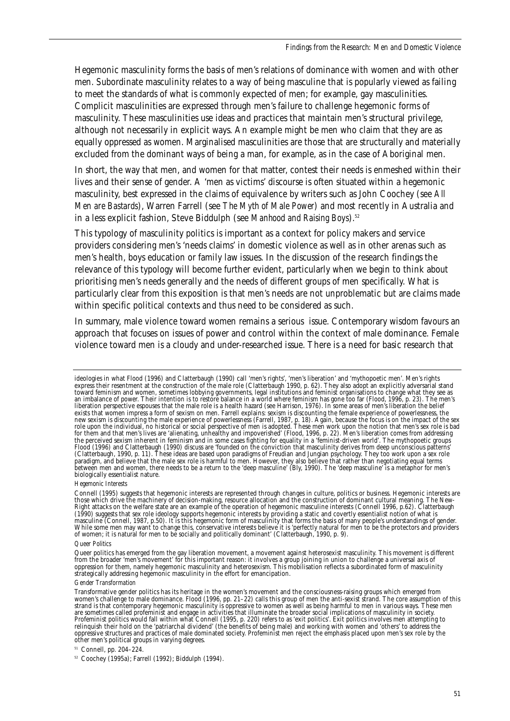Hegemonic masculinity forms the basis of men's relations of dominance with women and with other men. Subordinate masculinity relates to a way of being masculine that is popularly viewed as failing to meet the standards of what is commonly expected of men; for example, gay masculinities. Complicit masculinities are expressed through men's failure to challenge hegemonic forms of masculinity. These masculinities use ideas and practices that maintain men's structural privilege, although not necessarily in explicit ways. An example might be men who claim that they are as equally oppressed as women. Marginalised masculinities are those that are structurally and materially excluded from the dominant ways of being a man, for example, as in the case of Aboriginal men.

In short, the way that men, and women for that matter, contest their needs is enmeshed within their lives and their sense of gender. A 'men as victims' discourse is often situated within a hegemonic masculinity, best expressed in the claims of equivalence by writers such as John Coochey (see *All Men are Bastards*), Warren Farrell (see *The Myth of Male Power*) and most recently in Australia and in a less explicit fashion, Steve Biddulph (see *Manhood and Raising Boys*).<sup>52</sup>

This typology of masculinity politics is important as a context for policy makers and service providers considering men's 'needs claims' in domestic violence as well as in other arenas such as men's health, boys education or family law issues. In the discussion of the research findings the relevance of this typology will become further evident, particularly when we begin to think about prioritising men's needs generally and the needs of different groups of men specifically. What is particularly clear from this exposition is that men's needs are not unproblematic but are claims made within specific political contexts and thus need to be considered as such.

In summary, male violence toward women remains a serious issue. Contemporary wisdom favours an approach that focuses on issues of power and control within the context of male dominance. Female violence toward men is a cloudy and under-researched issue. There is a need for basic research that

#### *Hegemonic Interests*

#### *Queer Politics*

#### *Gender Transformation*

ideologies in what Flood (1996) and Clatterbaugh (1990) call 'men's rights', 'men's liberation' and 'mythopoetic men'. Men's rights express their resentment at the construction of the male role (Clatterbaugh 1990, p. 62). They also adopt an explicitly adversarial stand toward feminism and women, sometimes lobbying governments, legal institutions and feminist organisations to change what they see as an imbalance of power. Their intention is to restore balance in a world where feminism has gone too far (Flood, 1996, p. 23). The men's liberation perspective espouses that the male role is a health hazard (see Harrison, 1976). In some areas of men's liberation the belief exists that women impress a form of sexism on men. Farrell explains: sexism is discounting the female experience of powerlessness, the new sexism is discounting the male experience of powerlessness (Farrell, 1987, p. 18). Again, because the focus is on the impact of the sex role upon the individual, no historical or social perspective of men is adopted. These men work upon the notion that men's sex role is bad for them and that men's lives are 'alienating, unhealthy and impoverished' (Flood, 1996, p. 22). Men's liberation comes from addressing the perceived sexism inherent in feminism and in some cases fighting for equality in a 'feminist-driven world'. The mythopoetic groups Flood (1996) and Clatterbaugh (1990) discuss are 'founded on the conviction that masculinity derives from deep unconscious patterns' (Clatterbaugh, 1990, p. 11). These ideas are based upon paradigms of Freudian and Jungian psychology. They too work upon a sex role paradigm, and believe that the male sex role is harmful to men. However, they also believe that rather than negotiating equal terms between men and women, there needs to be a return to the 'deep masculine' (Bly, 1990). The 'deep masculine' is a metaphor for men's biologically essentialist nature.

Connell (1995) suggests that hegemonic interests are represented through changes in culture, politics or business. Hegemonic interests are those which drive the machinery of decision-making, resource allocation and the construction of dominant cultural meaning. The New-Right attacks on the welfare state are an example of the operation of hegemonic masculine interests (Connell 1996, p.62). Clatterbaugh (1990) suggests that sex role ideology supports hegemonic interests by providing a static and covertly essentialist notion of what is masculine (Connell, 1987, p.50). It is this hegemonic form of masculinity that forms the basis of many people's understandings of gender. While some men may want to change this, conservative interests believe it is 'perfectly natural for men to be the protectors and providers of women; it is natural for men to be socially and politically dominant' (Clatterbaugh, 1990, p. 9).

Queer politics has emerged from the gay liberation movement, a movement against heterosexist masculinity. This movement is different from the broader 'men's movement' for this important reason: it involves a group joining in union to challenge a universal axis of oppression for them, namely hegemonic masculinity and heterosexism. This mobilisation reflects a subordinated form of masculinity strategically addressing hegemonic masculinity in the effort for emancipation.

Transformative gender politics has its heritage in the women's movement and the consciousness-raising groups which emerged from women's challenge to male dominance. Flood (1996, pp. 21–22) calls this group of men the anti-sexist strand. The core assumption of this strand is that contemporary hegemonic masculinity is oppressive to women as well as being harmful to men in various ways. These men<br>are sometimes called profeminist and engage in activities that illuminate the broader soci Profeminist politics would fall within what Connell (1995, p. 220) refers to as 'exit politics'. Exit politics involves men attempting to relinquish their hold on the 'patriarchal dividend' (the benefits of being male) and working with women and 'others' to address the oppressive structures and practices of male dominated society. Profeminist men reject the emphasis placed upon men's sex role by the other men's political groups in varying degrees.

<sup>51</sup> Connell, pp. 204–224.

<sup>52</sup> Coochey (1995a); Farrell (1992); Biddulph (1994).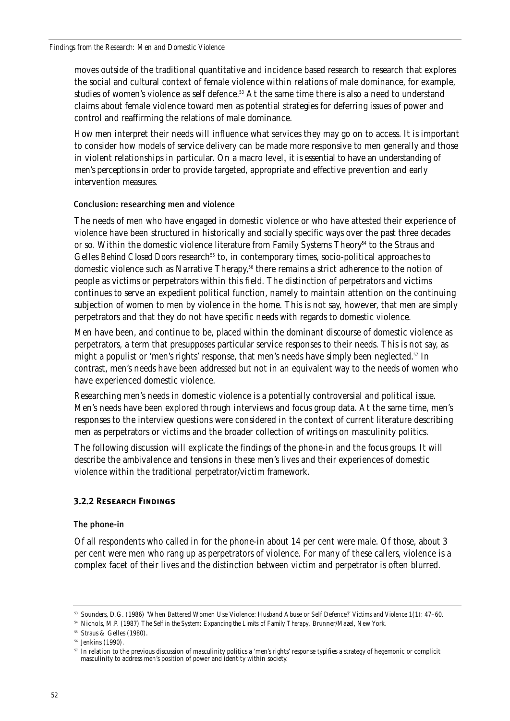moves outside of the traditional quantitative and incidence based research to research that explores the social and cultural context of female violence within relations of male dominance, for example, studies of women's violence as self defence.53 At the same time there is also a need to understand claims about female violence toward men as potential strategies for deferring issues of power and control and reaffirming the relations of male dominance.

How men interpret their needs will influence what services they may go on to access. It is important to consider how models of service delivery can be made more responsive to men generally and those in violent relationships in particular. On a macro level, it is essential to have an understanding of men's perceptions in order to provide targeted, appropriate and effective prevention and early intervention measures.

# Conclusion: researching men and violence

The needs of men who have engaged in domestic violence or who have attested their experience of violence have been structured in historically and socially specific ways over the past three decades or so. Within the domestic violence literature from Family Systems Theory<sup>54</sup> to the Straus and Gelles *Behind Closed Doors* research<sup>55</sup> to, in contemporary times, socio-political approaches to domestic violence such as Narrative Therapy,<sup>56</sup> there remains a strict adherence to the notion of people as victims or perpetrators within this field. The distinction of perpetrators and victims continues to serve an expedient political function, namely to maintain attention on the continuing subjection of women to men by violence in the home. This is not say, however, that men are simply perpetrators and that they do not have specific needs with regards to domestic violence.

Men have been, and continue to be, placed within the dominant discourse of domestic violence as perpetrators, a term that presupposes particular service responses to their needs. This is not say, as might a populist or 'men's rights' response, that men's needs have simply been neglected.<sup>57</sup> In contrast, men's needs have been addressed but not in an equivalent way to the needs of women who have experienced domestic violence.

Researching men's needs in domestic violence is a potentially controversial and political issue. Men's needs have been explored through interviews and focus group data. At the same time, men's responses to the interview questions were considered in the context of current literature describing men as perpetrators or victims and the broader collection of writings on masculinity politics.

The following discussion will explicate the findings of the phone-in and the focus groups. It will describe the ambivalence and tensions in these men's lives and their experiences of domestic violence within the traditional perpetrator/victim framework.

# **3.2.2 Research Findings**

# The phone-in

Of all respondents who called in for the phone-in about 14 per cent were male. Of those, about 3 per cent were men who rang up as perpetrators of violence. For many of these callers, violence is a complex facet of their lives and the distinction between victim and perpetrator is often blurred.

<sup>53</sup> Sounders, D.G. (1986) 'When Battered Women Use Violence: Husband Abuse or Self Defence?' *Victims and Violence* 1(1): 47–60.

<sup>54</sup> Nichols, M.P. (1987) *The Self in the System: Expanding the Limits of Family Therapy,* Brunner/Mazel, New York.

<sup>55</sup> Straus & Gelles (1980).

<sup>56</sup> Jenkins (1990).

 $57$  In relation to the previous discussion of masculinity politics a 'men's rights' response typifies a strategy of hegemonic or complicit masculinity to address men's position of power and identity within society.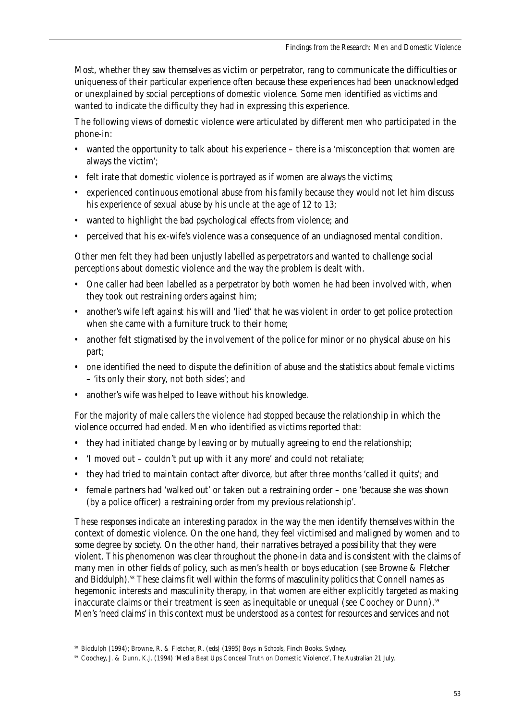Most, whether they saw themselves as victim or perpetrator, rang to communicate the difficulties or uniqueness of their particular experience often because these experiences had been unacknowledged or unexplained by social perceptions of domestic violence. Some men identified as victims and wanted to indicate the difficulty they had in expressing this experience.

The following views of domestic violence were articulated by different men who participated in the phone-in:

- wanted the opportunity to talk about his experience there is a 'misconception that women are always the victim';
- felt irate that domestic violence is portrayed as if women are always the victims;
- experienced continuous emotional abuse from his family because they would not let him discuss his experience of sexual abuse by his uncle at the age of 12 to 13;
- wanted to highlight the bad psychological effects from violence; and
- perceived that his ex-wife's violence was a consequence of an undiagnosed mental condition.

Other men felt they had been unjustly labelled as perpetrators and wanted to challenge social perceptions about domestic violence and the way the problem is dealt with.

- One caller had been labelled as a perpetrator by both women he had been involved with, when they took out restraining orders against him;
- another's wife left against his will and 'lied' that he was violent in order to get police protection when she came with a furniture truck to their home;
- another felt stigmatised by the involvement of the police for minor or no physical abuse on his part;
- one identified the need to dispute the definition of abuse and the statistics about female victims – 'its only their story, not both sides'; and
- another's wife was helped to leave without his knowledge.

For the majority of male callers the violence had stopped because the relationship in which the violence occurred had ended. Men who identified as victims reported that:

- they had initiated change by leaving or by mutually agreeing to end the relationship;
- 'I moved out couldn't put up with it any more' and could not retaliate;
- they had tried to maintain contact after divorce, but after three months 'called it quits'; and
- female partners had 'walked out' or taken out a restraining order one 'because she was shown (by a police officer) a restraining order from my previous relationship'.

These responses indicate an interesting paradox in the way the men identify themselves within the context of domestic violence. On the one hand, they feel victimised and maligned by women and to some degree by society. On the other hand, their narratives betrayed a possibility that they were violent. This phenomenon was clear throughout the phone-in data and is consistent with the claims of many men in other fields of policy, such as men's health or boys education (see Browne & Fletcher and Biddulph).<sup>58</sup> These claims fit well within the forms of masculinity politics that Connell names as hegemonic interests and masculinity therapy, in that women are either explicitly targeted as making inaccurate claims or their treatment is seen as inequitable or unequal (see Coochey or Dunn).<sup>59</sup> Men's 'need claims' in this context must be understood as a contest for resources and services and not

<sup>58</sup> Biddulph (1994); Browne, R. & Fletcher, R. (eds) (1995) *Boys in Schools*, Finch Books, Sydney.

<sup>59</sup> Coochey, J. & Dunn, K.J. (1994) 'Media Beat Ups Conceal Truth on Domestic Violence', *The Australian* 21 July.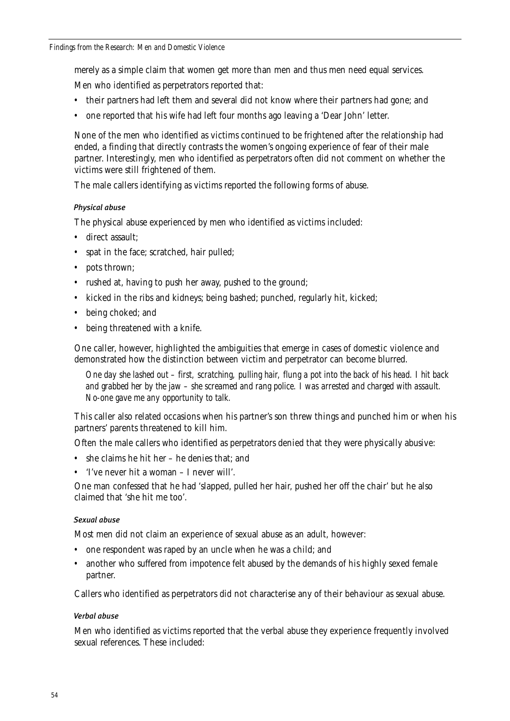merely as a simple claim that women get more than men and thus men need equal services.

Men who identified as perpetrators reported that:

- their partners had left them and several did not know where their partners had gone; and
- one reported that his wife had left four months ago leaving a 'Dear John' letter.

None of the men who identified as victims continued to be frightened after the relationship had ended, a finding that directly contrasts the women's ongoing experience of fear of their male partner. Interestingly, men who identified as perpetrators often did not comment on whether the victims were still frightened of them.

The male callers identifying as victims reported the following forms of abuse.

# *Physical abuse*

The physical abuse experienced by men who identified as victims included:

- direct assault;
- spat in the face; scratched, hair pulled;
- pots thrown:
- rushed at, having to push her away, pushed to the ground;
- kicked in the ribs and kidneys; being bashed; punched, regularly hit, kicked;
- being choked; and
- being threatened with a knife.

One caller, however, highlighted the ambiguities that emerge in cases of domestic violence and demonstrated how the distinction between victim and perpetrator can become blurred.

*One day she lashed out – first, scratching, pulling hair, flung a pot into the back of his head. I hit back and grabbed her by the jaw – she screamed and rang police. I was arrested and charged with assault. No-one gave me any opportunity to talk.*

This caller also related occasions when his partner's son threw things and punched him or when his partners' parents threatened to kill him.

Often the male callers who identified as perpetrators denied that they were physically abusive:

- she claims he hit her he denies that; and
- 'I've never hit a woman I never will'.

One man confessed that he had 'slapped, pulled her hair, pushed her off the chair' but he also claimed that 'she hit me too'.

# *Sexual abuse*

Most men did not claim an experience of sexual abuse as an adult, however:

- one respondent was raped by an uncle when he was a child; and
- another who suffered from impotence felt abused by the demands of his highly sexed female partner.

Callers who identified as perpetrators did not characterise any of their behaviour as sexual abuse.

# *Verbal abuse*

Men who identified as victims reported that the verbal abuse they experience frequently involved sexual references. These included: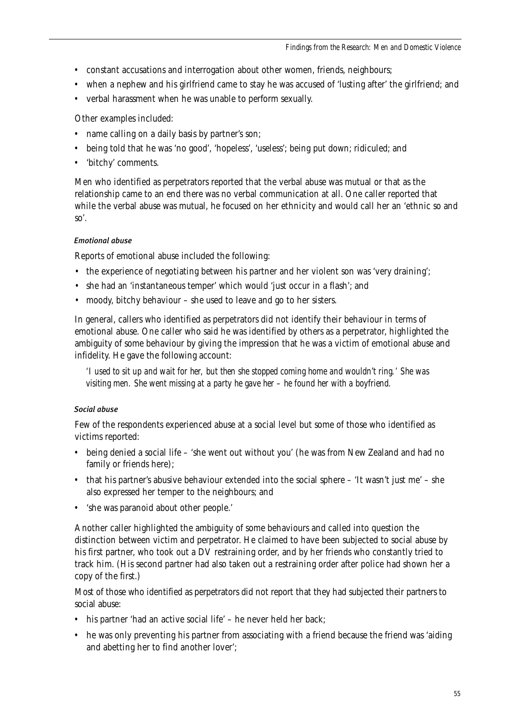- constant accusations and interrogation about other women, friends, neighbours;
- when a nephew and his girlfriend came to stay he was accused of 'lusting after' the girlfriend; and
- verbal harassment when he was unable to perform sexually.

Other examples included:

- name calling on a daily basis by partner's son;
- being told that he was 'no good', 'hopeless', 'useless'; being put down; ridiculed; and
- 'bitchy' comments.

Men who identified as perpetrators reported that the verbal abuse was mutual or that as the relationship came to an end there was no verbal communication at all. One caller reported that while the verbal abuse was mutual, he focused on her ethnicity and would call her an 'ethnic so and so'.

# *Emotional abuse*

Reports of emotional abuse included the following:

- the experience of negotiating between his partner and her violent son was 'very draining';
- she had an 'instantaneous temper' which would 'just occur in a flash'; and
- moody, bitchy behaviour she used to leave and go to her sisters.

In general, callers who identified as perpetrators did not identify their behaviour in terms of emotional abuse. One caller who said he was identified by others as a perpetrator, highlighted the ambiguity of some behaviour by giving the impression that he was a victim of emotional abuse and infidelity. He gave the following account:

*'I used to sit up and wait for her, but then she stopped coming home and wouldn't ring.' She was visiting men. She went missing at a party he gave her – he found her with a boyfriend.*

# *Social abuse*

Few of the respondents experienced abuse at a social level but some of those who identified as victims reported:

- being denied a social life 'she went out without you' (he was from New Zealand and had no family or friends here);
- that his partner's abusive behaviour extended into the social sphere 'It wasn't just me' she also expressed her temper to the neighbours; and
- 'she was paranoid about other people.'

Another caller highlighted the ambiguity of some behaviours and called into question the distinction between victim and perpetrator. He claimed to have been subjected to social abuse by his first partner, who took out a DV restraining order, and by her friends who constantly tried to track him. (His second partner had also taken out a restraining order after police had shown her a copy of the first.)

Most of those who identified as perpetrators did not report that they had subjected their partners to social abuse:

- his partner 'had an active social life' he never held her back;
- he was only preventing his partner from associating with a friend because the friend was 'aiding and abetting her to find another lover';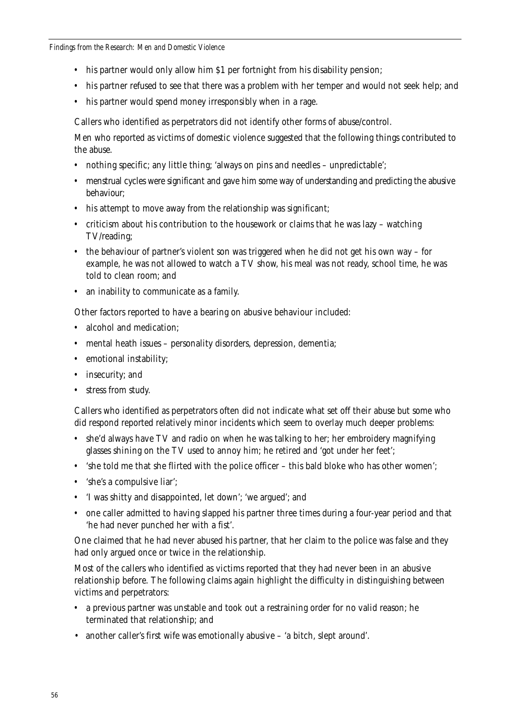- his partner would only allow him \$1 per fortnight from his disability pension;
- his partner refused to see that there was a problem with her temper and would not seek help; and
- his partner would spend money irresponsibly when in a rage.

Callers who identified as perpetrators did not identify other forms of abuse/control.

Men who reported as victims of domestic violence suggested that the following things contributed to the abuse.

- nothing specific; any little thing; 'always on pins and needles unpredictable';
- menstrual cycles were significant and gave him some way of understanding and predicting the abusive behaviour;
- his attempt to move away from the relationship was significant;
- criticism about his contribution to the housework or claims that he was lazy watching TV/reading;
- the behaviour of partner's violent son was triggered when he did not get his own way for example, he was not allowed to watch a TV show, his meal was not ready, school time, he was told to clean room; and
- an inability to communicate as a family.

Other factors reported to have a bearing on abusive behaviour included:

- alcohol and medication:
- mental heath issues personality disorders, depression, dementia;
- emotional instability;
- insecurity; and
- stress from study.

Callers who identified as perpetrators often did not indicate what set off their abuse but some who did respond reported relatively minor incidents which seem to overlay much deeper problems:

- she'd always have TV and radio on when he was talking to her; her embroidery magnifying glasses shining on the TV used to annoy him; he retired and 'got under her feet';
- 'she told me that she flirted with the police officer this bald bloke who has other women';
- 'she's a compulsive liar';
- 'I was shitty and disappointed, let down'; 'we argued'; and
- one caller admitted to having slapped his partner three times during a four-year period and that 'he had never punched her with a fist'.

One claimed that he had never abused his partner, that her claim to the police was false and they had only argued once or twice in the relationship.

Most of the callers who identified as victims reported that they had never been in an abusive relationship before. The following claims again highlight the difficulty in distinguishing between victims and perpetrators:

- a previous partner was unstable and took out a restraining order for no valid reason; he terminated that relationship; and
- another caller's first wife was emotionally abusive 'a bitch, slept around'.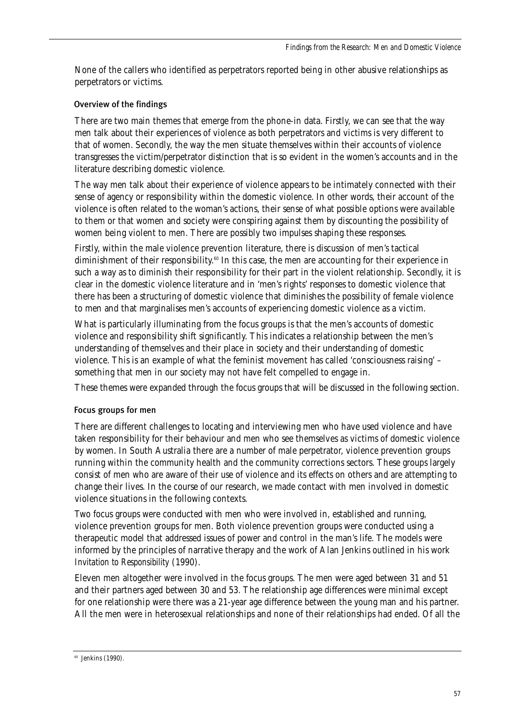None of the callers who identified as perpetrators reported being in other abusive relationships as perpetrators or victims.

# Overview of the findings

There are two main themes that emerge from the phone-in data. Firstly, we can see that the way men talk about their experiences of violence as both perpetrators and victims is very different to that of women. Secondly, the way the men situate themselves within their accounts of violence transgresses the victim/perpetrator distinction that is so evident in the women's accounts and in the literature describing domestic violence.

The way men talk about their experience of violence appears to be intimately connected with their sense of agency or responsibility within the domestic violence. In other words, their account of the violence is often related to the woman's actions, their sense of what possible options were available to them or that women and society were conspiring against them by discounting the possibility of women being violent to men. There are possibly two impulses shaping these responses.

Firstly, within the male violence prevention literature, there is discussion of men's tactical diminishment of their responsibility.<sup>60</sup> In this case, the men are accounting for their experience in such a way as to diminish their responsibility for their part in the violent relationship. Secondly, it is clear in the domestic violence literature and in 'men's rights' responses to domestic violence that there has been a structuring of domestic violence that diminishes the possibility of female violence to men and that marginalises men's accounts of experiencing domestic violence as a victim.

What is particularly illuminating from the focus groups is that the men's accounts of domestic violence and responsibility shift significantly. This indicates a relationship between the men's understanding of themselves and their place in society and their understanding of domestic violence. This is an example of what the feminist movement has called 'consciousness raising' – something that men in our society may not have felt compelled to engage in.

These themes were expanded through the focus groups that will be discussed in the following section.

# Focus groups for men

There are different challenges to locating and interviewing men who have used violence and have taken responsibility for their behaviour and men who see themselves as victims of domestic violence by women. In South Australia there are a number of male perpetrator, violence prevention groups running within the community health and the community corrections sectors. These groups largely consist of men who are aware of their use of violence and its effects on others and are attempting to change their lives. In the course of our research, we made contact with men involved in domestic violence situations in the following contexts.

Two focus groups were conducted with men who were involved in, established and running, violence prevention groups for men. Both violence prevention groups were conducted using a therapeutic model that addressed issues of power and control in the man's life. The models were informed by the principles of narrative therapy and the work of Alan Jenkins outlined in his work *Invitation to Responsibility* (1990).

Eleven men altogether were involved in the focus groups. The men were aged between 31 and 51 and their partners aged between 30 and 53. The relationship age differences were minimal except for one relationship were there was a 21-year age difference between the young man and his partner. All the men were in heterosexual relationships and none of their relationships had ended. Of all the

<sup>&</sup>lt;sup>60</sup> Jenkins (1990).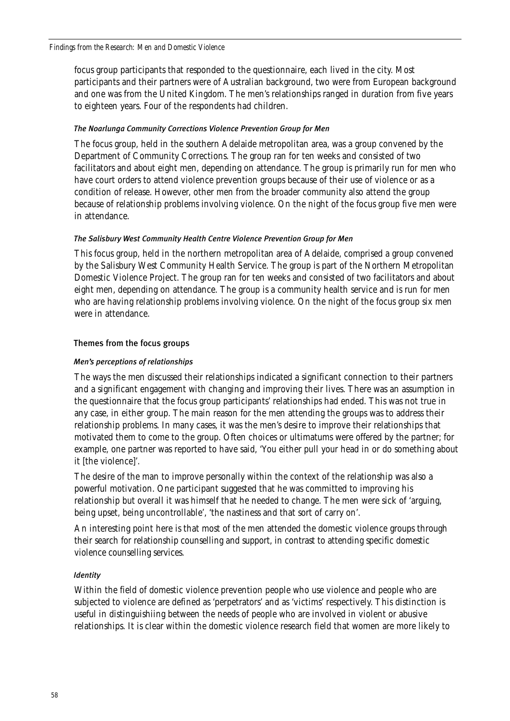#### *Findings from the Research: Men and Domestic Violence*

focus group participants that responded to the questionnaire, each lived in the city. Most participants and their partners were of Australian background, two were from European background and one was from the United Kingdom. The men's relationships ranged in duration from five years to eighteen years. Four of the respondents had children.

# *The Noarlunga Community Corrections Violence Prevention Group for Men*

The focus group, held in the southern Adelaide metropolitan area, was a group convened by the Department of Community Corrections. The group ran for ten weeks and consisted of two facilitators and about eight men, depending on attendance. The group is primarily run for men who have court orders to attend violence prevention groups because of their use of violence or as a condition of release. However, other men from the broader community also attend the group because of relationship problems involving violence. On the night of the focus group five men were in attendance.

# *The Salisbury West Community Health Centre Violence Prevention Group for Men*

This focus group, held in the northern metropolitan area of Adelaide, comprised a group convened by the Salisbury West Community Health Service. The group is part of the Northern Metropolitan Domestic Violence Project. The group ran for ten weeks and consisted of two facilitators and about eight men, depending on attendance. The group is a community health service and is run for men who are having relationship problems involving violence. On the night of the focus group six men were in attendance.

# Themes from the focus groups

# *Men's perceptions of relationships*

The ways the men discussed their relationships indicated a significant connection to their partners and a significant engagement with changing and improving their lives. There was an assumption in the questionnaire that the focus group participants' relationships had ended. This was not true in any case, in either group. The main reason for the men attending the groups was to address their relationship problems. In many cases, it was the men's desire to improve their relationships that motivated them to come to the group. Often choices or ultimatums were offered by the partner; for example, one partner was reported to have said, 'You either pull your head in or do something about it [the violence]'.

The desire of the man to improve personally within the context of the relationship was also a powerful motivation. One participant suggested that he was committed to improving his relationship but overall it was himself that he needed to change. The men were sick of 'arguing, being upset, being uncontrollable', 'the nastiness and that sort of carry on'.

An interesting point here is that most of the men attended the domestic violence groups through their search for relationship counselling and support, in contrast to attending specific domestic violence counselling services.

### *Identity*

Within the field of domestic violence prevention people who use violence and people who are subjected to violence are defined as 'perpetrators' and as 'victims' respectively. This distinction is useful in distinguishiing between the needs of people who are involved in violent or abusive relationships. It is clear within the domestic violence research field that women are more likely to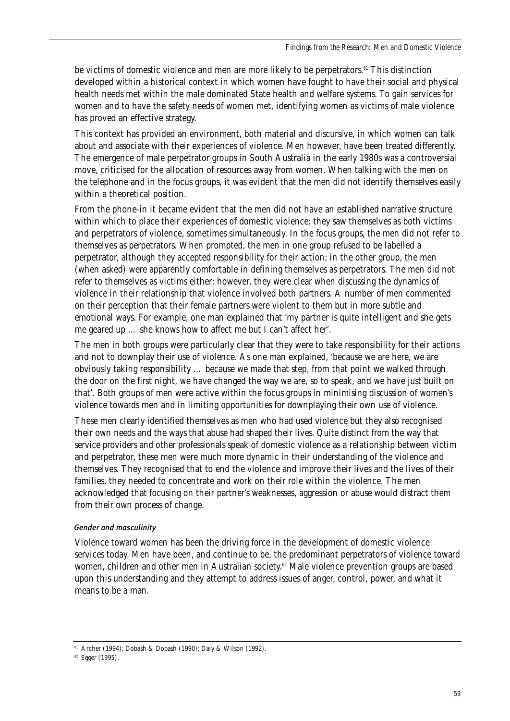be victims of domestic violence and men are more likely to be perpetrators.<sup>61</sup> This distinction developed within a historical context in which women have fought to have their social and physical health needs met within the male dominated State health and welfare systems. To gain services for women and to have the safety needs of women met, identifying women as victims of male violence has proved an effective strategy.

This context has provided an environment, both material and discursive, in which women can talk about and associate with their experiences of violence. Men however, have been treated differently. The emergence of male perpetrator groups in South Australia in the early 1980s was a controversial move, criticised for the allocation of resources away from women. When talking with the men on the telephone and in the focus groups, it was evident that the men did not identify themselves easily within a theoretical position.

From the phone-in it became evident that the men did not have an established narrative structure within which to place their experiences of domestic violence: they saw themselves as both victims and perpetrators of violence, sometimes simultaneously. In the focus groups, the men did not refer to themselves as perpetrators. When prompted, the men in one group refused to be labelled a perpetrator, although they accepted responsibility for their action; in the other group, the men (when asked) were apparently comfortable in defining themselves as perpetrators. The men did not refer to themselves as victims either; however, they were clear when discussing the dynamics of violence in their relationship that violence involved both partners. A number of men commented on their perception that their female partners were violent to them but in more subtle and emotional ways. For example, one man explained that 'my partner is quite intelligent and she gets me geared up … she knows how to affect me but I can't affect her'.

The men in both groups were particularly clear that they were to take responsibility for their actions and not to downplay their use of violence. As one man explained, 'because we are here, we are obviously taking responsibility … because we made that step, from that point we walked through the door on the first night, we have changed the way we are, so to speak, and we have just built on that'. Both groups of men were active within the focus groups in minimising discussion of women's violence towards men and in limiting opportunities for downplaying their own use of violence.

These men clearly identified themselves as men who had used violence but they also recognised their own needs and the ways that abuse had shaped their lives. Quite distinct from the way that service providers and other professionals speak of domestic violence as a relationship between victim and perpetrator, these men were much more dynamic in their understanding of the violence and themselves. They recognised that to end the violence and improve their lives and the lives of their families, they needed to concentrate and work on their role within the violence. The men acknowledged that focusing on their partner's weaknesses, aggression or abuse would distract them from their own process of change.

# *Gender and masculinity*

Violence toward women has been the driving force in the development of domestic violence services today. Men have been, and continue to be, the predominant perpetrators of violence toward women, children and other men in Australian society.<sup>62</sup> Male violence prevention groups are based upon this understanding and they attempt to address issues of anger, control, power, and what it means to be a man.

<sup>61</sup> Archer (1994); Dobash & Dobash (1990); Daly & Wilson (1992).

<sup>62</sup> Egger (1995).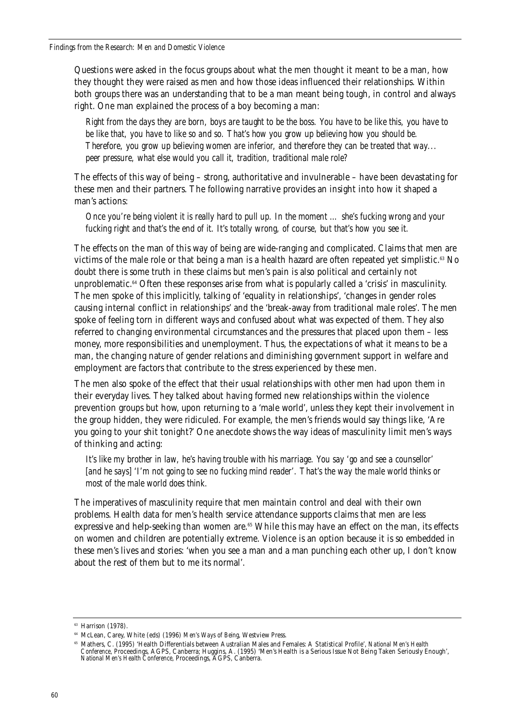Questions were asked in the focus groups about what the men thought it meant to be a man, how they thought they were raised as men and how those ideas influenced their relationships. Within both groups there was an understanding that to be a man meant being tough, in control and always right. One man explained the process of a boy becoming a man:

*Right from the days they are born, boys are taught to be the boss. You have to be like this, you have to be like that, you have to like so and so. That's how you grow up believing how you should be. Therefore, you grow up believing women are inferior, and therefore they can be treated that way... peer pressure, what else would you call it, tradition, traditional male role?*

The effects of this way of being – strong, authoritative and invulnerable – have been devastating for these men and their partners. The following narrative provides an insight into how it shaped a man's actions:

*Once you're being violent it is really hard to pull up. In the moment … she's fucking wrong and your fucking right and that's the end of it. It's totally wrong, of course, but that's how you see it.* 

The effects on the man of this way of being are wide-ranging and complicated. Claims that men are victims of the male role or that being a man is a health hazard are often repeated yet simplistic.<sup>63</sup> No doubt there is some truth in these claims but men's pain is also political and certainly not unproblematic.<sup>64</sup> Often these responses arise from what is popularly called a 'crisis' in masculinity. The men spoke of this implicitly, talking of 'equality in relationships', 'changes in gender roles causing internal conflict in relationships' and the 'break-away from traditional male roles'. The men spoke of feeling torn in different ways and confused about what was expected of them. They also referred to changing environmental circumstances and the pressures that placed upon them – less money, more responsibilities and unemployment. Thus, the expectations of what it means to be a man, the changing nature of gender relations and diminishing government support in welfare and employment are factors that contribute to the stress experienced by these men.

The men also spoke of the effect that their usual relationships with other men had upon them in their everyday lives. They talked about having formed new relationships within the violence prevention groups but how, upon returning to a 'male world', unless they kept their involvement in the group hidden, they were ridiculed. For example, the men's friends would say things like, 'Are you going to your shit tonight?' One anecdote shows the way ideas of masculinity limit men's ways of thinking and acting:

*It's like my brother in law, he's having trouble with his marriage. You say 'go and see a counsellor' [and he says] 'I'm not going to see no fucking mind reader'. That's the way the male world thinks or most of the male world does think.* 

The imperatives of masculinity require that men maintain control and deal with their own problems. Health data for men's health service attendance supports claims that men are less expressive and help-seeking than women are.<sup>65</sup> While this may have an effect on the man, its effects on women and children are potentially extreme. Violence is an option because it is so embedded in these men's lives and stories: 'when you see a man and a man punching each other up, I don't know about the rest of them but to me its normal'.

<sup>&</sup>lt;sup>63</sup> Harrison (1978).

<sup>64</sup> McLean, Carey, White (eds) (1996) *Men's Ways of Being*, Westview Press.

<sup>65</sup> Mathers, C. (1995) 'Health Differentials between Australian Males and Females: A Statistical Profile', *National Men's Health Conference*, Proceedings, AGPS, Canberra; Huggins, A. (1995) 'Men's Health is a Serious Issue Not Being Taken Seriously Enough', *National Men's Health Conference*, Proceedings, AGPS, Canberra.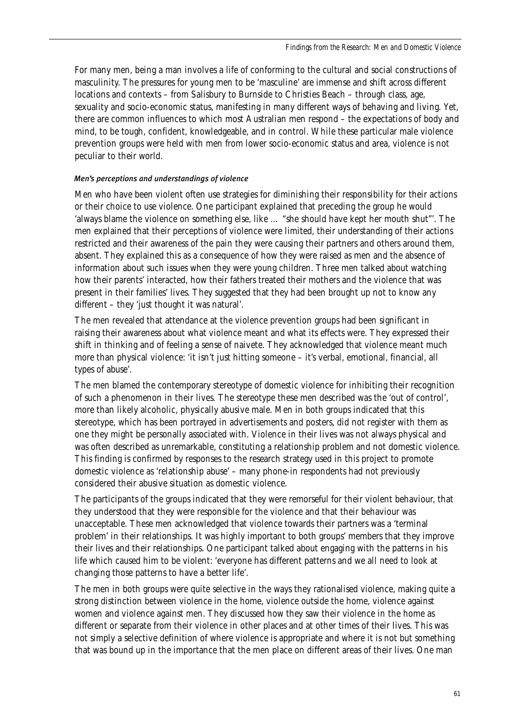For many men, being a man involves a life of conforming to the cultural and social constructions of masculinity. The pressures for young men to be 'masculine' are immense and shift across different locations and contexts – from Salisbury to Burnside to Christies Beach – through class, age, sexuality and socio-economic status, manifesting in many different ways of behaving and living. Yet, there are common influences to which most Australian men respond – the expectations of body and mind, to be tough, confident, knowledgeable, and in control. While these particular male violence prevention groups were held with men from lower socio-economic status and area, violence is not peculiar to their world.

# *Men's perceptions and understandings of violence*

Men who have been violent often use strategies for diminishing their responsibility for their actions or their choice to use violence. One participant explained that preceding the group he would 'always blame the violence on something else, like … "she should have kept her mouth shut"'. The men explained that their perceptions of violence were limited, their understanding of their actions restricted and their awareness of the pain they were causing their partners and others around them, absent. They explained this as a consequence of how they were raised as men and the absence of information about such issues when they were young children. Three men talked about watching how their parents' interacted, how their fathers treated their mothers and the violence that was present in their families' lives. They suggested that they had been brought up not to know any different – they 'just thought it was natural'.

The men revealed that attendance at the violence prevention groups had been significant in raising their awareness about what violence meant and what its effects were. They expressed their shift in thinking and of feeling a sense of naivete. They acknowledged that violence meant much more than physical violence: 'it isn't just hitting someone – it's verbal, emotional, financial, all types of abuse'.

The men blamed the contemporary stereotype of domestic violence for inhibiting their recognition of such a phenomenon in their lives. The stereotype these men described was the 'out of control', more than likely alcoholic, physically abusive male. Men in both groups indicated that this stereotype, which has been portrayed in advertisements and posters, did not register with them as one they might be personally associated with. Violence in their lives was not always physical and was often described as unremarkable, constituting a relationship problem and not domestic violence. This finding is confirmed by responses to the research strategy used in this project to promote domestic violence as 'relationship abuse' – many phone-in respondents had not previously considered their abusive situation as domestic violence.

The participants of the groups indicated that they were remorseful for their violent behaviour, that they understood that they were responsible for the violence and that their behaviour was unacceptable. These men acknowledged that violence towards their partners was a 'terminal problem' in their relationships. It was highly important to both groups' members that they improve their lives and their relationships. One participant talked about engaging with the patterns in his life which caused him to be violent: 'everyone has different patterns and we all need to look at changing those patterns to have a better life'.

The men in both groups were quite selective in the ways they rationalised violence, making quite a strong distinction between violence in the home, violence outside the home, violence against women and violence against men. They discussed how they saw their violence in the home as different or separate from their violence in other places and at other times of their lives. This was not simply a selective definition of where violence is appropriate and where it is not but something that was bound up in the importance that the men place on different areas of their lives. One man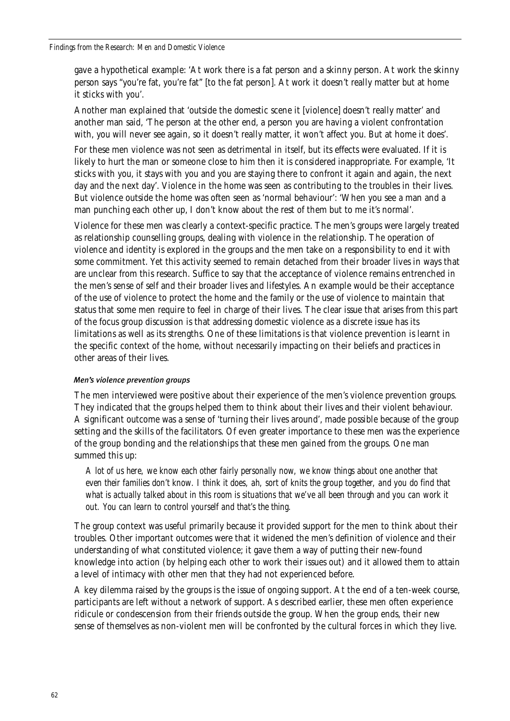gave a hypothetical example: 'At work there is a fat person and a skinny person. At work the skinny person says "you're fat, you're fat" [to the fat person]. At work it doesn't really matter but at home it sticks with you'.

Another man explained that 'outside the domestic scene it [violence] doesn't really matter' and another man said, 'The person at the other end, a person you are having a violent confrontation with, you will never see again, so it doesn't really matter, it won't affect you. But at home it does'.

For these men violence was not seen as detrimental in itself, but its effects were evaluated. If it is likely to hurt the man or someone close to him then it is considered inappropriate. For example, 'It sticks with you, it stays with you and you are staying there to confront it again and again, the next day and the next day'. Violence in the home was seen as contributing to the troubles in their lives. But violence outside the home was often seen as 'normal behaviour': 'When you see a man and a man punching each other up, I don't know about the rest of them but to me it's normal'.

Violence for these men was clearly a context-specific practice. The men's groups were largely treated as relationship counselling groups, dealing with violence in the relationship. The operation of violence and identity is explored in the groups and the men take on a responsibility to end it with some commitment. Yet this activity seemed to remain detached from their broader lives in ways that are unclear from this research. Suffice to say that the acceptance of violence remains entrenched in the men's sense of self and their broader lives and lifestyles. An example would be their acceptance of the use of violence to protect the home and the family or the use of violence to maintain that status that some men require to feel in charge of their lives. The clear issue that arises from this part of the focus group discussion is that addressing domestic violence as a discrete issue has its limitations as well as its strengths. One of these limitations is that violence prevention is learnt in the specific context of the home, without necessarily impacting on their beliefs and practices in other areas of their lives.

### *Men's violence prevention groups*

The men interviewed were positive about their experience of the men's violence prevention groups. They indicated that the groups helped them to think about their lives and their violent behaviour. A significant outcome was a sense of 'turning their lives around', made possible because of the group setting and the skills of the facilitators. Of even greater importance to these men was the experience of the group bonding and the relationships that these men gained from the groups. One man summed this up:

*A lot of us here, we know each other fairly personally now, we know things about one another that even their families don't know. I think it does, ah, sort of knits the group together, and you do find that what is actually talked about in this room is situations that we've all been through and you can work it out. You can learn to control yourself and that's the thing.*

The group context was useful primarily because it provided support for the men to think about their troubles. Other important outcomes were that it widened the men's definition of violence and their understanding of what constituted violence; it gave them a way of putting their new-found knowledge into action (by helping each other to work their issues out) and it allowed them to attain a level of intimacy with other men that they had not experienced before.

A key dilemma raised by the groups is the issue of ongoing support. At the end of a ten-week course, participants are left without a network of support. As described earlier, these men often experience ridicule or condescension from their friends outside the group. When the group ends, their new sense of themselves as non-violent men will be confronted by the cultural forces in which they live.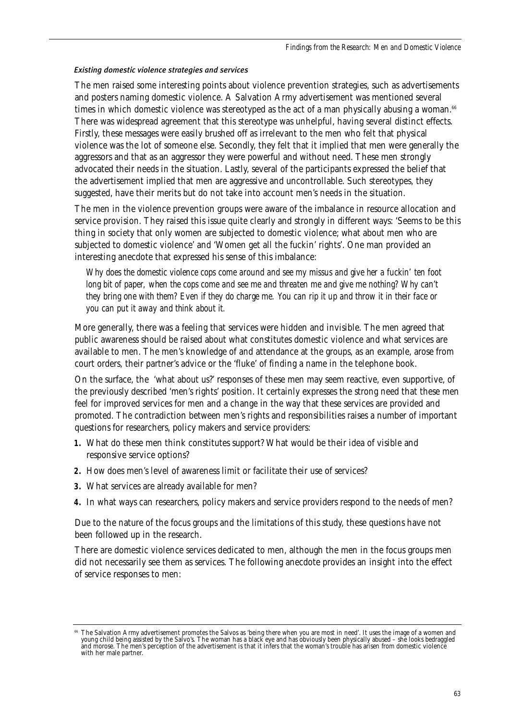# *Existing domestic violence strategies and services*

The men raised some interesting points about violence prevention strategies, such as advertisements and posters naming domestic violence. A Salvation Army advertisement was mentioned several times in which domestic violence was stereotyped as the act of a man physically abusing a woman.<sup>66</sup> There was widespread agreement that this stereotype was unhelpful, having several distinct effects. Firstly, these messages were easily brushed off as irrelevant to the men who felt that physical violence was the lot of someone else. Secondly, they felt that it implied that men were generally the aggressors and that as an aggressor they were powerful and without need. These men strongly advocated their needs in the situation. Lastly, several of the participants expressed the belief that the advertisement implied that men are aggressive and uncontrollable. Such stereotypes, they suggested, have their merits but do not take into account men's needs in the situation.

The men in the violence prevention groups were aware of the imbalance in resource allocation and service provision. They raised this issue quite clearly and strongly in different ways: 'Seems to be this thing in society that only women are subjected to domestic violence; what about men who are subjected to domestic violence' and 'Women get all the fuckin' rights'. One man provided an interesting anecdote that expressed his sense of this imbalance:

*Why does the domestic violence cops come around and see my missus and give her a fuckin' ten foot long bit of paper, when the cops come and see me and threaten me and give me nothing? Why can't they bring one with them? Even if they do charge me. You can rip it up and throw it in their face or you can put it away and think about it.* 

More generally, there was a feeling that services were hidden and invisible. The men agreed that public awareness should be raised about what constitutes domestic violence and what services are available to men. The men's knowledge of and attendance at the groups, as an example, arose from court orders, their partner's advice or the 'fluke' of finding a name in the telephone book.

On the surface, the 'what about us?' responses of these men may seem reactive, even supportive, of the previously described 'men's rights' position. It certainly expresses the strong need that these men feel for improved services for men and a change in the way that these services are provided and promoted. The contradiction between men's rights and responsibilities raises a number of important questions for researchers, policy makers and service providers:

- **1.** What do these men think constitutes support? What would be their idea of visible and responsive service options?
- **2.** How does men's level of awareness limit or facilitate their use of services?
- **3.** What services are already available for men?
- **4.** In what ways can researchers, policy makers and service providers respond to the needs of men?

Due to the nature of the focus groups and the limitations of this study, these questions have not been followed up in the research.

There are domestic violence services dedicated to men, although the men in the focus groups men did not necessarily see them as services. The following anecdote provides an insight into the effect of service responses to men:

The Salvation Army advertisement promotes the Salvos as 'being there when you are most in need'. It uses the image of a women and young child being assisted by the Salvo's. The woman has a black eye and has obviously been physically abused – she looks bedraggled and morose. The men's perception of the advertisement is that it infers that the woman's trouble has arisen from domestic violence with her male partner.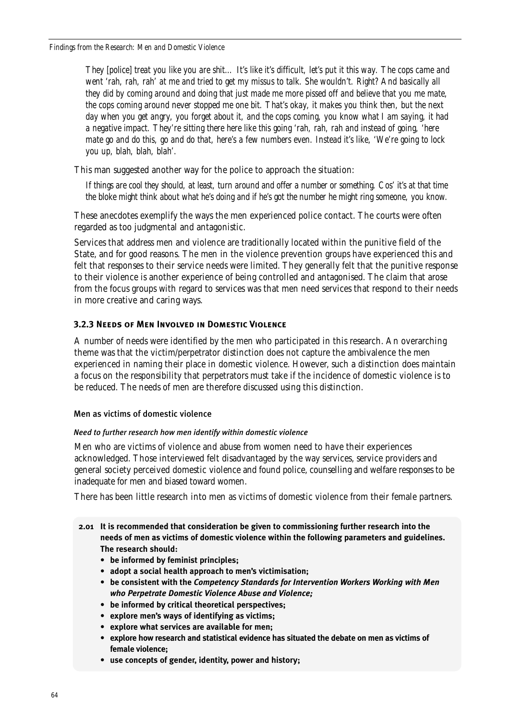*Findings from the Research: Men and Domestic Violence*

*They [police] treat you like you are shit… It's like it's difficult, let's put it this way. The cops came and went 'rah, rah, rah' at me and tried to get my missus to talk. She wouldn't. Right? And basically all they did by coming around and doing that just made me more pissed off and believe that you me mate, the cops coming around never stopped me one bit. That's okay, it makes you think then, but the next day when you get angry, you forget about it, and the cops coming, you know what I am saying, it had a negative impact. They're sitting there here like this going 'rah, rah, rah and instead of going, 'here mate go and do this, go and do that, here's a few numbers even. Instead it's like, 'We're going to lock you up, blah, blah, blah'.* 

This man suggested another way for the police to approach the situation:

*If things are cool they should, at least, turn around and offer a number or something. Cos' it's at that time the bloke might think about what he's doing and if he's got the number he might ring someone, you know.*

These anecdotes exemplify the ways the men experienced police contact. The courts were often regarded as too judgmental and antagonistic.

Services that address men and violence are traditionally located within the punitive field of the State, and for good reasons. The men in the violence prevention groups have experienced this and felt that responses to their service needs were limited. They generally felt that the punitive response to their violence is another experience of being controlled and antagonised. The claim that arose from the focus groups with regard to services was that men need services that respond to their needs in more creative and caring ways.

# **3.2.3 Needs of Men Involved in Domestic Violence**

A number of needs were identified by the men who participated in this research. An overarching theme was that the victim/perpetrator distinction does not capture the ambivalence the men experienced in naming their place in domestic violence. However, such a distinction does maintain a focus on the responsibility that perpetrators must take if the incidence of domestic violence is to be reduced. The needs of men are therefore discussed using this distinction.

# Men as victims of domestic violence

### *Need to further research how men identify within domestic violence*

Men who are victims of violence and abuse from women need to have their experiences acknowledged. Those interviewed felt disadvantaged by the way services, service providers and general society perceived domestic violence and found police, counselling and welfare responses to be inadequate for men and biased toward women.

There has been little research into men as victims of domestic violence from their female partners.

- **2.01 It is recommended that consideration be given to commissioning further research into the needs of men as victims of domestic violence within the following parameters and guidelines. The research should:**
	- **be informed by feminist principles;**
	- **adopt a social health approach to men's victimisation;**
	- **be consistent with the** *Competency Standards for Intervention Workers Working with Men who Perpetrate Domestic Violence Abuse and Violence;*
	- **be informed by critical theoretical perspectives;**
	- **explore men's ways of identifying as victims;**
	- **explore what services are available for men;**
	- **explore how research and statistical evidence has situated the debate on men as victims of female violence;**
	- **use concepts of gender, identity, power and history;**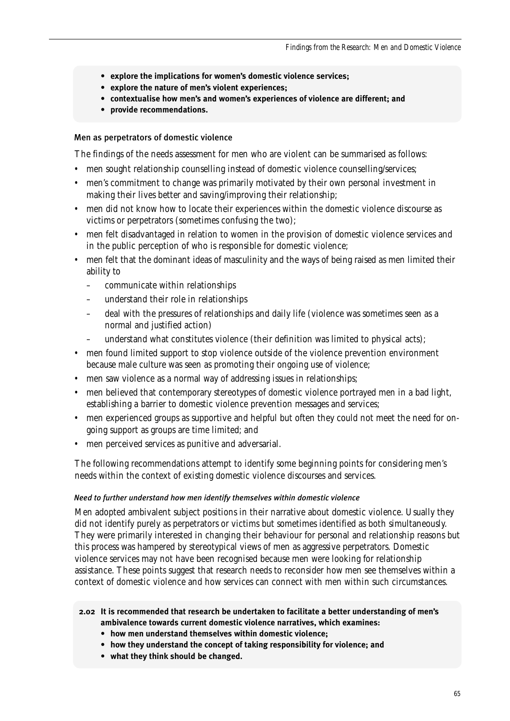- **explore the implications for women's domestic violence services;**
- **explore the nature of men's violent experiences;**
- **contextualise how men's and women's experiences of violence are different; and**
- **provide recommendations.**

# Men as perpetrators of domestic violence

The findings of the needs assessment for men who are violent can be summarised as follows:

- men sought relationship counselling instead of domestic violence counselling/services;
- men's commitment to change was primarily motivated by their own personal investment in making their lives better and saving/improving their relationship;
- men did not know how to locate their experiences within the domestic violence discourse as victims or perpetrators (sometimes confusing the two);
- men felt disadvantaged in relation to women in the provision of domestic violence services and in the public perception of who is responsible for domestic violence;
- men felt that the dominant ideas of masculinity and the ways of being raised as men limited their ability to
	- communicate within relationships
	- understand their role in relationships
	- deal with the pressures of relationships and daily life (violence was sometimes seen as a normal and justified action)
	- understand what constitutes violence (their definition was limited to physical acts);
- men found limited support to stop violence outside of the violence prevention environment because male culture was seen as promoting their ongoing use of violence;
- men saw violence as a normal way of addressing issues in relationships;
- men believed that contemporary stereotypes of domestic violence portrayed men in a bad light, establishing a barrier to domestic violence prevention messages and services;
- men experienced groups as supportive and helpful but often they could not meet the need for ongoing support as groups are time limited; and
- men perceived services as punitive and adversarial.

The following recommendations attempt to identify some beginning points for considering men's needs within the context of existing domestic violence discourses and services.

### *Need to further understand how men identify themselves within domestic violence*

Men adopted ambivalent subject positions in their narrative about domestic violence. Usually they did not identify purely as perpetrators or victims but sometimes identified as both simultaneously. They were primarily interested in changing their behaviour for personal and relationship reasons but this process was hampered by stereotypical views of men as aggressive perpetrators. Domestic violence services may not have been recognised because men were looking for relationship assistance. These points suggest that research needs to reconsider how men see themselves within a context of domestic violence and how services can connect with men within such circumstances.

# **2.02 It is recommended that research be undertaken to facilitate a better understanding of men's ambivalence towards current domestic violence narratives, which examines:**

- **how men understand themselves within domestic violence;**
- **how they understand the concept of taking responsibility for violence; and**
- **what they think should be changed.**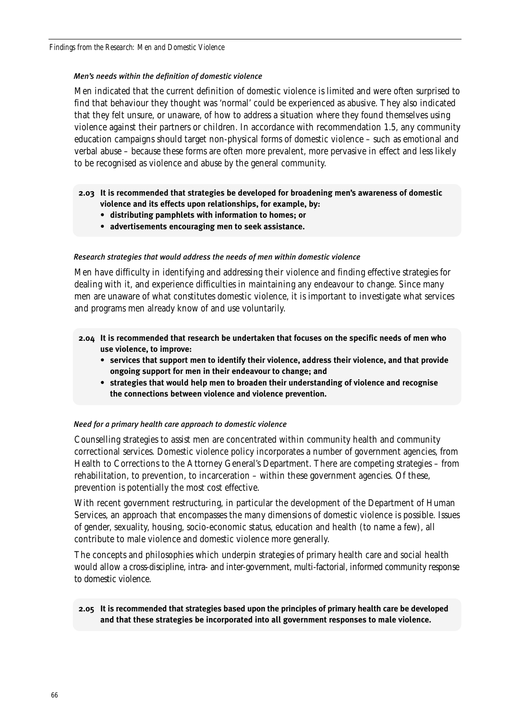### *Men's needs within the definition of domestic violence*

Men indicated that the current definition of domestic violence is limited and were often surprised to find that behaviour they thought was 'normal' could be experienced as abusive. They also indicated that they felt unsure, or unaware, of how to address a situation where they found themselves using violence against their partners or children. In accordance with recommendation 1.5, any community education campaigns should target non-physical forms of domestic violence – such as emotional and verbal abuse – because these forms are often more prevalent, more pervasive in effect and less likely to be recognised as violence and abuse by the general community.

- **2.03 It is recommended that strategies be developed for broadening men's awareness of domestic violence and its effects upon relationships, for example, by:**
	- **distributing pamphlets with information to homes; or**
	- **advertisements encouraging men to seek assistance.**

### *Research strategies that would address the needs of men within domestic violence*

Men have difficulty in identifying and addressing their violence and finding effective strategies for dealing with it, and experience difficulties in maintaining any endeavour to change. Since many men are unaware of what constitutes domestic violence, it is important to investigate what services and programs men already know of and use voluntarily.

- **2.04 It is recommended that research be undertaken that focuses on the specific needs of men who use violence, to improve:** 
	- **services that support men to identify their violence, address their violence, and that provide ongoing support for men in their endeavour to change; and**
	- **strategies that would help men to broaden their understanding of violence and recognise the connections between violence and violence prevention.**

### *Need for a primary health care approach to domestic violence*

Counselling strategies to assist men are concentrated within community health and community correctional services. Domestic violence policy incorporates a number of government agencies, from Health to Corrections to the Attorney General's Department. There are competing strategies – from rehabilitation, to prevention, to incarceration – within these government agencies. Of these, prevention is potentially the most cost effective.

With recent government restructuring, in particular the development of the Department of Human Services, an approach that encompasses the many dimensions of domestic violence is possible. Issues of gender, sexuality, housing, socio-economic status, education and health (to name a few), all contribute to male violence and domestic violence more generally.

The concepts and philosophies which underpin strategies of primary health care and social health would allow a cross-discipline, intra- and inter-government, multi-factorial, informed community response to domestic violence.

# **2.05 It is recommended that strategies based upon the principles of primary health care be developed and that these strategies be incorporated into all government responses to male violence.**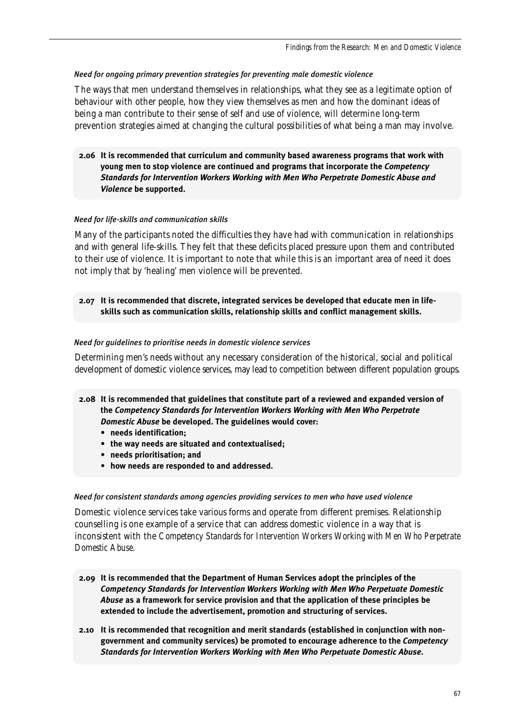## *Need for ongoing primary prevention strategies for preventing male domestic violence*

The ways that men understand themselves in relationships, what they see as a legitimate option of behaviour with other people, how they view themselves as men and how the dominant ideas of being a man contribute to their sense of self and use of violence, will determine long-term prevention strategies aimed at changing the cultural possibilities of what being a man may involve.

**2.06 It is recommended that curriculum and community based awareness programs that work with young men to stop violence are continued and programs that incorporate the** *Competency Standards for Intervention Workers Working with Men Who Perpetrate Domestic Abuse and Violence* **be supported.**

# *Need for life-skills and communication skills*

Many of the participants noted the difficulties they have had with communication in relationships and with general life-skills. They felt that these deficits placed pressure upon them and contributed to their use of violence. It is important to note that while this is an important area of need it does not imply that by 'healing' men violence will be prevented.

**2.07 It is recommended that discrete, integrated services be developed that educate men in lifeskills such as communication skills, relationship skills and conflict management skills.**

# *Need for guidelines to prioritise needs in domestic violence services*

Determining men's needs without any necessary consideration of the historical, social and political development of domestic violence services, may lead to competition between different population groups.

- **2.08 It is recommended that guidelines that constitute part of a reviewed and expanded version of the** *Competency Standards for Intervention Workers Working with Men Who Perpetrate Domestic Abuse* **be developed. The guidelines would cover:**
	- **needs identification;**
	- **the way needs are situated and contextualised;**
	- **needs prioritisation; and**
	- **how needs are responded to and addressed.**

### *Need for consistent standards among agencies providing services to men who have used violence*

Domestic violence services take various forms and operate from different premises. Relationship counselling is one example of a service that can address domestic violence in a way that is inconsistent with the *Competency Standards for Intervention Workers Working with Men Who Perpetrate Domestic Abuse*.

- **2.09 It is recommended that the Department of Human Services adopt the principles of the** *Competency Standards for Intervention Workers Working with Men Who Perpetuate Domestic Abuse* **as a framework for service provision and that the application of these principles be extended to include the advertisement, promotion and structuring of services.**
- **2.10 It is recommended that recognition and merit standards (established in conjunction with nongovernment and community services) be promoted to encourage adherence to the** *Competency Standards for Intervention Workers Working with Men Who Perpetuate Domestic Abuse***.**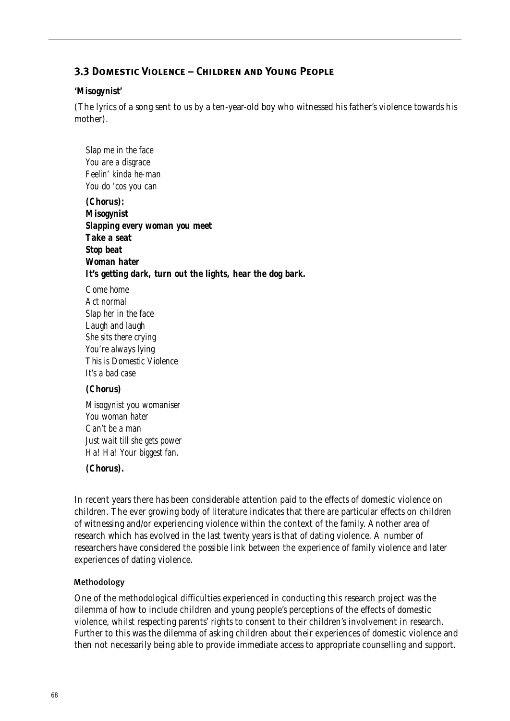# **3.3 Domestic Violence – Children and Young People**

## **'Misogynist'**

(The lyrics of a song sent to us by a ten-year-old boy who witnessed his father's violence towards his mother).

*Slap me in the face You are a disgrace Feelin' kinda he-man You do 'cos you can (Chorus): Misogynist Slapping every woman you meet Take a seat Stop beat Woman hater It's getting dark, turn out the lights, hear the dog bark. Come home*

*Act normal Slap her in the face Laugh and laugh She sits there crying You're always lying This is Domestic Violence It's a bad case*

### *(Chorus)*

*Misogynist you womaniser You woman hater Can't be a man Just wait till she gets power Ha! Ha! Your biggest fan.*

### *(Chorus).*

In recent years there has been considerable attention paid to the effects of domestic violence on children. The ever growing body of literature indicates that there are particular effects on children of witnessing and/or experiencing violence within the context of the family. Another area of research which has evolved in the last twenty years is that of dating violence. A number of researchers have considered the possible link between the experience of family violence and later experiences of dating violence.

# Methodology

One of the methodological difficulties experienced in conducting this research project was the dilemma of how to include children and young people's perceptions of the effects of domestic violence, whilst respecting parents' rights to consent to their children's involvement in research. Further to this was the dilemma of asking children about their experiences of domestic violence and then not necessarily being able to provide immediate access to appropriate counselling and support.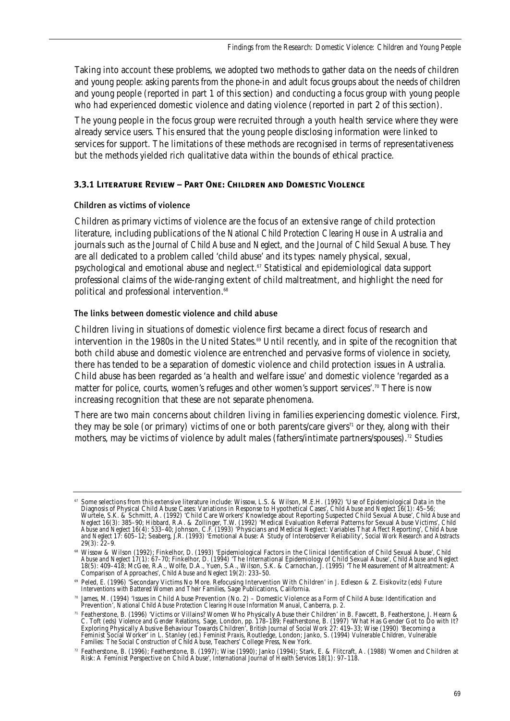Taking into account these problems, we adopted two methods to gather data on the needs of children and young people: asking parents from the phone-in and adult focus groups about the needs of children and young people (reported in part 1 of this section) and conducting a focus group with young people who had experienced domestic violence and dating violence (reported in part 2 of this section).

The young people in the focus group were recruited through a youth health service where they were already service users. This ensured that the young people disclosing information were linked to services for support. The limitations of these methods are recognised in terms of representativeness but the methods yielded rich qualitative data within the bounds of ethical practice.

# **3.3.1 Literature Review – Part One: Children and Domestic Violence**

# Children as victims of violence

Children as primary victims of violence are the focus of an extensive range of child protection literature, including publications of the *National Child Protection Clearing House* in Australia and journals such as the *Journal of Child Abuse and Neglect*, and the *Journal of Child Sexual Abuse*. They are all dedicated to a problem called 'child abuse' and its types: namely physical, sexual, psychological and emotional abuse and neglect.<sup>67</sup> Statistical and epidemiological data support professional claims of the wide-ranging extent of child maltreatment, and highlight the need for political and professional intervention.<sup>68</sup>

The links between domestic violence and child abuse

Children living in situations of domestic violence first became a direct focus of research and intervention in the 1980s in the United States.<sup>69</sup> Until recently, and in spite of the recognition that both child abuse and domestic violence are entrenched and pervasive forms of violence in society, there has tended to be a separation of domestic violence and child protection issues in Australia. Child abuse has been regarded as 'a health and welfare issue' and domestic violence 'regarded as a matter for police, courts, women's refuges and other women's support services'.<sup>70</sup> There is now increasing recognition that these are not separate phenomena.

There are two main concerns about children living in families experiencing domestic violence. First, they may be sole (or primary) victims of one or both parents/care givers<sup> $\tau_1$ </sup> or they, along with their mothers, may be victims of violence by adult males (fathers/intimate partners/spouses).<sup>72</sup> Studies

<sup>67</sup> Some selections from this extensive literature include: Wissow, L.S. & Wilson, M.E.H. (1992) 'Use of Epidemiological Data in the Diagnosis of Physical Child Abuse Cases: Variations in Response to Hypothetical Cases', *Child Abuse and Neglect* 16(1): 45–56; Wurtele, S.K. & Schmitt, A. (1992) 'Child Care Workers' Knowledge about Reporting Suspected Child Sexual Abuse', *Child Abuse and Neglect* 16(3): 385–90; Hibbard, R.A. & Zollinger, T.W. (1992) 'Medical Evaluation Referral Patterns for Sexual Abuse Victims', *Child Abuse and Neglect* 16(4): 533–40; Johnson, C.F. (1993) 'Physicians and Medical Neglect: Variables That Affect Reporting', *Child Abuse and Neglect* 17: 605–12; Seaberg, J.R. (1993) 'Emotional Abuse: A Study of Interobserver Reliability', *Social Work Research and Abstracts*  $29(3): 22-9.$ 

<sup>68</sup> Wissow & Wilson (1992); Finkelhor, D. (1993) 'Epidemiological Factors in the Clinical Identification of Child Sexual Abuse', *Child Abuse and Neglect* 17(1): 67–70; Finkelhor, D. (1994) 'The International Epidemiology of Child Sexual Abuse', *Child Abuse and Neglect* 18(5): 409–418; McGee, R.A., Wolfe, D.A., Yuen, S.A., Wilson, S.K. & Carnochan, J. (1995) 'The Measurement of Maltreatment: A Comparison of Approaches', *Child Abuse and Neglect* 19(2): 233–50.

<sup>69</sup> Peled, E. (1996) 'Secondary Victims No More. Refocusing Intervention With Children' in J. Edleson & Z. Eisikovitz (eds) *Future Interventions with Battered Women and Their Families*, Sage Publications, California.

<sup>70</sup> James, M. (1994) 'Issues in Child Abuse Prevention (No. 2) – Domestic Violence as a Form of Child Abuse: Identification and Prevention', *National Child Abuse Protection Clearing House Information Manual*, Canberra, p. 2.

<sup>71</sup> Featherstone, B. (1996) 'Victims or Villains? Women Who Physically Abuse their Children' in B. Fawcett, B. Featherstone, J. Hearn & C. Toft (eds) *Violence and Gender Relations,* Sage, London, pp. 178–189; Featherstone, B. (1997) 'What Has Gender Got to Do with It? Exploring Physically Abusive Behaviour Towards Children', *British Journal of Social Work* 27: 419–33; Wise (1990) 'Becoming a Feminist Social Worker' in L. Stanley (ed.) *Feminist Praxis*, Routledge, London; Janko, S. (1994) *Vulnerable Children, Vulnerable Families: The Social Construction of Child Abuse*, Teachers' College Press, New York.

<sup>72</sup> Featherstone, B. (1996); Featherstone, B. (1997); Wise (1990); Janko (1994); Stark, E. & Flitcraft, A. (1988) 'Women and Children at Risk: A Feminist Perspective on Child Abuse', *International Journal of Health Services* 18(1): 97–118.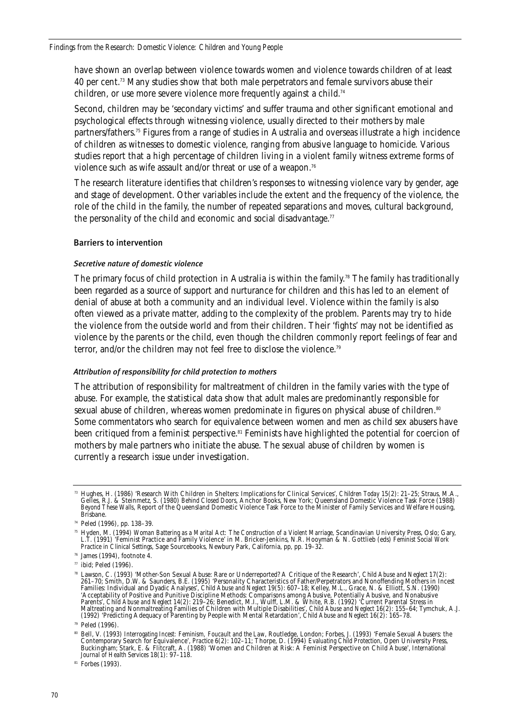have shown an overlap between violence towards women and violence towards children of at least 40 per cent.<sup>73</sup> Many studies show that both male perpetrators and female survivors abuse their children, or use more severe violence more frequently against a child.<sup>74</sup>

Second, children may be 'secondary victims' and suffer trauma and other significant emotional and psychological effects through witnessing violence, usually directed to their mothers by male partners/fathers.75 Figures from a range of studies in Australia and overseas illustrate a high incidence of children as witnesses to domestic violence, ranging from abusive language to homicide. Various studies report that a high percentage of children living in a violent family witness extreme forms of violence such as wife assault and/or threat or use of a weapon.<sup>76</sup>

The research literature identifies that children's responses to witnessing violence vary by gender, age and stage of development. Other variables include the extent and the frequency of the violence, the role of the child in the family, the number of repeated separations and moves, cultural background, the personality of the child and economic and social disadvantage. $77$ 

### Barriers to intervention

### *Secretive nature of domestic violence*

The primary focus of child protection in Australia is within the family.<sup>78</sup> The family has traditionally been regarded as a source of support and nurturance for children and this has led to an element of denial of abuse at both a community and an individual level. Violence within the family is also often viewed as a private matter, adding to the complexity of the problem. Parents may try to hide the violence from the outside world and from their children. Their 'fights' may not be identified as violence by the parents or the child, even though the children commonly report feelings of fear and terror, and/or the children may not feel free to disclose the violence.79

### *Attribution of responsibility for child protection to mothers*

The attribution of responsibility for maltreatment of children in the family varies with the type of abuse. For example, the statistical data show that adult males are predominantly responsible for sexual abuse of children, whereas women predominate in figures on physical abuse of children.<sup>80</sup> Some commentators who search for equivalence between women and men as child sex abusers have been critiqued from a feminist perspective.<sup>81</sup> Feminists have highlighted the potential for coercion of mothers by male partners who initiate the abuse. The sexual abuse of children by women is currently a research issue under investigation.

 $77$  ibid; Peled (1996).

<sup>81</sup> Forbes (1993).

<sup>73</sup> Hughes, H. (1986) 'Research With Children in Shelters: Implications for Clinical Services', *Children Today* 15(2): 21–25; Straus, M.A., Gelles, R.J. & Steinmetz, S. (1980) *Behind Closed Doors*, Anchor Books, New York; Queensland Domestic Violence Task Force (1988) *Beyond These Walls*, Report of the Queensland Domestic Violence Task Force to the Minister of Family Services and Welfare Housing, Brisbane.

<sup>74</sup> Peled (1996), pp. 138–39.

<sup>75</sup> Hyden, M. (1994) *Woman Battering as a Marital Act: The Construction of a Violent Marriage*, Scandinavian University Press, Oslo; Gary, L.T. (1991) 'Feminist Practice and Family Violence' in M. Bricker-Jenkins, N.R. Hooyman & N. Gottlieb (eds) *Feminist Social Work Practice in Clinical Settings*, Sage Sourcebooks, Newbury Park, California, pp, pp. 19–32.

<sup>76</sup> James (1994), footnote 4.

<sup>78</sup> Lawson, C. (1993) 'Mother-Son Sexual Abuse: Rare or Underreported? A Critique of the Research', *Child Abuse and Neglect* 17(2): 261–70; Smith, D.W. & Saunders, B.E. (1995) 'Personality Characteristics of Father/Perpetrators and Nonoffending Mothers in Incest Families: Individual and Dyadic Analyses', *Child Abuse and Neglect* 19(5): 607–18; Kelley, M.L., Grace, N. & Elliott, S.N. (1990) 'Acceptability of Positive and Punitive Discipline Methods: Comparisons among Abusive, Potentially Abusive, and Nonabusive<br>Parents', *Child Abuse and Neglect* 14(2): 219–26; Benedict, M.I., Wulff, L.M. & White, R.B. (1992) (1992) 'Predicting Adequacy of Parenting by People with Mental Retardation', *Child Abuse and Neglect* 16(2): 165–78.

<sup>79</sup> Peled (1996).

<sup>80</sup> Bell, V. (1993) *Interrogating Incest: Feminism, Foucault and the Law*, Routledge, London; Forbes, J. (1993) 'Female Sexual Abusers: the Contemporary Search for Equivalence', *Practice* 6(2): 102–11; Thorpe, D. (1994) *Evaluating Child Protection*, Open University Press, Buckingham; Stark, E. & Flitcraft, A. (1988) 'Women and Children at Risk: A Feminist Perspective on Child Abuse', *International Journal of Health Services* 18(1): 97–118.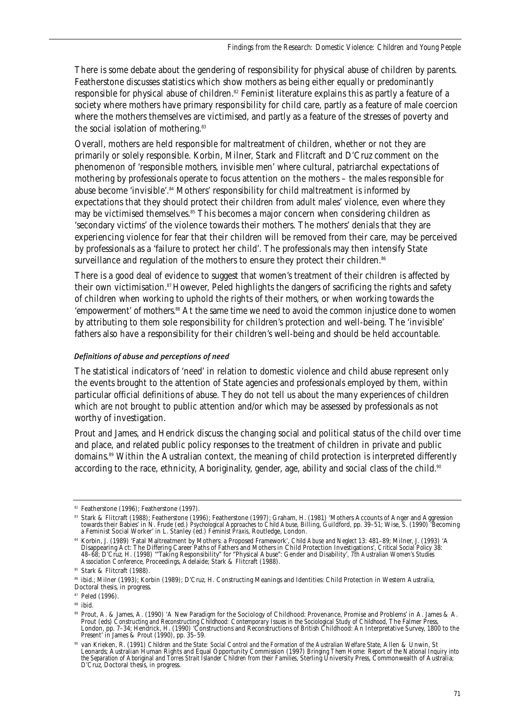There is some debate about the gendering of responsibility for physical abuse of children by parents. Featherstone discusses statistics which show mothers as being either equally or predominantly responsible for physical abuse of children.<sup>82</sup> Feminist literature explains this as partly a feature of a society where mothers have primary responsibility for child care, partly as a feature of male coercion where the mothers themselves are victimised, and partly as a feature of the stresses of poverty and the social isolation of mothering.<sup>83</sup>

Overall, mothers are held responsible for maltreatment of children, whether or not they are primarily or solely responsible. Korbin, Milner, Stark and Flitcraft and D'Cruz comment on the phenomenon of 'responsible mothers, invisible men' where cultural, patriarchal expectations of mothering by professionals operate to focus attention on the mothers – the males responsible for abuse become 'invisible'.<sup>84</sup> Mothers' responsibility for child maltreatment is informed by expectations that they should protect their children from adult males' violence, even where they may be victimised themselves.<sup>85</sup> This becomes a major concern when considering children as 'secondary victims' of the violence towards their mothers. The mothers' denials that they are experiencing violence for fear that their children will be removed from their care, may be perceived by professionals as a 'failure to protect her child'. The professionals may then intensify State surveillance and regulation of the mothers to ensure they protect their children.<sup>86</sup>

There is a good deal of evidence to suggest that women's treatment of their children is affected by their own victimisation.<sup>87</sup> However, Peled highlights the dangers of sacrificing the rights and safety of children when working to uphold the rights of their mothers, or when working towards the 'empowerment' of mothers.<sup>88</sup> At the same time we need to avoid the common injustice done to women by attributing to them sole responsibility for children's protection and well-being. The 'invisible' fathers also have a responsibility for their children's well-being and should be held accountable.

# *Definitions of abuse and perceptions of need*

The statistical indicators of 'need' in relation to domestic violence and child abuse represent only the events brought to the attention of State agencies and professionals employed by them, within particular official definitions of abuse. They do not tell us about the many experiences of children which are not brought to public attention and/or which may be assessed by professionals as not worthy of investigation.

Prout and James, and Hendrick discuss the changing social and political status of the child over time and place, and related public policy responses to the treatment of children in private and public domains.<sup>89</sup> Within the Australian context, the meaning of child protection is interpreted differently according to the race, ethnicity, Aboriginality, gender, age, ability and social class of the child.<sup>90</sup>

<sup>&</sup>lt;sup>82</sup> Featherstone (1996); Featherstone (1997).

s Stark & Flitcraft (1988); Featherstone (1996); Featherstone (1997); Graham, H. (1981) 'Mothers Accounts of Anger and Aggression<br>towards their Babies' in N. Frude (ed.) *Psychological Approaches to Child Abuse*, Billing, a Feminist Social Worker' in L. Stanley (ed.) *Feminist Praxis*, Routledge, London.

<sup>84</sup> Korbin, J. (1989) 'Fatal Maltreatment by Mothers: a Proposed Framework', *Child Abuse and Neglect* 13: 481–89; Milner, J. (1993) 'A Disappearing Act: The Differing Career Paths of Fathers and Mothers in Child Protection Investigations', *Critical Social Policy* 38: 48–68; D'Cruz, H. (1998) '"Taking Responsibility" for "Physical Abuse": Gender and Disability', *7th Australian Women's Studies Association Conference*, Proceedings, Adelaide; Stark & Flitcraft (1988).

<sup>85</sup> Stark & Flitcraft (1988).

<sup>86</sup> ibid.; Milner (1993); Korbin (1989); D'Cruz, H. Constructing Meanings and Identities: Child Protection in Western Australia, Doctoral thesis, in progress.

<sup>87</sup> Peled (1996).

<sup>&</sup>lt;sup>88</sup> ibid.

<sup>89</sup> Prout, A. & James, A. (1990) 'A New Paradigm for the Sociology of Childhood: Provenance, Promise and Problems' in A. James & A. Prout (eds) *Constructing and Reconstructing Childhood: Contemporary Issues in the Sociological Study of Childhood*, The Falmer Press, London, pp. 7–34; Hendrick, H. (1990) 'Constructions and Reconstructions of British Childhood: An Interpretative Survey, 1800 to the Present' in James & Prout (1990), pp. 35–59.

<sup>90</sup> van Krieken, R. (1991) *Children and the State: Social Control and the Formation of the Australian Welfare State*, Allen & Unwin, St Leonards; Australian Human Rights and Equal Opportunity Commission (1997) *Bringing Them Home: Report of the National Inquiry into the Separation of Aboriginal and Torres Strait Islander Children from their Families*, Sterling University Press, Commonwealth of Australia; D'Cruz, Doctoral thesis, in progress.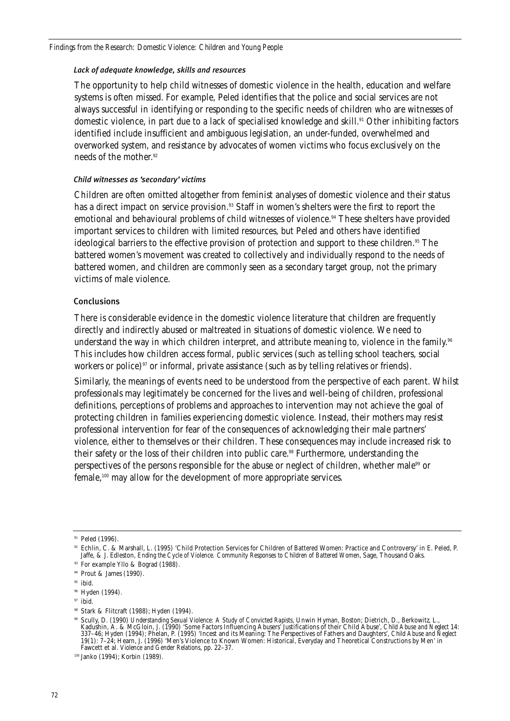### *Lack of adequate knowledge, skills and resources*

The opportunity to help child witnesses of domestic violence in the health, education and welfare systems is often missed. For example, Peled identifies that the police and social services are not always successful in identifying or responding to the specific needs of children who are witnesses of domestic violence, in part due to a lack of specialised knowledge and skill.<sup>91</sup> Other inhibiting factors identified include insufficient and ambiguous legislation, an under-funded, overwhelmed and overworked system, and resistance by advocates of women victims who focus exclusively on the needs of the mother.92

### *Child witnesses as 'secondary' victims*

Children are often omitted altogether from feminist analyses of domestic violence and their status has a direct impact on service provision.<sup>93</sup> Staff in women's shelters were the first to report the emotional and behavioural problems of child witnesses of violence.94 These shelters have provided important services to children with limited resources, but Peled and others have identified ideological barriers to the effective provision of protection and support to these children.<sup>95</sup> The battered women's movement was created to collectively and individually respond to the needs of battered women, and children are commonly seen as a secondary target group, not the primary victims of male violence.

### Conclusions

There is considerable evidence in the domestic violence literature that children are frequently directly and indirectly abused or maltreated in situations of domestic violence. We need to understand the way in which children interpret, and attribute meaning to, violence in the family.<sup>96</sup> This includes how children access formal, public services (such as telling school teachers, social workers or police)<sup>97</sup> or informal, private assistance (such as by telling relatives or friends).

Similarly, the meanings of events need to be understood from the perspective of each parent. Whilst professionals may legitimately be concerned for the lives and well-being of children, professional definitions, perceptions of problems and approaches to intervention may not achieve the goal of protecting children in families experiencing domestic violence. Instead, their mothers may resist professional intervention for fear of the consequences of acknowledging their male partners' violence, either to themselves or their children. These consequences may include increased risk to their safety or the loss of their children into public care.<sup>98</sup> Furthermore, understanding the perspectives of the persons responsible for the abuse or neglect of children, whether male<sup>99</sup> or female,100 may allow for the development of more appropriate services.

<sup>&</sup>lt;sup>91</sup> Peled (1996).

<sup>92</sup> Echlin, C. & Marshall, L. (1995) 'Child Protection Services for Children of Battered Women: Practice and Controversy' in E. Peled, P. Jaffe, & J. Edleston, *Ending the Cycle of Violence. Community Responses to Children of Battered Women*, Sage, Thousand Oaks.

<sup>&</sup>lt;sup>93</sup> For example Yllo & Bograd (1988).

<sup>&</sup>lt;sup>94</sup> Prout & James (1990).

<sup>&</sup>lt;sup>95</sup> ibid.

<sup>&</sup>lt;sup>96</sup> Hyden (1994).

<sup>&</sup>lt;sup>97</sup> ibid.

<sup>98</sup> Stark & Flitcraft (1988); Hyden (1994).

<sup>99</sup> Scully, D. (1990) *Understanding Sexual Violence: A Study of Convicted Rapists*, Unwin Hyman, Boston; Dietrich, D., Berkowitz, L., Kadushin, A. & McGloin, J. (1990) 'Some Factors Influencing Abusers' Justifications of their Child Abuse', *Child Abuse and Neglect* 14: 337–46; Hyden (1994); Phelan, P. (1995) 'Incest and its Meaning: The Perspectives of Fathers and Daughters', *Child Abuse and Neglect* 19(1): 7–24; Hearn, J. (1996) 'Men's Violence to Known Women: Historical, Everyday and Theoretical Constructions by Men' in Fawcett et al. *Violence and Gender Relations*, pp. 22–37.

<sup>100</sup> Janko (1994); Korbin (1989).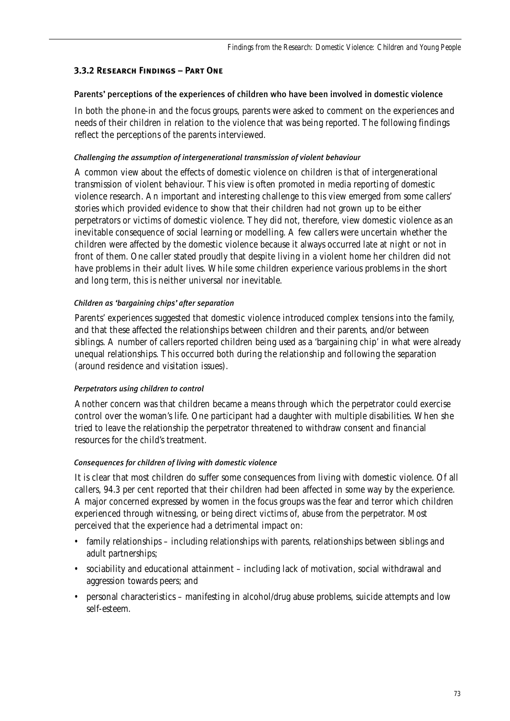## **3.3.2 Research Findings – Part One**

## Parents' perceptions of the experiences of children who have been involved in domestic violence

In both the phone-in and the focus groups, parents were asked to comment on the experiences and needs of their children in relation to the violence that was being reported. The following findings reflect the perceptions of the parents interviewed.

### *Challenging the assumption of intergenerational transmission of violent behaviour*

A common view about the effects of domestic violence on children is that of intergenerational transmission of violent behaviour. This view is often promoted in media reporting of domestic violence research. An important and interesting challenge to this view emerged from some callers' stories which provided evidence to show that their children had not grown up to be either perpetrators or victims of domestic violence. They did not, therefore, view domestic violence as an inevitable consequence of social learning or modelling. A few callers were uncertain whether the children were affected by the domestic violence because it always occurred late at night or not in front of them. One caller stated proudly that despite living in a violent home her children did not have problems in their adult lives. While some children experience various problems in the short and long term, this is neither universal nor inevitable.

## *Children as 'bargaining chips' after separation*

Parents' experiences suggested that domestic violence introduced complex tensions into the family, and that these affected the relationships between children and their parents, and/or between siblings. A number of callers reported children being used as a 'bargaining chip' in what were already unequal relationships. This occurred both during the relationship and following the separation (around residence and visitation issues).

## *Perpetrators using children to control*

Another concern was that children became a means through which the perpetrator could exercise control over the woman's life. One participant had a daughter with multiple disabilities. When she tried to leave the relationship the perpetrator threatened to withdraw consent and financial resources for the child's treatment.

## *Consequences for children of living with domestic violence*

It is clear that most children do suffer some consequences from living with domestic violence. Of all callers, 94.3 per cent reported that their children had been affected in some way by the experience. A major concerned expressed by women in the focus groups was the fear and terror which children experienced through witnessing, or being direct victims of, abuse from the perpetrator. Most perceived that the experience had a detrimental impact on:

- family relationships including relationships with parents, relationships between siblings and adult partnerships;
- sociability and educational attainment including lack of motivation, social withdrawal and aggression towards peers; and
- personal characteristics manifesting in alcohol/drug abuse problems, suicide attempts and low self-esteem.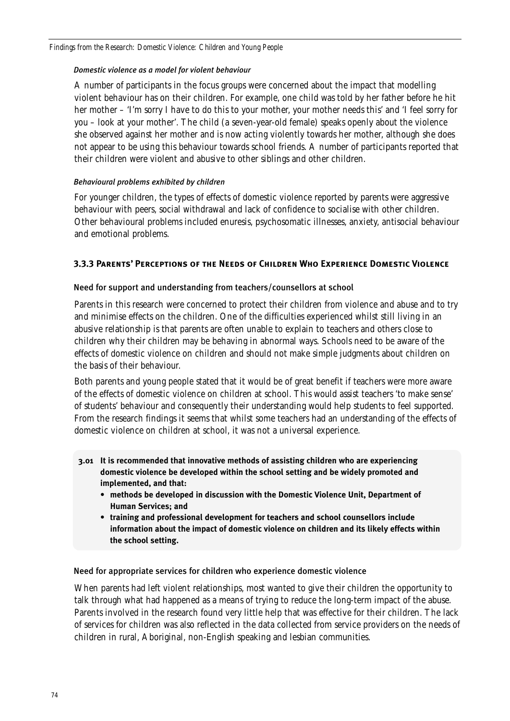## *Domestic violence as a model for violent behaviour*

A number of participants in the focus groups were concerned about the impact that modelling violent behaviour has on their children. For example, one child was told by her father before he hit her mother – 'I'm sorry I have to do this to your mother, your mother needs this' and 'I feel sorry for you – look at your mother'. The child (a seven-year-old female) speaks openly about the violence she observed against her mother and is now acting violently towards her mother, although she does not appear to be using this behaviour towards school friends. A number of participants reported that their children were violent and abusive to other siblings and other children.

## *Behavioural problems exhibited by children*

For younger children, the types of effects of domestic violence reported by parents were aggressive behaviour with peers, social withdrawal and lack of confidence to socialise with other children. Other behavioural problems included enuresis, psychosomatic illnesses, anxiety, antisocial behaviour and emotional problems.

## **3.3.3 Parents' Perceptions of the Needs of Children Who Experience Domestic Violence**

## Need for support and understanding from teachers/counsellors at school

Parents in this research were concerned to protect their children from violence and abuse and to try and minimise effects on the children. One of the difficulties experienced whilst still living in an abusive relationship is that parents are often unable to explain to teachers and others close to children why their children may be behaving in abnormal ways. Schools need to be aware of the effects of domestic violence on children and should not make simple judgments about children on the basis of their behaviour.

Both parents and young people stated that it would be of great benefit if teachers were more aware of the effects of domestic violence on children at school. This would assist teachers 'to make sense' of students' behaviour and consequently their understanding would help students to feel supported. From the research findings it seems that whilst some teachers had an understanding of the effects of domestic violence on children at school, it was not a universal experience.

- **3.01 It is recommended that innovative methods of assisting children who are experiencing domestic violence be developed within the school setting and be widely promoted and implemented, and that:**
	- **methods be developed in discussion with the Domestic Violence Unit, Department of Human Services; and**
	- **training and professional development for teachers and school counsellors include information about the impact of domestic violence on children and its likely effects within the school setting.**

## Need for appropriate services for children who experience domestic violence

When parents had left violent relationships, most wanted to give their children the opportunity to talk through what had happened as a means of trying to reduce the long-term impact of the abuse. Parents involved in the research found very little help that was effective for their children. The lack of services for children was also reflected in the data collected from service providers on the needs of children in rural, Aboriginal, non-English speaking and lesbian communities.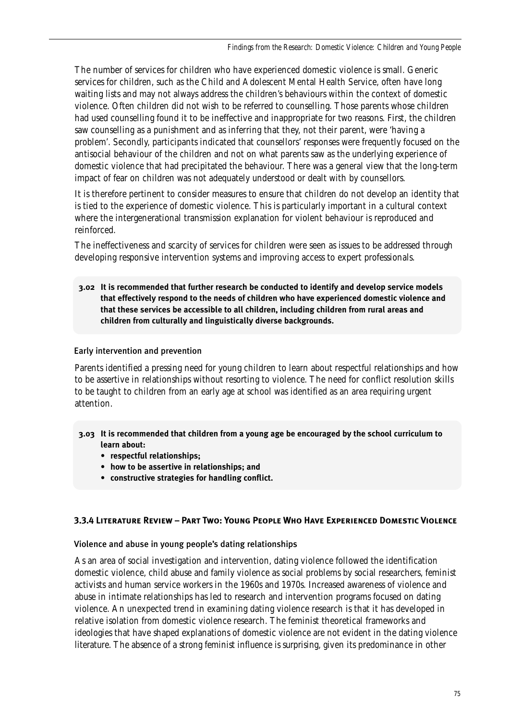The number of services for children who have experienced domestic violence is small. Generic services for children, such as the Child and Adolescent Mental Health Service, often have long waiting lists and may not always address the children's behaviours within the context of domestic violence. Often children did not wish to be referred to counselling. Those parents whose children had used counselling found it to be ineffective and inappropriate for two reasons. First, the children saw counselling as a punishment and as inferring that they, not their parent, were 'having a problem'. Secondly, participants indicated that counsellors' responses were frequently focused on the antisocial behaviour of the children and not on what parents saw as the underlying experience of domestic violence that had precipitated the behaviour. There was a general view that the long-term impact of fear on children was not adequately understood or dealt with by counsellors.

It is therefore pertinent to consider measures to ensure that children do not develop an identity that is tied to the experience of domestic violence. This is particularly important in a cultural context where the intergenerational transmission explanation for violent behaviour is reproduced and reinforced.

The ineffectiveness and scarcity of services for children were seen as issues to be addressed through developing responsive intervention systems and improving access to expert professionals.

**3.02 It is recommended that further research be conducted to identify and develop service models that effectively respond to the needs of children who have experienced domestic violence and that these services be accessible to all children, including children from rural areas and children from culturally and linguistically diverse backgrounds.**

## Early intervention and prevention

Parents identified a pressing need for young children to learn about respectful relationships and how to be assertive in relationships without resorting to violence. The need for conflict resolution skills to be taught to children from an early age at school was identified as an area requiring urgent attention.

- **3.03 It is recommended that children from a young age be encouraged by the school curriculum to learn about:**
	- **respectful relationships;**
	- **how to be assertive in relationships; and**
	- **constructive strategies for handling conflict.**

## **3.3.4 Literature Review – Part Two: Young People Who Have Experienced Domestic Violence**

## Violence and abuse in young people's dating relationships

As an area of social investigation and intervention, dating violence followed the identification domestic violence, child abuse and family violence as social problems by social researchers, feminist activists and human service workers in the 1960s and 1970s. Increased awareness of violence and abuse in intimate relationships has led to research and intervention programs focused on dating violence. An unexpected trend in examining dating violence research is that it has developed in relative isolation from domestic violence research. The feminist theoretical frameworks and ideologies that have shaped explanations of domestic violence are not evident in the dating violence literature. The absence of a strong feminist influence is surprising, given its predominance in other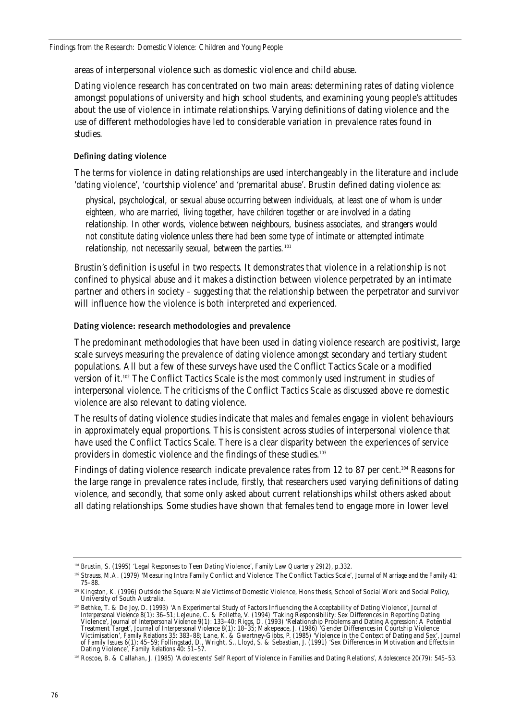areas of interpersonal violence such as domestic violence and child abuse.

Dating violence research has concentrated on two main areas: determining rates of dating violence amongst populations of university and high school students, and examining young people's attitudes about the use of violence in intimate relationships. Varying definitions of dating violence and the use of different methodologies have led to considerable variation in prevalence rates found in studies.

### Defining dating violence

The terms for violence in dating relationships are used interchangeably in the literature and include 'dating violence', 'courtship violence' and 'premarital abuse'. Brustin defined dating violence as:

*physical, psychological, or sexual abuse occurring between individuals, at least one of whom is under eighteen, who are married, living together, have children together or are involved in a dating relationship. In other words, violence between neighbours, business associates, and strangers would not constitute dating violence unless there had been some type of intimate or attempted intimate relationship, not necessarily sexual, between the parties.*<sup>101</sup>

Brustin's definition is useful in two respects. It demonstrates that violence in a relationship is not confined to physical abuse and it makes a distinction between violence perpetrated by an intimate partner and others in society – suggesting that the relationship between the perpetrator and survivor will influence how the violence is both interpreted and experienced.

### Dating violence: research methodologies and prevalence

The predominant methodologies that have been used in dating violence research are positivist, large scale surveys measuring the prevalence of dating violence amongst secondary and tertiary student populations. All but a few of these surveys have used the Conflict Tactics Scale or a modified version of it.102 The Conflict Tactics Scale is the most commonly used instrument in studies of interpersonal violence. The criticisms of the Conflict Tactics Scale as discussed above re domestic violence are also relevant to dating violence.

The results of dating violence studies indicate that males and females engage in violent behaviours in approximately equal proportions. This is consistent across studies of interpersonal violence that have used the Conflict Tactics Scale. There is a clear disparity between the experiences of service providers in domestic violence and the findings of these studies.<sup>103</sup>

Findings of dating violence research indicate prevalence rates from 12 to 87 per cent.<sup>104</sup> Reasons for the large range in prevalence rates include, firstly, that researchers used varying definitions of dating violence, and secondly, that some only asked about current relationships whilst others asked about all dating relationships. Some studies have shown that females tend to engage more in lower level

<sup>101</sup> Brustin, S. (1995) 'Legal Responses to Teen Dating Violence', *Family Law Quarterly* 29(2), p.332.

<sup>102</sup> Strauss, M.A. (1979) 'Measuring Intra Family Conflict and Violence: The Conflict Tactics Scale', *Journal of Marriage and the Family* 41: 75–88.

<sup>&</sup>lt;sup>103</sup> Kingston, K. (1996) Outside the Square: Male Victims of Domestic Violence, Hons thesis, School of Social Work and Social Policy, University of South Australia.

<sup>104</sup> Bethke, T. & De Joy, D. (1993) 'An Experimental Study of Factors Influencing the Acceptability of Dating Violence', *Journal of Interpersonal Violence* 8(1): 36–51; LeJeune, C. & Follette, V. (1994) 'Taking Responsibility: Sex Differences in Reporting Dating Violence', *Journal of Interpersonal Violence* 9(1): 133–40; Riggs, D. (1993) 'Relationship Problems and Dating Aggression: A Potential Treatment Target', *Journal of Interpersonal Violence* 8(1): 18–35; Makepeace, J. (1986) 'Gender Differences in Courtship Violence Victimisation', *Family Relations* 35: 383–88; Lane, K. & Gwartney-Gibbs, P. (1985) 'Violence in the Context of Dating and Sex', *Journal of Family Issues* 6(1): 45–59; Follingstad, D., Wright, S., Lloyd, S. & Sebastian, J. (1991) 'Sex Differences in Motivation and Effects in Dating Violence', *Family Relations* 40: 51–57.

<sup>105</sup> Roscoe, B. & Callahan, J. (1985) 'Adolescents' Self Report of Violence in Families and Dating Relations', *Adolescence* 20(79): 545–53.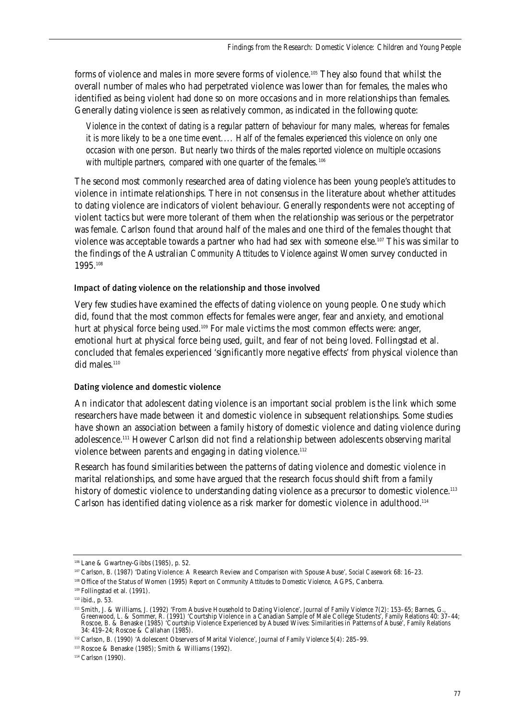forms of violence and males in more severe forms of violence.105 They also found that whilst the overall number of males who had perpetrated violence was lower than for females, the males who identified as being violent had done so on more occasions and in more relationships than females. Generally dating violence is seen as relatively common, as indicated in the following quote:

*Violence in the context of dating is a regular pattern of behaviour for many males, whereas for females it is more likely to be a one time event.... Half of the females experienced this violence on only one occasion with one person. But nearly two thirds of the males reported violence on multiple occasions with multiple partners, compared with one quarter of the females.*<sup>106</sup>

The second most commonly researched area of dating violence has been young people's attitudes to violence in intimate relationships. There in not consensus in the literature about whether attitudes to dating violence are indicators of violent behaviour. Generally respondents were not accepting of violent tactics but were more tolerant of them when the relationship was serious or the perpetrator was female. Carlson found that around half of the males and one third of the females thought that violence was acceptable towards a partner who had had sex with someone else.<sup>107</sup> This was similar to the findings of the Australian *Community Attitudes to Violence against Women* survey conducted in 1995.108

### Impact of dating violence on the relationship and those involved

Very few studies have examined the effects of dating violence on young people. One study which did, found that the most common effects for females were anger, fear and anxiety, and emotional hurt at physical force being used.<sup>109</sup> For male victims the most common effects were: anger, emotional hurt at physical force being used, guilt, and fear of not being loved. Follingstad et al. concluded that females experienced 'significantly more negative effects' from physical violence than did males.<sup>110</sup>

### Dating violence and domestic violence

An indicator that adolescent dating violence is an important social problem is the link which some researchers have made between it and domestic violence in subsequent relationships. Some studies have shown an association between a family history of domestic violence and dating violence during adolescence.111 However Carlson did not find a relationship between adolescents observing marital violence between parents and engaging in dating violence.<sup>112</sup>

Research has found similarities between the patterns of dating violence and domestic violence in marital relationships, and some have argued that the research focus should shift from a family history of domestic violence to understanding dating violence as a precursor to domestic violence.<sup>113</sup> Carlson has identified dating violence as a risk marker for domestic violence in adulthood.114

<sup>106</sup> Lane & Gwartney-Gibbs (1985), p. 52.

<sup>107</sup> Carlson, B. (1987) 'Dating Violence: A Research Review and Comparison with Spouse Abuse', *Social Casework* 68: 16–23.

<sup>108</sup> Office of the Status of Women (1995) *Report on Community Attitudes to Domestic Violence,* AGPS, Canberra.

<sup>109</sup> Follingstad et al. (1991).

<sup>110</sup> ibid., p. 53.

<sup>111</sup> Smith, J. & Williams, J. (1992) 'From Abusive Household to Dating Violence', *Journal of Family Violence* 7(2): 153–65; Barnes, G., Greenwood, L. & Sommer, R. (1991) 'Courtship Violence in a Canadian Sample of Male College Students', *Family Relations* 40: 37–44; Roscoe, B. & Benaske (1985) 'Courtship Violence Experienced by Abused Wives: Similarities in Patterns of Abuse', *Family Relations* 34: 419–24; Roscoe & Callahan (1985).

<sup>112</sup> Carlson, B. (1990) 'Adolescent Observers of Marital Violence', *Journal of Family Violence* 5(4): 285–99.

<sup>113</sup> Roscoe & Benaske (1985); Smith & Williams (1992).

<sup>&</sup>lt;sup>114</sup> Carlson (1990).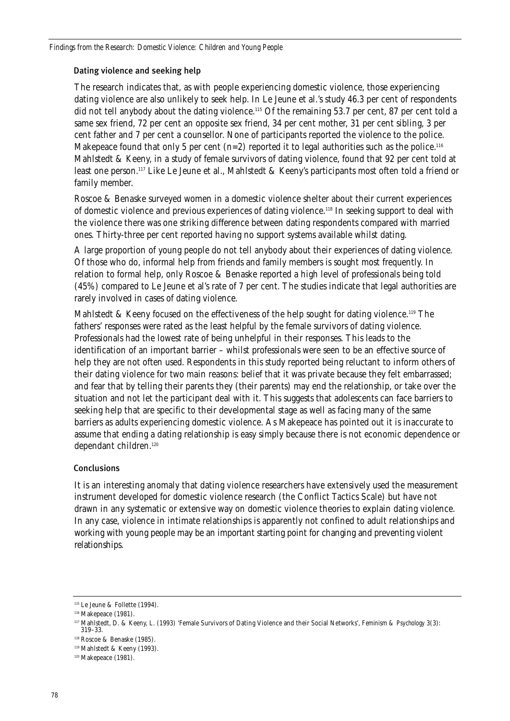### Dating violence and seeking help

The research indicates that, as with people experiencing domestic violence, those experiencing dating violence are also unlikely to seek help. In Le Jeune et al.'s study 46.3 per cent of respondents did not tell anybody about the dating violence.<sup>115</sup> Of the remaining 53.7 per cent, 87 per cent told a same sex friend, 72 per cent an opposite sex friend, 34 per cent mother, 31 per cent sibling, 3 per cent father and 7 per cent a counsellor. None of participants reported the violence to the police. Makepeace found that only 5 per cent (n=2) reported it to legal authorities such as the police.<sup>116</sup> Mahlstedt & Keeny, in a study of female survivors of dating violence, found that 92 per cent told at least one person.117 Like Le Jeune et al., Mahlstedt & Keeny's participants most often told a friend or family member.

Roscoe & Benaske surveyed women in a domestic violence shelter about their current experiences of domestic violence and previous experiences of dating violence.118 In seeking support to deal with the violence there was one striking difference between dating respondents compared with married ones. Thirty-three per cent reported having no support systems available whilst dating.

A large proportion of young people do not tell anybody about their experiences of dating violence. Of those who do, informal help from friends and family members is sought most frequently. In relation to formal help, only Roscoe & Benaske reported a high level of professionals being told (45%) compared to Le Jeune et al's rate of 7 per cent. The studies indicate that legal authorities are rarely involved in cases of dating violence.

Mahlstedt & Keeny focused on the effectiveness of the help sought for dating violence.119 The fathers' responses were rated as the least helpful by the female survivors of dating violence. Professionals had the lowest rate of being unhelpful in their responses. This leads to the identification of an important barrier – whilst professionals were seen to be an effective source of help they are not often used. Respondents in this study reported being reluctant to inform others of their dating violence for two main reasons: belief that it was private because they felt embarrassed; and fear that by telling their parents they (their parents) may end the relationship, or take over the situation and not let the participant deal with it. This suggests that adolescents can face barriers to seeking help that are specific to their developmental stage as well as facing many of the same barriers as adults experiencing domestic violence. As Makepeace has pointed out it is inaccurate to assume that ending a dating relationship is easy simply because there is not economic dependence or dependant children.<sup>120</sup>

## Conclusions

It is an interesting anomaly that dating violence researchers have extensively used the measurement instrument developed for domestic violence research (the Conflict Tactics Scale) but have not drawn in any systematic or extensive way on domestic violence theories to explain dating violence. In any case, violence in intimate relationships is apparently not confined to adult relationships and working with young people may be an important starting point for changing and preventing violent relationships.

 $^{\scriptscriptstyle 115}$  Le Jeune & Follette (1994).

<sup>&</sup>lt;sup>116</sup> Makepeace (1981).

<sup>117</sup> Mahlstedt, D. & Keeny, L. (1993) 'Female Survivors of Dating Violence and their Social Networks', *Feminism & Psychology* 3(3): 319–33.

<sup>118</sup> Roscoe & Benaske (1985).

<sup>119</sup> Mahlstedt & Keeny (1993).

<sup>120</sup> Makepeace (1981).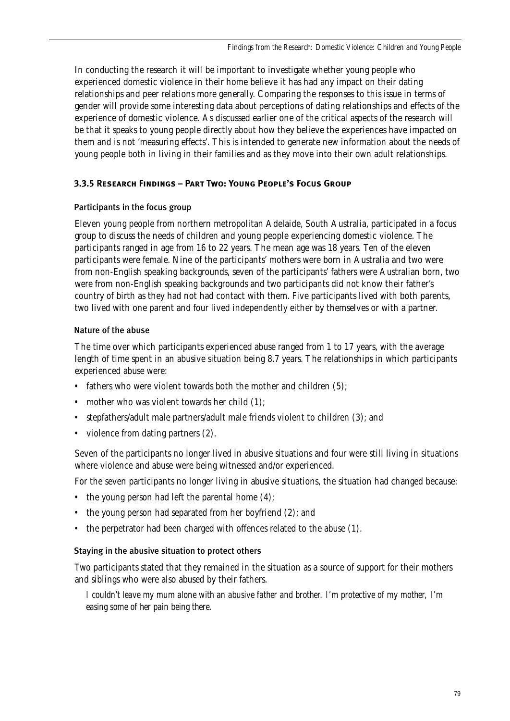In conducting the research it will be important to investigate whether young people who experienced domestic violence in their home believe it has had any impact on their dating relationships and peer relations more generally. Comparing the responses to this issue in terms of gender will provide some interesting data about perceptions of dating relationships and effects of the experience of domestic violence. As discussed earlier one of the critical aspects of the research will be that it speaks to young people directly about how they believe the experiences have impacted on them and is not 'measuring effects'. This is intended to generate new information about the needs of young people both in living in their families and as they move into their own adult relationships.

## **3.3.5 Research Findings – Part Two: Young People's Focus Group**

## Participants in the focus group

Eleven young people from northern metropolitan Adelaide, South Australia, participated in a focus group to discuss the needs of children and young people experiencing domestic violence. The participants ranged in age from 16 to 22 years. The mean age was 18 years. Ten of the eleven participants were female. Nine of the participants' mothers were born in Australia and two were from non-English speaking backgrounds, seven of the participants' fathers were Australian born, two were from non-English speaking backgrounds and two participants did not know their father's country of birth as they had not had contact with them. Five participants lived with both parents, two lived with one parent and four lived independently either by themselves or with a partner.

## Nature of the abuse

The time over which participants experienced abuse ranged from 1 to 17 years, with the average length of time spent in an abusive situation being 8.7 years. The relationships in which participants experienced abuse were:

- fathers who were violent towards both the mother and children (5);
- mother who was violent towards her child (1);
- stepfathers/adult male partners/adult male friends violent to children (3); and
- violence from dating partners  $(2)$ .

Seven of the participants no longer lived in abusive situations and four were still living in situations where violence and abuse were being witnessed and/or experienced.

For the seven participants no longer living in abusive situations, the situation had changed because:

- the young person had left the parental home (4);
- the young person had separated from her boyfriend (2); and
- the perpetrator had been charged with offences related to the abuse (1).

## Staying in the abusive situation to protect others

Two participants stated that they remained in the situation as a source of support for their mothers and siblings who were also abused by their fathers.

*I couldn't leave my mum alone with an abusive father and brother. I'm protective of my mother, I'm easing some of her pain being there.*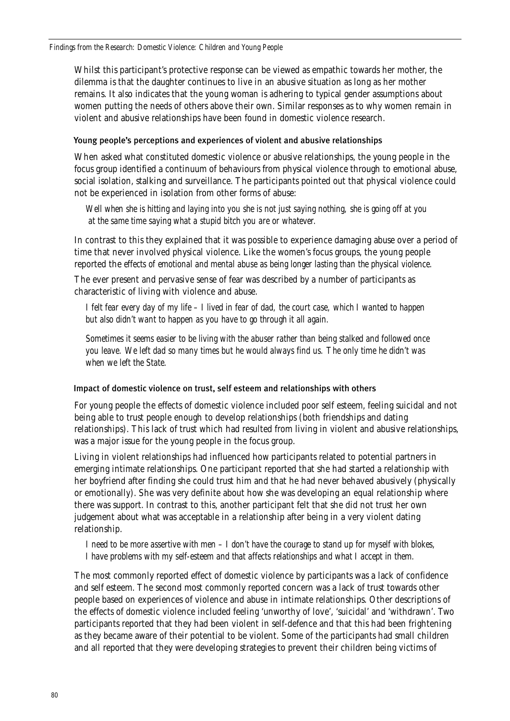Whilst this participant's protective response can be viewed as empathic towards her mother, the dilemma is that the daughter continues to live in an abusive situation as long as her mother remains. It also indicates that the young woman is adhering to typical gender assumptions about women putting the needs of others above their own. Similar responses as to why women remain in violent and abusive relationships have been found in domestic violence research.

### Young people's perceptions and experiences of violent and abusive relationships

When asked what constituted domestic violence or abusive relationships, the young people in the focus group identified a continuum of behaviours from physical violence through to emotional abuse, social isolation, stalking and surveillance. The participants pointed out that physical violence could not be experienced in isolation from other forms of abuse:

*Well when she is hitting and laying into you she is not just saying nothing, she is going off at you at the same time saying what a stupid bitch you are or whatever.*

In contrast to this they explained that it was possible to experience damaging abuse over a period of time that never involved physical violence. Like the women's focus groups, the young people reported the *effects of emotional and mental abuse as being longer lasting than the physical violence.* 

The ever present and pervasive sense of fear was described by a number of participants as characteristic of living with violence and abuse.

*I felt fear every day of my life – I lived in fear of dad, the court case, which I wanted to happen but also didn't want to happen as you have to go through it all again.*

*Sometimes it seems easier to be living with the abuser rather than being stalked and followed once you leave. We left dad so many times but he would always find us. The only time he didn't was when we left the State.*

### Impact of domestic violence on trust, self esteem and relationships with others

For young people the effects of domestic violence included poor self esteem, feeling suicidal and not being able to trust people enough to develop relationships (both friendships and dating relationships). This lack of trust which had resulted from living in violent and abusive relationships, was a major issue for the young people in the focus group.

Living in violent relationships had influenced how participants related to potential partners in emerging intimate relationships. One participant reported that she had started a relationship with her boyfriend after finding she could trust him and that he had never behaved abusively (physically or emotionally). She was very definite about how she was developing an equal relationship where there was support. In contrast to this, another participant felt that she did not trust her own judgement about what was acceptable in a relationship after being in a very violent dating relationship.

*I need to be more assertive with men – I don't have the courage to stand up for myself with blokes, I have problems with my self-esteem and that affects relationships and what I accept in them.*

The most commonly reported effect of domestic violence by participants was a lack of confidence and self esteem. The second most commonly reported concern was a lack of trust towards other people based on experiences of violence and abuse in intimate relationships. Other descriptions of the effects of domestic violence included feeling 'unworthy of love', 'suicidal' and 'withdrawn'. Two participants reported that they had been violent in self-defence and that this had been frightening as they became aware of their potential to be violent. Some of the participants had small children and all reported that they were developing strategies to prevent their children being victims of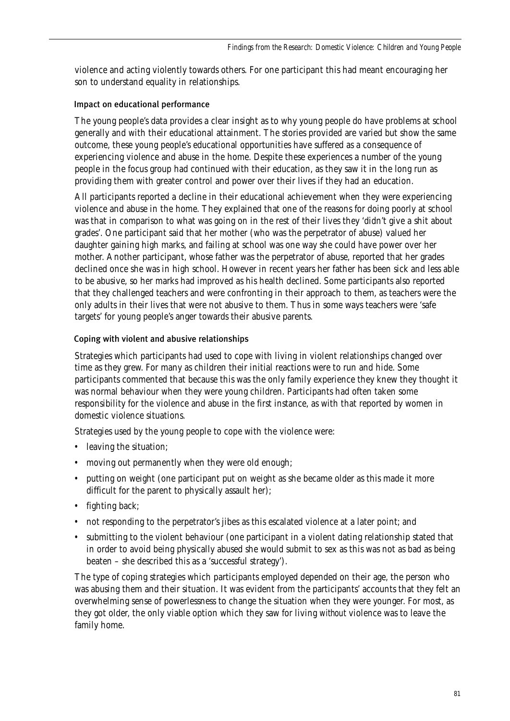violence and acting violently towards others. For one participant this had meant encouraging her son to understand equality in relationships.

## Impact on educational performance

The young people's data provides a clear insight as to why young people do have problems at school generally and with their educational attainment. The stories provided are varied but show the same outcome, these young people's educational opportunities have suffered as a consequence of experiencing violence and abuse in the home. Despite these experiences a number of the young people in the focus group had continued with their education, as they saw it in the long run as providing them with greater control and power over their lives if they had an education.

All participants reported a decline in their educational achievement when they were experiencing violence and abuse in the home. They explained that one of the reasons for doing poorly at school was that in comparison to what was going on in the rest of their lives they 'didn't give a shit about grades'. One participant said that her mother (who was the perpetrator of abuse) valued her daughter gaining high marks, and failing at school was one way she could have power over her mother. Another participant, whose father was the perpetrator of abuse, reported that her grades declined once she was in high school. However in recent years her father has been sick and less able to be abusive, so her marks had improved as his health declined. Some participants also reported that they challenged teachers and were confronting in their approach to them, as teachers were the only adults in their lives that were not abusive to them. Thus in some ways teachers were 'safe targets' for young people's anger towards their abusive parents.

## Coping with violent and abusive relationships

Strategies which participants had used to cope with living in violent relationships changed over time as they grew. For many as children their initial reactions were to run and hide. Some participants commented that because this was the only family experience they knew they thought it was normal behaviour when they were young children. Participants had often taken some responsibility for the violence and abuse in the first instance, as with that reported by women in domestic violence situations.

Strategies used by the young people to cope with the violence were:

- leaving the situation;
- moving out permanently when they were old enough;
- putting on weight (one participant put on weight as she became older as this made it more difficult for the parent to physically assault her);
- fighting back;
- not responding to the perpetrator's jibes as this escalated violence at a later point; and
- submitting to the violent behaviour (one participant in a violent dating relationship stated that in order to avoid being physically abused she would submit to sex as this was not as bad as being beaten – she described this as a 'successful strategy').

The type of coping strategies which participants employed depended on their age, the person who was abusing them and their situation. It was evident from the participants' accounts that they felt an overwhelming sense of powerlessness to change the situation when they were younger. For most, as they got older, the only viable option which they saw for living *without* violence was to leave the family home.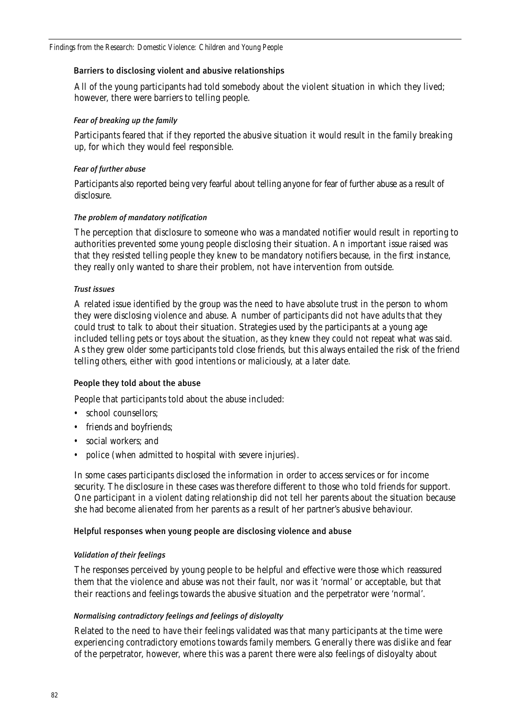### Barriers to disclosing violent and abusive relationships

All of the young participants had told somebody about the violent situation in which they lived; however, there were barriers to telling people.

### *Fear of breaking up the family*

Participants feared that if they reported the abusive situation it would result in the family breaking up, for which they would feel responsible.

### *Fear of further abuse*

Participants also reported being very fearful about telling anyone for fear of further abuse as a result of disclosure.

### *The problem of mandatory notification*

The perception that disclosure to someone who was a mandated notifier would result in reporting to authorities prevented some young people disclosing their situation. An important issue raised was that they resisted telling people they knew to be mandatory notifiers because, in the first instance, they really only wanted to share their problem, not have intervention from outside.

### *Trust issues*

A related issue identified by the group was the need to have absolute trust in the person to whom they were disclosing violence and abuse. A number of participants did not have adults that they could trust to talk to about their situation. Strategies used by the participants at a young age included telling pets or toys about the situation, as they knew they could not repeat what was said. As they grew older some participants told close friends, but this always entailed the risk of the friend telling others, either with good intentions or maliciously, at a later date.

### People they told about the abuse

People that participants told about the abuse included:

- school counsellors:
- friends and boyfriends;
- social workers; and
- police (when admitted to hospital with severe injuries).

In some cases participants disclosed the information in order to access services or for income security. The disclosure in these cases was therefore different to those who told friends for support. One participant in a violent dating relationship did not tell her parents about the situation because she had become alienated from her parents as a result of her partner's abusive behaviour.

### Helpful responses when young people are disclosing violence and abuse

### *Validation of their feelings*

The responses perceived by young people to be helpful and effective were those which reassured them that the violence and abuse was not their fault, nor was it 'normal' or acceptable, but that their reactions and feelings towards the abusive situation and the perpetrator were 'normal'.

### *Normalising contradictory feelings and feelings of disloyalty*

Related to the need to have their feelings validated was that many participants at the time were experiencing contradictory emotions towards family members. Generally there was dislike and fear of the perpetrator, however, where this was a parent there were also feelings of disloyalty about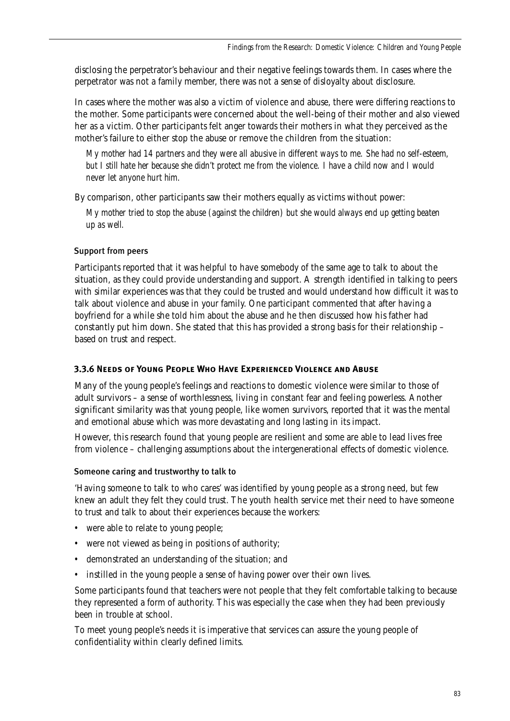disclosing the perpetrator's behaviour and their negative feelings towards them. In cases where the perpetrator was not a family member, there was not a sense of disloyalty about disclosure.

In cases where the mother was also a victim of violence and abuse, there were differing reactions to the mother. Some participants were concerned about the well-being of their mother and also viewed her as a victim. Other participants felt anger towards their mothers in what they perceived as the mother's failure to either stop the abuse or remove the children from the situation:

*My mother had 14 partners and they were all abusive in different ways to me. She had no self-esteem, but I still hate her because she didn't protect me from the violence. I have a child now and I would never let anyone hurt him.*

By comparison, other participants saw their mothers equally as victims without power:

*My mother tried to stop the abuse (against the children) but she would always end up getting beaten up as well.*

## Support from peers

Participants reported that it was helpful to have somebody of the same age to talk to about the situation, as they could provide understanding and support. A strength identified in talking to peers with similar experiences was that they could be trusted and would understand how difficult it was to talk about violence and abuse in your family. One participant commented that after having a boyfriend for a while she told him about the abuse and he then discussed how his father had constantly put him down. She stated that this has provided a strong basis for their relationship – based on trust and respect.

## **3.3.6 Needs of Young People Who Have Experienced Violence and Abuse**

Many of the young people's feelings and reactions to domestic violence were similar to those of adult survivors – a sense of worthlessness, living in constant fear and feeling powerless. Another significant similarity was that young people, like women survivors, reported that it was the mental and emotional abuse which was more devastating and long lasting in its impact.

However, this research found that young people are resilient and some are able to lead lives free from violence – challenging assumptions about the intergenerational effects of domestic violence.

## Someone caring and trustworthy to talk to

'Having someone to talk to who cares' was identified by young people as a strong need, but few knew an adult they felt they could trust. The youth health service met their need to have someone to trust and talk to about their experiences because the workers:

- were able to relate to young people;
- were not viewed as being in positions of authority;
- demonstrated an understanding of the situation; and
- instilled in the young people a sense of having power over their own lives.

Some participants found that teachers were not people that they felt comfortable talking to because they represented a form of authority. This was especially the case when they had been previously been in trouble at school.

To meet young people's needs it is imperative that services can assure the young people of confidentiality within clearly defined limits.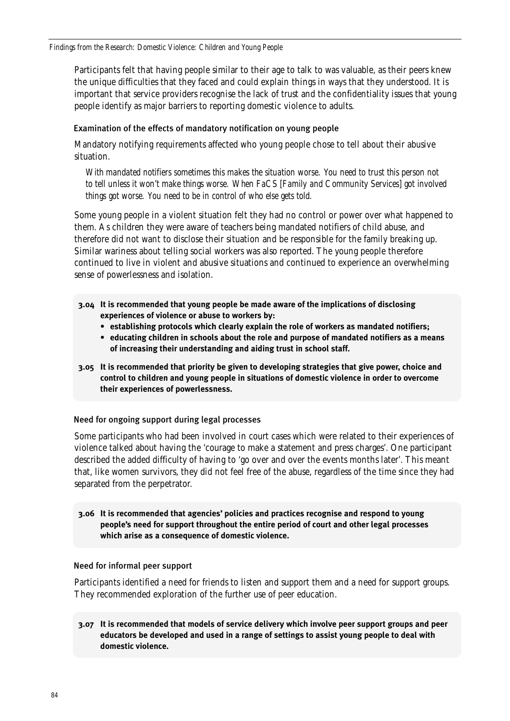*Findings from the Research: Domestic Violence: Children and Young People*

Participants felt that having people similar to their age to talk to was valuable, as their peers knew the unique difficulties that they faced and could explain things in ways that they understood. It is important that service providers recognise the lack of trust and the confidentiality issues that young people identify as major barriers to reporting domestic violence to adults.

### Examination of the effects of mandatory notification on young people

Mandatory notifying requirements affected who young people chose to tell about their abusive situation.

*With mandated notifiers sometimes this makes the situation worse. You need to trust this person not to tell unless it won't make things worse. When FaCS [Family and Community Services] got involved things got worse. You need to be in control of who else gets told.*

Some young people in a violent situation felt they had no control or power over what happened to them. As children they were aware of teachers being mandated notifiers of child abuse, and therefore did not want to disclose their situation and be responsible for the family breaking up. Similar wariness about telling social workers was also reported. The young people therefore continued to live in violent and abusive situations and continued to experience an overwhelming sense of powerlessness and isolation.

- **3.04 It is recommended that young people be made aware of the implications of disclosing experiences of violence or abuse to workers by:**
	- **establishing protocols which clearly explain the role of workers as mandated notifiers;**
	- **educating children in schools about the role and purpose of mandated notifiers as a means of increasing their understanding and aiding trust in school staff.**
- **3.05 It is recommended that priority be given to developing strategies that give power, choice and control to children and young people in situations of domestic violence in order to overcome their experiences of powerlessness.**

### Need for ongoing support during legal processes

Some participants who had been involved in court cases which were related to their experiences of violence talked about having the 'courage to make a statement and press charges'. One participant described the added difficulty of having to 'go over and over the events months later'. This meant that, like women survivors, they did not feel free of the abuse, regardless of the time since they had separated from the perpetrator.

### **3.06 It is recommended that agencies' policies and practices recognise and respond to young people's need for support throughout the entire period of court and other legal processes which arise as a consequence of domestic violence.**

### Need for informal peer support

Participants identified a need for friends to listen and support them and a need for support groups. They recommended exploration of the further use of peer education.

**3.07 It is recommended that models of service delivery which involve peer support groups and peer educators be developed and used in a range of settings to assist young people to deal with domestic violence.**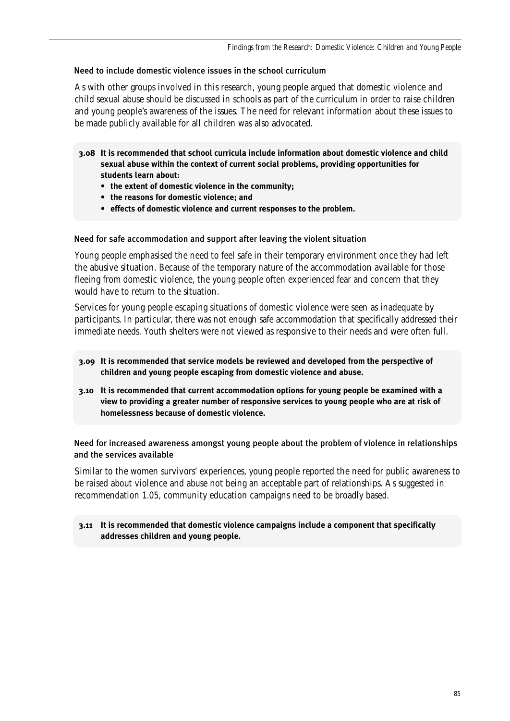## Need to include domestic violence issues in the school curriculum

As with other groups involved in this research, young people argued that domestic violence and child sexual abuse should be discussed in schools as part of the curriculum in order to raise children and young people's awareness of the issues. The need for relevant information about these issues to be made publicly available for all children was also advocated.

**3.08 It is recommended that school curricula include information about domestic violence and child sexual abuse within the context of current social problems, providing opportunities for students learn about:** 

- **the extent of domestic violence in the community;**
- **the reasons for domestic violence; and**
- **effects of domestic violence and current responses to the problem.**

### Need for safe accommodation and support after leaving the violent situation

Young people emphasised the need to feel safe in their temporary environment once they had left the abusive situation. Because of the temporary nature of the accommodation available for those fleeing from domestic violence, the young people often experienced fear and concern that they would have to return to the situation.

Services for young people escaping situations of domestic violence were seen as inadequate by participants. In particular, there was not enough safe accommodation that specifically addressed their immediate needs. Youth shelters were not viewed as responsive to their needs and were often full.

- **3.09 It is recommended that service models be reviewed and developed from the perspective of children and young people escaping from domestic violence and abuse.**
- **3.10 It is recommended that current accommodation options for young people be examined with a view to providing a greater number of responsive services to young people who are at risk of homelessness because of domestic violence.**

Need for increased awareness amongst young people about the problem of violence in relationships and the services available

Similar to the women survivors' experiences, young people reported the need for public awareness to be raised about violence and abuse not being an acceptable part of relationships. As suggested in recommendation 1.05, community education campaigns need to be broadly based.

### **3.11 It is recommended that domestic violence campaigns include a component that specifically addresses children and young people.**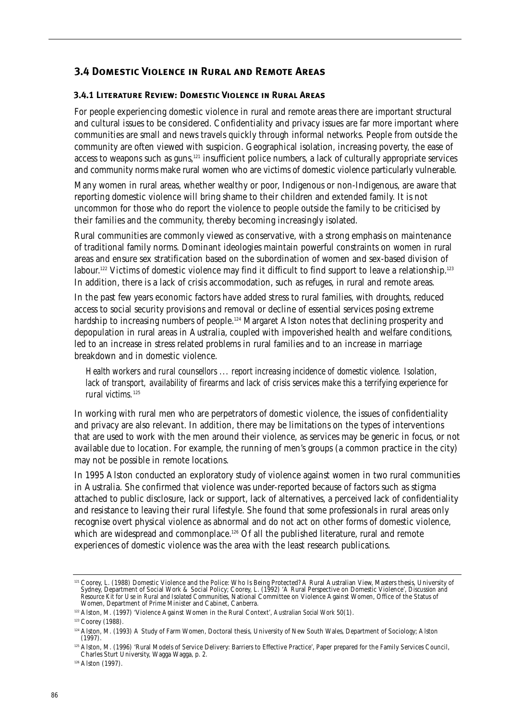## **3.4 Domestic Violence in Rural and Remote Areas**

### **3.4.1 Literature Review: Domestic Violence in Rural Areas**

For people experiencing domestic violence in rural and remote areas there are important structural and cultural issues to be considered. Confidentiality and privacy issues are far more important where communities are small and news travels quickly through informal networks. People from outside the community are often viewed with suspicion. Geographical isolation, increasing poverty, the ease of access to weapons such as guns,<sup>121</sup> insufficient police numbers, a lack of culturally appropriate services and community norms make rural women who are victims of domestic violence particularly vulnerable.

Many women in rural areas, whether wealthy or poor, Indigenous or non-Indigenous, are aware that reporting domestic violence will bring shame to their children and extended family. It is not uncommon for those who do report the violence to people outside the family to be criticised by their families and the community, thereby becoming increasingly isolated.

Rural communities are commonly viewed as conservative, with a strong emphasis on maintenance of traditional family norms. Dominant ideologies maintain powerful constraints on women in rural areas and ensure sex stratification based on the subordination of women and sex-based division of labour.<sup>122</sup> Victims of domestic violence may find it difficult to find support to leave a relationship.<sup>123</sup> In addition, there is a lack of crisis accommodation, such as refuges, in rural and remote areas.

In the past few years economic factors have added stress to rural families, with droughts, reduced access to social security provisions and removal or decline of essential services posing extreme hardship to increasing numbers of people.<sup>124</sup> Margaret Alston notes that declining prosperity and depopulation in rural areas in Australia, coupled with impoverished health and welfare conditions, led to an increase in stress related problems in rural families and to an increase in marriage breakdown and in domestic violence.

*Health workers and rural counsellors ... report increasing incidence of domestic violence. Isolation, lack of transport, availability of firearms and lack of crisis services make this a terrifying experience for rural victims.*<sup>125</sup>

In working with rural men who are perpetrators of domestic violence, the issues of confidentiality and privacy are also relevant. In addition, there may be limitations on the types of interventions that are used to work with the men around their violence, as services may be generic in focus, or not available due to location. For example, the running of men's groups (a common practice in the city) may not be possible in remote locations.

In 1995 Alston conducted an exploratory study of violence against women in two rural communities in Australia. She confirmed that violence was under-reported because of factors such as stigma attached to public disclosure, lack or support, lack of alternatives, a perceived lack of confidentiality and resistance to leaving their rural lifestyle. She found that some professionals in rural areas only recognise overt physical violence as abnormal and do not act on other forms of domestic violence, which are widespread and commonplace.<sup>126</sup> Of all the published literature, rural and remote experiences of domestic violence was the area with the least research publications.

<sup>&</sup>lt;sup>121</sup> Coorey, L. (1988) Domestic Violence and the Police: Who Is Being Protected? A Rural Australian View, Masters thesis, University of Sydney, Department of Social Work & Social Policy; Coorey, L. (1992) 'A Rural Perspec *Resource Kit for Use in Rural and Isolated Communities*, National Committee on Violence Against Women, Office of the Status of Women, Department of Prime Minister and Cabinet, Canberra.

<sup>122</sup> Alston, M. (1997) 'Violence Against Women in the Rural Context', *Australian Social Work* 50(1).

<sup>123</sup> Coorey (1988).

<sup>124</sup> Alston, M. (1993) A Study of Farm Women, Doctoral thesis, University of New South Wales, Department of Sociology; Alston (1997).

<sup>125</sup> Alston, M. (1996) 'Rural Models of Service Delivery: Barriers to Effective Practice', Paper prepared for the Family Services Council, Charles Sturt University, Wagga Wagga, p. 2.

<sup>&</sup>lt;sup>126</sup> Alston (1997).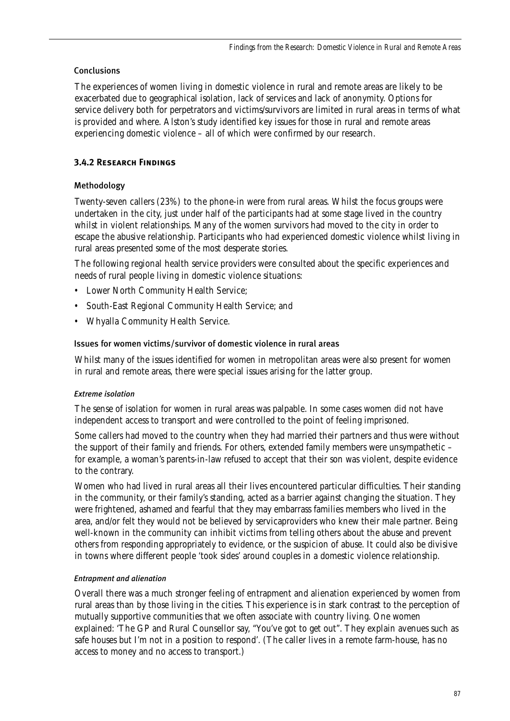## Conclusions

The experiences of women living in domestic violence in rural and remote areas are likely to be exacerbated due to geographical isolation, lack of services and lack of anonymity. Options for service delivery both for perpetrators and victims/survivors are limited in rural areas in terms of what is provided and where. Alston's study identified key issues for those in rural and remote areas experiencing domestic violence – all of which were confirmed by our research.

## **3.4.2 Research Findings**

## Methodology

Twenty-seven callers (23%) to the phone-in were from rural areas. Whilst the focus groups were undertaken in the city, just under half of the participants had at some stage lived in the country whilst in violent relationships. Many of the women survivors had moved to the city in order to escape the abusive relationship. Participants who had experienced domestic violence whilst living in rural areas presented some of the most desperate stories.

The following regional health service providers were consulted about the specific experiences and needs of rural people living in domestic violence situations:

- Lower North Community Health Service;
- South-East Regional Community Health Service; and
- Whyalla Community Health Service.

### Issues for women victims/survivor of domestic violence in rural areas

Whilst many of the issues identified for women in metropolitan areas were also present for women in rural and remote areas, there were special issues arising for the latter group.

### *Extreme isolation*

The sense of isolation for women in rural areas was palpable. In some cases women did not have independent access to transport and were controlled to the point of feeling imprisoned.

Some callers had moved to the country when they had married their partners and thus were without the support of their family and friends. For others, extended family members were unsympathetic – for example, a woman's parents-in-law refused to accept that their son was violent, despite evidence to the contrary.

Women who had lived in rural areas all their lives encountered particular difficulties. Their standing in the community, or their family's standing, acted as a barrier against changing the situation. They were frightened, ashamed and fearful that they may embarrass families members who lived in the area, and/or felt they would not be believed by servicaproviders who knew their male partner. Being well-known in the community can inhibit victims from telling others about the abuse and prevent others from responding appropriately to evidence, or the suspicion of abuse. It could also be divisive in towns where different people 'took sides' around couples in a domestic violence relationship.

## *Entrapment and alienation*

Overall there was a much stronger feeling of entrapment and alienation experienced by women from rural areas than by those living in the cities. This experience is in stark contrast to the perception of mutually supportive communities that we often associate with country living. One women explained: 'The GP and Rural Counsellor say, "You've got to get out". They explain avenues such as safe houses but I'm not in a position to respond'. (The caller lives in a remote farm-house, has no access to money and no access to transport.)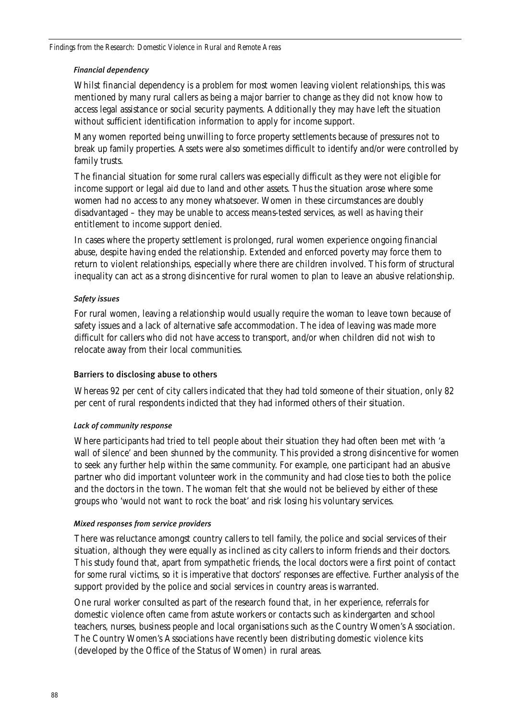### *Financial dependency*

Whilst financial dependency is a problem for most women leaving violent relationships, this was mentioned by many rural callers as being a major barrier to change as they did not know how to access legal assistance or social security payments. Additionally they may have left the situation without sufficient identification information to apply for income support.

Many women reported being unwilling to force property settlements because of pressures not to break up family properties. Assets were also sometimes difficult to identify and/or were controlled by family trusts.

The financial situation for some rural callers was especially difficult as they were not eligible for income support or legal aid due to land and other assets. Thus the situation arose where some women had no access to any money whatsoever. Women in these circumstances are doubly disadvantaged – they may be unable to access means-tested services, as well as having their entitlement to income support denied.

In cases where the property settlement is prolonged, rural women experience ongoing financial abuse, despite having ended the relationship. Extended and enforced poverty may force them to return to violent relationships, especially where there are children involved. This form of structural inequality can act as a strong disincentive for rural women to plan to leave an abusive relationship.

### *Safety issues*

For rural women, leaving a relationship would usually require the woman to leave town because of safety issues and a lack of alternative safe accommodation. The idea of leaving was made more difficult for callers who did not have access to transport, and/or when children did not wish to relocate away from their local communities.

### Barriers to disclosing abuse to others

Whereas 92 per cent of city callers indicated that they had told someone of their situation, only 82 per cent of rural respondents indicted that they had informed others of their situation.

### *Lack of community response*

Where participants had tried to tell people about their situation they had often been met with 'a wall of silence' and been shunned by the community. This provided a strong disincentive for women to seek any further help within the same community. For example, one participant had an abusive partner who did important volunteer work in the community and had close ties to both the police and the doctors in the town. The woman felt that she would not be believed by either of these groups who 'would not want to rock the boat' and risk losing his voluntary services.

### *Mixed responses from service providers*

There was reluctance amongst country callers to tell family, the police and social services of their situation, although they were equally as inclined as city callers to inform friends and their doctors. This study found that, apart from sympathetic friends, the local doctors were a first point of contact for some rural victims, so it is imperative that doctors' responses are effective. Further analysis of the support provided by the police and social services in country areas is warranted.

One rural worker consulted as part of the research found that, in her experience, referrals for domestic violence often came from astute workers or contacts such as kindergarten and school teachers, nurses, business people and local organisations such as the Country Women's Association. The Country Women's Associations have recently been distributing domestic violence kits (developed by the Office of the Status of Women) in rural areas.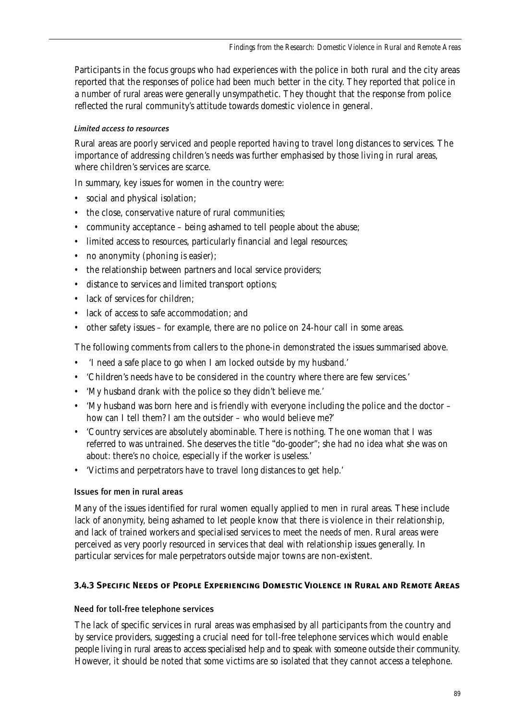Participants in the focus groups who had experiences with the police in both rural and the city areas reported that the responses of police had been much better in the city. They reported that police in a number of rural areas were generally unsympathetic. They thought that the response from police reflected the rural community's attitude towards domestic violence in general.

## *Limited access to resources*

Rural areas are poorly serviced and people reported having to travel long distances to services. The importance of addressing children's needs was further emphasised by those living in rural areas, where children's services are scarce.

In summary, key issues for women in the country were:

- social and physical isolation;
- the close, conservative nature of rural communities;
- community acceptance being ashamed to tell people about the abuse;
- limited access to resources, particularly financial and legal resources;
- no anonymity (phoning is easier);
- the relationship between partners and local service providers;
- distance to services and limited transport options;
- lack of services for children;
- lack of access to safe accommodation: and
- other safety issues for example, there are no police on 24-hour call in some areas.

The following comments from callers to the phone-in demonstrated the issues summarised above.

- 'I need a safe place to go when I am locked outside by my husband.'
- 'Children's needs have to be considered in the country where there are few services.'
- 'My husband drank with the police so they didn't believe me.'
- 'My husband was born here and is friendly with everyone including the police and the doctor how can I tell them? I am the outsider – who would believe me?'
- 'Country services are absolutely abominable. There is nothing. The one woman that I was referred to was untrained. She deserves the title "do-gooder"; she had no idea what she was on about: there's no choice, especially if the worker is useless.'
- 'Victims and perpetrators have to travel long distances to get help.'

## Issues for men in rural areas

Many of the issues identified for rural women equally applied to men in rural areas. These include lack of anonymity, being ashamed to let people know that there is violence in their relationship, and lack of trained workers and specialised services to meet the needs of men. Rural areas were perceived as very poorly resourced in services that deal with relationship issues generally. In particular services for male perpetrators outside major towns are non-existent.

## **3.4.3 Specific Needs of People Experiencing Domestic Violence in Rural and Remote Areas**

## Need for toll-free telephone services

The lack of specific services in rural areas was emphasised by all participants from the country and by service providers, suggesting a crucial need for toll-free telephone services which would enable people living in rural areas to access specialised help and to speak with someone outside their community. However, it should be noted that some victims are so isolated that they cannot access a telephone.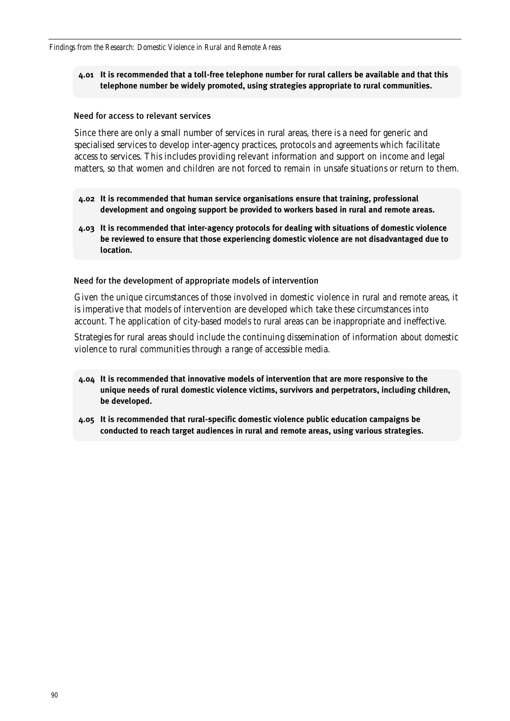### **4.01 It is recommended that a toll-free telephone number for rural callers be available and that this telephone number be widely promoted, using strategies appropriate to rural communities.**

#### Need for access to relevant services

Since there are only a small number of services in rural areas, there is a need for generic and specialised services to develop inter-agency practices, protocols and agreements which facilitate access to services. This includes providing relevant information and support on income and legal matters, so that women and children are not forced to remain in unsafe situations or return to them.

- **4.02 It is recommended that human service organisations ensure that training, professional development and ongoing support be provided to workers based in rural and remote areas.**
- **4.03 It is recommended that inter-agency protocols for dealing with situations of domestic violence be reviewed to ensure that those experiencing domestic violence are not disadvantaged due to location.**

#### Need for the development of appropriate models of intervention

Given the unique circumstances of those involved in domestic violence in rural and remote areas, it is imperative that models of intervention are developed which take these circumstances into account. The application of city-based models to rural areas can be inappropriate and ineffective.

Strategies for rural areas should include the continuing dissemination of information about domestic violence to rural communities through a range of accessible media.

- **4.04 It is recommended that innovative models of intervention that are more responsive to the unique needs of rural domestic violence victims, survivors and perpetrators, including children, be developed.**
- **4.05 It is recommended that rural-specific domestic violence public education campaigns be conducted to reach target audiences in rural and remote areas, using various strategies.**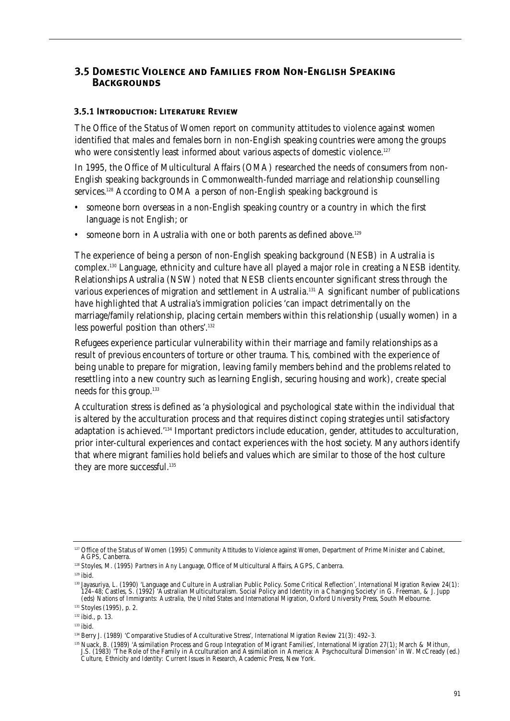## **3.5 Domestic Violence and Families from Non-English SpeakingBackgrounds**

### **3.5.1 Introduction: Literature Review**

The Office of the Status of Women report on community attitudes to violence against women identified that males and females born in non-English speaking countries were among the groups who were consistently least informed about various aspects of domestic violence.<sup>127</sup>

In 1995, the Office of Multicultural Affairs (OMA) researched the needs of consumers from non-English speaking backgrounds in Commonwealth-funded marriage and relationship counselling services.<sup>128</sup> According to OMA a person of non-English speaking background is

- someone born overseas in a non-English speaking country or a country in which the first language is not English; or
- someone born in Australia with one or both parents as defined above.<sup>129</sup>

The experience of being a person of non-English speaking background (NESB) in Australia is complex.130 Language, ethnicity and culture have all played a major role in creating a NESB identity. Relationships Australia (NSW) noted that NESB clients encounter significant stress through the various experiences of migration and settlement in Australia.<sup>131</sup> A significant number of publications have highlighted that Australia's immigration policies 'can impact detrimentally on the marriage/family relationship, placing certain members within this relationship (usually women) in a less powerful position than others'.132

Refugees experience particular vulnerability within their marriage and family relationships as a result of previous encounters of torture or other trauma. This, combined with the experience of being unable to prepare for migration, leaving family members behind and the problems related to resettling into a new country such as learning English, securing housing and work), create special needs for this group.133

Acculturation stress is defined as 'a physiological and psychological state within the individual that is altered by the acculturation process and that requires distinct coping strategies until satisfactory adaptation is achieved.'134 Important predictors include education, gender, attitudes to acculturation, prior inter-cultural experiences and contact experiences with the host society. Many authors identify that where migrant families hold beliefs and values which are similar to those of the host culture they are more successful.<sup>135</sup>

<sup>&</sup>lt;sup>127</sup> Office of the Status of Women (1995) *Community Attitudes to Violence against Women*, Department of Prime Minister and Cabinet, AGPS, Canberra.

<sup>128</sup> Stoyles, M. (1995) *Partners in Any Language*, Office of Multicultural Affairs, AGPS, Canberra.

 $129$  ibid.

<sup>130</sup> Jayasuriya, L. (1990) 'Language and Culture in Australian Public Policy. Some Critical Reflection', *International Migration Review* 24(1): 124–48; Castles, S. (1992) 'Australian Multiculturalism. Social Policy and Identity in a Changing Society' in G. Freeman, & J. Jupp<br>(eds) Nations of Immigrants: Australia, the United States and International Migration, Oxf

<sup>&</sup>lt;sup>131</sup> Stoyles (1995), p. 2.

<sup>132</sup> ibid., p. 13.

<sup>133</sup> ibid.

<sup>134</sup> Berry J. (1989) 'Comparative Studies of Acculturative Stress', *International Migration Review* 21(3): 492–3.

<sup>135</sup> Nuack, B. (1989) 'Assimilation Process and Group Integration of Migrant Families', *International Migration* 27(1); March & Mithun, J.S. (1983) 'The Role of the Family in Acculturation and Assimilation in America: A Psychocultural Dimension' in W. McCready (ed.) *Culture, Ethnicity and Identity: Current Issues in Research*, Academic Press, New York.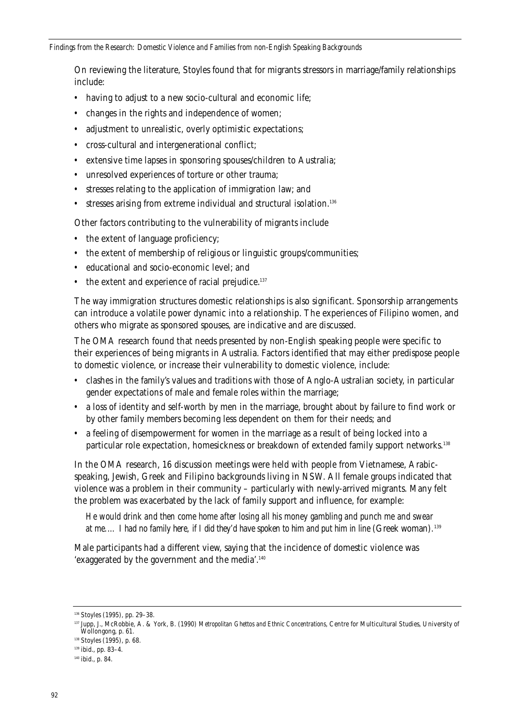On reviewing the literature, Stoyles found that for migrants stressors in marriage/family relationships include:

- having to adjust to a new socio-cultural and economic life:
- changes in the rights and independence of women;
- adjustment to unrealistic, overly optimistic expectations;
- cross-cultural and intergenerational conflict;
- extensive time lapses in sponsoring spouses/children to Australia;
- unresolved experiences of torture or other trauma;
- stresses relating to the application of immigration law; and
- stresses arising from extreme individual and structural isolation.<sup>136</sup>

Other factors contributing to the vulnerability of migrants include

- the extent of language proficiency;
- the extent of membership of religious or linguistic groups/communities;
- educational and socio-economic level; and
- $\bullet$  the extent and experience of racial prejudice.<sup>137</sup>

The way immigration structures domestic relationships is also significant. Sponsorship arrangements can introduce a volatile power dynamic into a relationship. The experiences of Filipino women, and others who migrate as sponsored spouses, are indicative and are discussed.

The OMA research found that needs presented by non-English speaking people were specific to their experiences of being migrants in Australia. Factors identified that may either predispose people to domestic violence, or increase their vulnerability to domestic violence, include:

- clashes in the family's values and traditions with those of Anglo-Australian society, in particular gender expectations of male and female roles within the marriage;
- a loss of identity and self-worth by men in the marriage, brought about by failure to find work or by other family members becoming less dependent on them for their needs; and
- a feeling of disempowerment for women in the marriage as a result of being locked into a particular role expectation, homesickness or breakdown of extended family support networks.138

In the OMA research, 16 discussion meetings were held with people from Vietnamese, Arabicspeaking, Jewish, Greek and Filipino backgrounds living in NSW. All female groups indicated that violence was a problem in their community – particularly with newly-arrived migrants. Many felt the problem was exacerbated by the lack of family support and influence, for example:

*He would drink and then come home after losing all his money gambling and punch me and swear*  at me.... I had no family here, if I did they'd have spoken to him and put him in line (Greek woman).<sup>139</sup>

Male participants had a different view, saying that the incidence of domestic violence was 'exaggerated by the government and the media'.140

<sup>136</sup> Stoyles (1995), pp. 29–38.

<sup>137</sup> Jupp, J., McRobbie, A. & York, B. (1990) *Metropolitan Ghettos and Ethnic Concentrations*, Centre for Multicultural Studies, University of Wollongong, p. 61.

<sup>138</sup> Stoyles (1995), p. 68.

<sup>139</sup> ibid., pp. 83–4.

<sup>140</sup> ibid., p. 84.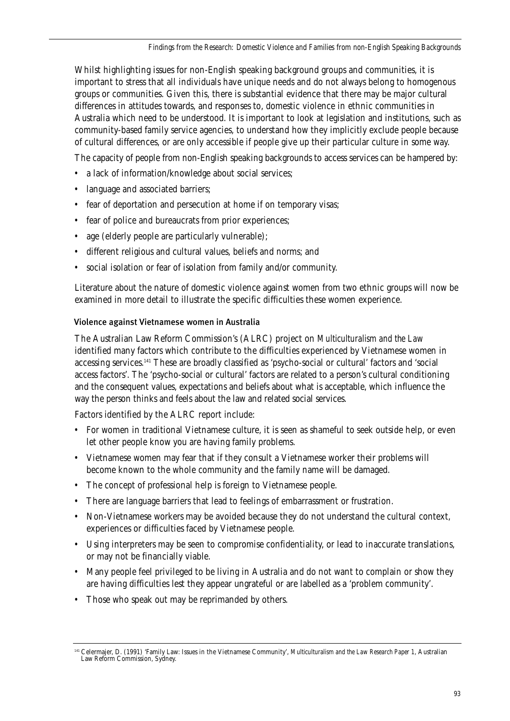Whilst highlighting issues for non-English speaking background groups and communities, it is important to stress that all individuals have unique needs and do not always belong to homogenous groups or communities. Given this, there is substantial evidence that there may be major cultural differences in attitudes towards, and responses to, domestic violence in ethnic communities in Australia which need to be understood. It is important to look at legislation and institutions, such as community-based family service agencies, to understand how they implicitly exclude people because of cultural differences, or are only accessible if people give up their particular culture in some way.

The capacity of people from non-English speaking backgrounds to access services can be hampered by:

- a lack of information/knowledge about social services;
- language and associated barriers;
- fear of deportation and persecution at home if on temporary visas;
- fear of police and bureaucrats from prior experiences;
- age (elderly people are particularly vulnerable);
- different religious and cultural values, beliefs and norms; and
- social isolation or fear of isolation from family and/or community.

Literature about the nature of domestic violence against women from two ethnic groups will now be examined in more detail to illustrate the specific difficulties these women experience.

## Violence against Vietnamese women in Australia

The Australian Law Reform Commission's (ALRC) project on *Multiculturalism and the Law* identified many factors which contribute to the difficulties experienced by Vietnamese women in accessing services.141 These are broadly classified as 'psycho-social or cultural' factors and 'social access factors'. The 'psycho-social or cultural' factors are related to a person's cultural conditioning and the consequent values, expectations and beliefs about what is acceptable, which influence the way the person thinks and feels about the law and related social services.

Factors identified by the ALRC report include:

- For women in traditional Vietnamese culture, it is seen as shameful to seek outside help, or even let other people know you are having family problems.
- Vietnamese women may fear that if they consult a Vietnamese worker their problems will become known to the whole community and the family name will be damaged.
- The concept of professional help is foreign to Vietnamese people.
- There are language barriers that lead to feelings of embarrassment or frustration.
- Non-Vietnamese workers may be avoided because they do not understand the cultural context, experiences or difficulties faced by Vietnamese people.
- Using interpreters may be seen to compromise confidentiality, or lead to inaccurate translations, or may not be financially viable.
- Many people feel privileged to be living in Australia and do not want to complain or show they are having difficulties lest they appear ungrateful or are labelled as a 'problem community'.
- Those who speak out may be reprimanded by others.

<sup>141</sup> Celermajer, D. (1991) 'Family Law: Issues in the Vietnamese Community', *Multiculturalism and the Law Research Paper 1*, Australian Law Reform Commission, Sydney.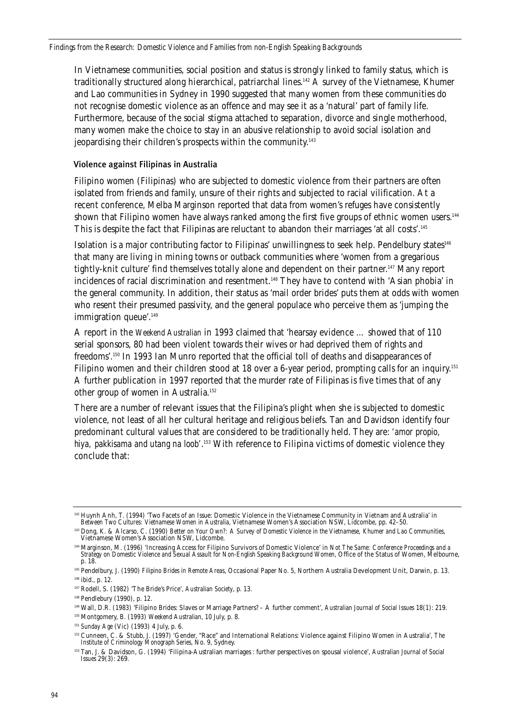In Vietnamese communities, social position and status is strongly linked to family status, which is traditionally structured along hierarchical, patriarchal lines.<sup>142</sup> A survey of the Vietnamese, Khumer and Lao communities in Sydney in 1990 suggested that many women from these communities do not recognise domestic violence as an offence and may see it as a 'natural' part of family life. Furthermore, because of the social stigma attached to separation, divorce and single motherhood, many women make the choice to stay in an abusive relationship to avoid social isolation and jeopardising their children's prospects within the community.143

### Violence against Filipinas in Australia

Filipino women (Filipinas) who are subjected to domestic violence from their partners are often isolated from friends and family, unsure of their rights and subjected to racial vilification. At a recent conference, Melba Marginson reported that data from women's refuges have consistently shown that Filipino women have always ranked among the first five groups of ethnic women users.<sup>144</sup> This is despite the fact that Filipinas are reluctant to abandon their marriages 'at all costs'.<sup>145</sup>

Isolation is a major contributing factor to Filipinas' unwillingness to seek help. Pendelbury states<sup>146</sup> that many are living in mining towns or outback communities where 'women from a gregarious tightly-knit culture' find themselves totally alone and dependent on their partner.<sup>147</sup> Many report incidences of racial discrimination and resentment.<sup>148</sup> They have to contend with 'Asian phobia' in the general community. In addition, their status as 'mail order brides' puts them at odds with women who resent their presumed passivity, and the general populace who perceive them as 'jumping the immigration queue'.<sup>149</sup>

A report in the *Weekend Australian* in 1993 claimed that 'hearsay evidence … showed that of 110 serial sponsors, 80 had been violent towards their wives or had deprived them of rights and freedoms'.150 In 1993 Ian Munro reported that the official toll of deaths and disappearances of Filipino women and their children stood at 18 over a 6-year period, prompting calls for an inquiry.<sup>151</sup> A further publication in 1997 reported that the murder rate of Filipinas is five times that of any other group of women in Australia.<sup>152</sup>

There are a number of relevant issues that the Filipina's plight when she is subjected to domestic violence, not least of all her cultural heritage and religious beliefs. Tan and Davidson identify four predominant cultural values that are considered to be traditionally held. They are: *'amor propio, hiya, pakkisama and utang na loob'*. <sup>153</sup> With reference to Filipina victims of domestic violence they conclude that:

<sup>&</sup>lt;sup>142</sup> Huynh Anh, T. (1994) 'Two Facets of an Issue: Domestic Violence in the Vietnamese Community in Vietnam and Australia' in<br>Between Two Cultures: Vietnamese Women in Australia, Vietnamese Women's Association NSW, Lidcom

<sup>143</sup> Dong, K. & Alcarso, C. (1990) *Better on Your Own?: A Survey of Domestic Violence in the Vietnamese, Khumer and Lao Communities*, Vietnamese Women's Association NSW, Lidcombe.

<sup>144</sup> Marginson, M. (1996) 'Increasing Access for Filipino Survivors of Domestic Violence' in *Not The Same: Conference Proceedings and a Strategy on Domestic Violence and Sexual Assault for Non-English Speaking Background Women*, Office of the Status of Women, Melbourne, p. 18.

<sup>145</sup> Pendelbury, J. (1990) *Filipino Brides in Remote Areas*, Occasional Paper No. 5, Northern Australia Development Unit, Darwin, p. 13. <sup>146</sup> ibid., p. 12.

<sup>147</sup> Rodell, S. (1982) 'The Bride's Price', *Australian Society*, p. 13.

<sup>148</sup> Pendlebury (1990), p. 12.

<sup>149</sup> Wall, D.R. (1983) 'Filipino Brides: Slaves or Marriage Partners? – A further comment', *Australian Journal of Social Issues* 18(1): 219.

<sup>150</sup> Montgomery, B. (1993) *Weekend Australian*, 10 July, p. 8.

<sup>151</sup> *Sunday Age* (Vic) (1993) 4 July, p. 6.

<sup>152</sup> Cunneen, C. & Stubb, J. (1997) 'Gender, "Race" and International Relations: Violence against Filipino Women in Australia', *The Institute of Criminology Monograph Series*, No. 9, Sydney.

<sup>153</sup> Tan, J. & Davidson, G. (1994) 'Filipina-Australian marriages : further perspectives on spousal violence', *Australian Journal of Social Issues* 29(3): 269.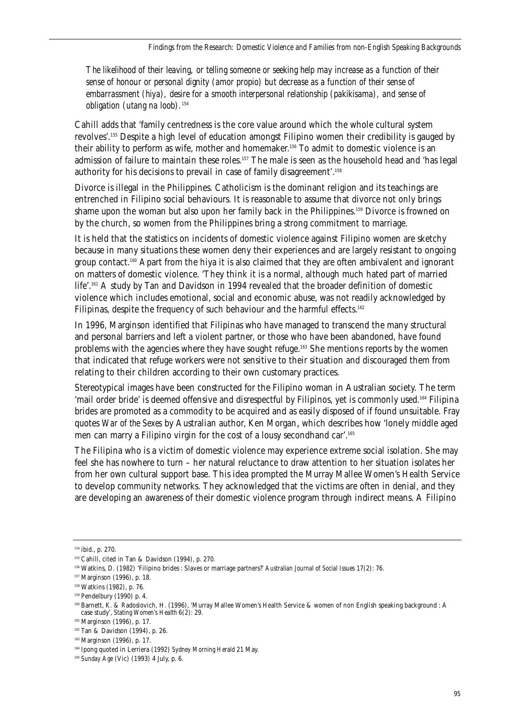*The likelihood of their leaving, or telling someone or seeking help may increase as a function of their sense of honour or personal dignity (amor propio) but decrease as a function of their sense of embarrassment (hiya), desire for a smooth interpersonal relationship (pakikisama), and sense of obligation (utang na loob).*<sup>154</sup>

Cahill adds that 'family centredness is the core value around which the whole cultural system revolves'.155 Despite a high level of education amongst Filipino women their credibility is gauged by their ability to perform as wife, mother and homemaker.<sup>156</sup> To admit to domestic violence is an admission of failure to maintain these roles.<sup>157</sup> The male is seen as the household head and 'has legal authority for his decisions to prevail in case of family disagreement'.158

Divorce is illegal in the Philippines. Catholicism is the dominant religion and its teachings are entrenched in Filipino social behaviours. It is reasonable to assume that divorce not only brings shame upon the woman but also upon her family back in the Philippines.159 Divorce is frowned on by the church, so women from the Philippines bring a strong commitment to marriage.

It is held that the statistics on incidents of domestic violence against Filipino women are sketchy because in many situations these women deny their experiences and are largely resistant to ongoing group contact.160 Apart from the hiya it is also claimed that they are often ambivalent and ignorant on matters of domestic violence. 'They think it is a normal, although much hated part of married life'.161 A study by Tan and Davidson in 1994 revealed that the broader definition of domestic violence which includes emotional, social and economic abuse, was not readily acknowledged by Filipinas, despite the frequency of such behaviour and the harmful effects.<sup>162</sup>

In 1996, Marginson identified that Filipinas who have managed to transcend the many structural and personal barriers and left a violent partner, or those who have been abandoned, have found problems with the agencies where they have sought refuge.163 She mentions reports by the women that indicated that refuge workers were not sensitive to their situation and discouraged them from relating to their children according to their own customary practices.

Stereotypical images have been constructed for the Filipino woman in Australian society. The term 'mail order bride' is deemed offensive and disrespectful by Filipinos, yet is commonly used.<sup>164</sup> Filipina brides are promoted as a commodity to be acquired and as easily disposed of if found unsuitable. Fray quotes *War of the Sexes* by Australian author, Ken Morgan, which describes how 'lonely middle aged men can marry a Filipino virgin for the cost of a lousy secondhand car'.165

The Filipina who is a victim of domestic violence may experience extreme social isolation. She may feel she has nowhere to turn – her natural reluctance to draw attention to her situation isolates her from her own cultural support base. This idea prompted the Murray Mallee Women's Health Service to develop community networks. They acknowledged that the victims are often in denial, and they are developing an awareness of their domestic violence program through indirect means. A Filipino

<sup>154</sup> ibid., p. 270.

<sup>155</sup> Cahill, cited in Tan & Davidson (1994), p. 270.

<sup>156</sup> Watkins, D. (1982) 'Filipino brides : Slaves or marriage partners?' *Australian Journal of Social Issues* 17(2): 76.

<sup>157</sup> Marginson (1996), p. 18.

<sup>158</sup> Watkins (1982), p. 76.

<sup>159</sup> Pendelbury (1990) p. 4.

<sup>160</sup> Barnett, K. & Radoslovich, H. (1996), 'Murray Mallee Women's Health Service & women of non English speaking background : A case study', *Stating Women's Health* 6(2): 29.

<sup>161</sup> Marginson (1996), p. 17.

<sup>162</sup> Tan & Davidson (1994), p. 26.

<sup>163</sup> Marginson (1996), p. 17.

<sup>164</sup> Ipong quoted in Lerriera (1992) *Sydney Morning Herald* 21 May.

<sup>165</sup> *Sunday Age* (Vic) (1993) 4 July, p. 6.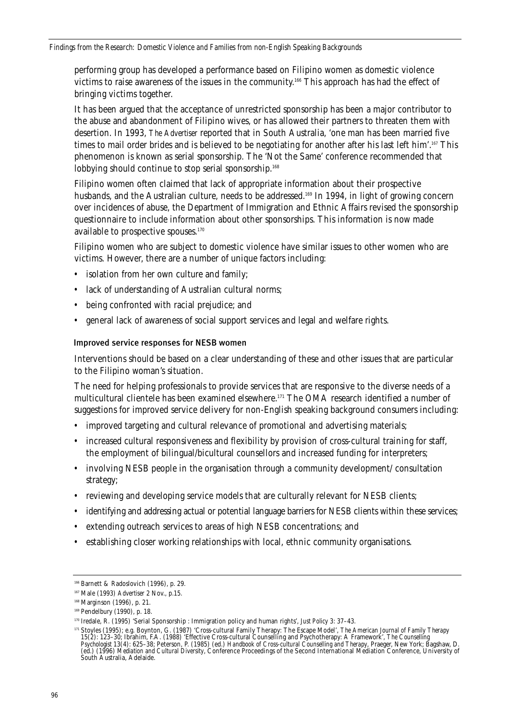performing group has developed a performance based on Filipino women as domestic violence victims to raise awareness of the issues in the community.166 This approach has had the effect of bringing victims together.

It has been argued that the acceptance of unrestricted sponsorship has been a major contributor to the abuse and abandonment of Filipino wives, or has allowed their partners to threaten them with desertion. In 1993, *The Advertiser* reported that in South Australia, 'one man has been married five times to mail order brides and is believed to be negotiating for another after his last left him'.<sup>167</sup> This phenomenon is known as serial sponsorship. The 'Not the Same' conference recommended that lobbying should continue to stop serial sponsorship.<sup>168</sup>

Filipino women often claimed that lack of appropriate information about their prospective husbands, and the Australian culture, needs to be addressed.<sup>169</sup> In 1994, in light of growing concern over incidences of abuse, the Department of Immigration and Ethnic Affairs revised the sponsorship questionnaire to include information about other sponsorships. This information is now made available to prospective spouses.<sup>170</sup>

Filipino women who are subject to domestic violence have similar issues to other women who are victims. However, there are a number of unique factors including:

- isolation from her own culture and family;
- lack of understanding of Australian cultural norms;
- being confronted with racial prejudice; and
- general lack of awareness of social support services and legal and welfare rights.

### Improved service responses for NESB women

Interventions should be based on a clear understanding of these and other issues that are particular to the Filipino woman's situation.

The need for helping professionals to provide services that are responsive to the diverse needs of a multicultural clientele has been examined elsewhere.171 The OMA research identified a number of suggestions for improved service delivery for non-English speaking background consumers including:

- improved targeting and cultural relevance of promotional and advertising materials;
- increased cultural responsiveness and flexibility by provision of cross-cultural training for staff, the employment of bilingual/bicultural counsellors and increased funding for interpreters;
- involving NESB people in the organisation through a community development/ consultation strategy;
- reviewing and developing service models that are culturally relevant for NESB clients;
- identifying and addressing actual or potential language barriers for NESB clients within these services;
- extending outreach services to areas of high NESB concentrations; and
- establishing closer working relationships with local, ethnic community organisations.

<sup>166</sup> Barnett & Radoslovich (1996), p. 29.

<sup>167</sup> Male (1993) *Advertiser* 2 Nov., p.15.

<sup>168</sup> Marginson (1996), p. 21.

<sup>169</sup> Pendelbury (1990), p. 18.

<sup>170</sup> Iredale, R. (1995) 'Serial Sponsorship : Immigration policy and human rights', *Just Policy* 3: 37–43.

<sup>171</sup> Stoyles (1995); e.g. Boynton, G. (1987) 'Cross-cultural Family Therapy: The Escape Model', *The American Journal of Family Therapy* 15(2): 123–30; Ibrahim, F.A. (1988) 'Effective Cross-cultural Counselling and Psychotherapy: A Framework', *The Counselling Psychologist* 13(4): 625–38; Peterson, P. (1985) (ed.) *Handbook of Cross-cultural Counselling and Therapy*, Praeger, New York; Bagshaw, D. (ed.) (1996) *Mediation and Cultural Diversity*, Conference Proceedings of the Second International Mediation Conference, University of South Australia, Adelaide.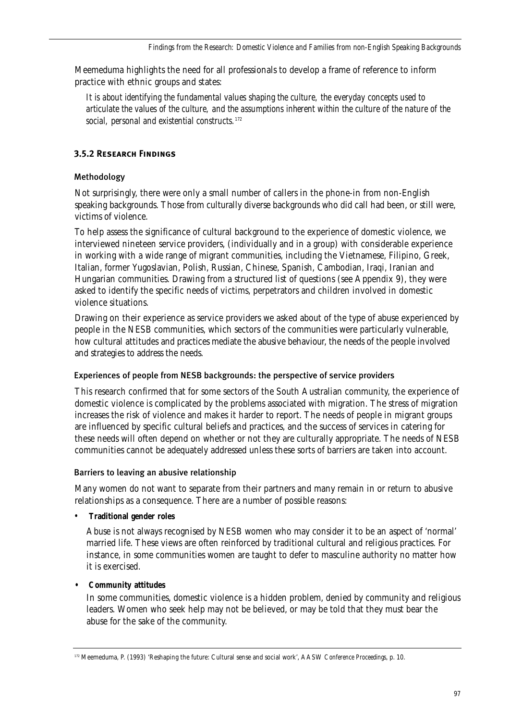Meemeduma highlights the need for all professionals to develop a frame of reference to inform practice with ethnic groups and states:

*It is about identifying the fundamental values shaping the culture, the everyday concepts used to articulate the values of the culture, and the assumptions inherent within the culture of the nature of the social, personal and existential constructs.*<sup>172</sup>

## **3.5.2 Research Findings**

## Methodology

Not surprisingly, there were only a small number of callers in the phone-in from non-English speaking backgrounds. Those from culturally diverse backgrounds who did call had been, or still were, victims of violence.

To help assess the significance of cultural background to the experience of domestic violence, we interviewed nineteen service providers, (individually and in a group) with considerable experience in working with a wide range of migrant communities, including the Vietnamese, Filipino, Greek, Italian, former Yugoslavian, Polish, Russian, Chinese, Spanish, Cambodian, Iraqi, Iranian and Hungarian communities. Drawing from a structured list of questions (see Appendix 9), they were asked to identify the specific needs of victims, perpetrators and children involved in domestic violence situations.

Drawing on their experience as service providers we asked about of the type of abuse experienced by people in the NESB communities, which sectors of the communities were particularly vulnerable, how cultural attitudes and practices mediate the abusive behaviour, the needs of the people involved and strategies to address the needs.

## Experiences of people from NESB backgrounds: the perspective of service providers

This research confirmed that for some sectors of the South Australian community, the experience of domestic violence is complicated by the problems associated with migration. The stress of migration increases the risk of violence and makes it harder to report. The needs of people in migrant groups are influenced by specific cultural beliefs and practices, and the success of services in catering for these needs will often depend on whether or not they are culturally appropriate. The needs of NESB communities cannot be adequately addressed unless these sorts of barriers are taken into account.

## Barriers to leaving an abusive relationship

Many women do not want to separate from their partners and many remain in or return to abusive relationships as a consequence. There are a number of possible reasons:

• **Traditional gender roles**

Abuse is not always recognised by NESB women who may consider it to be an aspect of 'normal' married life. These views are often reinforced by traditional cultural and religious practices. For instance, in some communities women are taught to defer to masculine authority no matter how it is exercised.

## **• Community attitudes**

In some communities, domestic violence is a hidden problem, denied by community and religious leaders. Women who seek help may not be believed, or may be told that they must bear the abuse for the sake of the community.

<sup>172</sup> Meemeduma, P. (1993) 'Reshaping the future: Cultural sense and social work', AASW *Conference Proceedings*, p. 10.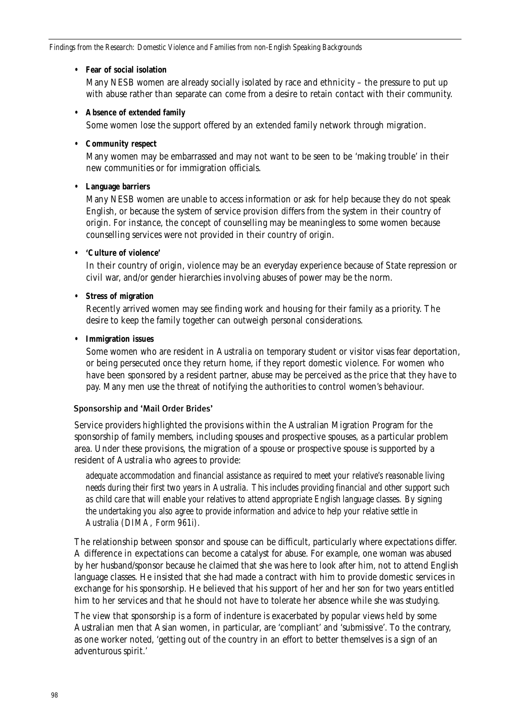### **• Fear of social isolation**

Many NESB women are already socially isolated by race and ethnicity – the pressure to put up with abuse rather than separate can come from a desire to retain contact with their community.

### **• Absence of extended family**

Some women lose the support offered by an extended family network through migration.

### **• Community respect**

Many women may be embarrassed and may not want to be seen to be 'making trouble' in their new communities or for immigration officials.

## **• Language barriers**

Many NESB women are unable to access information or ask for help because they do not speak English, or because the system of service provision differs from the system in their country of origin. For instance, the concept of counselling may be meaningless to some women because counselling services were not provided in their country of origin.

### **• 'Culture of violence'**

In their country of origin, violence may be an everyday experience because of State repression or civil war, and/or gender hierarchies involving abuses of power may be the norm.

### **• Stress of migration**

Recently arrived women may see finding work and housing for their family as a priority. The desire to keep the family together can outweigh personal considerations.

### **• Immigration issues**

Some women who are resident in Australia on temporary student or visitor visas fear deportation, or being persecuted once they return home, if they report domestic violence. For women who have been sponsored by a resident partner, abuse may be perceived as the price that they have to pay. Many men use the threat of notifying the authorities to control women's behaviour.

## Sponsorship and 'Mail Order Brides'

Service providers highlighted the provisions within the Australian Migration Program for the sponsorship of family members, including spouses and prospective spouses, as a particular problem area. Under these provisions, the migration of a spouse or prospective spouse is supported by a resident of Australia who agrees to provide:

*adequate accommodation and financial assistance as required to meet your relative's reasonable living needs during their first two years in Australia. This includes providing financial and other support such as child care that will enable your relatives to attend appropriate English language classes. By signing the undertaking you also agree to provide information and advice to help your relative settle in Australia (DIMA, Form 961i).*

The relationship between sponsor and spouse can be difficult, particularly where expectations differ. A difference in expectations can become a catalyst for abuse. For example, one woman was abused by her husband/sponsor because he claimed that she was here to look after him, not to attend English language classes. He insisted that she had made a contract with him to provide domestic services in exchange for his sponsorship. He believed that his support of her and her son for two years entitled him to her services and that he should not have to tolerate her absence while she was studying.

The view that sponsorship is a form of indenture is exacerbated by popular views held by some Australian men that Asian women, in particular, are 'compliant' and 'submissive'. To the contrary, as one worker noted, 'getting out of the country in an effort to better themselves is a sign of an adventurous spirit.'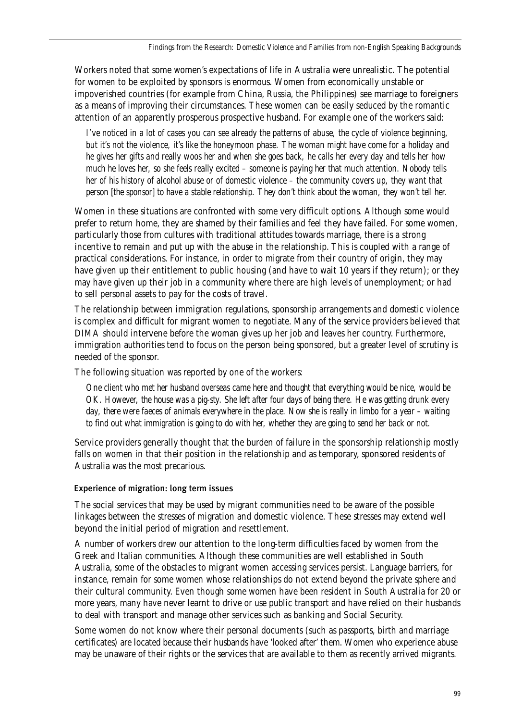Workers noted that some women's expectations of life in Australia were unrealistic. The potential for women to be exploited by sponsors is enormous. Women from economically unstable or impoverished countries (for example from China, Russia, the Philippines) see marriage to foreigners as a means of improving their circumstances. These women can be easily seduced by the romantic attention of an apparently prosperous prospective husband. For example one of the workers said:

*I've noticed in a lot of cases you can see already the patterns of abuse, the cycle of violence beginning, but it's not the violence, it's like the honeymoon phase. The woman might have come for a holiday and he gives her gifts and really woos her and when she goes back, he calls her every day and tells her how much he loves her, so she feels really excited – someone is paying her that much attention. Nobody tells her of his history of alcohol abuse or of domestic violence – the community covers up, they want that person [the sponsor] to have a stable relationship. They don't think about the woman, they won't tell her.*

Women in these situations are confronted with some very difficult options. Although some would prefer to return home, they are shamed by their families and feel they have failed. For some women, particularly those from cultures with traditional attitudes towards marriage, there is a strong incentive to remain and put up with the abuse in the relationship. This is coupled with a range of practical considerations. For instance, in order to migrate from their country of origin, they may have given up their entitlement to public housing (and have to wait 10 years if they return); or they may have given up their job in a community where there are high levels of unemployment; or had to sell personal assets to pay for the costs of travel.

The relationship between immigration regulations, sponsorship arrangements and domestic violence is complex and difficult for migrant women to negotiate. Many of the service providers believed that DIMA should intervene before the woman gives up her job and leaves her country. Furthermore, immigration authorities tend to focus on the person being sponsored, but a greater level of scrutiny is needed of the sponsor.

The following situation was reported by one of the workers:

*One client who met her husband overseas came here and thought that everything would be nice, would be OK. However, the house was a pig-sty. She left after four days of being there. He was getting drunk every day, there were faeces of animals everywhere in the place. Now she is really in limbo for a year – waiting to find out what immigration is going to do with her, whether they are going to send her back or not.*

Service providers generally thought that the burden of failure in the sponsorship relationship mostly falls on women in that their position in the relationship and as temporary, sponsored residents of Australia was the most precarious.

## Experience of migration: long term issues

The social services that may be used by migrant communities need to be aware of the possible linkages between the stresses of migration and domestic violence. These stresses may extend well beyond the initial period of migration and resettlement.

A number of workers drew our attention to the long-term difficulties faced by women from the Greek and Italian communities. Although these communities are well established in South Australia, some of the obstacles to migrant women accessing services persist. Language barriers, for instance, remain for some women whose relationships do not extend beyond the private sphere and their cultural community. Even though some women have been resident in South Australia for 20 or more years, many have never learnt to drive or use public transport and have relied on their husbands to deal with transport and manage other services such as banking and Social Security.

Some women do not know where their personal documents (such as passports, birth and marriage certificates) are located because their husbands have 'looked after' them. Women who experience abuse may be unaware of their rights or the services that are available to them as recently arrived migrants.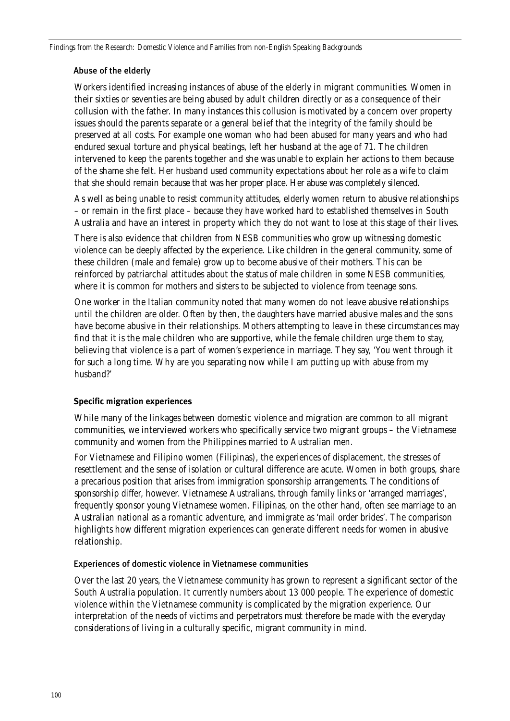### Abuse of the elderly

Workers identified increasing instances of abuse of the elderly in migrant communities. Women in their sixties or seventies are being abused by adult children directly or as a consequence of their collusion with the father. In many instances this collusion is motivated by a concern over property issues should the parents separate or a general belief that the integrity of the family should be preserved at all costs. For example one woman who had been abused for many years and who had endured sexual torture and physical beatings, left her husband at the age of 71. The children intervened to keep the parents together and she was unable to explain her actions to them because of the shame she felt. Her husband used community expectations about her role as a wife to claim that she should remain because that was her proper place. Her abuse was completely silenced.

As well as being unable to resist community attitudes, elderly women return to abusive relationships – or remain in the first place – because they have worked hard to established themselves in South Australia and have an interest in property which they do not want to lose at this stage of their lives.

There is also evidence that children from NESB communities who grow up witnessing domestic violence can be deeply affected by the experience. Like children in the general community, some of these children (male and female) grow up to become abusive of their mothers. This can be reinforced by patriarchal attitudes about the status of male children in some NESB communities, where it is common for mothers and sisters to be subjected to violence from teenage sons.

One worker in the Italian community noted that many women do not leave abusive relationships until the children are older. Often by then, the daughters have married abusive males and the sons have become abusive in their relationships. Mothers attempting to leave in these circumstances may find that it is the male children who are supportive, while the female children urge them to stay, believing that violence is a part of women's experience in marriage. They say, 'You went through it for such a long time. Why are you separating now while I am putting up with abuse from my husband?'

## **Specific migration experiences**

While many of the linkages between domestic violence and migration are common to all migrant communities, we interviewed workers who specifically service two migrant groups – the Vietnamese community and women from the Philippines married to Australian men.

For Vietnamese and Filipino women (Filipinas), the experiences of displacement, the stresses of resettlement and the sense of isolation or cultural difference are acute. Women in both groups, share a precarious position that arises from immigration sponsorship arrangements. The conditions of sponsorship differ, however. Vietnamese Australians, through family links or 'arranged marriages', frequently sponsor young Vietnamese women. Filipinas, on the other hand, often see marriage to an Australian national as a romantic adventure, and immigrate as 'mail order brides'. The comparison highlights how different migration experiences can generate different needs for women in abusive relationship.

### Experiences of domestic violence in Vietnamese communities

Over the last 20 years, the Vietnamese community has grown to represent a significant sector of the South Australia population. It currently numbers about 13 000 people. The experience of domestic violence within the Vietnamese community is complicated by the migration experience. Our interpretation of the needs of victims and perpetrators must therefore be made with the everyday considerations of living in a culturally specific, migrant community in mind.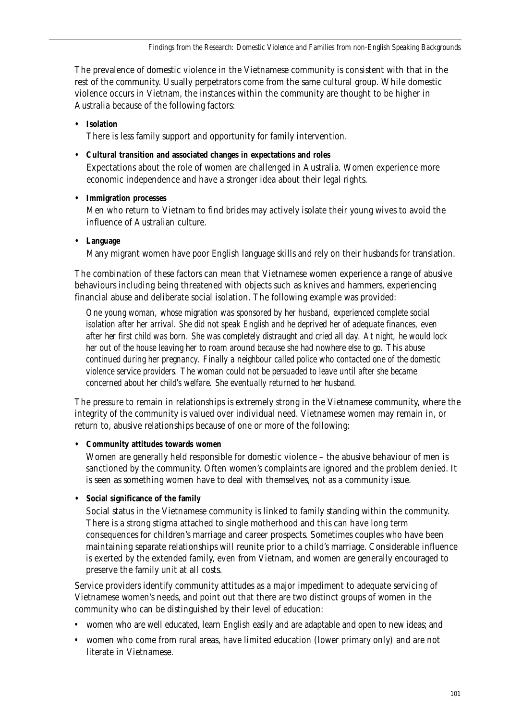The prevalence of domestic violence in the Vietnamese community is consistent with that in the rest of the community. Usually perpetrators come from the same cultural group. While domestic violence occurs in Vietnam, the instances within the community are thought to be higher in Australia because of the following factors:

## **• Isolation**

There is less family support and opportunity for family intervention.

**• Cultural transition and associated changes in expectations and roles**

Expectations about the role of women are challenged in Australia. Women experience more economic independence and have a stronger idea about their legal rights.

**• Immigration processes**

Men who return to Vietnam to find brides may actively isolate their young wives to avoid the influence of Australian culture.

**• Language**

Many migrant women have poor English language skills and rely on their husbands for translation.

The combination of these factors can mean that Vietnamese women experience a range of abusive behaviours including being threatened with objects such as knives and hammers, experiencing financial abuse and deliberate social isolation. The following example was provided:

*One young woman, whose migration was sponsored by her husband, experienced complete social isolation after her arrival. She did not speak English and he deprived her of adequate finances, even after her first child was born. She was completely distraught and cried all day. At night, he would lock her out of the house leaving her to roam around because she had nowhere else to go. This abuse continued during her pregnancy. Finally a neighbour called police who contacted one of the domestic violence service providers. The woman could not be persuaded to leave until after she became concerned about her child's welfare. She eventually returned to her husband.*

The pressure to remain in relationships is extremely strong in the Vietnamese community, where the integrity of the community is valued over individual need. Vietnamese women may remain in, or return to, abusive relationships because of one or more of the following:

## **• Community attitudes towards women**

Women are generally held responsible for domestic violence – the abusive behaviour of men is sanctioned by the community. Often women's complaints are ignored and the problem denied. It is seen as something women have to deal with themselves, not as a community issue.

**• Social significance of the family**

Social status in the Vietnamese community is linked to family standing within the community. There is a strong stigma attached to single motherhood and this can have long term consequences for children's marriage and career prospects. Sometimes couples who have been maintaining separate relationships will reunite prior to a child's marriage. Considerable influence is exerted by the extended family, even from Vietnam, and women are generally encouraged to preserve the family unit at all costs.

Service providers identify community attitudes as a major impediment to adequate servicing of Vietnamese women's needs, and point out that there are two distinct groups of women in the community who can be distinguished by their level of education:

- women who are well educated, learn English easily and are adaptable and open to new ideas; and
- women who come from rural areas, have limited education (lower primary only) and are not literate in Vietnamese.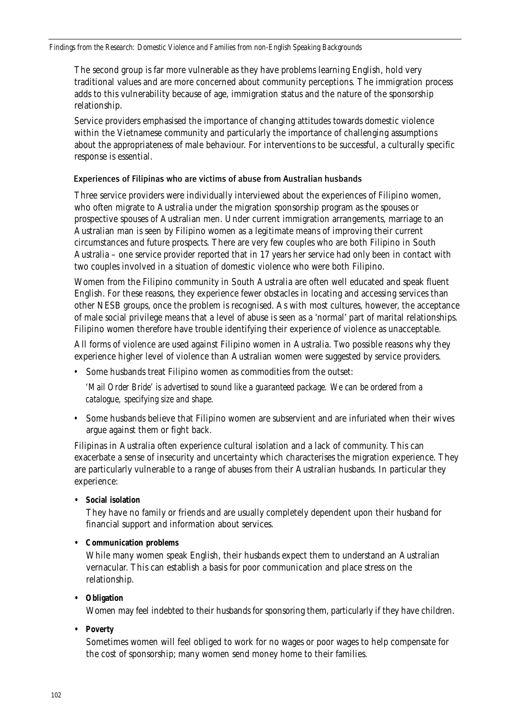The second group is far more vulnerable as they have problems learning English, hold very traditional values and are more concerned about community perceptions. The immigration process adds to this vulnerability because of age, immigration status and the nature of the sponsorship relationship.

Service providers emphasised the importance of changing attitudes towards domestic violence within the Vietnamese community and particularly the importance of challenging assumptions about the appropriateness of male behaviour. For interventions to be successful, a culturally specific response is essential.

### Experiences of Filipinas who are victims of abuse from Australian husbands

Three service providers were individually interviewed about the experiences of Filipino women, who often migrate to Australia under the migration sponsorship program as the spouses or prospective spouses of Australian men. Under current immigration arrangements, marriage to an Australian man is seen by Filipino women as a legitimate means of improving their current circumstances and future prospects. There are very few couples who are both Filipino in South Australia – one service provider reported that in 17 years her service had only been in contact with two couples involved in a situation of domestic violence who were both Filipino.

Women from the Filipino community in South Australia are often well educated and speak fluent English. For these reasons, they experience fewer obstacles in locating and accessing services than other NESB groups, once the problem is recognised. As with most cultures, however, the acceptance of male social privilege means that a level of abuse is seen as a 'normal' part of marital relationships. Filipino women therefore have trouble identifying their experience of violence as unacceptable.

All forms of violence are used against Filipino women in Australia. Two possible reasons why they experience higher level of violence than Australian women were suggested by service providers.

• Some husbands treat Filipino women as commodities from the outset:

*'Mail Order Bride' is advertised to sound like a guaranteed package. We can be ordered from a catalogue, specifying size and shape.*

• Some husbands believe that Filipino women are subservient and are infuriated when their wives argue against them or fight back.

Filipinas in Australia often experience cultural isolation and a lack of community. This can exacerbate a sense of insecurity and uncertainty which characterises the migration experience. They are particularly vulnerable to a range of abuses from their Australian husbands. In particular they experience:

**• Social isolation**

They have no family or friends and are usually completely dependent upon their husband for financial support and information about services.

## **• Communication problems**

While many women speak English, their husbands expect them to understand an Australian vernacular. This can establish a basis for poor communication and place stress on the relationship.

**• Obligation**

Women may feel indebted to their husbands for sponsoring them, particularly if they have children.

**• Poverty**

Sometimes women will feel obliged to work for no wages or poor wages to help compensate for the cost of sponsorship; many women send money home to their families.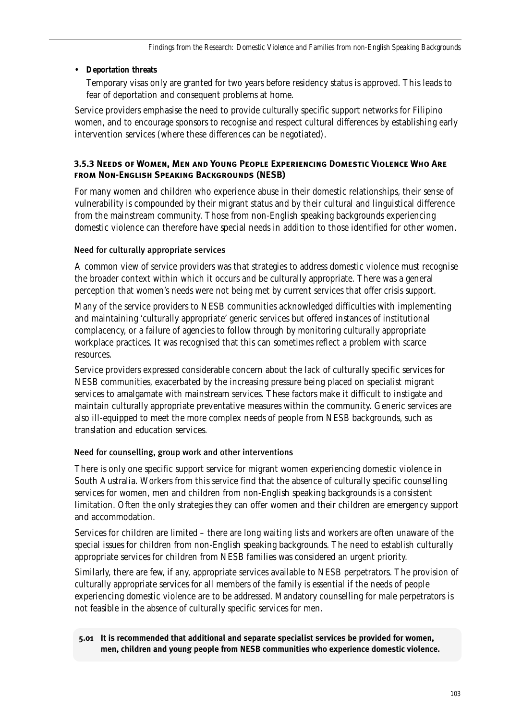## **• Deportation threats**

Temporary visas only are granted for two years before residency status is approved. This leads to fear of deportation and consequent problems at home.

Service providers emphasise the need to provide culturally specific support networks for Filipino women, and to encourage sponsors to recognise and respect cultural differences by establishing early intervention services (where these differences can be negotiated).

## **3.5.3 Needs of Women, Men and Young People Experiencing Domestic Violence Who Arefrom Non-English Speaking Backgrounds (NESB)**

For many women and children who experience abuse in their domestic relationships, their sense of vulnerability is compounded by their migrant status and by their cultural and linguistical difference from the mainstream community. Those from non-English speaking backgrounds experiencing domestic violence can therefore have special needs in addition to those identified for other women.

## Need for culturally appropriate services

A common view of service providers was that strategies to address domestic violence must recognise the broader context within which it occurs and be culturally appropriate. There was a general perception that women's needs were not being met by current services that offer crisis support.

Many of the service providers to NESB communities acknowledged difficulties with implementing and maintaining 'culturally appropriate' generic services but offered instances of institutional complacency, or a failure of agencies to follow through by monitoring culturally appropriate workplace practices. It was recognised that this can sometimes reflect a problem with scarce resources.

Service providers expressed considerable concern about the lack of culturally specific services for NESB communities, exacerbated by the increasing pressure being placed on specialist migrant services to amalgamate with mainstream services. These factors make it difficult to instigate and maintain culturally appropriate preventative measures within the community. Generic services are also ill-equipped to meet the more complex needs of people from NESB backgrounds, such as translation and education services.

## Need for counselling, group work and other interventions

There is only one specific support service for migrant women experiencing domestic violence in South Australia. Workers from this service find that the absence of culturally specific counselling services for women, men and children from non-English speaking backgrounds is a consistent limitation. Often the only strategies they can offer women and their children are emergency support and accommodation.

Services for children are limited – there are long waiting lists and workers are often unaware of the special issues for children from non-English speaking backgrounds. The need to establish culturally appropriate services for children from NESB families was considered an urgent priority.

Similarly, there are few, if any, appropriate services available to NESB perpetrators. The provision of culturally appropriate services for all members of the family is essential if the needs of people experiencing domestic violence are to be addressed. Mandatory counselling for male perpetrators is not feasible in the absence of culturally specific services for men.

**5.01 It is recommended that additional and separate specialist services be provided for women, men, children and young people from NESB communities who experience domestic violence.**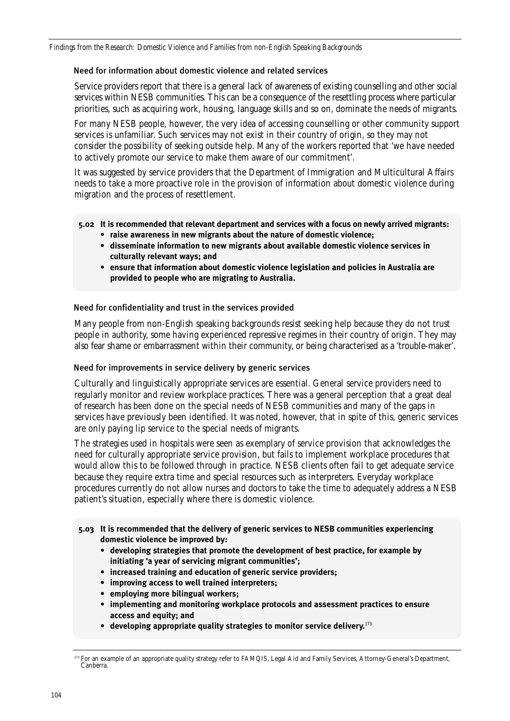### Need for information about domestic violence and related services

Service providers report that there is a general lack of awareness of existing counselling and other social services within NESB communities. This can be a consequence of the resettling process where particular priorities, such as acquiring work, housing, language skills and so on, dominate the needs of migrants.

For many NESB people, however, the very idea of accessing counselling or other community support services is unfamiliar. Such services may not exist in their country of origin, so they may not consider the possibility of seeking outside help. Many of the workers reported that 'we have needed to actively promote our service to make them aware of our commitment'.

It was suggested by service providers that the Department of Immigration and Multicultural Affairs needs to take a more proactive role in the provision of information about domestic violence during migration and the process of resettlement.

**5.02 It is recommended that relevant department and services with a focus on newly arrived migrants:**

- **raise awareness in new migrants about the nature of domestic violence;**
	- **disseminate information to new migrants about available domestic violence services in culturally relevant ways; and**
	- **ensure that information about domestic violence legislation and policies in Australia are provided to people who are migrating to Australia.**

Need for confidentiality and trust in the services provided

Many people from non-English speaking backgrounds resist seeking help because they do not trust people in authority, some having experienced repressive regimes in their country of origin. They may also fear shame or embarrassment within their community, or being characterised as a 'trouble-maker'.

### Need for improvements in service delivery by generic services

Culturally and linguistically appropriate services are essential. General service providers need to regularly monitor and review workplace practices. There was a general perception that a great deal of research has been done on the special needs of NESB communities and many of the gaps in services have previously been identified. It was noted, however, that in spite of this, generic services are only paying lip service to the special needs of migrants.

The strategies used in hospitals were seen as exemplary of service provision that acknowledges the need for culturally appropriate service provision, but fails to implement workplace procedures that would allow this to be followed through in practice. NESB clients often fail to get adequate service because they require extra time and special resources such as interpreters. Everyday workplace procedures currently do not allow nurses and doctors to take the time to adequately address a NESB patient's situation, especially where there is domestic violence.

- **5.03 It is recommended that the delivery of generic services to NESB communities experiencing domestic violence be improved by:**
	- **developing strategies that promote the development of best practice, for example by initiating 'a year of servicing migrant communities';**
	- **increased training and education of generic service providers;**
	- **improving access to well trained interpreters;**
	- **employing more bilingual workers;**
	- **implementing and monitoring workplace protocols and assessment practices to ensure access and equity; and**
	- **developing appropriate quality strategies to monitor service delivery.**<sup>173</sup>

<sup>&</sup>lt;sup>173</sup> For an example of an appropriate quality strategy refer to FAMQIS, Legal Aid and Family Services, Attorney-General's Department, Canberra.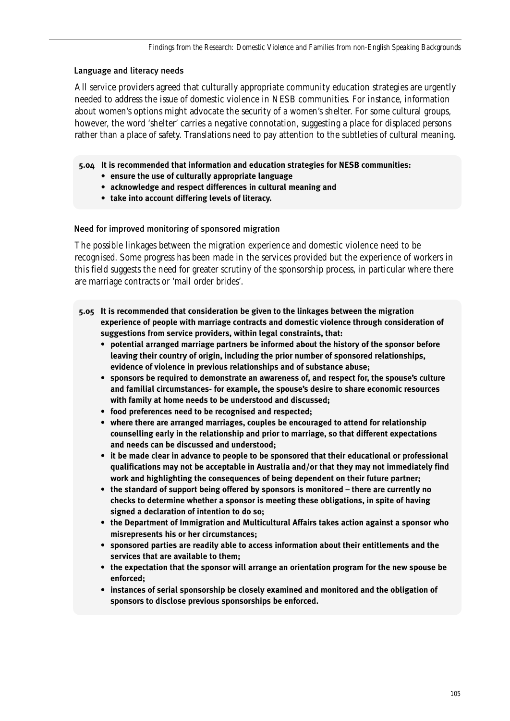### Language and literacy needs

All service providers agreed that culturally appropriate community education strategies are urgently needed to address the issue of domestic violence in NESB communities. For instance, information about women's options might advocate the security of a women's shelter. For some cultural groups, however, the word 'shelter' carries a negative connotation, suggesting a place for displaced persons rather than a place of safety. Translations need to pay attention to the subtleties of cultural meaning.

- **5.04 It is recommended that information and education strategies for NESB communities:** 
	- **ensure the use of culturally appropriate language**
	- **acknowledge and respect differences in cultural meaning and**
	- **take into account differing levels of literacy.**

### Need for improved monitoring of sponsored migration

The possible linkages between the migration experience and domestic violence need to be recognised. Some progress has been made in the services provided but the experience of workers in this field suggests the need for greater scrutiny of the sponsorship process, in particular where there are marriage contracts or 'mail order brides'.

- **5.05 It is recommended that consideration be given to the linkages between the migration experience of people with marriage contracts and domestic violence through consideration of suggestions from service providers, within legal constraints, that:**
	- **potential arranged marriage partners be informed about the history of the sponsor before leaving their country of origin, including the prior number of sponsored relationships, evidence of violence in previous relationships and of substance abuse;**
	- **sponsors be required to demonstrate an awareness of, and respect for, the spouse's culture and familial circumstances- for example, the spouse's desire to share economic resources with family at home needs to be understood and discussed;**
	- **food preferences need to be recognised and respected;**
	- **where there are arranged marriages, couples be encouraged to attend for relationship counselling early in the relationship and prior to marriage, so that different expectations and needs can be discussed and understood;**
	- **it be made clear in advance to people to be sponsored that their educational or professional qualifications may not be acceptable in Australia and/or that they may not immediately find work and highlighting the consequences of being dependent on their future partner;**
	- **the standard of support being offered by sponsors is monitored there are currently no checks to determine whether a sponsor is meeting these obligations, in spite of having signed a declaration of intention to do so;**
	- **the Department of Immigration and Multicultural Affairs takes action against a sponsor who misrepresents his or her circumstances;**
	- **sponsored parties are readily able to access information about their entitlements and the services that are available to them;**
	- **the expectation that the sponsor will arrange an orientation program for the new spouse be enforced;**
	- **instances of serial sponsorship be closely examined and monitored and the obligation of sponsors to disclose previous sponsorships be enforced.**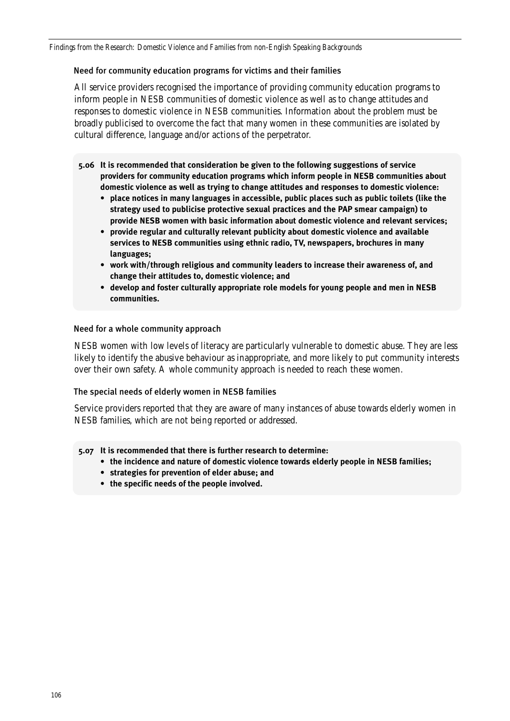*Findings from the Research: Domestic Violence and Families from non-English Speaking Backgrounds*

### Need for community education programs for victims and their families

All service providers recognised the importance of providing community education programs to inform people in NESB communities of domestic violence as well as to change attitudes and responses to domestic violence in NESB communities. Information about the problem must be broadly publicised to overcome the fact that many women in these communities are isolated by cultural difference, language and/or actions of the perpetrator.

- **5.06 It is recommended that consideration be given to the following suggestions of service providers for community education programs which inform people in NESB communities about domestic violence as well as trying to change attitudes and responses to domestic violence:**
	- **place notices in many languages in accessible, public places such as public toilets (like the strategy used to publicise protective sexual practices and the PAP smear campaign) to provide NESB women with basic information about domestic violence and relevant services;**
	- **provide regular and culturally relevant publicity about domestic violence and available services to NESB communities using ethnic radio, TV, newspapers, brochures in many languages;**
	- **work with/through religious and community leaders to increase their awareness of, and change their attitudes to, domestic violence; and**
	- **develop and foster culturally appropriate role models for young people and men in NESB communities.**

### Need for a whole community approach

NESB women with low levels of literacy are particularly vulnerable to domestic abuse. They are less likely to identify the abusive behaviour as inappropriate, and more likely to put community interests over their own safety. A whole community approach is needed to reach these women.

### The special needs of elderly women in NESB families

Service providers reported that they are aware of many instances of abuse towards elderly women in NESB families, which are not being reported or addressed.

**5.07 It is recommended that there is further research to determine:**

- **the incidence and nature of domestic violence towards elderly people in NESB families;**
- **strategies for prevention of elder abuse; and**
- **the specific needs of the people involved.**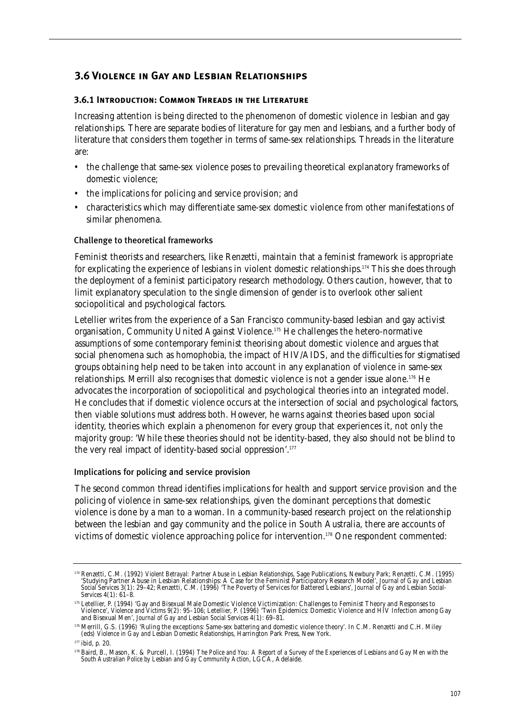# **3.6 Violence in Gay and Lesbian Relationships**

## **3.6.1 Introduction: Common Threads in the Literature**

Increasing attention is being directed to the phenomenon of domestic violence in lesbian and gay relationships. There are separate bodies of literature for gay men and lesbians, and a further body of literature that considers them together in terms of same-sex relationships. Threads in the literature are:

- the challenge that same-sex violence poses to prevailing theoretical explanatory frameworks of domestic violence;
- the implications for policing and service provision; and
- characteristics which may differentiate same-sex domestic violence from other manifestations of similar phenomena.

### Challenge to theoretical frameworks

Feminist theorists and researchers, like Renzetti, maintain that a feminist framework is appropriate for explicating the experience of lesbians in violent domestic relationships.174 This she does through the deployment of a feminist participatory research methodology. Others caution, however, that to limit explanatory speculation to the single dimension of gender is to overlook other salient sociopolitical and psychological factors.

Letellier writes from the experience of a San Francisco community-based lesbian and gay activist organisation, Community United Against Violence.175 He challenges the hetero-normative assumptions of some contemporary feminist theorising about domestic violence and argues that social phenomena such as homophobia, the impact of HIV/AIDS, and the difficulties for stigmatised groups obtaining help need to be taken into account in any explanation of violence in same-sex relationships. Merrill also recognises that domestic violence is not a gender issue alone.<sup>176</sup> He advocates the incorporation of sociopolitical and psychological theories into an integrated model. He concludes that if domestic violence occurs at the intersection of social and psychological factors, then viable solutions must address both. However, he warns against theories based upon social identity, theories which explain a phenomenon for every group that experiences it, not only the majority group: 'While these theories should not be identity-based, they also should not be blind to the very real impact of identity-based social oppression'.177

### Implications for policing and service provision

The second common thread identifies implications for health and support service provision and the policing of violence in same-sex relationships, given the dominant perceptions that domestic violence is done by a man to a woman. In a community-based research project on the relationship between the lesbian and gay community and the police in South Australia, there are accounts of victims of domestic violence approaching police for intervention.178 One respondent commented:

<sup>174</sup> Renzetti, C.M. (1992) *Violent Betrayal: Partner Abuse in Lesbian Relationships*, Sage Publications, Newbury Park; Renzetti, C.M. (1995) 'Studying Partner Abuse in Lesbian Relationships: A Case for the Feminist Participatory Research Model', *Journal of Gay and Lesbian Social Services* 3(1): 29–42; Renzetti, C.M. (1996) 'The Poverty of Services for Battered Lesbians', *Journal of Gay and Lesbian Social-Services* 4(1): 61–8.

<sup>&</sup>lt;sup>175</sup> Letellier, P. (1994) 'Gay and Bisexual Male Domestic Violence Victimization: Challenges to Feminist Theory and Responses to<br>Violence', *Violence and Victims* 9(2): 95–106; Letellier, P. (1996) 'Twin Epidemics: Domest and Bisexual Men', *Journal of Gay and Lesbian Social Services* 4(1): 69–81.

<sup>176</sup> Merrill, G.S. (1996) 'Ruling the exceptions: Same-sex battering and domestic violence theory'. In C.M. Renzetti and C.H. Miley (eds) *Violence in Gay and Lesbian Domestic Relationships*, Harrington Park Press, New York.

<sup>177</sup> ibid, p. 20.

<sup>178</sup> Baird, B., Mason, K. & Purcell, I. (1994) *The Police and You: A Report of a Survey of the Experiences of Lesbians and Gay Men with the South Australian Police by Lesbian and Gay Community Action*, LGCA, Adelaide.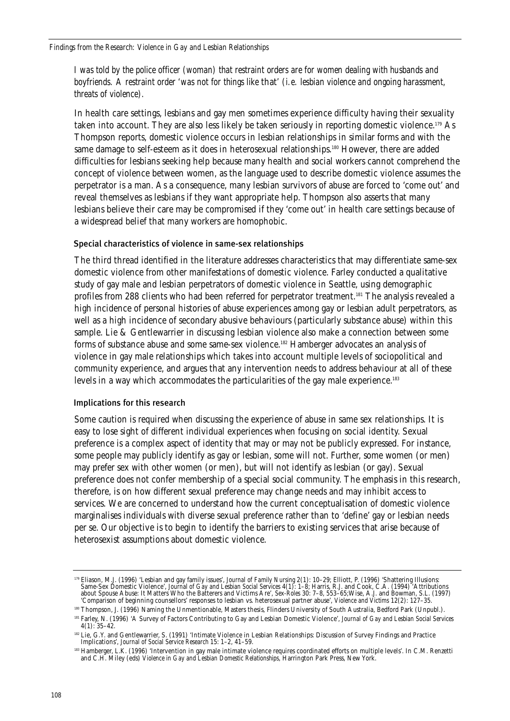*I was told by the police officer (woman) that restraint orders are for women dealing with husbands and boyfriends. A restraint order 'was not for things like* that*' (i.e. lesbian violence and ongoing harassment, threats of violence).*

In health care settings, lesbians and gay men sometimes experience difficulty having their sexuality taken into account. They are also less likely be taken seriously in reporting domestic violence.179 As Thompson reports, domestic violence occurs in lesbian relationships in similar forms and with the same damage to self-esteem as it does in heterosexual relationships.<sup>180</sup> However, there are added difficulties for lesbians seeking help because many health and social workers cannot comprehend the concept of violence between women, as the language used to describe domestic violence assumes the perpetrator is a man. As a consequence, many lesbian survivors of abuse are forced to 'come out' and reveal themselves as lesbians if they want appropriate help. Thompson also asserts that many lesbians believe their care may be compromised if they 'come out' in health care settings because of a widespread belief that many workers are homophobic.

### Special characteristics of violence in same-sex relationships

The third thread identified in the literature addresses characteristics that may differentiate same-sex domestic violence from other manifestations of domestic violence. Farley conducted a qualitative study of gay male and lesbian perpetrators of domestic violence in Seattle, using demographic profiles from 288 clients who had been referred for perpetrator treatment.<sup>181</sup> The analysis revealed a high incidence of personal histories of abuse experiences among gay or lesbian adult perpetrators, as well as a high incidence of secondary abusive behaviours (particularly substance abuse) within this sample. Lie & Gentlewarrier in discussing lesbian violence also make a connection between some forms of substance abuse and some same-sex violence.182 Hamberger advocates an analysis of violence in gay male relationships which takes into account multiple levels of sociopolitical and community experience, and argues that any intervention needs to address behaviour at all of these levels in a way which accommodates the particularities of the gay male experience.183

### Implications for this research

Some caution is required when discussing the experience of abuse in same sex relationships. It is easy to lose sight of different individual experiences when focusing on social identity. Sexual preference is a complex aspect of identity that may or may not be publicly expressed. For instance, some people may publicly identify as gay or lesbian, some will not. Further, some women (or men) may prefer sex with other women (or men), but will not identify as lesbian (or gay). Sexual preference does not confer membership of a special social community. The emphasis in this research, therefore, is on how different sexual preference may change needs and may inhibit access to services. We are concerned to understand how the current conceptualisation of domestic violence marginalises individuals with diverse sexual preference rather than to 'define' gay or lesbian needs per se. Our objective is to begin to identify the barriers to existing services that arise because of heterosexist assumptions about domestic violence.

<sup>179</sup> Eliason, M.J. (1996) 'Lesbian and gay family issues', *Journal of Family Nursing* 2(1): 10–29; Elliott, P. (1996) 'Shattering Illusions: Same-Sex Domestic Violence', *Journal of Gay and Lesbian Social Services* 4(1): 1–8; Harris, R.J. and Cook, C.A. (1994) 'Attributions about Spouse Abuse: It Matters Who the Batterers and Victims Are', *Sex-Roles* 30: 7–8, 553–65;Wise, A.J. and Bowman, S.L. (1997) 'Comparison of beginning counsellors' responses to lesbian vs. heterosexual partner abuse', *Violence and Victims* 12(2): 127–35.

<sup>180</sup> Thompson, J. (1996) Naming the Unmentionable, Masters thesis, Flinders University of South Australia, Bedford Park (Unpubl.).

<sup>181</sup> Farley, N. (1996) 'A Survey of Factors Contributing to Gay and Lesbian Domestic Violence', *Journal of Gay and Lesbian Social Services*  $4(1)$ : 35–42.

<sup>182</sup> Lie, G.Y. and Gentlewarrier, S. (1991) 'Intimate Violence in Lesbian Relationships: Discussion of Survey Findings and Practice Implications', *Journal of Social Service Research* 15: 1–2, 41–59.

<sup>183</sup> Hamberger, L.K. (1996) 'Intervention in gay male intimate violence requires coordinated efforts on multiple levels'. In C.M. Renzetti and C.H. Miley (eds) *Violence in Gay and Lesbian Domestic Relationships*, Harrington Park Press, New York.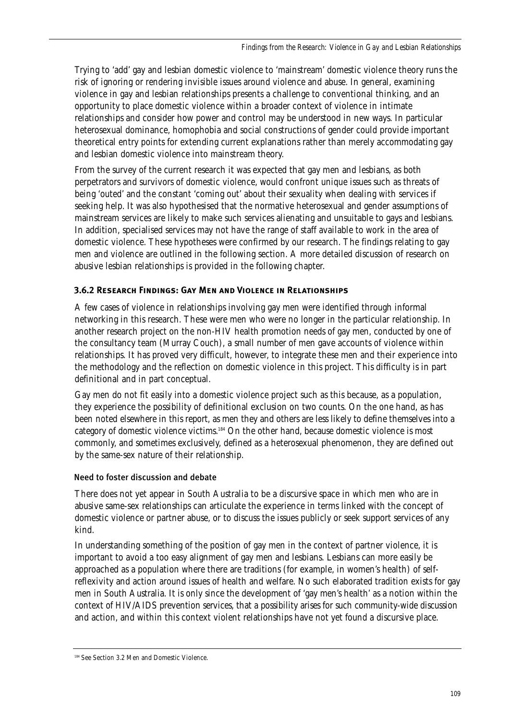Trying to 'add' gay and lesbian domestic violence to 'mainstream' domestic violence theory runs the risk of ignoring or rendering invisible issues around violence and abuse. In general, examining violence in gay and lesbian relationships presents a challenge to conventional thinking, and an opportunity to place domestic violence within a broader context of violence in intimate relationships and consider how power and control may be understood in new ways. In particular heterosexual dominance, homophobia and social constructions of gender could provide important theoretical entry points for extending current explanations rather than merely accommodating gay and lesbian domestic violence into mainstream theory.

From the survey of the current research it was expected that gay men and lesbians, as both perpetrators and survivors of domestic violence, would confront unique issues such as threats of being 'outed' and the constant 'coming out' about their sexuality when dealing with services if seeking help. It was also hypothesised that the normative heterosexual and gender assumptions of mainstream services are likely to make such services alienating and unsuitable to gays and lesbians. In addition, specialised services may not have the range of staff available to work in the area of domestic violence. These hypotheses were confirmed by our research. The findings relating to gay men and violence are outlined in the following section. A more detailed discussion of research on abusive lesbian relationships is provided in the following chapter.

## **3.6.2 Research Findings: Gay Men and Violence in Relationships**

A few cases of violence in relationships involving gay men were identified through informal networking in this research. These were men who were no longer in the particular relationship. In another research project on the non-HIV health promotion needs of gay men, conducted by one of the consultancy team (Murray Couch), a small number of men gave accounts of violence within relationships. It has proved very difficult, however, to integrate these men and their experience into the methodology and the reflection on domestic violence in this project. This difficulty is in part definitional and in part conceptual.

Gay men do not fit easily into a domestic violence project such as this because, as a population, they experience the possibility of definitional exclusion on two counts. On the one hand, as has been noted elsewhere in this report, as men they and others are less likely to define themselves into a category of domestic violence victims.184 On the other hand, because domestic violence is most commonly, and sometimes exclusively, defined as a heterosexual phenomenon, they are defined out by the same-sex nature of their relationship.

## Need to foster discussion and debate

There does not yet appear in South Australia to be a discursive space in which men who are in abusive same-sex relationships can articulate the experience in terms linked with the concept of domestic violence or partner abuse, or to discuss the issues publicly or seek support services of any kind.

In understanding something of the position of gay men in the context of partner violence, it is important to avoid a too easy alignment of gay men and lesbians. Lesbians can more easily be approached as a population where there are traditions (for example, in women's health) of selfreflexivity and action around issues of health and welfare. No such elaborated tradition exists for gay men in South Australia. It is only since the development of 'gay men's health' as a notion within the context of HIV/AIDS prevention services, that a possibility arises for such community-wide discussion and action, and within this context violent relationships have not yet found a discursive place.

<sup>184</sup> See Section 3.2 Men and Domestic Violence.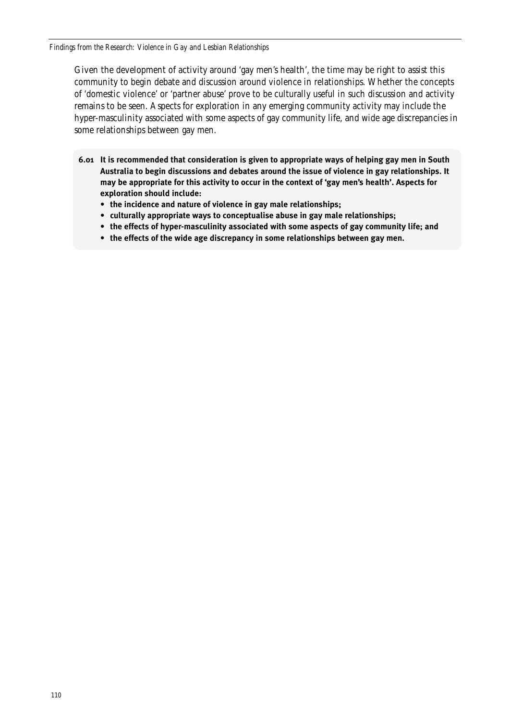*Findings from the Research: Violence in Gay and Lesbian Relationships*

Given the development of activity around 'gay men's health', the time may be right to assist this community to begin debate and discussion around violence in relationships. Whether the concepts of 'domestic violence' or 'partner abuse' prove to be culturally useful in such discussion and activity remains to be seen. Aspects for exploration in any emerging community activity may include the hyper-masculinity associated with some aspects of gay community life, and wide age discrepancies in some relationships between gay men.

- **6.01 It is recommended that consideration is given to appropriate ways of helping gay men in South Australia to begin discussions and debates around the issue of violence in gay relationships. It may be appropriate for this activity to occur in the context of 'gay men's health'. Aspects for exploration should include:** 
	- **the incidence and nature of violence in gay male relationships;**
	- **culturally appropriate ways to conceptualise abuse in gay male relationships;**
	- **the effects of hyper-masculinity associated with some aspects of gay community life; and**
	- **the effects of the wide age discrepancy in some relationships between gay men.**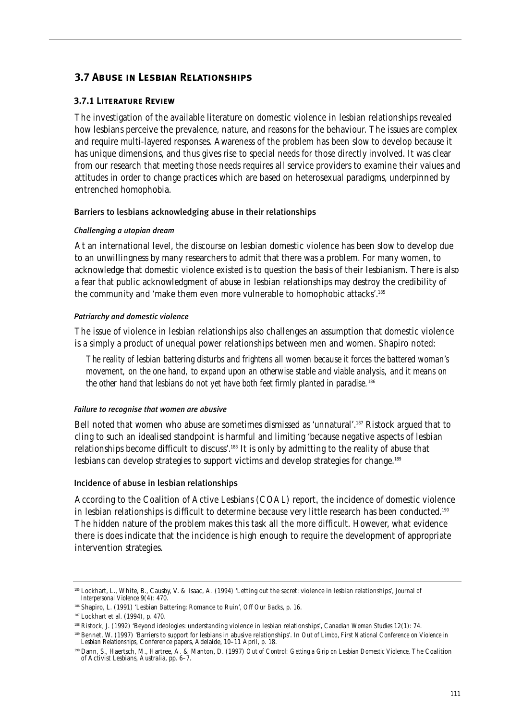# **3.7 Abuse in Lesbian Relationships**

### **3.7.1 Literature Review**

The investigation of the available literature on domestic violence in lesbian relationships revealed how lesbians perceive the prevalence, nature, and reasons for the behaviour. The issues are complex and require multi-layered responses. Awareness of the problem has been slow to develop because it has unique dimensions, and thus gives rise to special needs for those directly involved. It was clear from our research that meeting those needs requires all service providers to examine their values and attitudes in order to change practices which are based on heterosexual paradigms, underpinned by entrenched homophobia.

#### Barriers to lesbians acknowledging abuse in their relationships

#### *Challenging a utopian dream*

At an international level, the discourse on lesbian domestic violence has been slow to develop due to an unwillingness by many researchers to admit that there was a problem. For many women, to acknowledge that domestic violence existed is to question the basis of their lesbianism. There is also a fear that public acknowledgment of abuse in lesbian relationships may destroy the credibility of the community and 'make them even more vulnerable to homophobic attacks'.185

#### *Patriarchy and domestic violence*

The issue of violence in lesbian relationships also challenges an assumption that domestic violence is a simply a product of unequal power relationships between men and women. Shapiro noted:

*The reality of lesbian battering disturbs and frightens all women because it forces the battered woman's movement, on the one hand, to expand upon an otherwise stable and viable analysis, and it means on the other hand that lesbians do not yet have both feet firmly planted in paradise.*<sup>186</sup>

#### *Failure to recognise that women are abusive*

Bell noted that women who abuse are sometimes dismissed as 'unnatural'.187 Ristock argued that to cling to such an idealised standpoint is harmful and limiting 'because negative aspects of lesbian relationships become difficult to discuss'.188 It is only by admitting to the reality of abuse that lesbians can develop strategies to support victims and develop strategies for change.<sup>189</sup>

#### Incidence of abuse in lesbian relationships

According to the Coalition of Active Lesbians (COAL) report, the incidence of domestic violence in lesbian relationships is difficult to determine because very little research has been conducted.<sup>190</sup> The hidden nature of the problem makes this task all the more difficult. However, what evidence there is does indicate that the incidence is high enough to require the development of appropriate intervention strategies.

<sup>185</sup> Lockhart, L., White, B., Causby, V. & Isaac, A. (1994) 'Letting out the secret: violence in lesbian relationships', *Journal of Interpersonal Violence* 9(4): 470.

<sup>186</sup> Shapiro, L. (1991) 'Lesbian Battering: Romance to Ruin', *Off Our Backs*, p. 16.

<sup>187</sup> Lockhart et al. (1994), p. 470.

<sup>188</sup> Ristock, J. (1992) 'Beyond ideologies: understanding violence in lesbian relationships', *Canadian Woman Studies* 12(1): 74.

<sup>189</sup> Bennet, W. (1997) 'Barriers to support for lesbians in abusive relationships'. In *Out of Limbo*, *First National Conference on Violence in Lesbian Relationships*, Conference papers, Adelaide, 10–11 April, p. 18.

<sup>190</sup> Dann, S., Haertsch, M., Hartree, A. & Manton, D. (1997) *Out of Control: Getting a Grip on Lesbian Domestic Violence*, The Coalition of Activist Lesbians, Australia, pp. 6–7.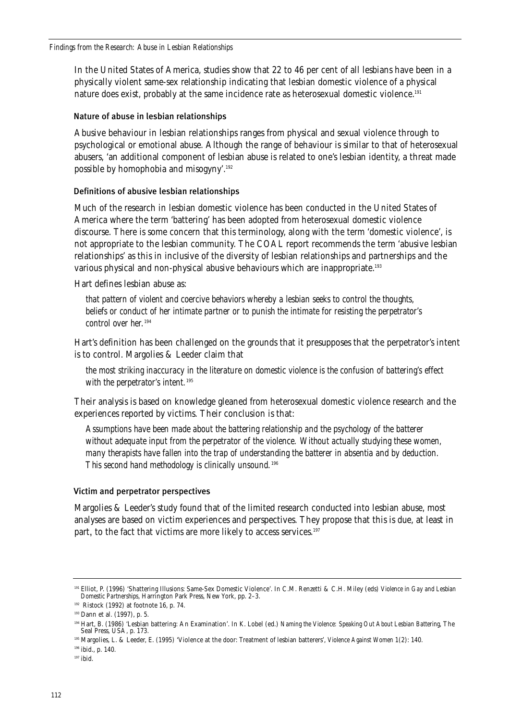In the United States of America, studies show that 22 to 46 per cent of all lesbians have been in a physically violent same-sex relationship indicating that lesbian domestic violence of a physical nature does exist, probably at the same incidence rate as heterosexual domestic violence.191

#### Nature of abuse in lesbian relationships

Abusive behaviour in lesbian relationships ranges from physical and sexual violence through to psychological or emotional abuse. Although the range of behaviour is similar to that of heterosexual abusers, 'an additional component of lesbian abuse is related to one's lesbian identity, a threat made possible by homophobia and misogyny'.192

#### Definitions of abusive lesbian relationships

Much of the research in lesbian domestic violence has been conducted in the United States of America where the term 'battering' has been adopted from heterosexual domestic violence discourse. There is some concern that this terminology, along with the term 'domestic violence', is not appropriate to the lesbian community. The COAL report recommends the term 'abusive lesbian relationships' as this in inclusive of the diversity of lesbian relationships and partnerships and the various physical and non-physical abusive behaviours which are inappropriate.<sup>193</sup>

Hart defines lesbian abuse as:

*that pattern of violent and coercive behaviors whereby a lesbian seeks to control the thoughts, beliefs or conduct of her intimate partner or to punish the intimate for resisting the perpetrator's control over her.*<sup>194</sup>

Hart's definition has been challenged on the grounds that it presupposes that the perpetrator's intent is to control. Margolies & Leeder claim that

*the most striking inaccuracy in the literature on domestic violence is the confusion of battering's effect with the perpetrator's intent.*<sup>195</sup>

Their analysis is based on knowledge gleaned from heterosexual domestic violence research and the experiences reported by victims. Their conclusion is that:

*Assumptions have been made about the battering relationship and the psychology of the batterer without adequate input from the perpetrator of the violence. Without actually studying these women, many therapists have fallen into the trap of understanding the batterer in absentia and by deduction. This second hand methodology is clinically unsound.*<sup>196</sup>

#### Victim and perpetrator perspectives

Margolies & Leeder's study found that of the limited research conducted into lesbian abuse, most analyses are based on victim experiences and perspectives. They propose that this is due, at least in part, to the fact that victims are more likely to access services.<sup>197</sup>

<sup>196</sup> ibid., p. 140.

<sup>197</sup> ibid.

<sup>191</sup> Elliot, P. (1996) 'Shattering Illusions: Same-Sex Domestic Violence'. In C.M. Renzetti & C.H. Miley (eds) *Violence in Gay and Lesbian Domestic Partnerships*, Harrington Park Press, New York, pp. 2–3.

<sup>192</sup> Ristock (1992) at footnote 16, p. 74.

<sup>193</sup> Dann et al. (1997), p. 5.

<sup>194</sup> Hart, B. (1986) 'Lesbian battering: An Examination'. In K. Lobel (ed.) *Naming the Violence: Speaking Out About Lesbian Battering*, The Seal Press, USA, p. 173.

<sup>195</sup> Margolies, L. & Leeder, E. (1995) 'Violence at the door: Treatment of lesbian batterers', *Violence Against Women* 1(2): 140.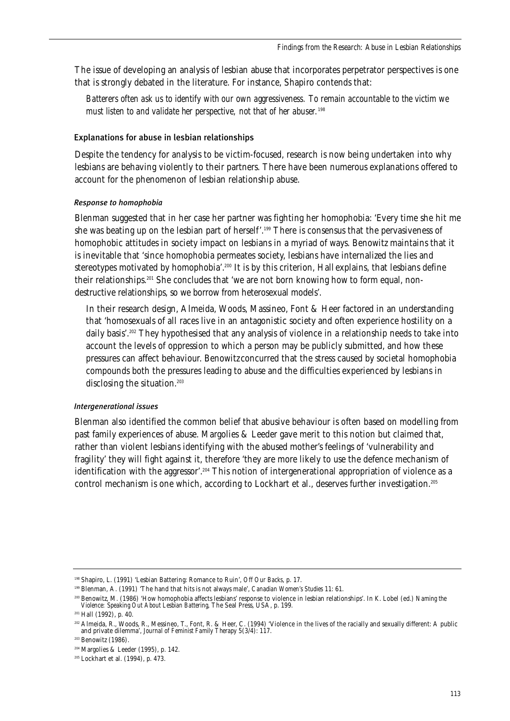The issue of developing an analysis of lesbian abuse that incorporates perpetrator perspectives is one that is strongly debated in the literature. For instance, Shapiro contends that:

*Batterers often ask us to identify with our own aggressiveness. To remain accountable to the victim we must listen to and validate her perspective, not that of her abuser.*<sup>198</sup>

### Explanations for abuse in lesbian relationships

Despite the tendency for analysis to be victim-focused, research is now being undertaken into why lesbians are behaving violently to their partners. There have been numerous explanations offered to account for the phenomenon of lesbian relationship abuse.

#### *Response to homophobia*

Blenman suggested that in her case her partner was fighting her homophobia: 'Every time she hit me she was beating up on the lesbian part of herself'.<sup>199</sup> There is consensus that the pervasiveness of homophobic attitudes in society impact on lesbians in a myriad of ways. Benowitz maintains that it is inevitable that 'since homophobia permeates society, lesbians have internalized the lies and stereotypes motivated by homophobia'.<sup>200</sup> It is by this criterion, Hall explains, that lesbians define their relationships.<sup>201</sup> She concludes that 'we are not born knowing how to form equal, nondestructive relationships, so we borrow from heterosexual models'.

In their research design, Almeida, Woods, Massineo, Font & Heer factored in an understanding that 'homosexuals of all races live in an antagonistic society and often experience hostility on a daily basis'.<sup>202</sup> They hypothesised that any analysis of violence in a relationship needs to take into account the levels of oppression to which a person may be publicly submitted, and how these pressures can affect behaviour. Benowitz concurred that the stress caused by societal homophobia compounds both the pressures leading to abuse and the difficulties experienced by lesbians in disclosing the situation.<sup>203</sup>

#### *Intergenerational issues*

Blenman also identified the common belief that abusive behaviour is often based on modelling from past family experiences of abuse. Margolies & Leeder gave merit to this notion but claimed that, rather than violent lesbians identifying with the abused mother's feelings of 'vulnerability and fragility' they will fight against it, therefore 'they are more likely to use the defence mechanism of identification with the aggressor'.<sup>204</sup> This notion of intergenerational appropriation of violence as a control mechanism is one which, according to Lockhart et al., deserves further investigation.<sup>205</sup>

<sup>198</sup> Shapiro, L. (1991) 'Lesbian Battering: Romance to Ruin', *Off Our Backs*, p. 17.

<sup>199</sup> Blenman, A. (1991) 'The hand that hits is not always male', *Canadian Women's Studies* 11: 61.

<sup>200</sup> Benowitz, M. (1986) 'How homophobia affects lesbians' response to violence in lesbian relationships'. In K. Lobel (ed.) *Naming the Violence: Speaking Out About Lesbian Battering*, The Seal Press, USA, p. 199.

<sup>201</sup> Hall (1992), p. 40.

<sup>202</sup> Almeida, R., Woods, R., Messineo, T., Font, R. & Heer, C. (1994) 'Violence in the lives of the racially and sexually different: A public and private dilemma', *Journal of Feminist Family Therapy* 5(3/4): 117.

<sup>&</sup>lt;sup>203</sup> Benowitz (1986).

<sup>204</sup> Margolies & Leeder (1995), p. 142.

<sup>205</sup> Lockhart et al. (1994), p. 473.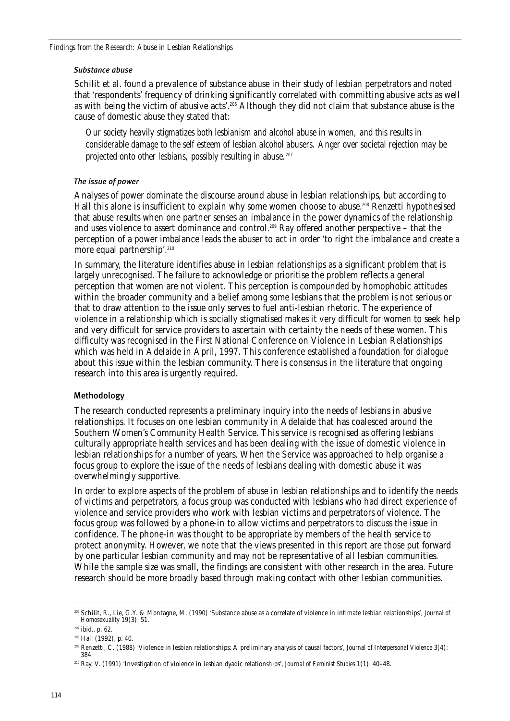#### *Substance abuse*

Schilit et al. found a prevalence of substance abuse in their study of lesbian perpetrators and noted that 'respondents' frequency of drinking significantly correlated with committing abusive acts as well as with being the victim of abusive acts'.206 Although they did not claim that substance abuse is the cause of domestic abuse they stated that:

*Our society heavily stigmatizes both lesbianism and alcohol abuse in women, and this results in considerable damage to the self esteem of lesbian alcohol abusers. Anger over societal rejection may be projected onto other lesbians, possibly resulting in abuse.207*

#### *The issue of power*

Analyses of power dominate the discourse around abuse in lesbian relationships, but according to Hall this alone is insufficient to explain why some women choose to abuse.<sup>208</sup> Renzetti hypothesised that abuse results when one partner senses an imbalance in the power dynamics of the relationship and uses violence to assert dominance and control.<sup>209</sup> Ray offered another perspective – that the perception of a power imbalance leads the abuser to act in order 'to right the imbalance and create a more equal partnership'.<sup>210</sup>

In summary, the literature identifies abuse in lesbian relationships as a significant problem that is largely unrecognised. The failure to acknowledge or prioritise the problem reflects a general perception that women are not violent. This perception is compounded by homophobic attitudes within the broader community and a belief among some lesbians that the problem is not serious or that to draw attention to the issue only serves to fuel anti-lesbian rhetoric. The experience of violence in a relationship which is socially stigmatised makes it very difficult for women to seek help and very difficult for service providers to ascertain with certainty the needs of these women. This difficulty was recognised in the First National Conference on Violence in Lesbian Relationships which was held in Adelaide in April, 1997. This conference established a foundation for dialogue about this issue within the lesbian community. There is consensus in the literature that ongoing research into this area is urgently required.

### Methodology

The research conducted represents a preliminary inquiry into the needs of lesbians in abusive relationships. It focuses on one lesbian community in Adelaide that has coalesced around the Southern Women's Community Health Service. This service is recognised as offering lesbians culturally appropriate health services and has been dealing with the issue of domestic violence in lesbian relationships for a number of years. When the Service was approached to help organise a focus group to explore the issue of the needs of lesbians dealing with domestic abuse it was overwhelmingly supportive.

In order to explore aspects of the problem of abuse in lesbian relationships and to identify the needs of victims and perpetrators, a focus group was conducted with lesbians who had direct experience of violence and service providers who work with lesbian victims and perpetrators of violence. The focus group was followed by a phone-in to allow victims and perpetrators to discuss the issue in confidence. The phone-in was thought to be appropriate by members of the health service to protect anonymity. However, we note that the views presented in this report are those put forward by one particular lesbian community and may not be representative of all lesbian communities. While the sample size was small, the findings are consistent with other research in the area. Future research should be more broadly based through making contact with other lesbian communities.

<sup>206</sup> Schilit, R., Lie, G.Y. & Montagne, M. (1990) 'Substance abuse as a correlate of violence in intimate lesbian relationships', *Journal of Homosexuality* 19(3): 51.

<sup>207</sup> ibid., p. 62.

<sup>208</sup> Hall (1992), p. 40.

<sup>209</sup> Renzetti, C. (1988) 'Violence in lesbian relationships: A preliminary analysis of causal factors', *Journal of Interpersonal Violence* 3(4): 384.

<sup>210</sup> Ray, V. (1991) 'Investigation of violence in lesbian dyadic relationships', *Journal of Feminist Studies* 1(1): 40–48.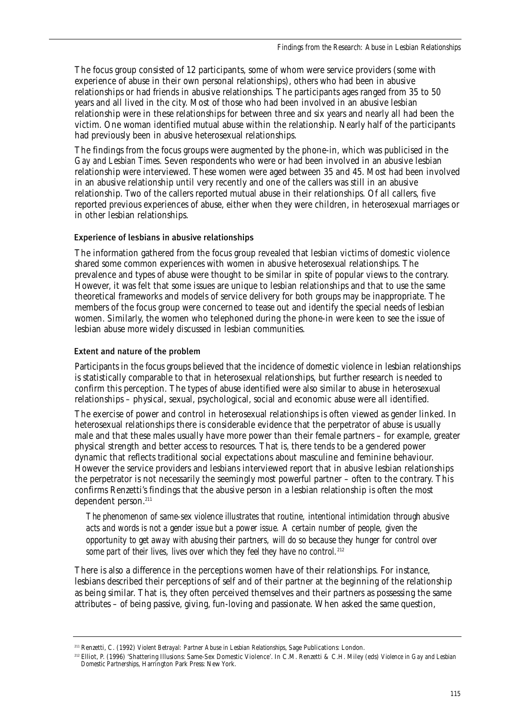The focus group consisted of 12 participants, some of whom were service providers (some with experience of abuse in their own personal relationships), others who had been in abusive relationships or had friends in abusive relationships. The participants ages ranged from 35 to 50 years and all lived in the city. Most of those who had been involved in an abusive lesbian relationship were in these relationships for between three and six years and nearly all had been the victim. One woman identified mutual abuse within the relationship. Nearly half of the participants had previously been in abusive heterosexual relationships.

The findings from the focus groups were augmented by the phone-in, which was publicised in the *Gay and Lesbian Times*. Seven respondents who were or had been involved in an abusive lesbian relationship were interviewed. These women were aged between 35 and 45. Most had been involved in an abusive relationship until very recently and one of the callers was still in an abusive relationship. Two of the callers reported mutual abuse in their relationships. Of all callers, five reported previous experiences of abuse, either when they were children, in heterosexual marriages or in other lesbian relationships.

### Experience of lesbians in abusive relationships

The information gathered from the focus group revealed that lesbian victims of domestic violence shared some common experiences with women in abusive heterosexual relationships. The prevalence and types of abuse were thought to be similar in spite of popular views to the contrary. However, it was felt that some issues are unique to lesbian relationships and that to use the same theoretical frameworks and models of service delivery for both groups may be inappropriate. The members of the focus group were concerned to tease out and identify the special needs of lesbian women. Similarly, the women who telephoned during the phone-in were keen to see the issue of lesbian abuse more widely discussed in lesbian communities.

### Extent and nature of the problem

Participants in the focus groups believed that the incidence of domestic violence in lesbian relationships is statistically comparable to that in heterosexual relationships, but further research is needed to confirm this perception. The types of abuse identified were also similar to abuse in heterosexual relationships – physical, sexual, psychological, social and economic abuse were all identified.

The exercise of power and control in heterosexual relationships is often viewed as gender linked. In heterosexual relationships there is considerable evidence that the perpetrator of abuse is usually male and that these males usually have more power than their female partners – for example, greater physical strength and better access to resources. That is, there tends to be a gendered power dynamic that reflects traditional social expectations about masculine and feminine behaviour. However the service providers and lesbians interviewed report that in abusive lesbian relationships the perpetrator is not necessarily the seemingly most powerful partner – often to the contrary. This confirms Renzetti's findings that the abusive person in a lesbian relationship is often the most dependent person.<sup>211</sup>

*The phenomenon of same-sex violence illustrates that routine, intentional intimidation through abusive acts and words is not a gender issue but a power issue. A certain number of people, given the opportunity to get away with abusing their partners, will do so because they hunger for control over* some part of their lives, lives over which they feel they have no control.<sup>212</sup>

There is also a difference in the perceptions women have of their relationships. For instance, lesbians described their perceptions of self and of their partner at the beginning of the relationship as being similar. That is, they often perceived themselves and their partners as possessing the same attributes – of being passive, giving, fun-loving and passionate. When asked the same question,

<sup>211</sup> Renzetti, C. (1992) *Violent Betrayal: Partner Abuse in Lesbian Relationships*, Sage Publications: London.

<sup>212</sup> Elliot, P. (1996) 'Shattering Illusions: Same-Sex Domestic Violence'. In C.M. Renzetti & C.H. Miley (eds) *Violence in Gay and Lesbian Domestic Partnerships*, Harrington Park Press: New York.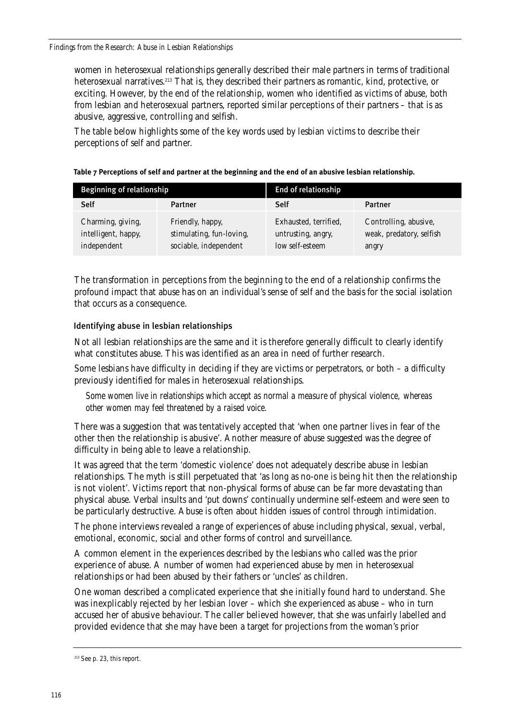women in heterosexual relationships generally described their male partners in terms of traditional heterosexual narratives.<sup>213</sup> That is, they described their partners as romantic, kind, protective, or exciting. However, by the end of the relationship, women who identified as victims of abuse, both from lesbian and heterosexual partners, reported similar perceptions of their partners – that is as abusive, aggressive, controlling and selfish.

The table below highlights some of the key words used by lesbian victims to describe their perceptions of self and partner.

| Beginning of relationship                               |                                                                       | End of relationship                                            |                                                            |
|---------------------------------------------------------|-----------------------------------------------------------------------|----------------------------------------------------------------|------------------------------------------------------------|
| Self                                                    | Partner                                                               | Self                                                           | Partner                                                    |
| Charming, giving,<br>intelligent, happy,<br>independent | Friendly, happy,<br>stimulating, fun-loving,<br>sociable, independent | Exhausted, terrified,<br>untrusting, angry,<br>low self-esteem | Controlling, abusive,<br>weak, predatory, selfish<br>angry |

#### **Table 7 Perceptions of self and partner at the beginning and the end of an abusive lesbian relationship.**

The transformation in perceptions from the beginning to the end of a relationship confirms the profound impact that abuse has on an individual's sense of self and the basis for the social isolation that occurs as a consequence.

### Identifying abuse in lesbian relationships

Not all lesbian relationships are the same and it is therefore generally difficult to clearly identify what constitutes abuse. This was identified as an area in need of further research.

Some lesbians have difficulty in deciding if they are victims or perpetrators, or both – a difficulty previously identified for males in heterosexual relationships.

*Some women live in relationships which accept as normal a measure of physical violence, whereas other women may feel threatened by a raised voice.* 

There was a suggestion that was tentatively accepted that 'when one partner lives in fear of the other then the relationship is abusive'. Another measure of abuse suggested was the degree of difficulty in being able to leave a relationship.

It was agreed that the term 'domestic violence' does not adequately describe abuse in lesbian relationships. The myth is still perpetuated that 'as long as no-one is being hit then the relationship is not violent'. Victims report that non-physical forms of abuse can be far more devastating than physical abuse. Verbal insults and 'put downs' continually undermine self-esteem and were seen to be particularly destructive. Abuse is often about hidden issues of control through intimidation.

The phone interviews revealed a range of experiences of abuse including physical, sexual, verbal, emotional, economic, social and other forms of control and surveillance.

A common element in the experiences described by the lesbians who called was the prior experience of abuse. A number of women had experienced abuse by men in heterosexual relationships or had been abused by their fathers or 'uncles' as children.

One woman described a complicated experience that she initially found hard to understand. She was inexplicably rejected by her lesbian lover – which she experienced as abuse – who in turn accused her of abusive behaviour. The caller believed however, that she was unfairly labelled and provided evidence that she may have been a target for projections from the woman's prior

<sup>213</sup> See p. 23, this report.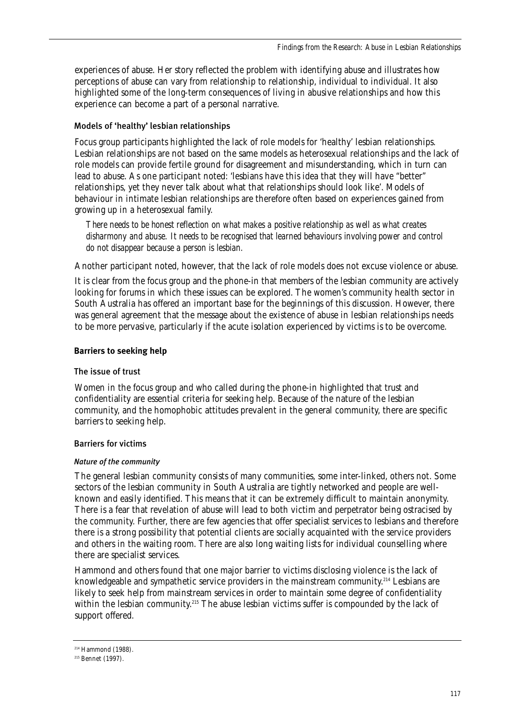experiences of abuse. Her story reflected the problem with identifying abuse and illustrates how perceptions of abuse can vary from relationship to relationship, individual to individual. It also highlighted some of the long-term consequences of living in abusive relationships and how this experience can become a part of a personal narrative.

### Models of 'healthy' lesbian relationships

Focus group participants highlighted the lack of role models for 'healthy' lesbian relationships. Lesbian relationships are not based on the same models as heterosexual relationships and the lack of role models can provide fertile ground for disagreement and misunderstanding, which in turn can lead to abuse. As one participant noted: 'lesbians have this idea that they will have "better" relationships, yet they never talk about what that relationships should look like'. Models of behaviour in intimate lesbian relationships are therefore often based on experiences gained from growing up in a heterosexual family.

*There needs to be honest reflection on what makes a positive relationship as well as what creates disharmony and abuse. It needs to be recognised that learned behaviours involving power and control do not disappear because a person is lesbian.*

Another participant noted, however, that the lack of role models does not excuse violence or abuse.

It is clear from the focus group and the phone-in that members of the lesbian community are actively looking for forums in which these issues can be explored. The women's community health sector in South Australia has offered an important base for the beginnings of this discussion. However, there was general agreement that the message about the existence of abuse in lesbian relationships needs to be more pervasive, particularly if the acute isolation experienced by victims is to be overcome.

#### **Barriers to seeking help**

#### The issue of trust

Women in the focus group and who called during the phone-in highlighted that trust and confidentiality are essential criteria for seeking help. Because of the nature of the lesbian community, and the homophobic attitudes prevalent in the general community, there are specific barriers to seeking help.

#### Barriers for victims

#### *Nature of the community*

The general lesbian community consists of many communities, some inter-linked, others not. Some sectors of the lesbian community in South Australia are tightly networked and people are wellknown and easily identified. This means that it can be extremely difficult to maintain anonymity. There is a fear that revelation of abuse will lead to both victim and perpetrator being ostracised by the community. Further, there are few agencies that offer specialist services to lesbians and therefore there is a strong possibility that potential clients are socially acquainted with the service providers and others in the waiting room. There are also long waiting lists for individual counselling where there are specialist services.

Hammond and others found that one major barrier to victims disclosing violence is the lack of knowledgeable and sympathetic service providers in the mainstream community.<sup>214</sup> Lesbians are likely to seek help from mainstream services in order to maintain some degree of confidentiality within the lesbian community.<sup>215</sup> The abuse lesbian victims suffer is compounded by the lack of support offered.

<sup>214</sup> Hammond (1988).

<sup>215</sup> Bennet (1997).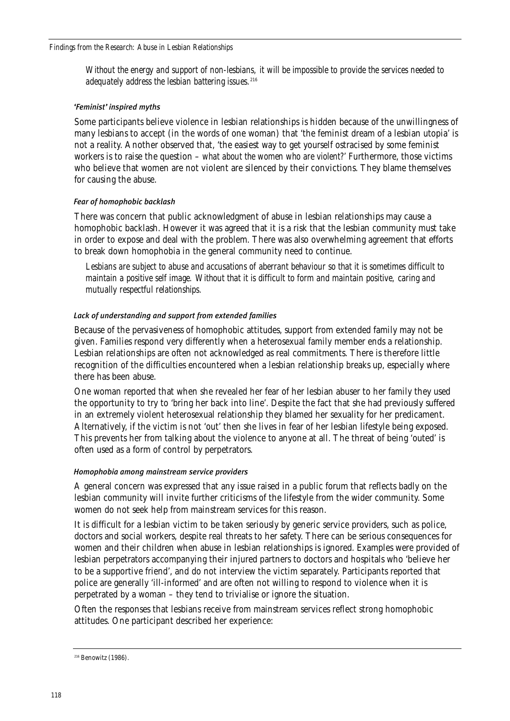*Without the energy and support of non-lesbians, it will be impossible to provide the services needed to adequately address the lesbian battering issues.*<sup>216</sup>

#### *'Feminist' inspired myths*

Some participants believe violence in lesbian relationships is hidden because of the unwillingness of many lesbians to accept (in the words of one woman) that 'the feminist dream of a lesbian utopia' is not a reality. Another observed that, 'the easiest way to get yourself ostracised by some feminist workers is to raise the question – *what about the women who are violent?*' Furthermore, those victims who believe that women are not violent are silenced by their convictions. They blame themselves for causing the abuse.

#### *Fear of homophobic backlash*

There was concern that public acknowledgment of abuse in lesbian relationships may cause a homophobic backlash. However it was agreed that it is a risk that the lesbian community must take in order to expose and deal with the problem. There was also overwhelming agreement that efforts to break down homophobia in the general community need to continue.

*Lesbians are subject to abuse and accusations of aberrant behaviour so that it is sometimes difficult to maintain a positive self image. Without that it is difficult to form and maintain positive, caring and mutually respectful relationships.*

### *Lack of understanding and support from extended families*

Because of the pervasiveness of homophobic attitudes, support from extended family may not be given. Families respond very differently when a heterosexual family member ends a relationship. Lesbian relationships are often not acknowledged as real commitments. There is therefore little recognition of the difficulties encountered when a lesbian relationship breaks up, especially where there has been abuse.

One woman reported that when she revealed her fear of her lesbian abuser to her family they used the opportunity to try to 'bring her back into line'. Despite the fact that she had previously suffered in an extremely violent heterosexual relationship they blamed her sexuality for her predicament. Alternatively, if the victim is not 'out' then she lives in fear of her lesbian lifestyle being exposed. This prevents her from talking about the violence to anyone at all. The threat of being 'outed' is often used as a form of control by perpetrators.

### *Homophobia among mainstream service providers*

A general concern was expressed that any issue raised in a public forum that reflects badly on the lesbian community will invite further criticisms of the lifestyle from the wider community. Some women do not seek help from mainstream services for this reason.

It is difficult for a lesbian victim to be taken seriously by generic service providers, such as police, doctors and social workers, despite real threats to her safety. There can be serious consequences for women and their children when abuse in lesbian relationships is ignored. Examples were provided of lesbian perpetrators accompanying their injured partners to doctors and hospitals who 'believe her to be a supportive friend', and do not interview the victim separately. Participants reported that police are generally 'ill-informed' and are often not willing to respond to violence when it is perpetrated by a woman – they tend to trivialise or ignore the situation.

Often the responses that lesbians receive from mainstream services reflect strong homophobic attitudes. One participant described her experience:

<sup>216</sup> Benowitz (1986).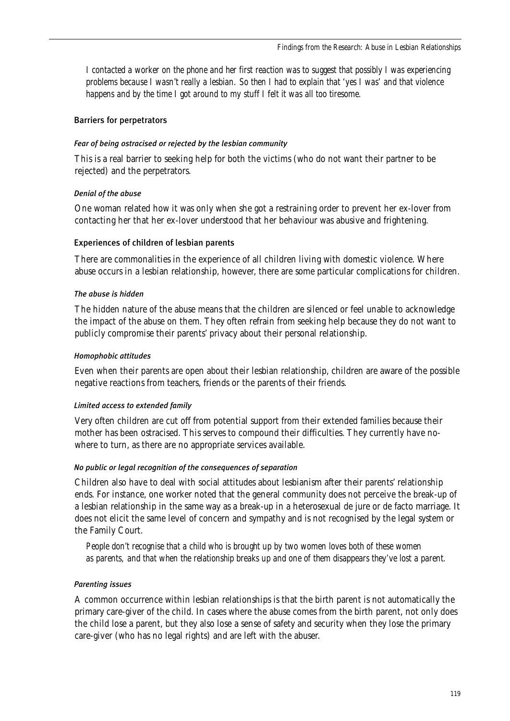*I contacted a worker on the phone and her first reaction was to suggest that possibly I was experiencing problems because I wasn't really a lesbian. So then I had to explain that 'yes I was' and that violence happens and by the time I got around to my stuff I felt it was all too tiresome.*

#### Barriers for perpetrators

#### *Fear of being ostracised or rejected by the lesbian community*

This is a real barrier to seeking help for both the victims (who do not want their partner to be rejected) and the perpetrators.

#### *Denial of the abuse*

One woman related how it was only when she got a restraining order to prevent her ex-lover from contacting her that her ex-lover understood that her behaviour was abusive and frightening.

#### Experiences of children of lesbian parents

There are commonalities in the experience of all children living with domestic violence. Where abuse occurs in a lesbian relationship, however, there are some particular complications for children.

#### *The abuse is hidden*

The hidden nature of the abuse means that the children are silenced or feel unable to acknowledge the impact of the abuse on them. They often refrain from seeking help because they do not want to publicly compromise their parents' privacy about their personal relationship.

#### *Homophobic attitudes*

Even when their parents are open about their lesbian relationship, children are aware of the possible negative reactions from teachers, friends or the parents of their friends.

### *Limited access to extended family*

Very often children are cut off from potential support from their extended families because their mother has been ostracised. This serves to compound their difficulties. They currently have nowhere to turn, as there are no appropriate services available.

#### *No public or legal recognition of the consequences of separation*

Children also have to deal with social attitudes about lesbianism after their parents' relationship ends. For instance, one worker noted that the general community does not perceive the break-up of a lesbian relationship in the same way as a break-up in a heterosexual de jure or de facto marriage. It does not elicit the same level of concern and sympathy and is not recognised by the legal system or the Family Court.

*People don't recognise that a child who is brought up by two women loves both of these women as parents, and that when the relationship breaks up and one of them disappears they've lost a parent.* 

### *Parenting issues*

A common occurrence within lesbian relationships is that the birth parent is not automatically the primary care-giver of the child. In cases where the abuse comes from the birth parent, not only does the child lose a parent, but they also lose a sense of safety and security when they lose the primary care-giver (who has no legal rights) and are left with the abuser.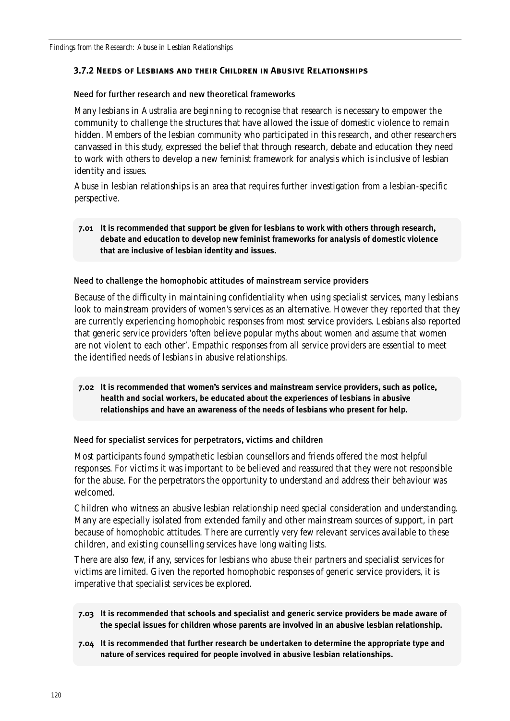### **3.7.2 Needs of Lesbians and their Children in Abusive Relationships**

### Need for further research and new theoretical frameworks

Many lesbians in Australia are beginning to recognise that research is necessary to empower the community to challenge the structures that have allowed the issue of domestic violence to remain hidden. Members of the lesbian community who participated in this research, and other researchers canvassed in this study, expressed the belief that through research, debate and education they need to work with others to develop a new feminist framework for analysis which is inclusive of lesbian identity and issues.

Abuse in lesbian relationships is an area that requires further investigation from a lesbian-specific perspective.

### **7.01 It is recommended that support be given for lesbians to work with others through research, debate and education to develop new feminist frameworks for analysis of domestic violence that are inclusive of lesbian identity and issues.**

### Need to challenge the homophobic attitudes of mainstream service providers

Because of the difficulty in maintaining confidentiality when using specialist services, many lesbians look to mainstream providers of women's services as an alternative. However they reported that they are currently experiencing homophobic responses from most service providers. Lesbians also reported that generic service providers 'often believe popular myths about women and assume that women are not violent to each other'. Empathic responses from all service providers are essential to meet the identified needs of lesbians in abusive relationships.

### **7.02 It is recommended that women's services and mainstream service providers, such as police, health and social workers, be educated about the experiences of lesbians in abusive relationships and have an awareness of the needs of lesbians who present for help.**

### Need for specialist services for perpetrators, victims and children

Most participants found sympathetic lesbian counsellors and friends offered the most helpful responses. For victims it was important to be believed and reassured that they were not responsible for the abuse. For the perpetrators the opportunity to understand and address their behaviour was welcomed.

Children who witness an abusive lesbian relationship need special consideration and understanding. Many are especially isolated from extended family and other mainstream sources of support, in part because of homophobic attitudes. There are currently very few relevant services available to these children, and existing counselling services have long waiting lists.

There are also few, if any, services for lesbians who abuse their partners and specialist services for victims are limited. Given the reported homophobic responses of generic service providers, it is imperative that specialist services be explored.

- **7.03 It is recommended that schools and specialist and generic service providers be made aware of the special issues for children whose parents are involved in an abusive lesbian relationship.**
- **7.04 It is recommended that further research be undertaken to determine the appropriate type and nature of services required for people involved in abusive lesbian relationships.**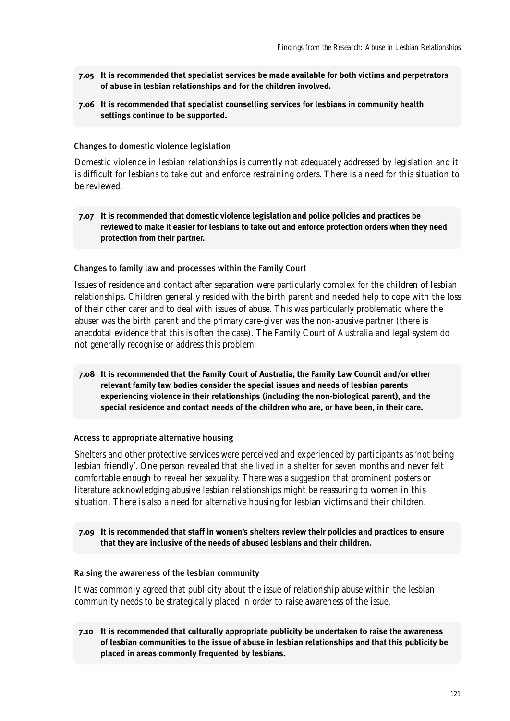- **7.05 It is recommended that specialist services be made available for both victims and perpetrators of abuse in lesbian relationships and for the children involved.**
- **7.06 It is recommended that specialist counselling services for lesbians in community health settings continue to be supported.**

#### Changes to domestic violence legislation

Domestic violence in lesbian relationships is currently not adequately addressed by legislation and it is difficult for lesbians to take out and enforce restraining orders. There is a need for this situation to be reviewed.

#### **7.07 It is recommended that domestic violence legislation and police policies and practices be reviewed to make it easier for lesbians to take out and enforce protection orders when they need protection from their partner.**

#### Changes to family law and processes within the Family Court

Issues of residence and contact after separation were particularly complex for the children of lesbian relationships. Children generally resided with the birth parent and needed help to cope with the loss of their other carer and to deal with issues of abuse. This was particularly problematic where the abuser was the birth parent and the primary care-giver was the non-abusive partner (there is anecdotal evidence that this is often the case). The Family Court of Australia and legal system do not generally recognise or address this problem.

**7.08 It is recommended that the Family Court of Australia, the Family Law Council and/or other relevant family law bodies consider the special issues and needs of lesbian parents experiencing violence in their relationships (including the non-biological parent), and the special residence and contact needs of the children who are, or have been, in their care.**

#### Access to appropriate alternative housing

Shelters and other protective services were perceived and experienced by participants as 'not being lesbian friendly'. One person revealed that she lived in a shelter for seven months and never felt comfortable enough to reveal her sexuality. There was a suggestion that prominent posters or literature acknowledging abusive lesbian relationships might be reassuring to women in this situation. There is also a need for alternative housing for lesbian victims and their children.

#### **7.09 It is recommended that staff in women's shelters review their policies and practices to ensure that they are inclusive of the needs of abused lesbians and their children.**

#### Raising the awareness of the lesbian community

It was commonly agreed that publicity about the issue of relationship abuse within the lesbian community needs to be strategically placed in order to raise awareness of the issue.

**7.10 It is recommended that culturally appropriate publicity be undertaken to raise the awareness of lesbian communities to the issue of abuse in lesbian relationships and that this publicity be placed in areas commonly frequented by lesbians.**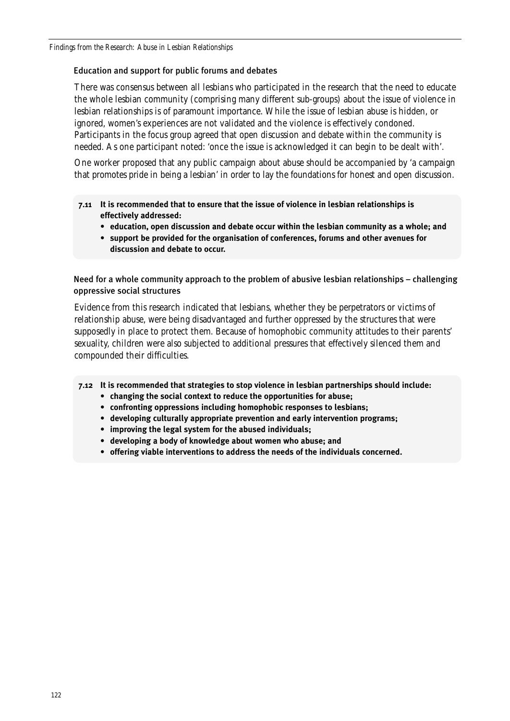### Education and support for public forums and debates

There was consensus between all lesbians who participated in the research that the need to educate the whole lesbian community (comprising many different sub-groups) about the issue of violence in lesbian relationships is of paramount importance. While the issue of lesbian abuse is hidden, or ignored, women's experiences are not validated and the violence is effectively condoned. Participants in the focus group agreed that open discussion and debate within the community is needed. As one participant noted: 'once the issue is acknowledged it can begin to be dealt with'.

One worker proposed that any public campaign about abuse should be accompanied by 'a campaign that promotes pride in being a lesbian' in order to lay the foundations for honest and open discussion.

- **7.11 It is recommended that to ensure that the issue of violence in lesbian relationships is effectively addressed:** 
	- **education, open discussion and debate occur within the lesbian community as a whole; and**
	- **support be provided for the organisation of conferences, forums and other avenues for discussion and debate to occur.**

Need for a whole community approach to the problem of abusive lesbian relationships – challenging oppressive social structures

Evidence from this research indicated that lesbians, whether they be perpetrators or victims of relationship abuse, were being disadvantaged and further oppressed by the structures that were supposedly in place to protect them. Because of homophobic community attitudes to their parents' sexuality, children were also subjected to additional pressures that effectively silenced them and compounded their difficulties.

**7.12 It is recommended that strategies to stop violence in lesbian partnerships should include:**

- **changing the social context to reduce the opportunities for abuse;**
- **confronting oppressions including homophobic responses to lesbians;**
- **developing culturally appropriate prevention and early intervention programs;**
- **improving the legal system for the abused individuals;**
- **developing a body of knowledge about women who abuse; and**
- **offering viable interventions to address the needs of the individuals concerned.**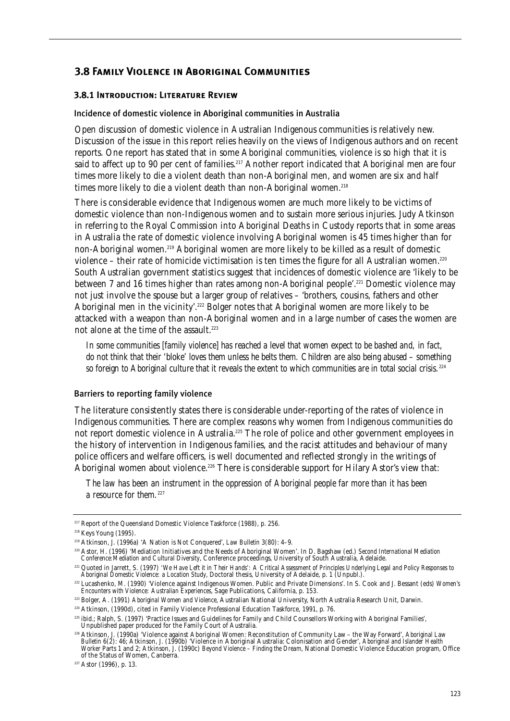## **3.8 Family Violence in Aboriginal Communities**

#### **3.8.1 Introduction: Literature Review**

#### Incidence of domestic violence in Aboriginal communities in Australia

Open discussion of domestic violence in Australian Indigenous communities is relatively new. Discussion of the issue in this report relies heavily on the views of Indigenous authors and on recent reports. One report has stated that in some Aboriginal communities, violence is so high that it is said to affect up to 90 per cent of families.<sup>217</sup> Another report indicated that Aboriginal men are four times more likely to die a violent death than non-Aboriginal men, and women are six and half times more likely to die a violent death than non-Aboriginal women.<sup>218</sup>

There is considerable evidence that Indigenous women are much more likely to be victims of domestic violence than non-Indigenous women and to sustain more serious injuries. Judy Atkinson in referring to the Royal Commission into Aboriginal Deaths in Custody reports that in some areas in Australia the rate of domestic violence involving Aboriginal women is 45 times higher than for non-Aboriginal women.219 Aboriginal women are more likely to be killed as a result of domestic violence – their rate of homicide victimisation is ten times the figure for all Australian women.<sup>220</sup> South Australian government statistics suggest that incidences of domestic violence are 'likely to be between 7 and 16 times higher than rates among non-Aboriginal people'.221 Domestic violence may not just involve the spouse but a larger group of relatives – 'brothers, cousins, fathers and other Aboriginal men in the vicinity'.<sup>222</sup> Bolger notes that Aboriginal women are more likely to be attacked with a weapon than non-Aboriginal women and in a large number of cases the women are not alone at the time of the assault.<sup>223</sup>

*In some communities [family violence] has reached a level that women expect to be bashed and, in fact, do not think that their 'bloke' loves them unless he belts them. Children are also being abused – something so foreign to Aboriginal culture that it reveals the extent to which communities are in total social crisis.*<sup>224</sup>

#### Barriers to reporting family violence

The literature consistently states there is considerable under-reporting of the rates of violence in Indigenous communities. There are complex reasons why women from Indigenous communities do not report domestic violence in Australia.<sup>225</sup> The role of police and other government employees in the history of intervention in Indigenous families, and the racist attitudes and behaviour of many police officers and welfare officers, is well documented and reflected strongly in the writings of Aboriginal women about violence.<sup>226</sup> There is considerable support for Hilary Astor's view that:

*The law has been an instrument in the oppression of Aboriginal people far more than it has been a resource for them.*<sup>227</sup>

<sup>&</sup>lt;sup>217</sup> Report of the Queensland Domestic Violence Taskforce (1988), p. 256.

<sup>218</sup> Keys Young (1995).

<sup>219</sup> Atkinson, J. (1996a) 'A Nation is Not Conquered', *Law Bulletin* 3(80): 4–9.

<sup>220</sup> Astor, H. (1996) 'Mediation Initiatives and the Needs of Aboriginal Women'. In D. Bagshaw (ed.) *Second International Mediation Conference:Mediation and Cultural Diversity*, Conference proceedings, University of South Australia, Adelaide.

<sup>221</sup> Quoted in Jarrett, S. (1997) *'We Have Left it in Their Hands': A Critical Assessment of Principles Underlying Legal and Policy Responses to Aboriginal Domestic Violence: a Location Study*, Doctoral thesis, University of Adelaide, p. 1 (Unpubl.).

<sup>222</sup> Lucashenko, M. (1990) 'Violence against Indigenous Women. Public and Private Dimensions'. In S. Cook and J. Bessant (eds) *Women's Encounters with Violence: Australian Experiences*, Sage Publications, California, p. 153.

<sup>223</sup> Bolger, A. (1991) *Aboriginal Women and Violence*, Australian National University, North Australia Research Unit, Darwin.

<sup>224</sup> Atkinson, (1990d), cited in Family Violence Professional Education Taskforce, 1991, p. 76.

<sup>225</sup> ibid.; Ralph, S. (1997) 'Practice Issues and Guidelines for Family and Child Counsellors Working with Aboriginal Families', Unpublished paper produced for the Family Court of Australia.

<sup>226</sup> Atkinson, J. (1990a) 'Violence against Aboriginal Women: Reconstitution of Community Law – the Way Forward', *Aboriginal Law Bulletin* 6(2): 46; Atkinson, J. (1990b) 'Violence in Aboriginal Australia: Colonisation and Gender', *Aboriginal and Islander Health Worker* Parts 1 and 2; Atkinson, J. (1990c) *Beyond Violence – Finding the Dream*, National Domestic Violence Education program, Office of the Status of Women, Canberra.

<sup>227</sup> Astor (1996), p. 13.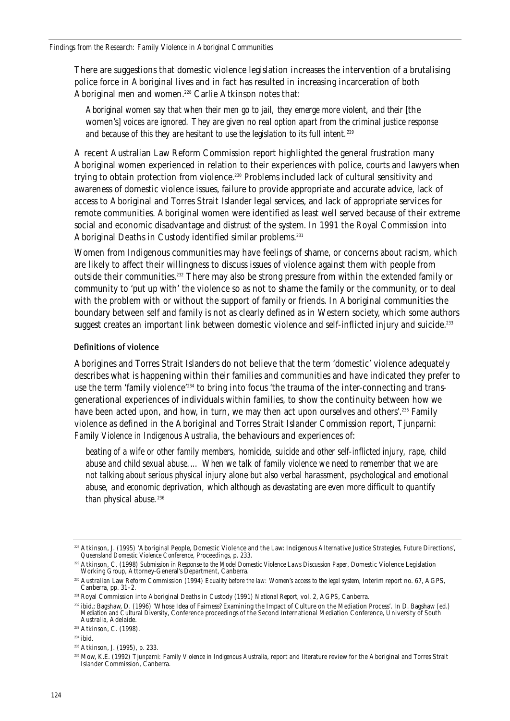There are suggestions that domestic violence legislation increases the intervention of a brutalising police force in Aboriginal lives and in fact has resulted in increasing incarceration of both Aboriginal men and women.<sup>228</sup> Carlie Atkinson notes that:

*Aboriginal women say that when their men go to jail, they emerge more violent, and their [the* women's] *voices are ignored. They are given no real option apart from the criminal justice response and because of this they are hesitant to use the legislation to its full intent.*<sup>229</sup>

A recent Australian Law Reform Commission report highlighted the general frustration many Aboriginal women experienced in relation to their experiences with police, courts and lawyers when trying to obtain protection from violence.<sup>230</sup> Problems included lack of cultural sensitivity and awareness of domestic violence issues, failure to provide appropriate and accurate advice, lack of access to Aboriginal and Torres Strait Islander legal services, and lack of appropriate services for remote communities. Aboriginal women were identified as least well served because of their extreme social and economic disadvantage and distrust of the system. In 1991 the Royal Commission into Aboriginal Deaths in Custody identified similar problems.<sup>231</sup>

Women from Indigenous communities may have feelings of shame, or concerns about racism, which are likely to affect their willingness to discuss issues of violence against them with people from outside their communities.<sup>232</sup> There may also be strong pressure from within the extended family or community to 'put up with' the violence so as not to shame the family or the community, or to deal with the problem with or without the support of family or friends. In Aboriginal communities the boundary between self and family is not as clearly defined as in Western society, which some authors suggest creates an important link between domestic violence and self-inflicted injury and suicide.<sup>233</sup>

#### Definitions of violence

Aborigines and Torres Strait Islanders do not believe that the term 'domestic' violence adequately describes what is happening within their families and communities and have indicated they prefer to use the term 'family violence'<sup>234</sup> to bring into focus 'the trauma of the inter-connecting and transgenerational experiences of individuals within families, to show the continuity between how we have been acted upon, and how, in turn, we may then act upon ourselves and others'.<sup>235</sup> Family violence as defined in the Aboriginal and Torres Strait Islander Commission report, *Tjunparni: Family Violence in Indigenous Australia*, the behaviours and experiences of:

*beating of a wife or other family members, homicide, suicide and other self-inflicted injury, rape, child abuse and child sexual abuse.… When we talk of family violence we need to remember that we are not talking about serious physical injury alone but also verbal harassment, psychological and emotional abuse, and economic deprivation, which although as devastating are even more difficult to quantify* than physical abuse.<sup>236</sup>

<sup>228</sup> Atkinson, J. (1995) 'Aboriginal People, Domestic Violence and the Law: Indigenous Alternative Justice Strategies, Future Directions', *Queensland Domestic Violence Conference*, Proceedings, p. 233.

<sup>229</sup> Atkinson, C. (1998) *Submission in Response to the Model Domestic Violence Laws Discussion Paper*, Domestic Violence Legislation Working Group, Attorney-General's Department, Canberra.

<sup>230</sup> Australian Law Reform Commission (1994) *Equality before the law: Women's access to the legal system*, Interim report no. 67, AGPS, Canberra, pp. 31–2.

<sup>231</sup> Royal Commission into Aboriginal Deaths in Custody (1991) *National Report*, vol. 2, AGPS, Canberra.

<sup>232</sup> ibid.; Bagshaw, D. (1996) 'Whose Idea of Fairness? Examining the Impact of Culture on the Mediation Process'. In D. Bagshaw (ed.) *Mediation and Cultural Diversity*, Conference proceedings of the Second International Mediation Conference, University of South Australia, Adelaide.

<sup>233</sup> Atkinson, C. (1998).

<sup>&</sup>lt;sup>234</sup> ibid.

<sup>235</sup> Atkinson, J. (1995), p. 233.

<sup>236</sup> Mow, K.E. (1992) *Tjunparni: Family Violence in Indigenous Australia*, report and literature review for the Aboriginal and Torres Strait Islander Commission, Canberra.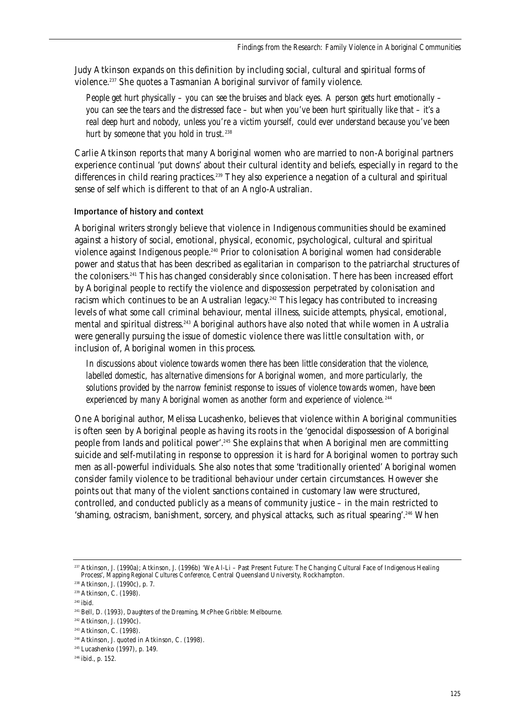Judy Atkinson expands on this definition by including social, cultural and spiritual forms of violence.<sup>237</sup> She quotes a Tasmanian Aboriginal survivor of family violence.

*People get hurt physically – you can see the bruises and black eyes. A person gets hurt emotionally – you can see the tears and the distressed face – but when you've been hurt spiritually like that – it's a real deep hurt and nobody, unless you're a victim yourself, could ever understand because you've been hurt by someone that you hold in trust.*<sup>238</sup>

Carlie Atkinson reports that many Aboriginal women who are married to non-Aboriginal partners experience continual 'put downs' about their cultural identity and beliefs, especially in regard to the differences in child rearing practices.<sup>239</sup> They also experience a negation of a cultural and spiritual sense of self which is different to that of an Anglo-Australian.

### Importance of history and context

Aboriginal writers strongly believe that violence in Indigenous communities should be examined against a history of social, emotional, physical, economic, psychological, cultural and spiritual violence against Indigenous people.240 Prior to colonisation Aboriginal women had considerable power and status that has been described as egalitarian in comparison to the patriarchal structures of the colonisers.241 This has changed considerably since colonisation. There has been increased effort by Aboriginal people to rectify the violence and dispossession perpetrated by colonisation and racism which continues to be an Australian legacy.<sup>242</sup> This legacy has contributed to increasing levels of what some call criminal behaviour, mental illness, suicide attempts, physical, emotional, mental and spiritual distress.<sup>243</sup> Aboriginal authors have also noted that while women in Australia were generally pursuing the issue of domestic violence there was little consultation with, or inclusion of, Aboriginal women in this process.

*In discussions about violence towards women there has been little consideration that the violence, labelled domestic, has alternative dimensions for Aboriginal women, and more particularly, the solutions provided by the narrow feminist response to issues of violence towards women, have been experienced by many Aboriginal women as another form and experience of violence.*<sup>244</sup>

One Aboriginal author, Melissa Lucashenko, believes that violence within Aboriginal communities is often seen by Aboriginal people as having its roots in the 'genocidal dispossession of Aboriginal people from lands and political power'.<sup>245</sup> She explains that when Aboriginal men are committing suicide and self-mutilating in response to oppression it is hard for Aboriginal women to portray such men as all-powerful individuals. She also notes that some 'traditionally oriented' Aboriginal women consider family violence to be traditional behaviour under certain circumstances. However she points out that many of the violent sanctions contained in customary law were structured, controlled, and conducted publicly as a means of community justice – in the main restricted to 'shaming, ostracism, banishment, sorcery, and physical attacks, such as ritual spearing'.<sup>246</sup> When

<sup>237</sup> Atkinson, J. (1990a); Atkinson, J. (1996b) 'We Al-Li – Past Present Future: The Changing Cultural Face of Indigenous Healing<br>Process', Mapping Regional Cultures Conference, Central Queensland University, Rockhampton.

<sup>238</sup> Atkinson, J. (1990c), p. 7.

<sup>239</sup> Atkinson, C. (1998).

<sup>240</sup> ibid.

<sup>241</sup> Bell, D. (1993), *Daughters of the Dreaming*, McPhee Gribble: Melbourne.

<sup>242</sup> Atkinson, J. (1990c).

<sup>243</sup> Atkinson, C. (1998).

<sup>244</sup> Atkinson, J. quoted in Atkinson, C. (1998).

<sup>245</sup> Lucashenko (1997), p. 149.

<sup>246</sup> ibid., p. 152.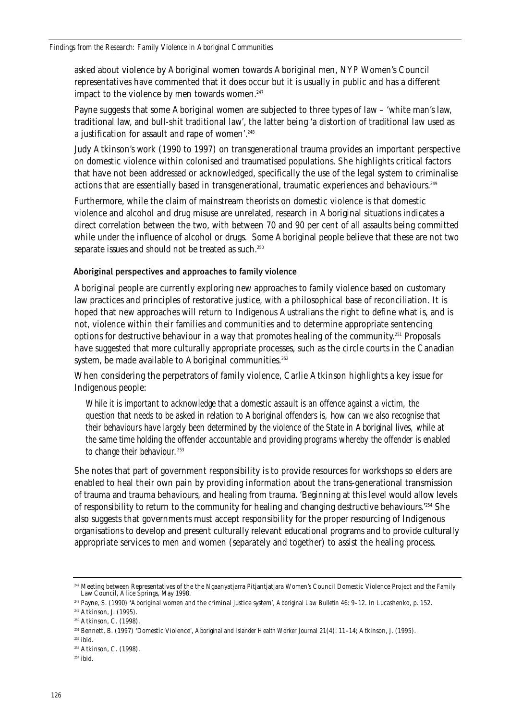asked about violence by Aboriginal women towards Aboriginal men, NYP Women's Council representatives have commented that it does occur but it is usually in public and has a different impact to the violence by men towards women.<sup>247</sup>

Payne suggests that some Aboriginal women are subjected to three types of law – 'white man's law, traditional law, and bull-shit traditional law', the latter being 'a distortion of traditional law used as a justification for assault and rape of women'.<sup>248</sup>

Judy Atkinson's work (1990 to 1997) on transgenerational trauma provides an important perspective on domestic violence within colonised and traumatised populations. She highlights critical factors that have not been addressed or acknowledged, specifically the use of the legal system to criminalise actions that are essentially based in transgenerational, traumatic experiences and behaviours.<sup>249</sup>

Furthermore, while the claim of mainstream theorists on domestic violence is that domestic violence and alcohol and drug misuse are unrelated, research in Aboriginal situations indicates a direct correlation between the two, with between 70 and 90 per cent of all assaults being committed while under the influence of alcohol or drugs. Some Aboriginal people believe that these are not two separate issues and should not be treated as such.<sup>250</sup>

#### Aboriginal perspectives and approaches to family violence

Aboriginal people are currently exploring new approaches to family violence based on customary law practices and principles of restorative justice, with a philosophical base of reconciliation. It is hoped that new approaches will return to Indigenous Australians the right to define what is, and is not, violence within their families and communities and to determine appropriate sentencing options for destructive behaviour in a way that promotes healing of the community.251 Proposals have suggested that more culturally appropriate processes, such as the circle courts in the Canadian system, be made available to Aboriginal communities.<sup>252</sup>

When considering the perpetrators of family violence, Carlie Atkinson highlights a key issue for Indigenous people:

*While it is important to acknowledge that a domestic assault is an offence against a victim, the question that needs to be asked in relation to Aboriginal offenders is, how can we also recognise that their behaviours have largely been determined by the violence of the State in Aboriginal lives, while at the same time holding the offender accountable and providing programs whereby the offender is enabled to change their behaviour.*<sup>253</sup>

She notes that part of government responsibility is to provide resources for workshops so elders are enabled to heal their own pain by providing information about the trans-generational transmission of trauma and trauma behaviours, and healing from trauma. 'Beginning at this level would allow levels of responsibility to return to the community for healing and changing destructive behaviours.'254 She also suggests that governments must accept responsibility for the proper resourcing of Indigenous organisations to develop and present culturally relevant educational programs and to provide culturally appropriate services to men and women (separately and together) to assist the healing process.

 $252$  ibid.

<sup>&</sup>lt;sup>247</sup> Meeting between Representatives of the the Ngaanyatjarra Pitjantjatjara Women's Council Domestic Violence Project and the Family Law Council, Alice Springs, May 1998.

<sup>248</sup> Payne, S. (1990) 'Aboriginal women and the criminal justice system', *Aboriginal Law Bulletin* 46: 9–12. In Lucashenko, p. 152.

<sup>249</sup> Atkinson, J. (1995).

<sup>250</sup> Atkinson, C. (1998).

<sup>251</sup> Bennett, B. (1997) 'Domestic Violence', *Aboriginal and Islander Health Worker Journal* 21(4): 11–14; Atkinson, J. (1995).

<sup>253</sup> Atkinson, C. (1998).

 $254$  ibid.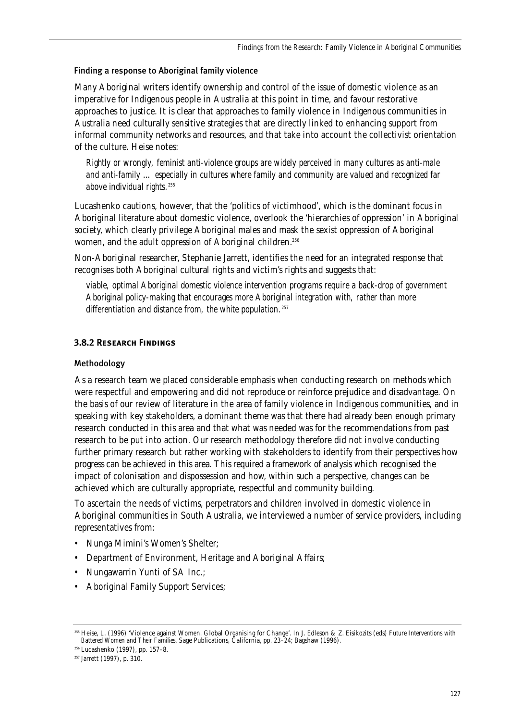#### Finding a response to Aboriginal family violence

Many Aboriginal writers identify ownership and control of the issue of domestic violence as an imperative for Indigenous people in Australia at this point in time, and favour restorative approaches to justice. It is clear that approaches to family violence in Indigenous communities in Australia need culturally sensitive strategies that are directly linked to enhancing support from informal community networks and resources, and that take into account the collectivist orientation of the culture. Heise notes:

*Rightly or wrongly, feminist anti-violence groups are widely perceived in many cultures as anti-male and anti-family … especially in cultures where family and community are valued and recognized far above individual rights.*<sup>255</sup>

Lucashenko cautions, however, that the 'politics of victimhood', which is the dominant focus in Aboriginal literature about domestic violence, overlook the 'hierarchies of oppression' in Aboriginal society, which clearly privilege Aboriginal males and mask the sexist oppression of Aboriginal women, and the adult oppression of Aboriginal children.<sup>256</sup>

Non-Aboriginal researcher, Stephanie Jarrett, identifies the need for an integrated response that recognises both Aboriginal cultural rights and victim's rights and suggests that:

*viable, optimal Aboriginal domestic violence intervention programs require a back-drop of government Aboriginal policy-making that encourages more Aboriginal integration with, rather than more differentiation and distance from, the white population.*<sup>257</sup>

### **3.8.2 Research Findings**

#### Methodology

As a research team we placed considerable emphasis when conducting research on methods which were respectful and empowering and did not reproduce or reinforce prejudice and disadvantage. On the basis of our review of literature in the area of family violence in Indigenous communities, and in speaking with key stakeholders, a dominant theme was that there had already been enough primary research conducted in this area and that what was needed was for the recommendations from past research to be put into action. Our research methodology therefore did not involve conducting further primary research but rather working with stakeholders to identify from their perspectives how progress can be achieved in this area. This required a framework of analysis which recognised the impact of colonisation and dispossession and how, within such a perspective, changes can be achieved which are culturally appropriate, respectful and community building.

To ascertain the needs of victims, perpetrators and children involved in domestic violence in Aboriginal communities in South Australia, we interviewed a number of service providers, including representatives from:

- Nunga Mimini's Women's Shelter;
- Department of Environment, Heritage and Aboriginal Affairs;
- Nungawarrin Yunti of SA Inc.;
- Aboriginal Family Support Services;

<sup>256</sup> Lucashenko (1997), pp. 157–8.

<sup>255</sup> Heise, L. (1996) 'Violence against Women. Global Organising for Change'. In J. Edleson & Z. Eisikozits (eds) *Future Interventions with Battered Women and Their Families*, Sage Publications, California, pp. 23–24; Bagshaw (1996).

<sup>257</sup> Jarrett (1997), p. 310.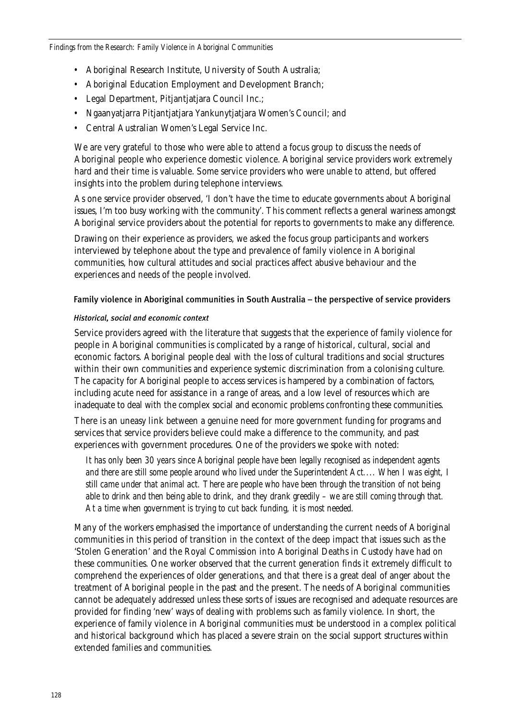- Aboriginal Research Institute, University of South Australia;
- Aboriginal Education Employment and Development Branch;
- Legal Department, Pitjantjatjara Council Inc.;
- Ngaanyatjarra Pitjantjatjara Yankunytjatjara Women's Council; and
- Central Australian Women's Legal Service Inc.

We are very grateful to those who were able to attend a focus group to discuss the needs of Aboriginal people who experience domestic violence. Aboriginal service providers work extremely hard and their time is valuable. Some service providers who were unable to attend, but offered insights into the problem during telephone interviews.

As one service provider observed, 'I don't have the time to educate governments about Aboriginal issues, I'm too busy working with the community'. This comment reflects a general wariness amongst Aboriginal service providers about the potential for reports to governments to make any difference.

Drawing on their experience as providers, we asked the focus group participants and workers interviewed by telephone about the type and prevalence of family violence in Aboriginal communities, how cultural attitudes and social practices affect abusive behaviour and the experiences and needs of the people involved.

#### Family violence in Aboriginal communities in South Australia – the perspective of service providers

#### *Historical, social and economic context*

Service providers agreed with the literature that suggests that the experience of family violence for people in Aboriginal communities is complicated by a range of historical, cultural, social and economic factors. Aboriginal people deal with the loss of cultural traditions and social structures within their own communities and experience systemic discrimination from a colonising culture. The capacity for Aboriginal people to access services is hampered by a combination of factors, including acute need for assistance in a range of areas, and a low level of resources which are inadequate to deal with the complex social and economic problems confronting these communities.

There is an uneasy link between a genuine need for more government funding for programs and services that service providers believe could make a difference to the community, and past experiences with government procedures. One of the providers we spoke with noted:

*It has only been 30 years since Aboriginal people have been legally recognised as independent agents and there are still some people around who lived under the Superintendent Act.... When I was eight, I still came under that animal act. There are people who have been through the transition of not being able to drink and then being able to drink, and they drank greedily – we are still coming through that. At a time when government is trying to cut back funding, it is most needed.*

Many of the workers emphasised the importance of understanding the current needs of Aboriginal communities in this period of transition in the context of the deep impact that issues such as the 'Stolen Generation' and the Royal Commission into Aboriginal Deaths in Custody have had on these communities. One worker observed that the current generation finds it extremely difficult to comprehend the experiences of older generations, and that there is a great deal of anger about the treatment of Aboriginal people in the past and the present. The needs of Aboriginal communities cannot be adequately addressed unless these sorts of issues are recognised and adequate resources are provided for finding 'new' ways of dealing with problems such as family violence. In short, the experience of family violence in Aboriginal communities must be understood in a complex political and historical background which has placed a severe strain on the social support structures within extended families and communities.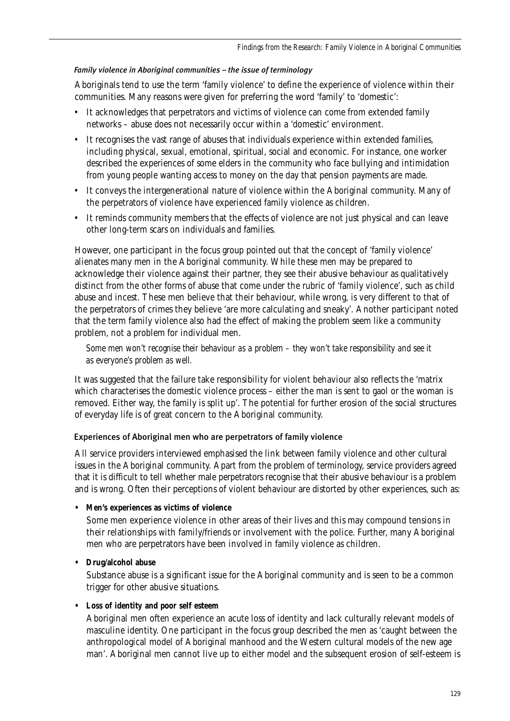### *Family violence in Aboriginal communities – the issue of terminology*

Aboriginals tend to use the term 'family violence' to define the experience of violence within their communities. Many reasons were given for preferring the word 'family' to 'domestic':

- It acknowledges that perpetrators and victims of violence can come from extended family networks – abuse does not necessarily occur within a 'domestic' environment.
- It recognises the vast range of abuses that individuals experience within extended families, including physical, sexual, emotional, spiritual, social and economic. For instance, one worker described the experiences of some elders in the community who face bullying and intimidation from young people wanting access to money on the day that pension payments are made.
- It conveys the intergenerational nature of violence within the Aboriginal community. Many of the perpetrators of violence have experienced family violence as children.
- It reminds community members that the effects of violence are not just physical and can leave other long-term scars on individuals and families.

However, one participant in the focus group pointed out that the concept of 'family violence' alienates many men in the Aboriginal community. While these men may be prepared to acknowledge their violence against their partner, they see their abusive behaviour as qualitatively distinct from the other forms of abuse that come under the rubric of 'family violence', such as child abuse and incest. These men believe that their behaviour, while wrong, is very different to that of the perpetrators of crimes they believe 'are more calculating and sneaky'. Another participant noted that the term family violence also had the effect of making the problem seem like a community problem, not a problem for individual men.

*Some men won't recognise their behaviour as a problem – they won't take responsibility and see it as everyone's problem as well.*

It was suggested that the failure take responsibility for violent behaviour also reflects the 'matrix which characterises the domestic violence process – either the man is sent to gaol or the woman is removed. Either way, the family is split up'. The potential for further erosion of the social structures of everyday life is of great concern to the Aboriginal community.

### Experiences of Aboriginal men who are perpetrators of family violence

All service providers interviewed emphasised the link between family violence and other cultural issues in the Aboriginal community. Apart from the problem of terminology, service providers agreed that it is difficult to tell whether male perpetrators recognise that their abusive behaviour is a problem and is wrong. Often their perceptions of violent behaviour are distorted by other experiences, such as:

### **• Men's experiences as victims of violence**

Some men experience violence in other areas of their lives and this may compound tensions in their relationships with family/friends or involvement with the police. Further, many Aboriginal men who are perpetrators have been involved in family violence as children.

### **• Drug/alcohol abuse**

Substance abuse is a significant issue for the Aboriginal community and is seen to be a common trigger for other abusive situations.

**• Loss of identity and poor self esteem**

Aboriginal men often experience an acute loss of identity and lack culturally relevant models of masculine identity. One participant in the focus group described the men as 'caught between the anthropological model of Aboriginal manhood and the Western cultural models of the new age man'. Aboriginal men cannot live up to either model and the subsequent erosion of self-esteem is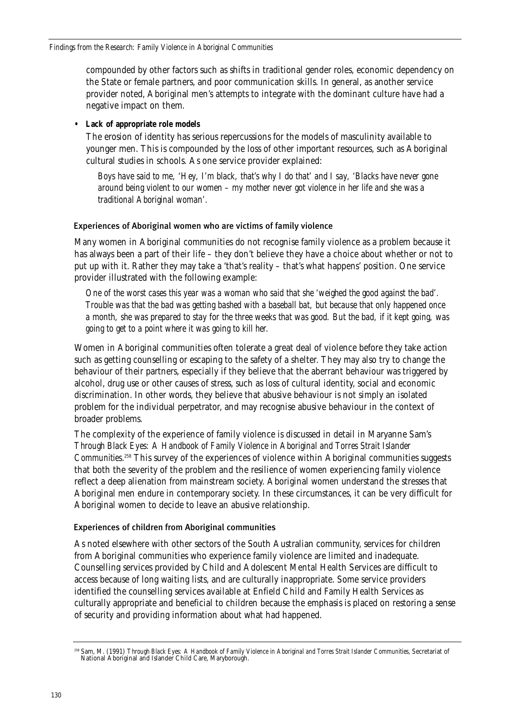compounded by other factors such as shifts in traditional gender roles, economic dependency on the State or female partners, and poor communication skills. In general, as another service provider noted, Aboriginal men's attempts to integrate with the dominant culture have had a negative impact on them.

### **• Lack of appropriate role models**

The erosion of identity has serious repercussions for the models of masculinity available to younger men. This is compounded by the loss of other important resources, such as Aboriginal cultural studies in schools. As one service provider explained:

*Boys have said to me, 'Hey, I'm black, that's why I do that' and I say, 'Blacks have never gone around being violent to our women – my mother never got violence in her life and she was a traditional Aboriginal woman'.*

## Experiences of Aboriginal women who are victims of family violence

Many women in Aboriginal communities do not recognise family violence as a problem because it has always been a part of their life – they don't believe they have a choice about whether or not to put up with it. Rather they may take a 'that's reality – that's what happens' position. One service provider illustrated with the following example:

*One of the worst cases this year was a woman who said that she 'weighed the good against the bad'. Trouble was that the bad was getting bashed with a baseball bat, but because that only happened once a month, she was prepared to stay for the three weeks that was good. But the bad, if it kept going, was going to get to a point where it was going to kill her.*

Women in Aboriginal communities often tolerate a great deal of violence before they take action such as getting counselling or escaping to the safety of a shelter. They may also try to change the behaviour of their partners, especially if they believe that the aberrant behaviour was triggered by alcohol, drug use or other causes of stress, such as loss of cultural identity, social and economic discrimination. In other words, they believe that abusive behaviour is not simply an isolated problem for the individual perpetrator, and may recognise abusive behaviour in the context of broader problems.

The complexity of the experience of family violence is discussed in detail in Maryanne Sam's *Through Black Eyes: A Handbook of Family Violence in Aboriginal and Torres Strait Islander Communities*. <sup>258</sup> This survey of the experiences of violence within Aboriginal communities suggests that both the severity of the problem and the resilience of women experiencing family violence reflect a deep alienation from mainstream society. Aboriginal women understand the stresses that Aboriginal men endure in contemporary society. In these circumstances, it can be very difficult for Aboriginal women to decide to leave an abusive relationship.

## Experiences of children from Aboriginal communities

As noted elsewhere with other sectors of the South Australian community, services for children from Aboriginal communities who experience family violence are limited and inadequate. Counselling services provided by Child and Adolescent Mental Health Services are difficult to access because of long waiting lists, and are culturally inappropriate. Some service providers identified the counselling services available at Enfield Child and Family Health Services as culturally appropriate and beneficial to children because the emphasis is placed on restoring a sense of security and providing information about what had happened.

<sup>258</sup> Sam, M. (1991) *Through Black Eyes: A Handbook of Family Violence in Aboriginal and Torres Strait Islander Communities*, Secretariat of National Aboriginal and Islander Child Care, Maryborough.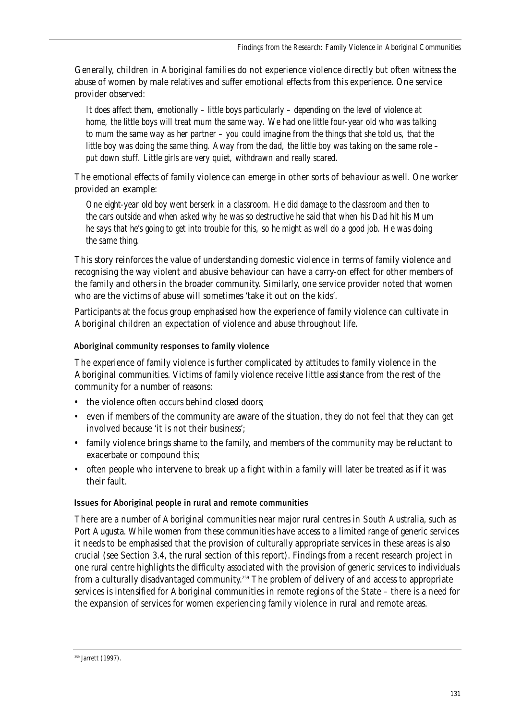Generally, children in Aboriginal families do not experience violence directly but often witness the abuse of women by male relatives and suffer emotional effects from this experience. One service provider observed:

*It does affect them, emotionally – little boys particularly – depending on the level of violence at home, the little boys will treat mum the same way. We had one little four-year old who was talking to mum the same way as her partner – you could imagine from the things that she told us, that the little boy was doing the same thing. Away from the dad, the little boy was taking on the same role – put down stuff. Little girls are very quiet, withdrawn and really scared.*

The emotional effects of family violence can emerge in other sorts of behaviour as well. One worker provided an example:

*One eight-year old boy went berserk in a classroom. He did damage to the classroom and then to the cars outside and when asked why he was so destructive he said that when his Dad hit his Mum he says that he's going to get into trouble for this, so he might as well do a good job. He was doing the same thing.*

This story reinforces the value of understanding domestic violence in terms of family violence and recognising the way violent and abusive behaviour can have a carry-on effect for other members of the family and others in the broader community. Similarly, one service provider noted that women who are the victims of abuse will sometimes 'take it out on the kids'.

Participants at the focus group emphasised how the experience of family violence can cultivate in Aboriginal children an expectation of violence and abuse throughout life.

### Aboriginal community responses to family violence

The experience of family violence is further complicated by attitudes to family violence in the Aboriginal communities. Victims of family violence receive little assistance from the rest of the community for a number of reasons:

- the violence often occurs behind closed doors;
- even if members of the community are aware of the situation, they do not feel that they can get involved because 'it is not their business';
- family violence brings shame to the family, and members of the community may be reluctant to exacerbate or compound this;
- often people who intervene to break up a fight within a family will later be treated as if it was their fault.

#### Issues for Aboriginal people in rural and remote communities

There are a number of Aboriginal communities near major rural centres in South Australia, such as Port Augusta. While women from these communities have access to a limited range of generic services it needs to be emphasised that the provision of culturally appropriate services in these areas is also crucial (see Section 3.4, the rural section of this report). Findings from a recent research project in one rural centre highlights the difficulty associated with the provision of generic services to individuals from a culturally disadvantaged community.<sup>259</sup> The problem of delivery of and access to appropriate services is intensified for Aboriginal communities in remote regions of the State – there is a need for the expansion of services for women experiencing family violence in rural and remote areas.

<sup>&</sup>lt;sup>259</sup> Jarrett (1997).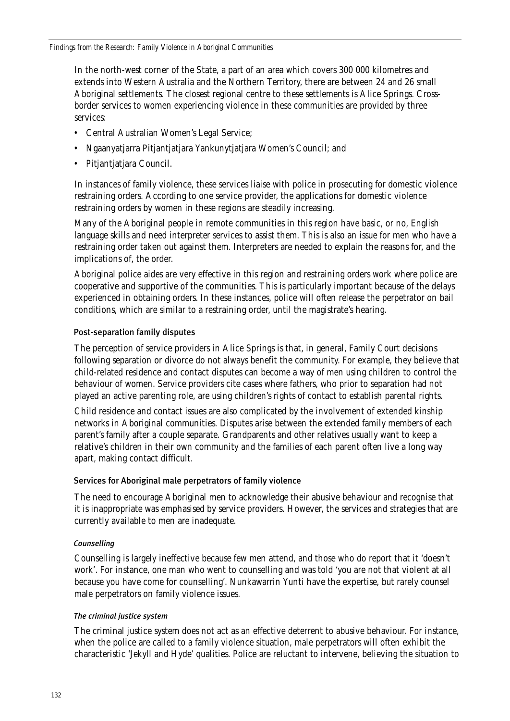In the north-west corner of the State, a part of an area which covers 300 000 kilometres and extends into Western Australia and the Northern Territory, there are between 24 and 26 small Aboriginal settlements. The closest regional centre to these settlements is Alice Springs. Crossborder services to women experiencing violence in these communities are provided by three services:

- Central Australian Women's Legal Service;
- Ngaanyatjarra Pitjantjatjara Yankunytjatjara Women's Council; and
- Pitjantjatjara Council.

In instances of family violence, these services liaise with police in prosecuting for domestic violence restraining orders. According to one service provider, the applications for domestic violence restraining orders by women in these regions are steadily increasing.

Many of the Aboriginal people in remote communities in this region have basic, or no, English language skills and need interpreter services to assist them. This is also an issue for men who have a restraining order taken out against them. Interpreters are needed to explain the reasons for, and the implications of, the order.

Aboriginal police aides are very effective in this region and restraining orders work where police are cooperative and supportive of the communities. This is particularly important because of the delays experienced in obtaining orders. In these instances, police will often release the perpetrator on bail conditions, which are similar to a restraining order, until the magistrate's hearing.

### Post-separation family disputes

The perception of service providers in Alice Springs is that, in general, Family Court decisions following separation or divorce do not always benefit the community. For example, they believe that child-related residence and contact disputes can become a way of men using children to control the behaviour of women. Service providers cite cases where fathers, who prior to separation had not played an active parenting role, are using children's rights of contact to establish parental rights.

Child residence and contact issues are also complicated by the involvement of extended kinship networks in Aboriginal communities. Disputes arise between the extended family members of each parent's family after a couple separate. Grandparents and other relatives usually want to keep a relative's children in their own community and the families of each parent often live a long way apart, making contact difficult.

### Services for Aboriginal male perpetrators of family violence

The need to encourage Aboriginal men to acknowledge their abusive behaviour and recognise that it is inappropriate was emphasised by service providers. However, the services and strategies that are currently available to men are inadequate.

### *Counselling*

Counselling is largely ineffective because few men attend, and those who do report that it 'doesn't work'. For instance, one man who went to counselling and was told 'you are not that violent at all because you have come for counselling'. Nunkawarrin Yunti have the expertise, but rarely counsel male perpetrators on family violence issues.

### *The criminal justice system*

The criminal justice system does not act as an effective deterrent to abusive behaviour. For instance, when the police are called to a family violence situation, male perpetrators will often exhibit the characteristic 'Jekyll and Hyde' qualities. Police are reluctant to intervene, believing the situation to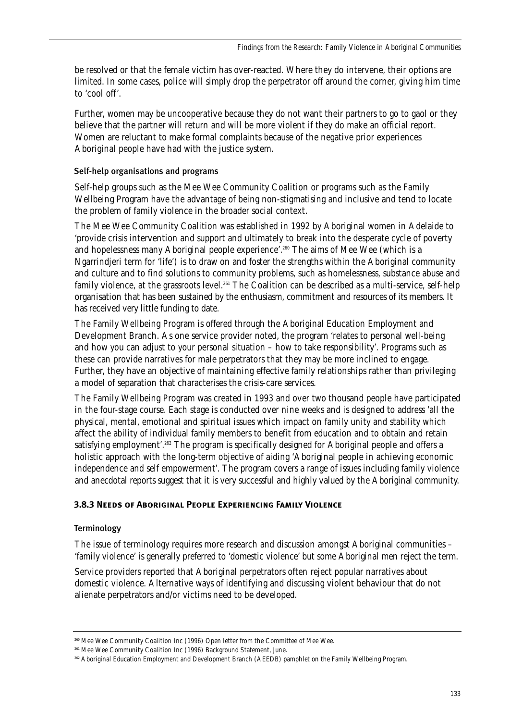be resolved or that the female victim has over-reacted. Where they do intervene, their options are limited. In some cases, police will simply drop the perpetrator off around the corner, giving him time to 'cool off'.

Further, women may be uncooperative because they do not want their partners to go to gaol or they believe that the partner will return and will be more violent if they do make an official report. Women are reluctant to make formal complaints because of the negative prior experiences Aboriginal people have had with the justice system.

### Self-help organisations and programs

Self-help groups such as the Mee Wee Community Coalition or programs such as the Family Wellbeing Program have the advantage of being non-stigmatising and inclusive and tend to locate the problem of family violence in the broader social context.

The Mee Wee Community Coalition was established in 1992 by Aboriginal women in Adelaide to 'provide crisis intervention and support and ultimately to break into the desperate cycle of poverty and hopelessness many Aboriginal people experience'.<sup>260</sup> The aims of Mee Wee (which is a Ngarrindjeri term for 'life') is to draw on and foster the strengths within the Aboriginal community and culture and to find solutions to community problems, such as homelessness, substance abuse and family violence, at the grassroots level.<sup>261</sup> The Coalition can be described as a multi-service, self-help organisation that has been sustained by the enthusiasm, commitment and resources of its members. It has received very little funding to date.

The Family Wellbeing Program is offered through the Aboriginal Education Employment and Development Branch. As one service provider noted, the program 'relates to personal well-being and how you can adjust to your personal situation – how to take responsibility'. Programs such as these can provide narratives for male perpetrators that they may be more inclined to engage. Further, they have an objective of maintaining effective family relationships rather than privileging a model of separation that characterises the crisis-care services.

The Family Wellbeing Program was created in 1993 and over two thousand people have participated in the four-stage course. Each stage is conducted over nine weeks and is designed to address 'all the physical, mental, emotional and spiritual issues which impact on family unity and stability which affect the ability of individual family members to benefit from education and to obtain and retain satisfying employment'.<sup>262</sup> The program is specifically designed for Aboriginal people and offers a holistic approach with the long-term objective of aiding 'Aboriginal people in achieving economic independence and self empowerment'. The program covers a range of issues including family violence and anecdotal reports suggest that it is very successful and highly valued by the Aboriginal community.

### **3.8.3 Needs of Aboriginal People Experiencing Family Violence**

### Terminology

The issue of terminology requires more research and discussion amongst Aboriginal communities – 'family violence' is generally preferred to 'domestic violence' but some Aboriginal men reject the term.

Service providers reported that Aboriginal perpetrators often reject popular narratives about domestic violence. Alternative ways of identifying and discussing violent behaviour that do not alienate perpetrators and/or victims need to be developed.

<sup>260</sup> Mee Wee Community Coalition Inc (1996) Open letter from the Committee of Mee Wee.

<sup>&</sup>lt;sup>261</sup> Mee Wee Community Coalition Inc (1996) Background Statement, June.

<sup>262</sup> Aboriginal Education Employment and Development Branch (AEEDB) pamphlet on the Family Wellbeing Program.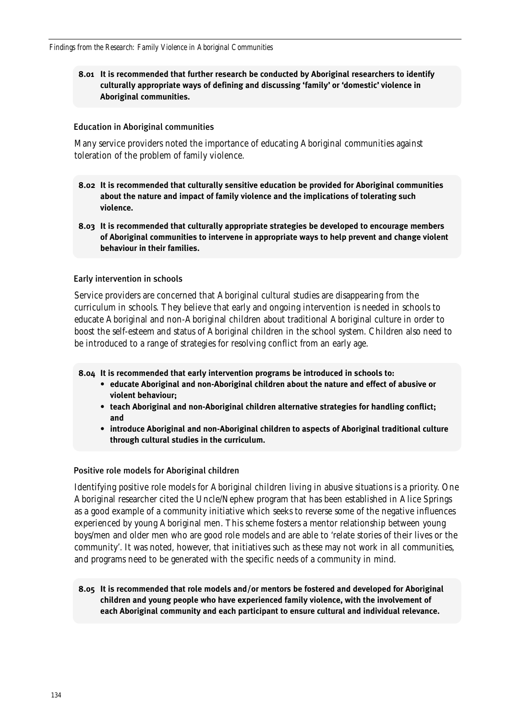### **8.01 It is recommended that further research be conducted by Aboriginal researchers to identify culturally appropriate ways of defining and discussing 'family' or 'domestic' violence in Aboriginal communities.**

#### Education in Aboriginal communities

Many service providers noted the importance of educating Aboriginal communities against toleration of the problem of family violence.

- **8.02 It is recommended that culturally sensitive education be provided for Aboriginal communities about the nature and impact of family violence and the implications of tolerating such violence.**
- **8.03 It is recommended that culturally appropriate strategies be developed to encourage members of Aboriginal communities to intervene in appropriate ways to help prevent and change violent behaviour in their families.**

#### Early intervention in schools

Service providers are concerned that Aboriginal cultural studies are disappearing from the curriculum in schools. They believe that early and ongoing intervention is needed in schools to educate Aboriginal and non-Aboriginal children about traditional Aboriginal culture in order to boost the self-esteem and status of Aboriginal children in the school system. Children also need to be introduced to a range of strategies for resolving conflict from an early age.

**8.04 It is recommended that early intervention programs be introduced in schools to:** 

- **educate Aboriginal and non-Aboriginal children about the nature and effect of abusive or violent behaviour;**
- **teach Aboriginal and non-Aboriginal children alternative strategies for handling conflict; and**
- **introduce Aboriginal and non-Aboriginal children to aspects of Aboriginal traditional culture through cultural studies in the curriculum.**

#### Positive role models for Aboriginal children

Identifying positive role models for Aboriginal children living in abusive situations is a priority. One Aboriginal researcher cited the Uncle/Nephew program that has been established in Alice Springs as a good example of a community initiative which seeks to reverse some of the negative influences experienced by young Aboriginal men. This scheme fosters a mentor relationship between young boys/men and older men who are good role models and are able to 'relate stories of their lives or the community'. It was noted, however, that initiatives such as these may not work in all communities, and programs need to be generated with the specific needs of a community in mind.

**8.05 It is recommended that role models and/or mentors be fostered and developed for Aboriginal children and young people who have experienced family violence, with the involvement of each Aboriginal community and each participant to ensure cultural and individual relevance.**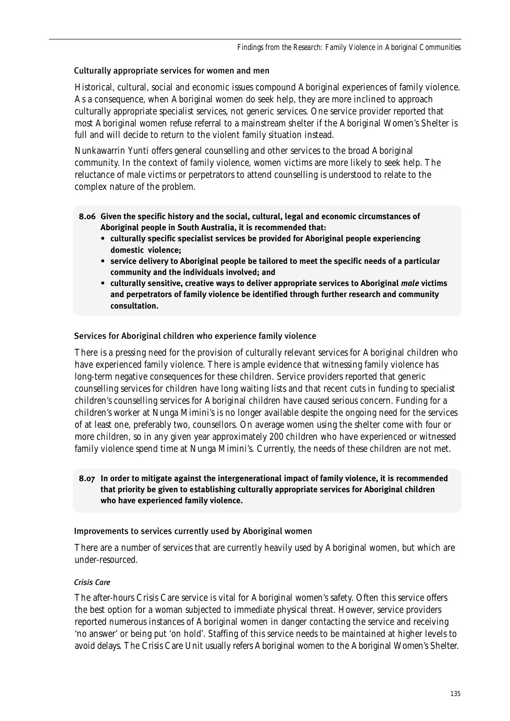### Culturally appropriate services for women and men

Historical, cultural, social and economic issues compound Aboriginal experiences of family violence. As a consequence, when Aboriginal women do seek help, they are more inclined to approach culturally appropriate specialist services, not generic services. One service provider reported that most Aboriginal women refuse referral to a mainstream shelter if the Aboriginal Women's Shelter is full and will decide to return to the violent family situation instead.

Nunkawarrin Yunti offers general counselling and other services to the broad Aboriginal community. In the context of family violence, women victims are more likely to seek help. The reluctance of male victims or perpetrators to attend counselling is understood to relate to the complex nature of the problem.

- **8.06 Given the specific history and the social, cultural, legal and economic circumstances of Aboriginal people in South Australia, it is recommended that:**
	- **culturally specific specialist services be provided for Aboriginal people experiencing domestic violence;**
	- **service delivery to Aboriginal people be tailored to meet the specific needs of a particular community and the individuals involved; and**
	- **culturally sensitive, creative ways to deliver appropriate services to Aboriginal** *male* **victims and perpetrators of family violence be identified through further research and community consultation.**

### Services for Aboriginal children who experience family violence

There is a pressing need for the provision of culturally relevant services for Aboriginal children who have experienced family violence. There is ample evidence that witnessing family violence has long-term negative consequences for these children. Service providers reported that generic counselling services for children have long waiting lists and that recent cuts in funding to specialist children's counselling services for Aboriginal children have caused serious concern. Funding for a children's worker at Nunga Mimini's is no longer available despite the ongoing need for the services of at least one, preferably two, counsellors. On average women using the shelter come with four or more children, so in any given year approximately 200 children who have experienced or witnessed family violence spend time at Nunga Mimini's. Currently, the needs of these children are not met.

### **8.07 In order to mitigate against the intergenerational impact of family violence, it is recommended that priority be given to establishing culturally appropriate services for Aboriginal children who have experienced family violence.**

### Improvements to services currently used by Aboriginal women

There are a number of services that are currently heavily used by Aboriginal women, but which are under-resourced.

### *Crisis Care*

The after-hours Crisis Care service is vital for Aboriginal women's safety. Often this service offers the best option for a woman subjected to immediate physical threat. However, service providers reported numerous instances of Aboriginal women in danger contacting the service and receiving 'no answer' or being put 'on hold'. Staffing of this service needs to be maintained at higher levels to avoid delays. The Crisis Care Unit usually refers Aboriginal women to the Aboriginal Women's Shelter.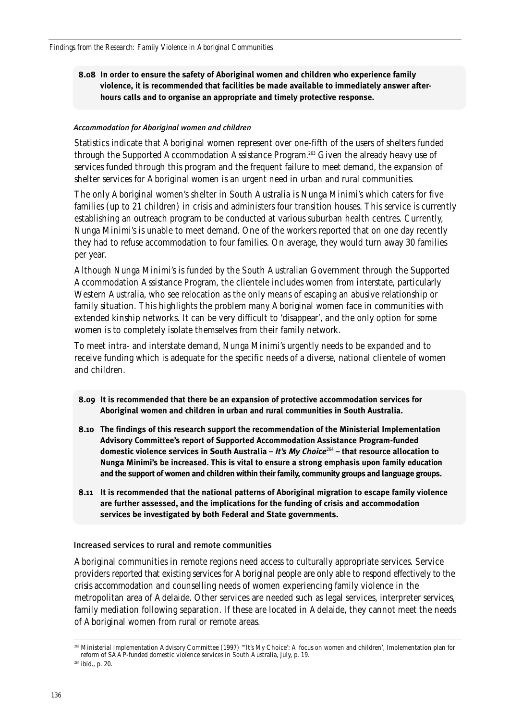### **8.08 In order to ensure the safety of Aboriginal women and children who experience family violence, it is recommended that facilities be made available to immediately answer afterhours calls and to organise an appropriate and timely protective response.**

#### *Accommodation for Aboriginal women and children*

Statistics indicate that Aboriginal women represent over one-fifth of the users of shelters funded through the Supported Accommodation Assistance Program.263 Given the already heavy use of services funded through this program and the frequent failure to meet demand, the expansion of shelter services for Aboriginal women is an urgent need in urban and rural communities.

The only Aboriginal women's shelter in South Australia is Nunga Minimi's which caters for five families (up to 21 children) in crisis and administers four transition houses. This service is currently establishing an outreach program to be conducted at various suburban health centres. Currently, Nunga Minimi's is unable to meet demand. One of the workers reported that on one day recently they had to refuse accommodation to four families. On average, they would turn away 30 families per year.

Although Nunga Minimi's is funded by the South Australian Government through the Supported Accommodation Assistance Program, the clientele includes women from interstate, particularly Western Australia, who see relocation as the only means of escaping an abusive relationship or family situation. This highlights the problem many Aboriginal women face in communities with extended kinship networks. It can be very difficult to 'disappear', and the only option for some women is to completely isolate themselves from their family network.

To meet intra- and interstate demand, Nunga Minimi's urgently needs to be expanded and to receive funding which is adequate for the specific needs of a diverse, national clientele of women and children.

- **8.09 It is recommended that there be an expansion of protective accommodation services for Aboriginal women and children in urban and rural communities in South Australia.**
- **8.10 The findings of this research support the recommendation of the Ministerial Implementation Advisory Committee's report of Supported Accommodation Assistance Program-funded domestic violence services in South Australia –** *It's My Choice*<sup>264</sup> **– that resource allocation to Nunga Minimi's be increased. This is vital to ensure a strong emphasis upon family education and the support of women and children within their family, community groups and language groups.**
- **8.11 It is recommended that the national patterns of Aboriginal migration to escape family violence are further assessed, and the implications for the funding of crisis and accommodation services be investigated by both Federal and State governments.**

Increased services to rural and remote communities

Aboriginal communities in remote regions need access to culturally appropriate services. Service providers reported that existing services for Aboriginal people are only able to respond effectively to the crisis accommodation and counselling needs of women experiencing family violence in the metropolitan area of Adelaide. Other services are needed such as legal services, interpreter services, family mediation following separation. If these are located in Adelaide, they cannot meet the needs of Aboriginal women from rural or remote areas.

<sup>263</sup> Ministerial Implementation Advisory Committee (1997) '"It's My Choice': A focus on women and children', Implementation plan for reform of SAAP-funded domestic violence services in South Australia, July, p. 19.

<sup>264</sup> ibid., p. 20.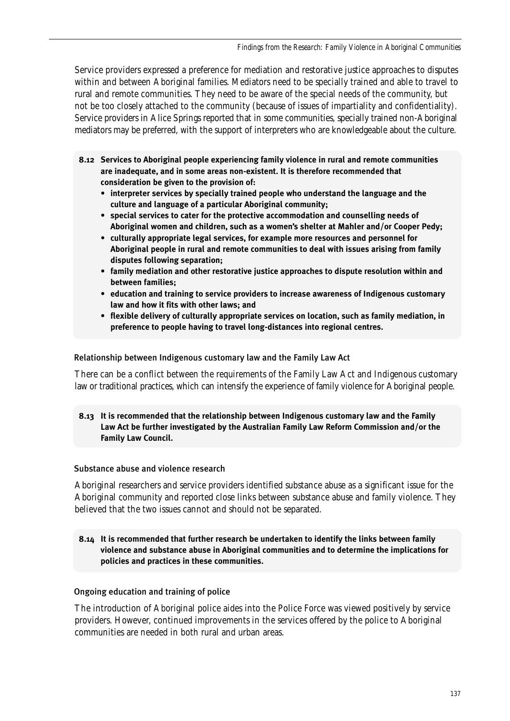Service providers expressed a preference for mediation and restorative justice approaches to disputes within and between Aboriginal families. Mediators need to be specially trained and able to travel to rural and remote communities. They need to be aware of the special needs of the community, but not be too closely attached to the community (because of issues of impartiality and confidentiality). Service providers in Alice Springs reported that in some communities, specially trained non-Aboriginal mediators may be preferred, with the support of interpreters who are knowledgeable about the culture.

- **8.12 Services to Aboriginal people experiencing family violence in rural and remote communities are inadequate, and in some areas non-existent. It is therefore recommended that consideration be given to the provision of:**
	- **interpreter services by specially trained people who understand the language and the culture and language of a particular Aboriginal community;**
	- **special services to cater for the protective accommodation and counselling needs of Aboriginal women and children, such as a women's shelter at Mahler and/or Cooper Pedy;**
	- **culturally appropriate legal services, for example more resources and personnel for Aboriginal people in rural and remote communities to deal with issues arising from family disputes following separation;**
	- **family mediation and other restorative justice approaches to dispute resolution within and between families;**
	- **education and training to service providers to increase awareness of Indigenous customary law and how it fits with other laws; and**
	- **flexible delivery of culturally appropriate services on location, such as family mediation, in preference to people having to travel long-distances into regional centres.**

#### Relationship between Indigenous customary law and the Family Law Act

There can be a conflict between the requirements of the Family Law Act and Indigenous customary law or traditional practices, which can intensify the experience of family violence for Aboriginal people.

**8.13 It is recommended that the relationship between Indigenous customary law and the Family Law Act be further investigated by the Australian Family Law Reform Commission and/or the Family Law Council.**

### Substance abuse and violence research

Aboriginal researchers and service providers identified substance abuse as a significant issue for the Aboriginal community and reported close links between substance abuse and family violence. They believed that the two issues cannot and should not be separated.

### **8.14 It is recommended that further research be undertaken to identify the links between family violence and substance abuse in Aboriginal communities and to determine the implications for policies and practices in these communities.**

### Ongoing education and training of police

The introduction of Aboriginal police aides into the Police Force was viewed positively by service providers. However, continued improvements in the services offered by the police to Aboriginal communities are needed in both rural and urban areas.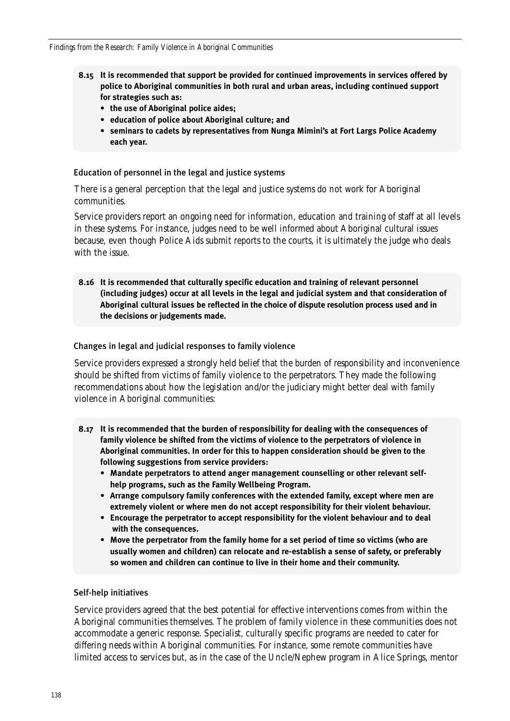- **8.15 It is recommended that support be provided for continued improvements in services offered by police to Aboriginal communities in both rural and urban areas, including continued support for strategies such as:**
	- **the use of Aboriginal police aides;**
	- **education of police about Aboriginal culture; and**
	- **seminars to cadets by representatives from Nunga Mimini's at Fort Largs Police Academy each year.**

#### Education of personnel in the legal and justice systems

There is a general perception that the legal and justice systems do not work for Aboriginal communities.

Service providers report an ongoing need for information, education and training of staff at all levels in these systems. For instance, judges need to be well informed about Aboriginal cultural issues because, even though Police Aids submit reports to the courts, it is ultimately the judge who deals with the issue.

**8.16 It is recommended that culturally specific education and training of relevant personnel (including judges) occur at all levels in the legal and judicial system and that consideration of Aboriginal cultural issues be reflected in the choice of dispute resolution process used and in the decisions or judgements made.**

#### Changes in legal and judicial responses to family violence

Service providers expressed a strongly held belief that the burden of responsibility and inconvenience should be shifted from victims of family violence to the perpetrators. They made the following recommendations about how the legislation and/or the judiciary might better deal with family violence in Aboriginal communities:

- **8.17 It is recommended that the burden of responsibility for dealing with the consequences of family violence be shifted from the victims of violence to the perpetrators of violence in Aboriginal communities. In order for this to happen consideration should be given to the following suggestions from service providers:**
	- **Mandate perpetrators to attend anger management counselling or other relevant selfhelp programs, such as the Family Wellbeing Program.**
	- **Arrange compulsory family conferences with the extended family, except where men are extremely violent or where men do not accept responsibility for their violent behaviour.**
	- **Encourage the perpetrator to accept responsibility for the violent behaviour and to deal with the consequences.**
	- **Move the perpetrator from the family home for a set period of time so victims (who are usually women and children) can relocate and re-establish a sense of safety, or preferably so women and children can continue to live in their home and their community.**

#### Self-help initiatives

Service providers agreed that the best potential for effective interventions comes from within the Aboriginal communities themselves. The problem of family violence in these communities does not accommodate a generic response. Specialist, culturally specific programs are needed to cater for differing needs within Aboriginal communities. For instance, some remote communities have limited access to services but, as in the case of the Uncle/Nephew program in Alice Springs, mentor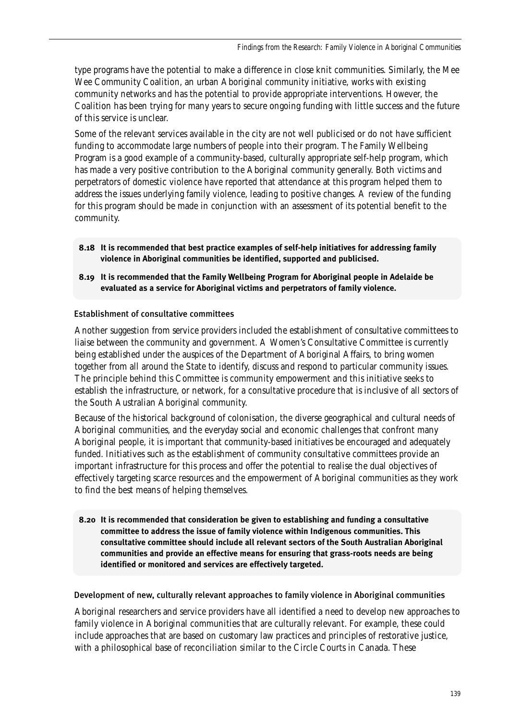type programs have the potential to make a difference in close knit communities. Similarly, the Mee Wee Community Coalition, an urban Aboriginal community initiative, works with existing community networks and has the potential to provide appropriate interventions. However, the Coalition has been trying for many years to secure ongoing funding with little success and the future of this service is unclear.

Some of the relevant services available in the city are not well publicised or do not have sufficient funding to accommodate large numbers of people into their program. The Family Wellbeing Program is a good example of a community-based, culturally appropriate self-help program, which has made a very positive contribution to the Aboriginal community generally. Both victims and perpetrators of domestic violence have reported that attendance at this program helped them to address the issues underlying family violence, leading to positive changes. A review of the funding for this program should be made in conjunction with an assessment of its potential benefit to the community.

- **8.18 It is recommended that best practice examples of self-help initiatives for addressing family violence in Aboriginal communities be identified, supported and publicised.**
- **8.19 It is recommended that the Family Wellbeing Program for Aboriginal people in Adelaide be evaluated as a service for Aboriginal victims and perpetrators of family violence.**

### Establishment of consultative committees

Another suggestion from service providers included the establishment of consultative committees to liaise between the community and government. A Women's Consultative Committee is currently being established under the auspices of the Department of Aboriginal Affairs, to bring women together from all around the State to identify, discuss and respond to particular community issues. The principle behind this Committee is community empowerment and this initiative seeks to establish the infrastructure, or network, for a consultative procedure that is inclusive of all sectors of the South Australian Aboriginal community.

Because of the historical background of colonisation, the diverse geographical and cultural needs of Aboriginal communities, and the everyday social and economic challenges that confront many Aboriginal people, it is important that community-based initiatives be encouraged and adequately funded. Initiatives such as the establishment of community consultative committees provide an important infrastructure for this process and offer the potential to realise the dual objectives of effectively targeting scarce resources and the empowerment of Aboriginal communities as they work to find the best means of helping themselves.

**8.20 It is recommended that consideration be given to establishing and funding a consultative committee to address the issue of family violence within Indigenous communities. This consultative committee should include all relevant sectors of the South Australian Aboriginal communities and provide an effective means for ensuring that grass-roots needs are being identified or monitored and services are effectively targeted.**

Development of new, culturally relevant approaches to family violence in Aboriginal communities

Aboriginal researchers and service providers have all identified a need to develop new approaches to family violence in Aboriginal communities that are culturally relevant. For example, these could include approaches that are based on customary law practices and principles of restorative justice, with a philosophical base of reconciliation similar to the Circle Courts in Canada. These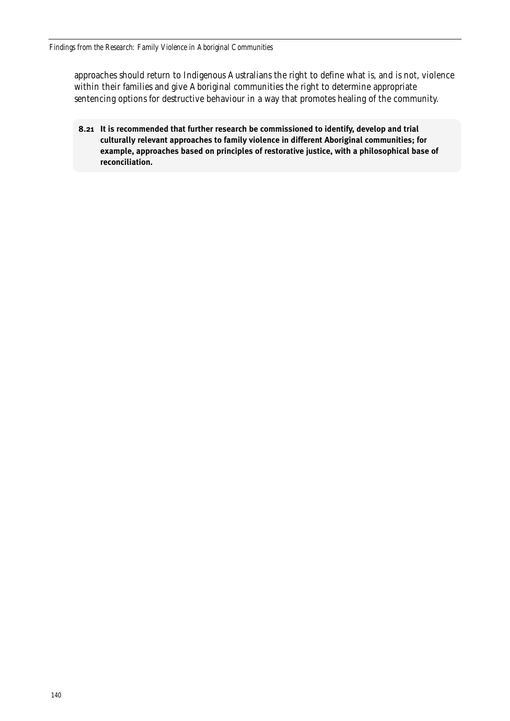approaches should return to Indigenous Australians the right to define what is, and is not, violence within their families and give Aboriginal communities the right to determine appropriate sentencing options for destructive behaviour in a way that promotes healing of the community.

**8.21 It is recommended that further research be commissioned to identify, develop and trial culturally relevant approaches to family violence in different Aboriginal communities; for example, approaches based on principles of restorative justice, with a philosophical base of reconciliation.**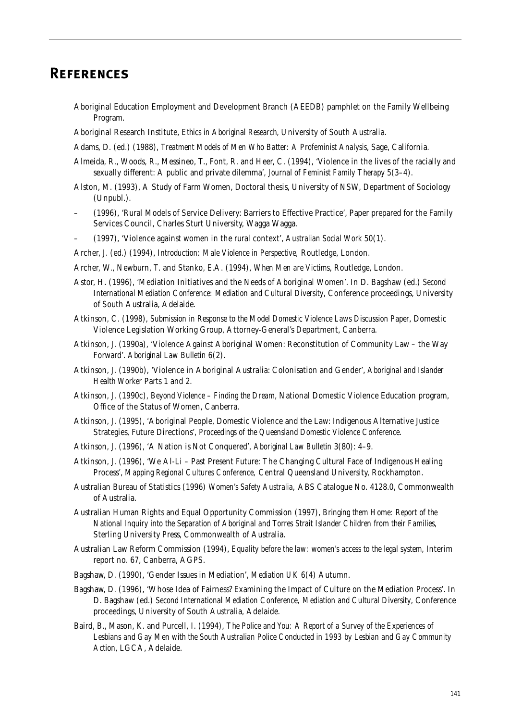# **References**

- Aboriginal Education Employment and Development Branch (AEEDB) pamphlet on the Family Wellbeing Program.
- Aboriginal Research Institute, *Ethics in Aboriginal Research*, University of South Australia.
- Adams, D. (ed.) (1988), *Treatment Models of Men Who Batter: A Profeminist Analysis*, Sage, California.
- Almeida, R., Woods, R., Messineo, T., Font, R. and Heer, C. (1994), 'Violence in the lives of the racially and sexually different: A public and private dilemma', *Journal of Feminist Family Therapy* 5(3–4).
- Alston, M. (1993), A Study of Farm Women, Doctoral thesis, University of NSW, Department of Sociology (Unpubl.).
- (1996), 'Rural Models of Service Delivery: Barriers to Effective Practice', Paper prepared for the Family Services Council, Charles Sturt University, Wagga Wagga.
- (1997), 'Violence against women in the rural context', *Australian Social Work* 50(1).
- Archer, J. (ed.) (1994), *Introduction: Male Violence in Perspective,* Routledge, London.
- Archer, W., Newburn, T. and Stanko, E.A. (1994), *When Men are Victims*, Routledge, London.
- Astor, H. (1996), 'Mediation Initiatives and the Needs of Aboriginal Women'. In D. Bagshaw (ed.) *Second International Mediation Conference: Mediation and Cultural Diversity*, Conference proceedings, University of South Australia, Adelaide.
- Atkinson, C. (1998), *Submission in Response to the Model Domestic Violence Laws Discussion Paper*, Domestic Violence Legislation Working Group, Attorney-General's Department, Canberra.
- Atkinson, J. (1990a), 'Violence Against Aboriginal Women: Reconstitution of Community Law the Way Forward'. *Aboriginal Law Bulletin* 6(2).
- Atkinson, J. (1990b), 'Violence in Aboriginal Australia: Colonisation and Gender', *Aboriginal and Islander Health Worker* Parts 1 and 2.
- Atkinson, J. (1990c), *Beyond Violence Finding the Dream*, National Domestic Violence Education program, Office of the Status of Women, Canberra.
- Atkinson, J. (1995), 'Aboriginal People, Domestic Violence and the Law: Indigenous Alternative Justice Strategies, Future Directions', *Proceedings of the Queensland Domestic Violence Conference*.
- Atkinson, J. (1996), 'A Nation is Not Conquered', *Aboriginal Law Bulletin* 3(80): 4–9.
- Atkinson, J. (1996), 'We Al-Li Past Present Future: The Changing Cultural Face of Indigenous Healing Process', *Mapping Regional Cultures Conference,* Central Queensland University, Rockhampton.
- Australian Bureau of Statistics (1996) *Women's Safety Australia,* ABS Catalogue No. 4128.0, Commonwealth of Australia.
- Australian Human Rights and Equal Opportunity Commission (1997), *Bringing them Home: Report of the National Inquiry into the Separation of Aboriginal and Torres Strait Islander Children from their Families*, Sterling University Press, Commonwealth of Australia.
- Australian Law Reform Commission (1994), *Equality before the law: women's access to the legal system*, Interim report no. 67, Canberra, AGPS.
- Bagshaw, D. (1990), 'Gender Issues in Mediation', *Mediation UK* 6(4) Autumn.
- Bagshaw, D. (1996), 'Whose Idea of Fairness? Examining the Impact of Culture on the Mediation Process'. In D. Bagshaw (ed.) *Second International Mediation Conference, Mediation and Cultural Diversity*, Conference proceedings, University of South Australia, Adelaide.
- Baird, B., Mason, K. and Purcell, I. (1994), *The Police and You: A Report of a Survey of the Experiences of Lesbians and Gay Men with the South Australian Police Conducted in 1993 by Lesbian and Gay Community Action*, LGCA, Adelaide.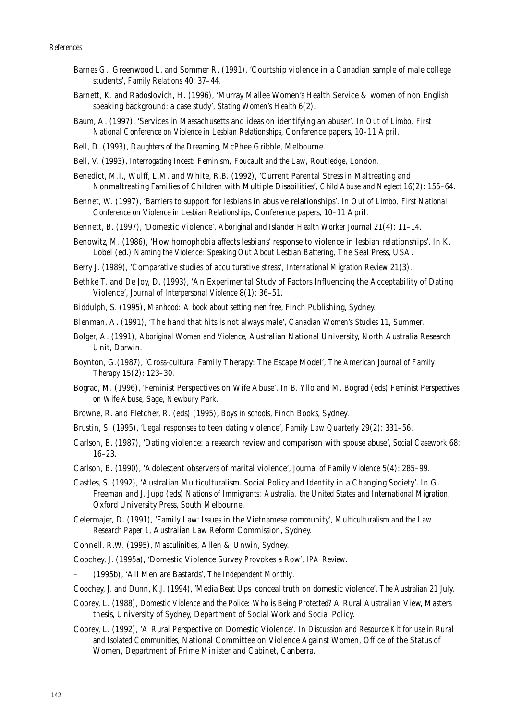#### *References*

- Barnes G., Greenwood L. and Sommer R. (1991), 'Courtship violence in a Canadian sample of male college students', *Family Relations* 40: 37–44.
- Barnett, K. and Radoslovich, H. (1996), 'Murray Mallee Women's Health Service & women of non English speaking background: a case study', *Stating Women's Health* 6(2).
- Baum, A. (1997), 'Services in Massachusetts and ideas on identifying an abuser'. In *Out of Limbo, First National Conference on Violence in Lesbian Relationships*, Conference papers, 10–11 April.
- Bell, D. (1993), *Daughters of the Dreaming*, McPhee Gribble, Melbourne.
- Bell, V. (1993), *Interrogating Incest: Feminism, Foucault and the Law*, Routledge, London.
- Benedict, M.I., Wulff, L.M. and White, R.B. (1992), 'Current Parental Stress in Maltreating and Nonmaltreating Families of Children with Multiple Disabilities', *Child Abuse and Neglect* 16(2): 155–64.
- Bennet, W. (1997), 'Barriers to support for lesbians in abusive relationships'. In *Out of Limbo, First National Conference on Violence in Lesbian Relationships*, Conference papers, 10–11 April.
- Bennett, B. (1997), 'Domestic Violence', *Aboriginal and Islander Health Worker Journal* 21(4): 11–14.
- Benowitz, M. (1986), 'How homophobia affects lesbians' response to violence in lesbian relationships'. In K. Lobel (ed.) *Naming the Violence: Speaking Out About Lesbian Battering*, The Seal Press, USA.
- Berry J. (1989), 'Comparative studies of acculturative stress', *International Migration Review* 21(3).
- Bethke T. and De Joy, D. (1993), 'An Experimental Study of Factors Influencing the Acceptability of Dating Violence', *Journal of Interpersonal Violence* 8(1): 36–51.
- Biddulph, S. (1995), *Manhood: A book about setting men free*, Finch Publishing, Sydney.
- Blenman, A. (1991), 'The hand that hits is not always male', *Canadian Women's Studies* 11, Summer.
- Bolger, A. (1991), *Aboriginal Women and Violence*, Australian National University, North Australia Research Unit, Darwin.
- Boynton, G.(1987), 'Cross-cultural Family Therapy: The Escape Model', *The American Journal of Family Therapy* 15(2): 123–30.
- Bograd, M. (1996), 'Feminist Perspectives on Wife Abuse'. In B. Yllo and M. Bograd (eds) *Feminist Perspectives on Wife Abuse*, Sage, Newbury Park.
- Browne, R. and Fletcher, R. (eds) (1995), *Boys in schools*, Finch Books, Sydney.
- Brustin, S. (1995), 'Legal responses to teen dating violence', *Family Law Quarterly* 29(2): 331–56.
- Carlson, B. (1987), 'Dating violence: a research review and comparison with spouse abuse', *Social Casework* 68: 16–23.
- Carlson, B. (1990), 'Adolescent observers of marital violence', *Journal of Family Violence* 5(4): 285–99.
- Castles, S. (1992), 'Australian Multiculturalism. Social Policy and Identity in a Changing Society'. In G. Freeman and J. Jupp (eds) *Nations of Immigrants: Australia, the United States and International Migration*, Oxford University Press, South Melbourne.
- Celermajer, D. (1991), 'Family Law: Issues in the Vietnamese community', *Multiculturalism and the Law Research Paper 1*, Australian Law Reform Commission, Sydney.
- Connell, R.W. (1995), *Masculinities*, Allen & Unwin, Sydney.
- Coochey, J. (1995a), 'Domestic Violence Survey Provokes a Row', *IPA Review*.
- (1995b), 'All Men are Bastards', *The Independent Monthly*.
- Coochey, J. and Dunn, K.J. (1994), 'Media Beat Ups conceal truth on domestic violence', *The Australian* 21 July.
- Coorey, L. (1988), *Domestic Violence and the Police: Who is Being Protected?* A Rural Australian View, Masters thesis, University of Sydney, Department of Social Work and Social Policy.
- Coorey, L. (1992), 'A Rural Perspective on Domestic Violence'. In *Discussion and Resource Kit for use in Rural and Isolated Communities*, National Committee on Violence Against Women, Office of the Status of Women, Department of Prime Minister and Cabinet, Canberra.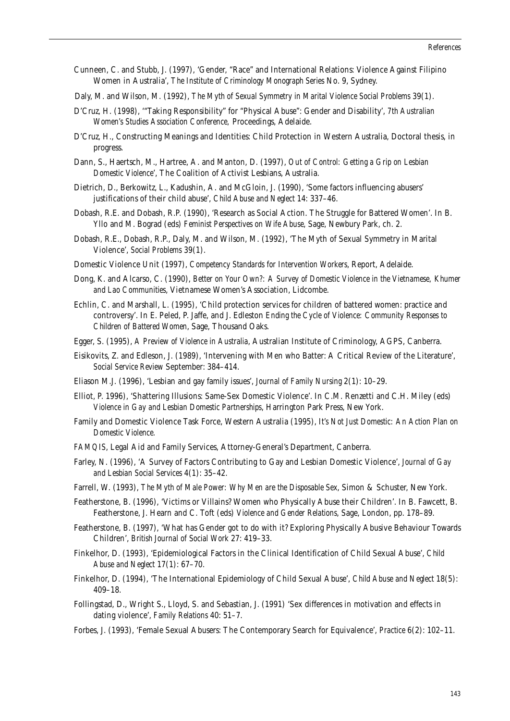- Cunneen, C. and Stubb, J. (1997), 'Gender, "Race" and International Relations: Violence Against Filipino Women in Australia', *The Institute of Criminology Monograph Series* No. 9, Sydney.
- Daly, M. and Wilson, M. (1992), *The Myth of Sexual Symmetry in Marital Violence Social Problems* 39(1).
- D'Cruz, H. (1998), '"Taking Responsibility" for "Physical Abuse": Gender and Disability', *7th Australian Women's Studies Association Conference,* Proceedings, Adelaide.
- D'Cruz, H., Constructing Meanings and Identities: Child Protection in Western Australia, Doctoral thesis, in progress.
- Dann, S., Haertsch, M., Hartree, A. and Manton, D. (1997), *Out of Control: Getting a Grip on Lesbian Domestic Violence*', The Coalition of Activist Lesbians, Australia.
- Dietrich, D., Berkowitz, L., Kadushin, A. and McGloin, J. (1990), 'Some factors influencing abusers' justifications of their child abuse', *Child Abuse and Neglect* 14: 337–46.
- Dobash, R.E. and Dobash, R.P. (1990), 'Research as Social Action. The Struggle for Battered Women'. In B. Yllo and M. Bograd (eds) *Feminist Perspectives on Wife Abuse*, Sage, Newbury Park, ch. 2.
- Dobash, R.E., Dobash, R.P., Daly, M. and Wilson, M. (1992), 'The Myth of Sexual Symmetry in Marital Violence', *Social Problems* 39(1).
- Domestic Violence Unit (1997), *Competency Standards for Intervention Workers*, Report, Adelaide.
- Dong, K. and Alcarso, C. (1990), *Better on Your Own?: A Survey of Domestic Violence in the Vietnamese, Khumer and Lao Communities*, Vietnamese Women's Association, Lidcombe.
- Echlin, C. and Marshall, L. (1995), 'Child protection services for children of battered women: practice and controversy'. In E. Peled, P. Jaffe, and J. Edleston *Ending the Cycle of Violence: Community Responses to Children of Battered Women*, Sage, Thousand Oaks.
- Egger, S. (1995), *A Preview of Violence in Australia*, Australian Institute of Criminology, AGPS, Canberra.
- Eisikovits, Z. and Edleson, J. (1989), 'Intervening with Men who Batter: A Critical Review of the Literature', *Social Service Review* September: 384–414.
- Eliason M.J. (1996), 'Lesbian and gay family issues', *Journal of Family Nursing* 2(1): 10–29.
- Elliot, P. 1996), 'Shattering Illusions: Same-Sex Domestic Violence'. In C.M. Renzetti and C.H. Miley (eds) *Violence in Gay and Lesbian Domestic Partnerships*, Harrington Park Press, New York.
- Family and Domestic Violence Task Force, Western Australia (1995), *It's Not Just Domestic: An Action Plan on Domestic Violence.*
- *FAMQIS*, Legal Aid and Family Services, Attorney-General's Department, Canberra.
- Farley, N. (1996), 'A Survey of Factors Contributing to Gay and Lesbian Domestic Violence', *Journal of Gay and Lesbian Social Services* 4(1): 35–42.
- Farrell, W. (1993), *The Myth of Male Power: Why Men are the Disposable Sex*, Simon & Schuster, New York.
- Featherstone, B. (1996), 'Victims or Villains? Women who Physically Abuse their Children'. In B. Fawcett, B. Featherstone, J. Hearn and C. Toft (eds) *Violence and Gender Relations*, Sage, London, pp. 178–89.
- Featherstone, B. (1997), 'What has Gender got to do with it? Exploring Physically Abusive Behaviour Towards Children', *British Journal of Social Work* 27: 419–33.
- Finkelhor, D. (1993), 'Epidemiological Factors in the Clinical Identification of Child Sexual Abuse', *Child Abuse and Neglect* 17(1): 67–70.
- Finkelhor, D. (1994), 'The International Epidemiology of Child Sexual Abuse', *Child Abuse and Neglect* 18(5): 409–18.
- Follingstad, D., Wright S., Lloyd, S. and Sebastian, J. (1991) 'Sex differences in motivation and effects in dating violence', *Family Relations* 40: 51–7.
- Forbes, J. (1993), 'Female Sexual Abusers: The Contemporary Search for Equivalence', *Practice* 6(2): 102–11.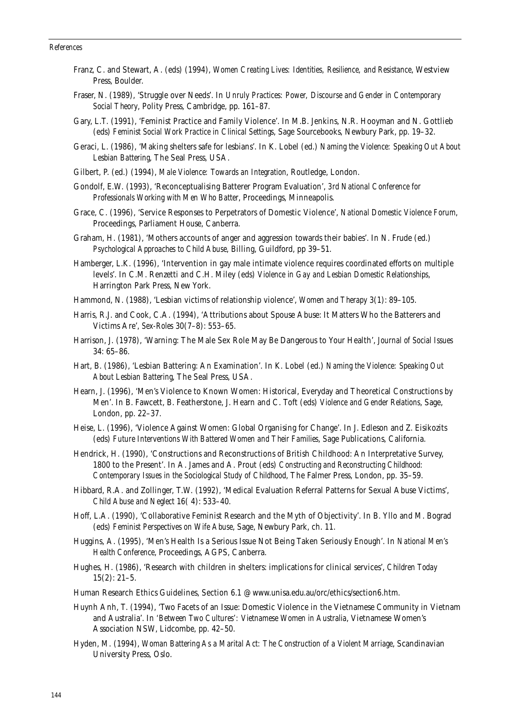#### *References*

- Franz, C. and Stewart, A. (eds) (1994), *Women Creating Lives: Identities, Resilience, and Resistance*, Westview Press, Boulder.
- Fraser, N. (1989), 'Struggle over Needs'. In *Unruly Practices: Power, Discourse and Gender in Contemporary Social Theory*, Polity Press, Cambridge, pp. 161–87.
- Gary, L.T. (1991), 'Feminist Practice and Family Violence'. In M.B. Jenkins, N.R. Hooyman and N. Gottlieb (eds) *Feminist Social Work Practice in Clinical Settings*, Sage Sourcebooks, Newbury Park, pp. 19–32.
- Geraci, L. (1986), 'Making shelters safe for lesbians'. In K. Lobel (ed.) *Naming the Violence: Speaking Out About Lesbian Battering*, The Seal Press, USA.
- Gilbert, P. (ed.) (1994), *Male Violence: Towards an Integration*, Routledge, London.
- Gondolf, E.W. (1993), 'Reconceptualising Batterer Program Evaluation', *3rd National Conference for Professionals Working with Men Who Batter*, Proceedings, Minneapolis.
- Grace, C. (1996), 'Service Responses to Perpetrators of Domestic Violence', *National Domestic Violence Forum*, Proceedings, Parliament House, Canberra.
- Graham, H. (1981), 'Mothers accounts of anger and aggression towards their babies'. In N. Frude (ed.) *Psychological Approaches to Child Abuse*, Billing, Guildford, pp 39–51.
- Hamberger, L.K. (1996), 'Intervention in gay male intimate violence requires coordinated efforts on multiple levels'. In C.M. Renzetti and C.H. Miley (eds) *Violence in Gay and Lesbian Domestic Relationships*, Harrington Park Press, New York.
- Hammond, N. (1988), 'Lesbian victims of relationship violence', *Women and Therapy* 3(1): 89–105.
- Harris, R.J. and Cook, C.A. (1994), 'Attributions about Spouse Abuse: It Matters Who the Batterers and Victims Are', *Sex-Roles* 30(7–8): 553–65.
- Harrison, J. (1978), 'Warning: The Male Sex Role May Be Dangerous to Your Health', *Journal of Social Issues* 34: 65–86.
- Hart, B. (1986), 'Lesbian Battering: An Examination'. In K. Lobel (ed.) *Naming the Violence: Speaking Out About Lesbian Battering*, The Seal Press, USA.
- Hearn, J. (1996), 'Men's Violence to Known Women: Historical, Everyday and Theoretical Constructions by Men'. In B. Fawcett, B. Featherstone, J. Hearn and C. Toft (eds) *Violence and Gender Relations*, Sage, London, pp. 22–37.
- Heise, L. (1996), 'Violence Against Women: Global Organising for Change'. In J. Edleson and Z. Eisikozits (eds) *Future Interventions With Battered Women and Their Families*, Sage Publications, California.
- Hendrick, H. (1990), 'Constructions and Reconstructions of British Childhood: An Interpretative Survey, 1800 to the Present'. In A. James and A. Prout (eds) *Constructing and Reconstructing Childhood: Contemporary Issues in the Sociological Study of Childhood*, The Falmer Press, London, pp. 35–59.
- Hibbard, R.A. and Zollinger, T.W. (1992), 'Medical Evaluation Referral Patterns for Sexual Abuse Victims', *Child Abuse and Neglect* 16( 4): 533–40.
- Hoff, L.A. (1990), 'Collaborative Feminist Research and the Myth of Objectivity'. In B. Yllo and M. Bograd (eds) *Feminist Perspectives on Wife Abuse*, Sage, Newbury Park, ch. 11.
- Huggins, A. (1995), 'Men's Health Is a Serious Issue Not Being Taken Seriously Enough'. In *National Men's Health Conference*, Proceedings, AGPS, Canberra.
- Hughes, H. (1986), 'Research with children in shelters: implications for clinical services', *Children Today* 15(2): 21–5.
- Human Research Ethics Guidelines, Section 6.1 @ www.unisa.edu.au/orc/ethics/section6.htm.
- Huynh Anh, T. (1994), 'Two Facets of an Issue: Domestic Violence in the Vietnamese Community in Vietnam and Australia'. In *'Between Two Cultures': Vietnamese Women in Australia*, Vietnamese Women's Association NSW, Lidcombe, pp. 42–50.
- Hyden, M. (1994), *Woman Battering As a Marital Act: The Construction of a Violent Marriage*, Scandinavian University Press, Oslo.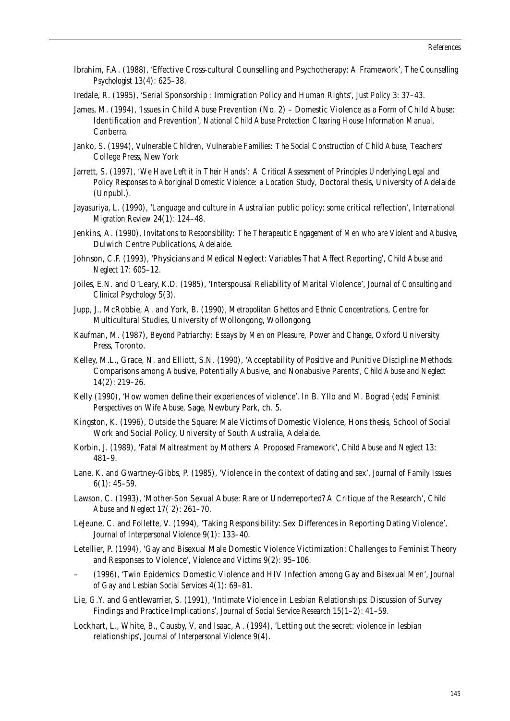- Ibrahim, F.A. (1988), 'Effective Cross-cultural Counselling and Psychotherapy: A Framework', *The Counselling Psychologist* 13(4): 625–38.
- Iredale, R. (1995), 'Serial Sponsorship : Immigration Policy and Human Rights', *Just Policy* 3: 37–43.
- James, M. (1994), 'Issues in Child Abuse Prevention (No. 2) Domestic Violence as a Form of Child Abuse: Identification and Prevention', *National Child Abuse Protection Clearing House Information Manual*, Canberra.
- Janko, S. (1994), *Vulnerable Children, Vulnerable Families: The Social Construction of Child Abuse*, Teachers' College Press, New York
- Jarrett, S. (1997), *'We Have Left it in Their Hands': A Critical Assessment of Principles Underlying Legal and Policy Responses to Aboriginal Domestic Violence: a Location Study*, Doctoral thesis, University of Adelaide (Unpubl.).
- Jayasuriya, L. (1990), 'Language and culture in Australian public policy: some critical reflection', *International Migration Review* 24(1): 124–48.
- Jenkins, A. (1990), *Invitations to Responsibility: The Therapeutic Engagement of Men who are Violent and Abusive*, Dulwich Centre Publications, Adelaide.
- Johnson, C.F. (1993), 'Physicians and Medical Neglect: Variables That Affect Reporting', *Child Abuse and Neglect* 17: 605–12.
- Joiles, E.N. and O'Leary, K.D. (1985), 'Interspousal Reliability of Marital Violence', *Journal of Consulting and Clinical Psychology* 5(3).
- Jupp, J., McRobbie, A. and York, B. (1990), *Metropolitan Ghettos and Ethnic Concentrations*, Centre for Multicultural Studies, University of Wollongong, Wollongong.
- Kaufman, M. (1987), *Beyond Patriarchy: Essays by Men on Pleasure, Power and Change*, Oxford University Press, Toronto.
- Kelley, M.L., Grace, N. and Elliott, S.N. (1990), 'Acceptability of Positive and Punitive Discipline Methods: Comparisons among Abusive, Potentially Abusive, and Nonabusive Parents', *Child Abuse and Neglect* 14(2): 219–26.
- Kelly (1990), 'How women define their experiences of violence'. In B. Yllo and M. Bograd (eds) *Feminist Perspectives on Wife Abuse*, Sage, Newbury Park, ch. 5.
- Kingston, K. (1996), Outside the Square: Male Victims of Domestic Violence, Hons thesis, School of Social Work and Social Policy, University of South Australia, Adelaide.
- Korbin, J. (1989), 'Fatal Maltreatment by Mothers: A Proposed Framework', *Child Abuse and Neglect* 13: 481–9.
- Lane, K. and Gwartney-Gibbs, P. (1985), 'Violence in the context of dating and sex', *Journal of Family Issues*  $6(1): 45-59.$
- Lawson, C. (1993), 'Mother-Son Sexual Abuse: Rare or Underreported? A Critique of the Research', *Child Abuse and Neglect* 17( 2): 261–70.
- LeJeune, C. and Follette, V. (1994), 'Taking Responsibility: Sex Differences in Reporting Dating Violence', *Journal of Interpersonal Violence* 9(1): 133–40.
- Letellier, P. (1994), 'Gay and Bisexual Male Domestic Violence Victimization: Challenges to Feminist Theory and Responses to Violence', *Violence and Victims* 9(2): 95–106.
- (1996), 'Twin Epidemics: Domestic Violence and HIV Infection among Gay and Bisexual Men', *Journal of Gay and Lesbian Social Services* 4(1): 69–81.
- Lie, G.Y. and Gentlewarrier, S. (1991), 'Intimate Violence in Lesbian Relationships: Discussion of Survey Findings and Practice Implications', *Journal of Social Service Research* 15(1–2): 41–59.
- Lockhart, L., White, B., Causby, V. and Isaac, A. (1994), 'Letting out the secret: violence in lesbian relationships', *Journal of Interpersonal Violence* 9(4).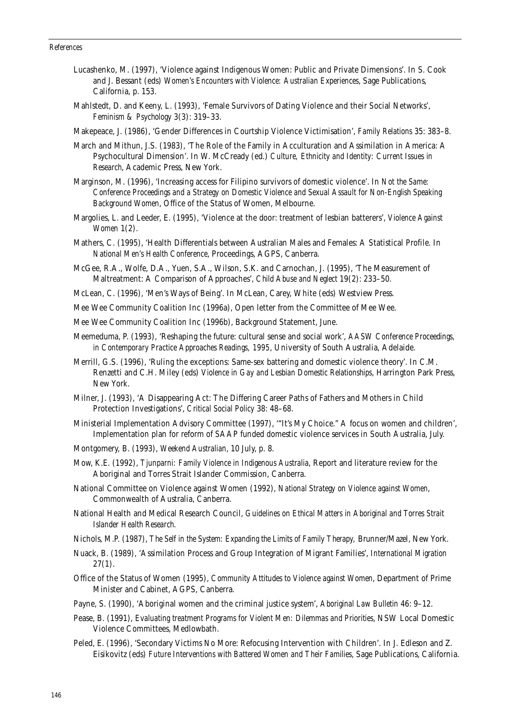## *References*

- Lucashenko, M. (1997), 'Violence against Indigenous Women: Public and Private Dimensions'. In S. Cook and J. Bessant (eds) *Women's Encounters with Violence: Australian Experiences*, Sage Publications, California, p. 153.
- Mahlstedt, D. and Keeny, L. (1993), 'Female Survivors of Dating Violence and their Social Networks', *Feminism & Psychology* 3(3): 319–33.
- Makepeace, J. (1986), 'Gender Differences in Courtship Violence Victimisation', *Family Relations* 35: 383–8.
- March and Mithun, J.S. (1983), 'The Role of the Family in Acculturation and Assimilation in America: A Psychocultural Dimension'. In W. McCready (ed.) *Culture, Ethnicity and Identity: Current Issues in Research*, Academic Press, New York.
- Marginson, M. (1996), 'Increasing access for Filipino survivors of domestic violence'. In *Not the Same: Conference Proceedings and a Strategy on Domestic Violence and Sexual Assault for Non-English Speaking Background Women*, Office of the Status of Women, Melbourne.
- Margolies, L. and Leeder, E. (1995), 'Violence at the door: treatment of lesbian batterers', *Violence Against Women* 1(2).
- Mathers, C. (1995), 'Health Differentials between Australian Males and Females: A Statistical Profile. In *National Men's Health Conference*, Proceedings, AGPS, Canberra.
- McGee, R.A., Wolfe, D.A., Yuen, S.A., Wilson, S.K. and Carnochan, J. (1995), 'The Measurement of Maltreatment: A Comparison of Approaches', *Child Abuse and Neglect* 19(2): 233–50.
- McLean, C. (1996), 'Men's Ways of Being'. In McLean, Carey, White (eds) Westview Press.
- Mee Wee Community Coalition Inc (1996a), Open letter from the Committee of Mee Wee.
- Mee Wee Community Coalition Inc (1996b), Background Statement, June.
- Meemeduma, P. (1993), 'Reshaping the future: cultural sense and social work', *AASW Conference Proceedings, in Contemporary Practice Approaches Readings, 1995*, University of South Australia, Adelaide.
- Merrill, G.S. (1996), 'Ruling the exceptions: Same-sex battering and domestic violence theory'. In C.M. Renzetti and C.H. Miley (eds) *Violence in Gay and Lesbian Domestic Relationships*, Harrington Park Press, New York.
- Milner, J. (1993), 'A Disappearing Act: The Differing Career Paths of Fathers and Mothers in Child Protection Investigations', *Critical Social Policy* 38: 48–68.
- Ministerial Implementation Advisory Committee (1997), '"It's My Choice." A focus on women and children', Implementation plan for reform of SAAP funded domestic violence services in South Australia, July.
- Montgomery, B. (1993), *Weekend Australian*, 10 July, p. 8.
- Mow, K.E. (1992), *Tjunparni: Family Violence in Indigenous Australia*, Report and literature review for the Aboriginal and Torres Strait Islander Commission, Canberra.
- National Committee on Violence against Women (1992), *National Strategy on Violence against Women*, Commonwealth of Australia, Canberra.
- National Health and Medical Research Council, *Guidelines on Ethical Matters in Aboriginal and Torres Strait Islander Health Research*.
- Nichols, M.P. (1987), *The Self in the System: Expanding the Limits of Family Therapy,* Brunner/Mazel, New York.
- Nuack, B. (1989), 'Assimilation Process and Group Integration of Migrant Families', *International Migration*  $27(1)$ .
- Office of the Status of Women (1995), *Community Attitudes to Violence against Women*, Department of Prime Minister and Cabinet, AGPS, Canberra.
- Payne, S. (1990), 'Aboriginal women and the criminal justice system', *Aboriginal Law Bulletin* 46: 9–12.
- Pease, B. (1991), *Evaluating treatment Programs for Violent Men: Dilemmas and Priorities*, NSW Local Domestic Violence Committees, Medlowbath.
- Peled, E. (1996), 'Secondary Victims No More: Refocusing Intervention with Children'. In J. Edleson and Z. Eisikovitz (eds) *Future Interventions with Battered Women and Their Families*, Sage Publications, California.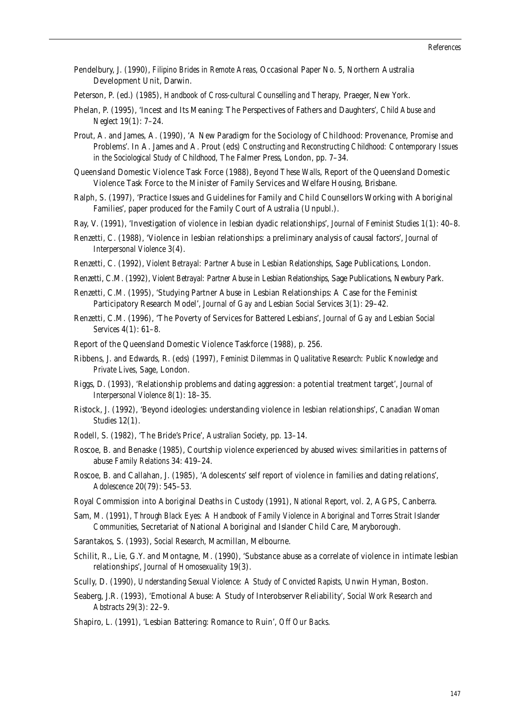- Pendelbury, J. (1990), *Filipino Brides in Remote Areas*, Occasional Paper No. 5, Northern Australia Development Unit, Darwin.
- Peterson, P. (ed.) (1985), *Handbook of Cross-cultural Counselling and Therapy,* Praeger, New York.
- Phelan, P. (1995), 'Incest and Its Meaning: The Perspectives of Fathers and Daughters', *Child Abuse and Neglect* 19(1): 7–24.
- Prout, A. and James, A. (1990), 'A New Paradigm for the Sociology of Childhood: Provenance, Promise and Problems'. In A. James and A. Prout (eds) *Constructing and Reconstructing Childhood: Contemporary Issues in the Sociological Study of Childhood*, The Falmer Press, London, pp. 7–34.
- Queensland Domestic Violence Task Force (1988), *Beyond These Walls*, Report of the Queensland Domestic Violence Task Force to the Minister of Family Services and Welfare Housing, Brisbane.
- Ralph, S. (1997), 'Practice Issues and Guidelines for Family and Child Counsellors Working with Aboriginal Families', paper produced for the Family Court of Australia (Unpubl.).
- Ray, V. (1991), 'Investigation of violence in lesbian dyadic relationships', *Journal of Feminist Studies* 1(1): 40–8.
- Renzetti, C. (1988), 'Violence in lesbian relationships: a preliminary analysis of causal factors', *Journal of Interpersonal Violence* 3(4).
- Renzetti, C. (1992), *Violent Betrayal: Partner Abuse in Lesbian Relationships*, Sage Publications, London.
- Renzetti, C.M. (1992), *Violent Betrayal: Partner Abuse in Lesbian Relationships*, Sage Publications, Newbury Park.
- Renzetti, C.M. (1995), 'Studying Partner Abuse in Lesbian Relationships: A Case for the Feminist Participatory Research Model', *Journal of Gay and Lesbian Social Services* 3(1): 29–42.
- Renzetti, C.M. (1996), 'The Poverty of Services for Battered Lesbians', *Journal of Gay and Lesbian Social Services* 4(1): 61–8.
- Report of the Queensland Domestic Violence Taskforce (1988), p. 256.
- Ribbens, J. and Edwards, R. (eds) (1997), *Feminist Dilemmas in Qualitative Research: Public Knowledge and Private Lives*, Sage, London.
- Riggs, D. (1993), 'Relationship problems and dating aggression: a potential treatment target', *Journal of Interpersonal Violence* 8(1): 18–35.
- Ristock, J. (1992), 'Beyond ideologies: understanding violence in lesbian relationships', *Canadian Woman Studies* 12(1).
- Rodell, S. (1982), 'The Bride's Price', *Australian Society*, pp. 13–14.
- Roscoe, B. and Benaske (1985), Courtship violence experienced by abused wives: similarities in patterns of abuse *Family Relations* 34: 419–24.
- Roscoe, B. and Callahan, J. (1985), 'Adolescents' self report of violence in families and dating relations', *Adolescence* 20(79): 545–53.
- Royal Commission into Aboriginal Deaths in Custody (1991), *National Report*, vol. 2, AGPS, Canberra.
- Sam, M. (1991), *Through Black Eyes: A Handbook of Family Violence in Aboriginal and Torres Strait Islander Communities*, Secretariat of National Aboriginal and Islander Child Care, Maryborough.
- Sarantakos, S. (1993), *Social Research*, Macmillan, Melbourne.
- Schilit, R., Lie, G.Y. and Montagne, M. (1990), 'Substance abuse as a correlate of violence in intimate lesbian relationships', *Journal of Homosexuality* 19(3).
- Scully, D. (1990), *Understanding Sexual Violence: A Study of Convicted Rapists*, Unwin Hyman, Boston.
- Seaberg, J.R. (1993), 'Emotional Abuse: A Study of Interobserver Reliability', *Social Work Research and Abstracts* 29(3): 22–9.
- Shapiro, L. (1991), 'Lesbian Battering: Romance to Ruin', *Off Our Backs*.